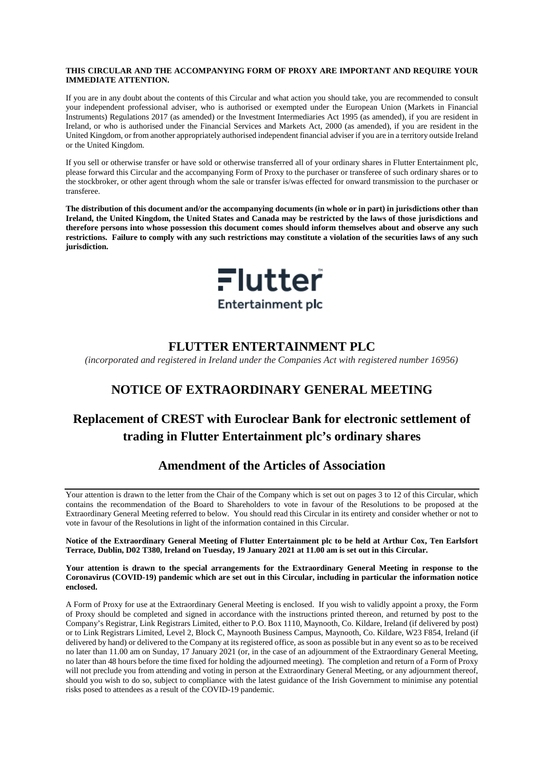#### **THIS CIRCULAR AND THE ACCOMPANYING FORM OF PROXY ARE IMPORTANT AND REQUIRE YOUR IMMEDIATE ATTENTION.**

If you are in any doubt about the contents of this Circular and what action you should take, you are recommended to consult your independent professional adviser, who is authorised or exempted under the European Union (Markets in Financial Instruments) Regulations 2017 (as amended) or the Investment Intermediaries Act 1995 (as amended), if you are resident in Ireland, or who is authorised under the Financial Services and Markets Act, 2000 (as amended), if you are resident in the United Kingdom, or from another appropriately authorised independent financial adviser if you are in a territory outside Ireland or the United Kingdom.

If you sell or otherwise transfer or have sold or otherwise transferred all of your ordinary shares in Flutter Entertainment plc, please forward this Circular and the accompanying Form of Proxy to the purchaser or transferee of such ordinary shares or to the stockbroker, or other agent through whom the sale or transfer is/was effected for onward transmission to the purchaser or transferee.

**The distribution of this document and/or the accompanying documents (in whole or in part) in jurisdictions other than Ireland, the United Kingdom, the United States and Canada may be restricted by the laws of those jurisdictions and therefore persons into whose possession this document comes should inform themselves about and observe any such restrictions. Failure to comply with any such restrictions may constitute a violation of the securities laws of any such jurisdiction.**



# **FLUTTER ENTERTAINMENT PLC**

*(incorporated and registered in Ireland under the Companies Act with registered number 16956)*

# **NOTICE OF EXTRAORDINARY GENERAL MEETING**

# **Replacement of CREST with Euroclear Bank for electronic settlement of trading in Flutter Entertainment plc's ordinary shares**

# **Amendment of the Articles of Association**

Your attention is drawn to the letter from the Chair of the Company which is set out on pages [3](#page-5-0) to [12](#page-14-0) of this Circular, which contains the recommendation of the Board to Shareholders to vote in favour of the Resolutions to be proposed at the Extraordinary General Meeting referred to below. You should read this Circular in its entirety and consider whether or not to vote in favour of the Resolutions in light of the information contained in this Circular.

**Notice of the Extraordinary General Meeting of Flutter Entertainment plc to be held at Arthur Cox, Ten Earlsfort Terrace, Dublin, D02 T380, Ireland on Tuesday, 19 January 2021 at 11.00 am is set out in this Circular.**

#### **Your attention is drawn to the special arrangements for the Extraordinary General Meeting in response to the Coronavirus (COVID-19) pandemic which are set out in this Circular, including in particular the information notice enclosed.**

A Form of Proxy for use at the Extraordinary General Meeting is enclosed. If you wish to validly appoint a proxy, the Form of Proxy should be completed and signed in accordance with the instructions printed thereon, and returned by post to the Company's Registrar, Link Registrars Limited, either to P.O. Box 1110, Maynooth, Co. Kildare, Ireland (if delivered by post) or to Link Registrars Limited, Level 2, Block C, Maynooth Business Campus, Maynooth, Co. Kildare, W23 F854, Ireland (if delivered by hand) or delivered to the Company at its registered office, as soon as possible but in any event so as to be received no later than 11.00 am on Sunday, 17 January 2021 (or, in the case of an adjournment of the Extraordinary General Meeting, no later than 48 hours before the time fixed for holding the adjourned meeting). The completion and return of a Form of Proxy will not preclude you from attending and voting in person at the Extraordinary General Meeting, or any adjournment thereof, should you wish to do so, subject to compliance with the latest guidance of the Irish Government to minimise any potential risks posed to attendees as a result of the COVID-19 pandemic.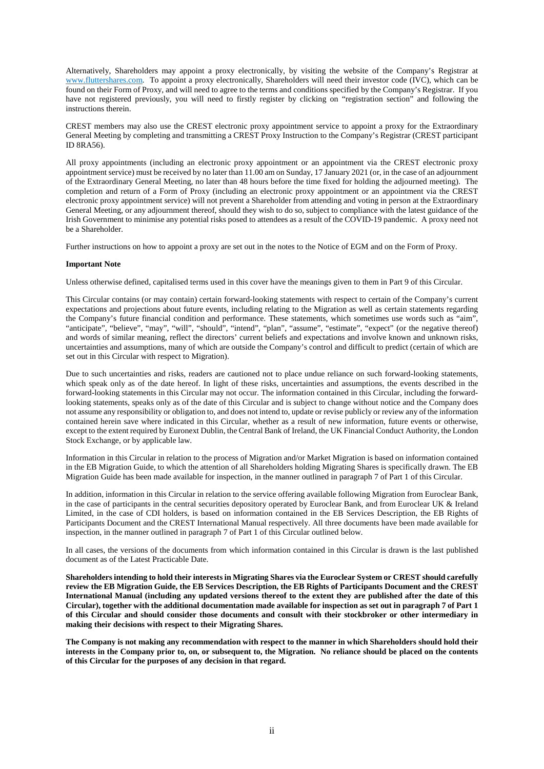Alternatively, Shareholders may appoint a proxy electronically, by visiting the website of the Company's Registrar at [www.fluttershares.com.](http://www.fluttershares.com/) To appoint a proxy electronically, Shareholders will need their investor code (IVC), which can be found on their Form of Proxy, and will need to agree to the terms and conditions specified by the Company's Registrar. If you have not registered previously, you will need to firstly register by clicking on "registration section" and following the instructions therein.

CREST members may also use the CREST electronic proxy appointment service to appoint a proxy for the Extraordinary General Meeting by completing and transmitting a CREST Proxy Instruction to the Company's Registrar (CREST participant ID 8RA56).

All proxy appointments (including an electronic proxy appointment or an appointment via the CREST electronic proxy appointment service) must be received by no later than 11.00 am on Sunday, 17 January 2021 (or, in the case of an adjournment of the Extraordinary General Meeting, no later than 48 hours before the time fixed for holding the adjourned meeting). The completion and return of a Form of Proxy (including an electronic proxy appointment or an appointment via the CREST electronic proxy appointment service) will not prevent a Shareholder from attending and voting in person at the Extraordinary General Meeting, or any adjournment thereof, should they wish to do so, subject to compliance with the latest guidance of the Irish Government to minimise any potential risks posed to attendees as a result of the COVID-19 pandemic. A proxy need not be a Shareholder.

Further instructions on how to appoint a proxy are set out in the notes to the Notice of EGM and on the Form of Proxy.

#### **Important Note**

Unless otherwise defined, capitalised terms used in this cover have the meanings given to them in [Part](#page-83-0) 9 of this Circular.

This Circular contains (or may contain) certain forward-looking statements with respect to certain of the Company's current expectations and projections about future events, including relating to the Migration as well as certain statements regarding the Company's future financial condition and performance. These statements, which sometimes use words such as "aim", "anticipate", "believe", "may", "will", "should", "intend", "plan", "assume", "estimate", "expect" (or the negative thereof) and words of similar meaning, reflect the directors' current beliefs and expectations and involve known and unknown risks, uncertainties and assumptions, many of which are outside the Company's control and difficult to predict (certain of which are set out in this Circular with respect to Migration).

Due to such uncertainties and risks, readers are cautioned not to place undue reliance on such forward-looking statements, which speak only as of the date hereof. In light of these risks, uncertainties and assumptions, the events described in the forward-looking statements in this Circular may not occur. The information contained in this Circular, including the forwardlooking statements, speaks only as of the date of this Circular and is subject to change without notice and the Company does not assume any responsibility or obligation to, and does not intend to, update or revise publicly or review any of the information contained herein save where indicated in this Circular, whether as a result of new information, future events or otherwise, except to the extent required by Euronext Dublin, the Central Bank of Ireland, the UK Financial Conduct Authority, the London Stock Exchange, or by applicable law.

Information in this Circular in relation to the process of Migration and/or Market Migration is based on information contained in the EB Migration Guide, to which the attention of all Shareholders holding Migrating Shares is specifically drawn. The EB Migration Guide has been made available for inspection, in the manner outlined in paragrap[h 7](#page-11-0) of [Part](#page-5-1) 1 of this Circular.

In addition, information in this Circular in relation to the service offering available following Migration from Euroclear Bank, in the case of participants in the central securities depository operated by Euroclear Bank, and from Euroclear UK & Ireland Limited, in the case of CDI holders, is based on information contained in the EB Services Description, the EB Rights of Participants Document and the CREST International Manual respectively. All three documents have been made available for inspection, in the manner outlined in paragrap[h 7](#page-11-0) of [Part](#page-5-1) 1 of this Circular outlined below.

In all cases, the versions of the documents from which information contained in this Circular is drawn is the last published document as of the Latest Practicable Date.

**Shareholders intending to hold their interests in Migrating Shares via the Euroclear System or CREST should carefully review the EB Migration Guide, the EB Services Description, the EB Rights of Participants Document and the CREST International Manual (including any updated versions thereof to the extent they are published after the date of this Circular), together with the additional documentation made available for inspection as set out in paragrap[h 7](#page-11-0) o[f Part](#page-5-1) 1 of this Circular and should consider those documents and consult with their stockbroker or other intermediary in making their decisions with respect to their Migrating Shares.** 

**The Company is not making any recommendation with respect to the manner in which Shareholders should hold their interests in the Company prior to, on, or subsequent to, the Migration. No reliance should be placed on the contents of this Circular for the purposes of any decision in that regard.**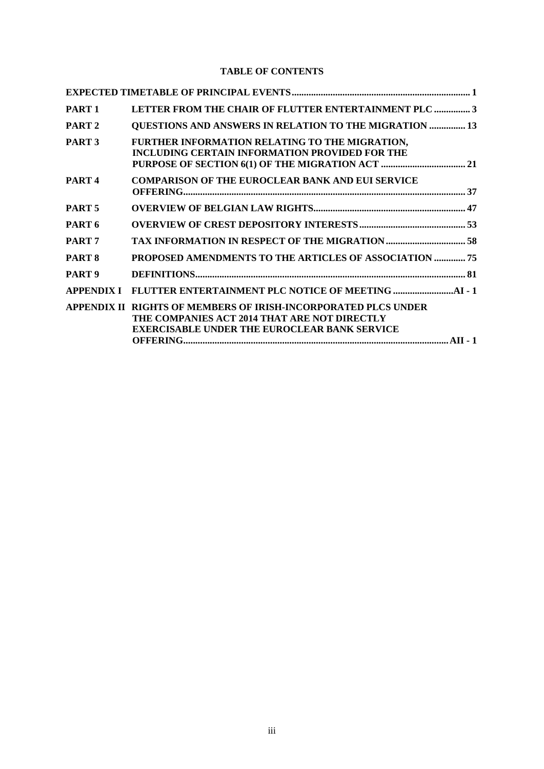## **TABLE OF CONTENTS**

| PART <sub>1</sub> | LETTER FROM THE CHAIR OF FLUTTER ENTERTAINMENT PLC  3                                                                                                                 |  |
|-------------------|-----------------------------------------------------------------------------------------------------------------------------------------------------------------------|--|
| PART <sub>2</sub> | <b>QUESTIONS AND ANSWERS IN RELATION TO THE MIGRATION  13</b>                                                                                                         |  |
| PART <sub>3</sub> | FURTHER INFORMATION RELATING TO THE MIGRATION,<br><b>INCLUDING CERTAIN INFORMATION PROVIDED FOR THE</b>                                                               |  |
| PART <sub>4</sub> | <b>COMPARISON OF THE EUROCLEAR BANK AND EUI SERVICE</b>                                                                                                               |  |
| PART <sub>5</sub> |                                                                                                                                                                       |  |
| PART <sub>6</sub> |                                                                                                                                                                       |  |
| PART <sub>7</sub> |                                                                                                                                                                       |  |
| PART <sub>8</sub> | PROPOSED AMENDMENTS TO THE ARTICLES OF ASSOCIATION  75                                                                                                                |  |
| PART <sub>9</sub> |                                                                                                                                                                       |  |
| <b>APPENDIX I</b> |                                                                                                                                                                       |  |
|                   | APPENDIX II RIGHTS OF MEMBERS OF IRISH-INCORPORATED PLCS UNDER<br>THE COMPANIES ACT 2014 THAT ARE NOT DIRECTLY<br><b>EXERCISABLE UNDER THE EUROCLEAR BANK SERVICE</b> |  |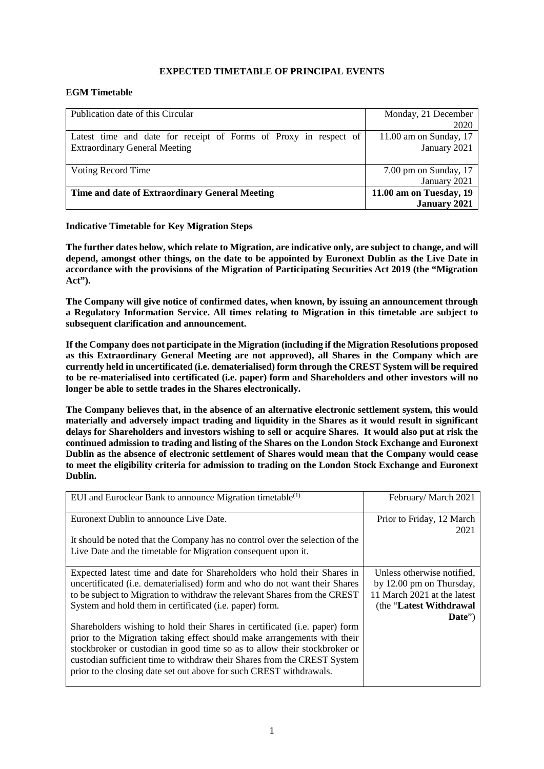## <span id="page-3-0"></span>**EXPECTED TIMETABLE OF PRINCIPAL EVENTS**

### **EGM Timetable**

| Publication date of this Circular                                | Monday, 21 December     |
|------------------------------------------------------------------|-------------------------|
|                                                                  | 2020                    |
| Latest time and date for receipt of Forms of Proxy in respect of | 11.00 am on Sunday, 17  |
| <b>Extraordinary General Meeting</b>                             | January 2021            |
|                                                                  |                         |
| Voting Record Time                                               | $7.00$ pm on Sunday, 17 |
|                                                                  | January 2021            |
| Time and date of Extraordinary General Meeting                   | 11.00 am on Tuesday, 19 |
|                                                                  | <b>January 2021</b>     |

#### **Indicative Timetable for Key Migration Steps**

**The further dates below, which relate to Migration, are indicative only, are subject to change, and will depend, amongst other things, on the date to be appointed by Euronext Dublin as the Live Date in accordance with the provisions of the Migration of Participating Securities Act 2019 (the "Migration Act").**

**The Company will give notice of confirmed dates, when known, by issuing an announcement through a Regulatory Information Service. All times relating to Migration in this timetable are subject to subsequent clarification and announcement.**

**If the Company does not participate in the Migration (including if the Migration Resolutions proposed as this Extraordinary General Meeting are not approved), all Shares in the Company which are currently held in uncertificated (i.e. dematerialised) form through the CREST System will be required to be re-materialised into certificated (i.e. paper) form and Shareholders and other investors will no longer be able to settle trades in the Shares electronically.** 

**The Company believes that, in the absence of an alternative electronic settlement system, this would materially and adversely impact trading and liquidity in the Shares as it would result in significant delays for Shareholders and investors wishing to sell or acquire Shares. It would also put at risk the continued admission to trading and listing of the Shares on the London Stock Exchange and Euronext Dublin as the absence of electronic settlement of Shares would mean that the Company would cease to meet the eligibility criteria for admission to trading on the London Stock Exchange and Euronext Dublin.**

| EUI and Euroclear Bank to announce Migration timetable $^{(1)}$                                                                                                                                                                                                                                                                                                              | February/March 2021                                                                                                          |
|------------------------------------------------------------------------------------------------------------------------------------------------------------------------------------------------------------------------------------------------------------------------------------------------------------------------------------------------------------------------------|------------------------------------------------------------------------------------------------------------------------------|
| Euronext Dublin to announce Live Date.                                                                                                                                                                                                                                                                                                                                       | Prior to Friday, 12 March<br>2021                                                                                            |
| It should be noted that the Company has no control over the selection of the<br>Live Date and the timetable for Migration consequent upon it.                                                                                                                                                                                                                                |                                                                                                                              |
| Expected latest time and date for Shareholders who hold their Shares in<br>uncertificated (i.e. dematerialised) form and who do not want their Shares<br>to be subject to Migration to withdraw the relevant Shares from the CREST<br>System and hold them in certificated (i.e. paper) form.<br>Shareholders wishing to hold their Shares in certificated (i.e. paper) form | Unless otherwise notified,<br>by 12.00 pm on Thursday,<br>11 March 2021 at the latest<br>(the "Latest Withdrawal")<br>Date") |
| prior to the Migration taking effect should make arrangements with their<br>stockbroker or custodian in good time so as to allow their stockbroker or<br>custodian sufficient time to withdraw their Shares from the CREST System<br>prior to the closing date set out above for such CREST withdrawals.                                                                     |                                                                                                                              |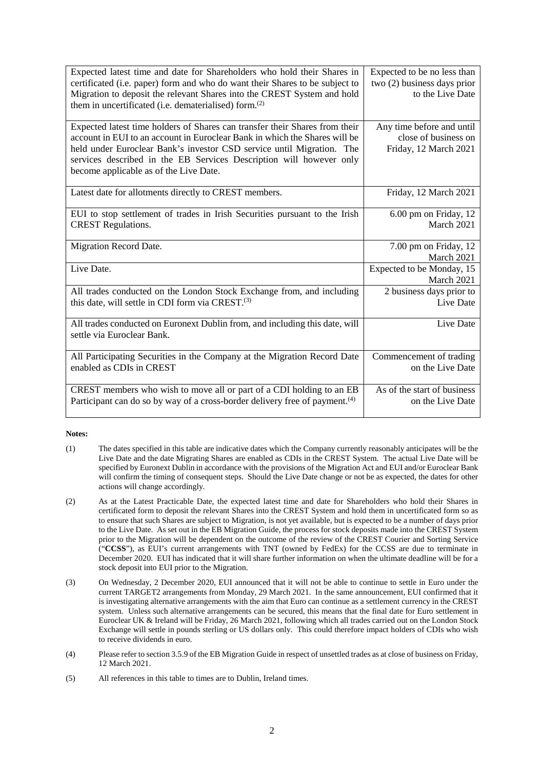| Expected latest time and date for Shareholders who hold their Shares in<br>certificated (i.e. paper) form and who do want their Shares to be subject to<br>Migration to deposit the relevant Shares into the CREST System and hold<br>them in uncertificated (i.e. dematerialised) form. <sup>(2)</sup>                                             | Expected to be no less than<br>two (2) business days prior<br>to the Live Date |
|-----------------------------------------------------------------------------------------------------------------------------------------------------------------------------------------------------------------------------------------------------------------------------------------------------------------------------------------------------|--------------------------------------------------------------------------------|
| Expected latest time holders of Shares can transfer their Shares from their<br>account in EUI to an account in Euroclear Bank in which the Shares will be<br>held under Euroclear Bank's investor CSD service until Migration. The<br>services described in the EB Services Description will however only<br>become applicable as of the Live Date. | Any time before and until<br>close of business on<br>Friday, 12 March 2021     |
| Latest date for allotments directly to CREST members.                                                                                                                                                                                                                                                                                               | Friday, 12 March 2021                                                          |
| EUI to stop settlement of trades in Irish Securities pursuant to the Irish<br><b>CREST Regulations.</b>                                                                                                                                                                                                                                             | 6.00 pm on Friday, 12<br>March 2021                                            |
| Migration Record Date.                                                                                                                                                                                                                                                                                                                              | 7.00 pm on Friday, 12<br>March 2021                                            |
| Live Date.                                                                                                                                                                                                                                                                                                                                          | Expected to be Monday, 15<br>March 2021                                        |
| All trades conducted on the London Stock Exchange from, and including<br>this date, will settle in CDI form via CREST. <sup>(3)</sup>                                                                                                                                                                                                               | 2 business days prior to<br>Live Date                                          |
| All trades conducted on Euronext Dublin from, and including this date, will<br>settle via Euroclear Bank.                                                                                                                                                                                                                                           | Live Date                                                                      |
| All Participating Securities in the Company at the Migration Record Date<br>enabled as CDIs in CREST                                                                                                                                                                                                                                                | Commencement of trading<br>on the Live Date                                    |
| CREST members who wish to move all or part of a CDI holding to an EB                                                                                                                                                                                                                                                                                | As of the start of business                                                    |

#### **Notes:**

- (1) The dates specified in this table are indicative dates which the Company currently reasonably anticipates will be the Live Date and the date Migrating Shares are enabled as CDIs in the CREST System. The actual Live Date will be specified by Euronext Dublin in accordance with the provisions of the Migration Act and EUI and/or Euroclear Bank will confirm the timing of consequent steps. Should the Live Date change or not be as expected, the dates for other actions will change accordingly.
- (2) As at the Latest Practicable Date, the expected latest time and date for Shareholders who hold their Shares in certificated form to deposit the relevant Shares into the CREST System and hold them in uncertificated form so as to ensure that such Shares are subject to Migration, is not yet available, but is expected to be a number of days prior to the Live Date. As set out in the EB Migration Guide, the process for stock deposits made into the CREST System prior to the Migration will be dependent on the outcome of the review of the CREST Courier and Sorting Service ("**CCSS**"), as EUI's current arrangements with TNT (owned by FedEx) for the CCSS are due to terminate in December 2020. EUI has indicated that it will share further information on when the ultimate deadline will be for a stock deposit into EUI prior to the Migration.
- (3) On Wednesday, 2 December 2020, EUI announced that it will not be able to continue to settle in Euro under the current TARGET2 arrangements from Monday, 29 March 2021. In the same announcement, EUI confirmed that it is investigating alternative arrangements with the aim that Euro can continue as a settlement currency in the CREST system. Unless such alternative arrangements can be secured, this means that the final date for Euro settlement in Euroclear UK & Ireland will be Friday, 26 March 2021, following which all trades carried out on the London Stock Exchange will settle in pounds sterling or US dollars only. This could therefore impact holders of CDIs who wish to receive dividends in euro.
- (4) Please refer to section 3.5.9 of the EB Migration Guide in respect of unsettled trades as at close of business on Friday, 12 March 2021.
- (5) All references in this table to times are to Dublin, Ireland times.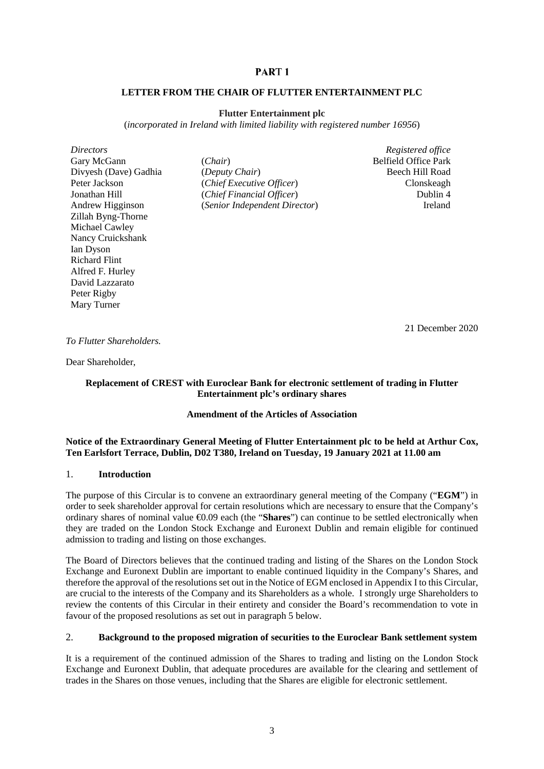## PART<sub>1</sub>

#### <span id="page-5-1"></span><span id="page-5-0"></span>**LETTER FROM THE CHAIR OF FLUTTER ENTERTAINMENT PLC**

#### **Flutter Entertainment plc**

(*incorporated in Ireland with limited liability with registered number 16956*)

*Directors Registered office* Zillah Byng-Thorne Michael Cawley Nancy Cruickshank Ian Dyson Richard Flint Alfred F. Hurley David Lazzarato Peter Rigby Mary Turner

Gary McGann (*Chair*) **Belfield Office Park** Divyesh (Dave) Gadhia (*Deputy Chair*) Beech Hill Road Peter Jackson (*Chief Executive Officer*) Clonskeagh Jonathan Hill (*Chief Financial Officer*) Dublin 4 Andrew Higginson (*Senior Independent Director*) Ireland

<span id="page-5-2"></span>

21 December 2020

*To Flutter Shareholders.* 

Dear Shareholder,

## **Replacement of CREST with Euroclear Bank for electronic settlement of trading in Flutter Entertainment plc's ordinary shares**

## **Amendment of the Articles of Association**

#### **Notice of the Extraordinary General Meeting of Flutter Entertainment plc to be held at Arthur Cox, Ten Earlsfort Terrace, Dublin, D02 T380, Ireland on Tuesday, 19 January 2021 at 11.00 am**

#### 1. **Introduction**

The purpose of this Circular is to convene an extraordinary general meeting of the Company ("**EGM**") in order to seek shareholder approval for certain resolutions which are necessary to ensure that the Company's ordinary shares of nominal value €0.09 each (the "**Shares**") can continue to be settled electronically when they are traded on the London Stock Exchange and Euronext Dublin and remain eligible for continued admission to trading and listing on those exchanges.

The Board of Directors believes that the continued trading and listing of the Shares on the London Stock Exchange and Euronext Dublin are important to enable continued liquidity in the Company's Shares, and therefore the approval of the resolutions set out in the Notice of EGM enclosed in Appendix I to this Circular, are crucial to the interests of the Company and its Shareholders as a whole. I strongly urge Shareholders to review the contents of this Circular in their entirety and consider the Board's recommendation to vote in favour of the proposed resolutions as set out in paragraph [5](#page-8-0) below.

## <span id="page-5-3"></span>2. **Background to the proposed migration of securities to the Euroclear Bank settlement system**

It is a requirement of the continued admission of the Shares to trading and listing on the London Stock Exchange and Euronext Dublin, that adequate procedures are available for the clearing and settlement of trades in the Shares on those venues, including that the Shares are eligible for electronic settlement.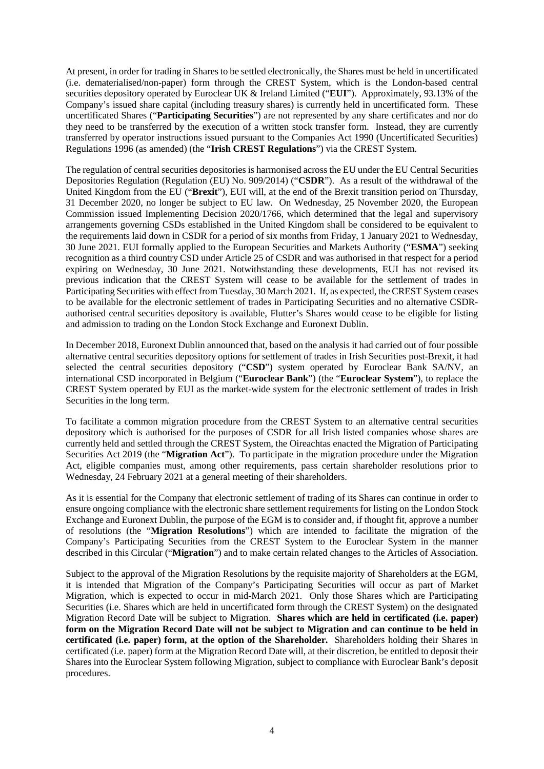At present, in order for trading in Shares to be settled electronically, the Shares must be held in uncertificated (i.e. dematerialised/non-paper) form through the CREST System, which is the London-based central securities depository operated by Euroclear UK & Ireland Limited ("**EUI**"). Approximately, 93.13% of the Company's issued share capital (including treasury shares) is currently held in uncertificated form. These uncertificated Shares ("**Participating Securities**") are not represented by any share certificates and nor do they need to be transferred by the execution of a written stock transfer form. Instead, they are currently transferred by operator instructions issued pursuant to the Companies Act 1990 (Uncertificated Securities) Regulations 1996 (as amended) (the "**Irish CREST Regulations**") via the CREST System.

The regulation of central securities depositories is harmonised across the EU under the EU Central Securities Depositories Regulation (Regulation (EU) No. 909/2014) ("**CSDR**"). As a result of the withdrawal of the United Kingdom from the EU ("**Brexit**"), EUI will, at the end of the Brexit transition period on Thursday, 31 December 2020, no longer be subject to EU law. On Wednesday, 25 November 2020, the European Commission issued Implementing Decision 2020/1766, which determined that the legal and supervisory arrangements governing CSDs established in the United Kingdom shall be considered to be equivalent to the requirements laid down in CSDR for a period of six months from Friday, 1 January 2021 to Wednesday, 30 June 2021. EUI formally applied to the European Securities and Markets Authority ("**ESMA**") seeking recognition as a third country CSD under Article 25 of CSDR and was authorised in that respect for a period expiring on Wednesday, 30 June 2021. Notwithstanding these developments, EUI has not revised its previous indication that the CREST System will cease to be available for the settlement of trades in Participating Securities with effect from Tuesday, 30 March 2021. If, as expected, the CREST System ceases to be available for the electronic settlement of trades in Participating Securities and no alternative CSDRauthorised central securities depository is available, Flutter's Shares would cease to be eligible for listing and admission to trading on the London Stock Exchange and Euronext Dublin.

In December 2018, Euronext Dublin announced that, based on the analysis it had carried out of four possible alternative central securities depository options for settlement of trades in Irish Securities post-Brexit, it had selected the central securities depository ("CSD") system operated by Euroclear Bank SA/NV, an international CSD incorporated in Belgium ("**Euroclear Bank**") (the "**Euroclear System**"), to replace the CREST System operated by EUI as the market-wide system for the electronic settlement of trades in Irish Securities in the long term.

To facilitate a common migration procedure from the CREST System to an alternative central securities depository which is authorised for the purposes of CSDR for all Irish listed companies whose shares are currently held and settled through the CREST System, the Oireachtas enacted the Migration of Participating Securities Act 2019 (the "**Migration Act**"). To participate in the migration procedure under the Migration Act, eligible companies must, among other requirements, pass certain shareholder resolutions prior to Wednesday, 24 February 2021 at a general meeting of their shareholders.

As it is essential for the Company that electronic settlement of trading of its Shares can continue in order to ensure ongoing compliance with the electronic share settlement requirements for listing on the London Stock Exchange and Euronext Dublin, the purpose of the EGM is to consider and, if thought fit, approve a number of resolutions (the "**Migration Resolutions**") which are intended to facilitate the migration of the Company's Participating Securities from the CREST System to the Euroclear System in the manner described in this Circular ("**Migration**") and to make certain related changes to the Articles of Association.

Subject to the approval of the Migration Resolutions by the requisite majority of Shareholders at the EGM, it is intended that Migration of the Company's Participating Securities will occur as part of Market Migration, which is expected to occur in mid-March 2021. Only those Shares which are Participating Securities (i.e. Shares which are held in uncertificated form through the CREST System) on the designated Migration Record Date will be subject to Migration. **Shares which are held in certificated (i.e. paper) form on the Migration Record Date will not be subject to Migration and can continue to be held in certificated (i.e. paper) form, at the option of the Shareholder.** Shareholders holding their Shares in certificated (i.e. paper) form at the Migration Record Date will, at their discretion, be entitled to deposit their Shares into the Euroclear System following Migration, subject to compliance with Euroclear Bank's deposit procedures.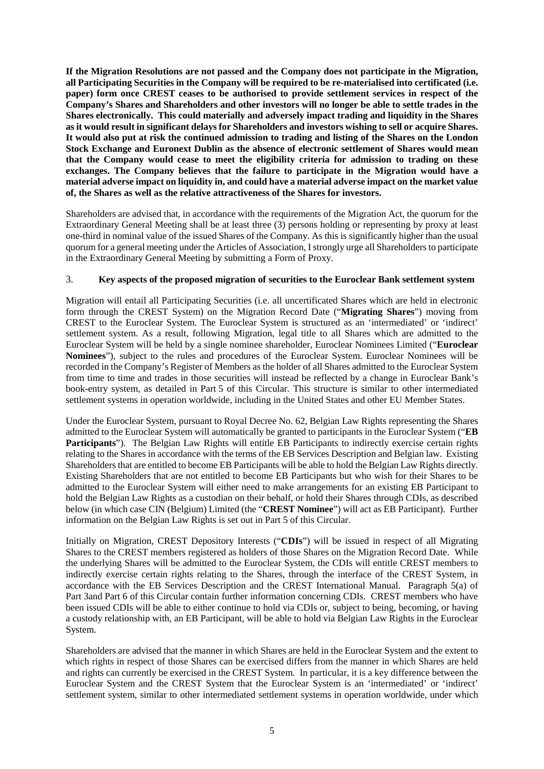**If the Migration Resolutions are not passed and the Company does not participate in the Migration, all Participating Securities in the Company will be required to be re-materialised into certificated (i.e. paper) form once CREST ceases to be authorised to provide settlement services in respect of the Company's Shares and Shareholders and other investors will no longer be able to settle trades in the Shares electronically. This could materially and adversely impact trading and liquidity in the Shares as it would result in significant delays for Shareholders and investors wishing to sell or acquire Shares. It would also put at risk the continued admission to trading and listing of the Shares on the London Stock Exchange and Euronext Dublin as the absence of electronic settlement of Shares would mean that the Company would cease to meet the eligibility criteria for admission to trading on these exchanges. The Company believes that the failure to participate in the Migration would have a material adverse impact on liquidity in, and could have a material adverse impact on the market value of, the Shares as well as the relative attractiveness of the Shares for investors.**

Shareholders are advised that, in accordance with the requirements of the Migration Act, the quorum for the Extraordinary General Meeting shall be at least three (3) persons holding or representing by proxy at least one-third in nominal value of the issued Shares of the Company. As this is significantly higher than the usual quorum for a general meeting under the Articles of Association, I strongly urge all Shareholders to participate in the Extraordinary General Meeting by submitting a Form of Proxy.

## 3. **Key aspects of the proposed migration of securities to the Euroclear Bank settlement system**

Migration will entail all Participating Securities (i.e. all uncertificated Shares which are held in electronic form through the CREST System) on the Migration Record Date ("**Migrating Shares**") moving from CREST to the Euroclear System. The Euroclear System is structured as an 'intermediated' or 'indirect' settlement system. As a result, following Migration, legal title to all Shares which are admitted to the Euroclear System will be held by a single nominee shareholder, Euroclear Nominees Limited ("**Euroclear Nominees**"), subject to the rules and procedures of the Euroclear System. Euroclear Nominees will be recorded in the Company's Register of Members as the holder of all Shares admitted to the Euroclear System from time to time and trades in those securities will instead be reflected by a change in Euroclear Bank's book-entry system, as detailed in [Part](#page-49-1) 5 of this Circular. This structure is similar to other intermediated settlement systems in operation worldwide, including in the United States and other EU Member States.

Under the Euroclear System, pursuant to Royal Decree No. 62, Belgian Law Rights representing the Shares admitted to the Euroclear System will automatically be granted to participants in the Euroclear System ("**EB Participants**"). The Belgian Law Rights will entitle EB Participants to indirectly exercise certain rights relating to the Shares in accordance with the terms of the EB Services Description and Belgian law. Existing Shareholders that are entitled to become EB Participants will be able to hold the Belgian Law Rights directly. Existing Shareholders that are not entitled to become EB Participants but who wish for their Shares to be admitted to the Euroclear System will either need to make arrangements for an existing EB Participant to hold the Belgian Law Rights as a custodian on their behalf, or hold their Shares through CDIs, as described below (in which case CIN (Belgium) Limited (the "**CREST Nominee**") will act as EB Participant). Further information on the Belgian Law Rights is set out in [Part](#page-49-1) 5 of this Circular.

Initially on Migration, CREST Depository Interests ("**CDIs**") will be issued in respect of all Migrating Shares to the CREST members registered as holders of those Shares on the Migration Record Date. While the underlying Shares will be admitted to the Euroclear System, the CDIs will entitle CREST members to indirectly exercise certain rights relating to the Shares, through the interface of the CREST System, in accordance with the EB Services Description and the CREST International Manual. Paragraph [5\(a\)](#page-31-0) of [Part](#page-23-1) 3an[d Part](#page-55-1) 6 of this Circular contain further information concerning CDIs. CREST members who have been issued CDIs will be able to either continue to hold via CDIs or, subject to being, becoming, or having a custody relationship with, an EB Participant, will be able to hold via Belgian Law Rights in the Euroclear System.

Shareholders are advised that the manner in which Shares are held in the Euroclear System and the extent to which rights in respect of those Shares can be exercised differs from the manner in which Shares are held and rights can currently be exercised in the CREST System. In particular, it is a key difference between the Euroclear System and the CREST System that the Euroclear System is an 'intermediated' or 'indirect' settlement system, similar to other intermediated settlement systems in operation worldwide, under which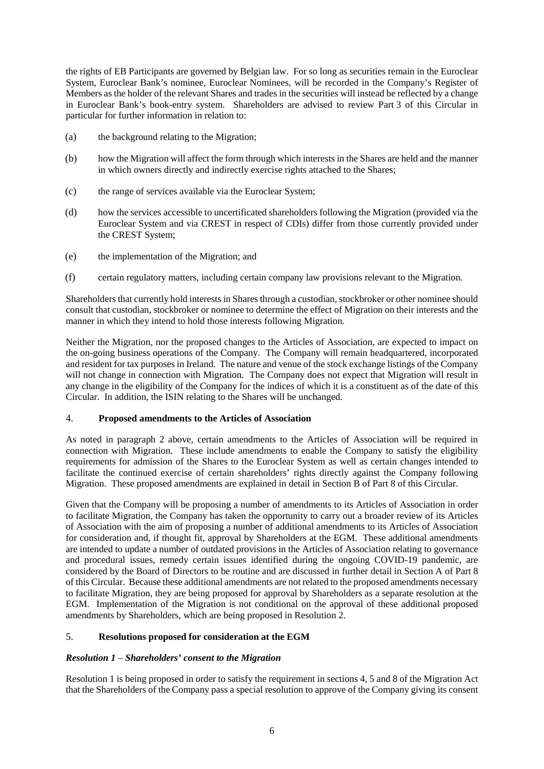the rights of EB Participants are governed by Belgian law. For so long as securities remain in the Euroclear System, Euroclear Bank's nominee, Euroclear Nominees, will be recorded in the Company's Register of Members as the holder of the relevant Shares and trades in the securities will instead be reflected by a change in Euroclear Bank's book-entry system. Shareholders are advised to review [Part](#page-23-1) 3 of this Circular in particular for further information in relation to:

- (a) the background relating to the Migration;
- (b) how the Migration will affect the form through which interests in the Shares are held and the manner in which owners directly and indirectly exercise rights attached to the Shares;
- (c) the range of services available via the Euroclear System;
- (d) how the services accessible to uncertificated shareholders following the Migration (provided via the Euroclear System and via CREST in respect of CDIs) differ from those currently provided under the CREST System;
- (e) the implementation of the Migration; and
- (f) certain regulatory matters, including certain company law provisions relevant to the Migration.

Shareholders that currently hold interests in Shares through a custodian, stockbroker or other nominee should consult that custodian, stockbroker or nominee to determine the effect of Migration on their interests and the manner in which they intend to hold those interests following Migration.

Neither the Migration, nor the proposed changes to the Articles of Association, are expected to impact on the on-going business operations of the Company. The Company will remain headquartered, incorporated and resident for tax purposes in Ireland. The nature and venue of the stock exchange listings of the Company will not change in connection with Migration. The Company does not expect that Migration will result in any change in the eligibility of the Company for the indices of which it is a constituent as of the date of this Circular. In addition, the ISIN relating to the Shares will be unchanged.

## <span id="page-8-1"></span>4. **Proposed amendments to the Articles of Association**

As noted in paragraph [2](#page-5-3) above, certain amendments to the Articles of Association will be required in connection with Migration. These include amendments to enable the Company to satisfy the eligibility requirements for admission of the Shares to the Euroclear System as well as certain changes intended to facilitate the continued exercise of certain shareholders' rights directly against the Company following Migration. These proposed amendments are explained in detail in Section B of [Part](#page-77-1) 8 of this Circular.

Given that the Company will be proposing a number of amendments to its Articles of Association in order to facilitate Migration, the Company has taken the opportunity to carry out a broader review of its Articles of Association with the aim of proposing a number of additional amendments to its Articles of Association for consideration and, if thought fit, approval by Shareholders at the EGM. These additional amendments are intended to update a number of outdated provisions in the Articles of Association relating to governance and procedural issues, remedy certain issues identified during the ongoing COVID-19 pandemic, are considered by the Board of Directors to be routine and are discussed in further detail in Section A of [Part](#page-77-1) 8 of this Circular. Because these additional amendments are not related to the proposed amendments necessary to facilitate Migration, they are being proposed for approval by Shareholders as a separate resolution at the EGM. Implementation of the Migration is not conditional on the approval of these additional proposed amendments by Shareholders, which are being proposed in Resolution 2.

## <span id="page-8-0"></span>5. **Resolutions proposed for consideration at the EGM**

## *Resolution 1* – *Shareholders' consent to the Migration*

Resolution 1 is being proposed in order to satisfy the requirement in sections 4, 5 and 8 of the Migration Act that the Shareholders of the Company pass a special resolution to approve of the Company giving its consent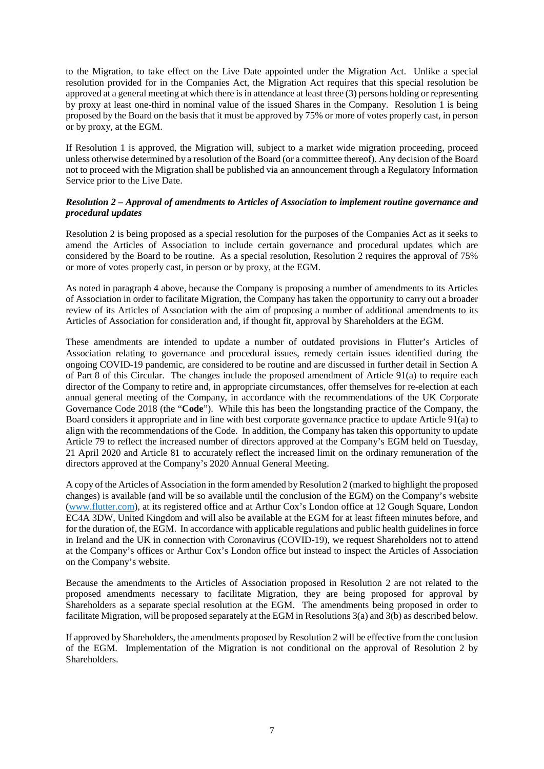to the Migration, to take effect on the Live Date appointed under the Migration Act. Unlike a special resolution provided for in the Companies Act, the Migration Act requires that this special resolution be approved at a general meeting at which there is in attendance at least three (3) persons holding or representing by proxy at least one-third in nominal value of the issued Shares in the Company. Resolution 1 is being proposed by the Board on the basis that it must be approved by 75% or more of votes properly cast, in person or by proxy, at the EGM.

If Resolution 1 is approved, the Migration will, subject to a market wide migration proceeding, proceed unless otherwise determined by a resolution of the Board (or a committee thereof). Any decision of the Board not to proceed with the Migration shall be published via an announcement through a Regulatory Information Service prior to the Live Date.

## *Resolution 2 – Approval of amendments to Articles of Association to implement routine governance and procedural updates*

Resolution 2 is being proposed as a special resolution for the purposes of the Companies Act as it seeks to amend the Articles of Association to include certain governance and procedural updates which are considered by the Board to be routine. As a special resolution, Resolution 2 requires the approval of 75% or more of votes properly cast, in person or by proxy, at the EGM.

As noted in paragraph [4](#page-8-1) above, because the Company is proposing a number of amendments to its Articles of Association in order to facilitate Migration, the Company has taken the opportunity to carry out a broader review of its Articles of Association with the aim of proposing a number of additional amendments to its Articles of Association for consideration and, if thought fit, approval by Shareholders at the EGM.

These amendments are intended to update a number of outdated provisions in Flutter's Articles of Association relating to governance and procedural issues, remedy certain issues identified during the ongoing COVID-19 pandemic, are considered to be routine and are discussed in further detail in Section A of [Part](#page-77-1) 8 of this Circular. The changes include the proposed amendment of Article 91(a) to require each director of the Company to retire and, in appropriate circumstances, offer themselves for re-election at each annual general meeting of the Company, in accordance with the recommendations of the UK Corporate Governance Code 2018 (the "**Code**"). While this has been the longstanding practice of the Company, the Board considers it appropriate and in line with best corporate governance practice to update Article 91(a) to align with the recommendations of the Code. In addition, the Company has taken this opportunity to update Article 79 to reflect the increased number of directors approved at the Company's EGM held on Tuesday, 21 April 2020 and Article 81 to accurately reflect the increased limit on the ordinary remuneration of the directors approved at the Company's 2020 Annual General Meeting.

A copy of the Articles of Association in the form amended by Resolution 2 (marked to highlight the proposed changes) is available (and will be so available until the conclusion of the EGM) on the Company's website (www.flutter.com), at its registered office and at Arthur Cox's London office at 12 Gough Square, London EC4A 3DW, United Kingdom and will also be available at the EGM for at least fifteen minutes before, and for the duration of, the EGM. In accordance with applicable regulations and public health guidelines in force in Ireland and the UK in connection with Coronavirus (COVID-19), we request Shareholders not to attend at the Company's offices or Arthur Cox's London office but instead to inspect the Articles of Association on the Company's website.

Because the amendments to the Articles of Association proposed in Resolution 2 are not related to the proposed amendments necessary to facilitate Migration, they are being proposed for approval by Shareholders as a separate special resolution at the EGM. The amendments being proposed in order to facilitate Migration, will be proposed separately at the EGM in Resolutions 3(a) and 3(b) as described below.

If approved by Shareholders, the amendments proposed by Resolution 2 will be effective from the conclusion of the EGM. Implementation of the Migration is not conditional on the approval of Resolution 2 by Shareholders.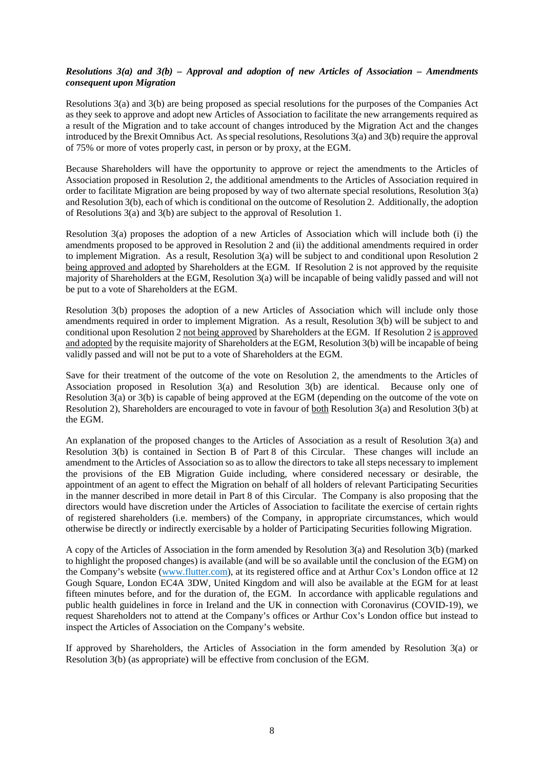### *Resolutions 3(a) and 3(b) – Approval and adoption of new Articles of Association – Amendments consequent upon Migration*

Resolutions 3(a) and 3(b) are being proposed as special resolutions for the purposes of the Companies Act as they seek to approve and adopt new Articles of Association to facilitate the new arrangements required as a result of the Migration and to take account of changes introduced by the Migration Act and the changes introduced by the Brexit Omnibus Act. As special resolutions, Resolutions 3(a) and 3(b) require the approval of 75% or more of votes properly cast, in person or by proxy, at the EGM.

Because Shareholders will have the opportunity to approve or reject the amendments to the Articles of Association proposed in Resolution 2, the additional amendments to the Articles of Association required in order to facilitate Migration are being proposed by way of two alternate special resolutions, Resolution 3(a) and Resolution 3(b), each of which is conditional on the outcome of Resolution 2. Additionally, the adoption of Resolutions 3(a) and 3(b) are subject to the approval of Resolution 1.

Resolution 3(a) proposes the adoption of a new Articles of Association which will include both (i) the amendments proposed to be approved in Resolution 2 and (ii) the additional amendments required in order to implement Migration. As a result, Resolution 3(a) will be subject to and conditional upon Resolution 2 being approved and adopted by Shareholders at the EGM. If Resolution 2 is not approved by the requisite majority of Shareholders at the EGM, Resolution 3(a) will be incapable of being validly passed and will not be put to a vote of Shareholders at the EGM.

Resolution 3(b) proposes the adoption of a new Articles of Association which will include only those amendments required in order to implement Migration. As a result, Resolution 3(b) will be subject to and conditional upon Resolution 2 not being approved by Shareholders at the EGM. If Resolution 2 is approved and adopted by the requisite majority of Shareholders at the EGM, Resolution 3(b) will be incapable of being validly passed and will not be put to a vote of Shareholders at the EGM.

Save for their treatment of the outcome of the vote on Resolution 2, the amendments to the Articles of Association proposed in Resolution 3(a) and Resolution 3(b) are identical. Because only one of Resolution 3(a) or 3(b) is capable of being approved at the EGM (depending on the outcome of the vote on Resolution 2), Shareholders are encouraged to vote in favour of both Resolution 3(a) and Resolution 3(b) at the EGM.

An explanation of the proposed changes to the Articles of Association as a result of Resolution 3(a) and Resolution 3(b) is contained in Section B of [Part](#page-77-1) 8 of this Circular. These changes will include an amendment to the Articles of Association so as to allow the directors to take all steps necessary to implement the provisions of the EB Migration Guide including, where considered necessary or desirable, the appointment of an agent to effect the Migration on behalf of all holders of relevant Participating Securities in the manner described in more detail in [Part](#page-77-1) 8 of this Circular. The Company is also proposing that the directors would have discretion under the Articles of Association to facilitate the exercise of certain rights of registered shareholders (i.e. members) of the Company, in appropriate circumstances, which would otherwise be directly or indirectly exercisable by a holder of Participating Securities following Migration.

A copy of the Articles of Association in the form amended by Resolution 3(a) and Resolution 3(b) (marked to highlight the proposed changes) is available (and will be so available until the conclusion of the EGM) on the Company's website (www.flutter.com), at its registered office and at Arthur Cox's London office at 12 Gough Square, London EC4A 3DW, United Kingdom and will also be available at the EGM for at least fifteen minutes before, and for the duration of, the EGM. In accordance with applicable regulations and public health guidelines in force in Ireland and the UK in connection with Coronavirus (COVID-19), we request Shareholders not to attend at the Company's offices or Arthur Cox's London office but instead to inspect the Articles of Association on the Company's website.

If approved by Shareholders, the Articles of Association in the form amended by Resolution 3(a) or Resolution 3(b) (as appropriate) will be effective from conclusion of the EGM.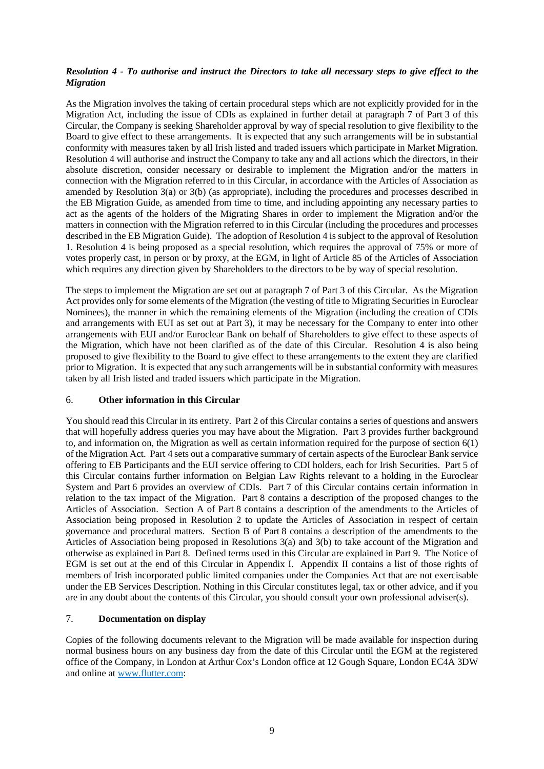## *Resolution 4 - To authorise and instruct the Directors to take all necessary steps to give effect to the Migration*

As the Migration involves the taking of certain procedural steps which are not explicitly provided for in the Migration Act, including the issue of CDIs as explained in further detail at paragraph [7](#page-34-0) of [Part](#page-23-1) 3 of this Circular, the Company is seeking Shareholder approval by way of special resolution to give flexibility to the Board to give effect to these arrangements. It is expected that any such arrangements will be in substantial conformity with measures taken by all Irish listed and traded issuers which participate in Market Migration. Resolution 4 will authorise and instruct the Company to take any and all actions which the directors, in their absolute discretion, consider necessary or desirable to implement the Migration and/or the matters in connection with the Migration referred to in this Circular, in accordance with the Articles of Association as amended by Resolution 3(a) or 3(b) (as appropriate), including the procedures and processes described in the EB Migration Guide, as amended from time to time, and including appointing any necessary parties to act as the agents of the holders of the Migrating Shares in order to implement the Migration and/or the matters in connection with the Migration referred to in this Circular (including the procedures and processes described in the EB Migration Guide). The adoption of Resolution 4 is subject to the approval of Resolution 1. Resolution 4 is being proposed as a special resolution, which requires the approval of 75% or more of votes properly cast, in person or by proxy, at the EGM, in light of Article 85 of the Articles of Association which requires any direction given by Shareholders to the directors to be by way of special resolution.

The steps to implement the Migration are set out at paragraph [7](#page-34-0) o[f Part](#page-23-1) 3 of this Circular. As the Migration Act provides only for some elements of the Migration (the vesting of title to Migrating Securities in Euroclear Nominees), the manner in which the remaining elements of the Migration (including the creation of CDIs and arrangements with EUI as set out at [Part](#page-23-1) 3), it may be necessary for the Company to enter into other arrangements with EUI and/or Euroclear Bank on behalf of Shareholders to give effect to these aspects of the Migration, which have not been clarified as of the date of this Circular. Resolution 4 is also being proposed to give flexibility to the Board to give effect to these arrangements to the extent they are clarified prior to Migration. It is expected that any such arrangements will be in substantial conformity with measures taken by all Irish listed and traded issuers which participate in the Migration.

## 6. **Other information in this Circular**

You should read this Circular in its entirety. [Part](#page-15-1) 2 of this Circular contains a series of questions and answers that will hopefully address queries you may have about the Migration. [Part](#page-23-1) 3 provides further background to, and information on, the Migration as well as certain information required for the purpose of section 6(1) of the Migration Act. [Part](#page-39-1) 4 sets out a comparative summary of certain aspects of the Euroclear Bank service offering to EB Participants and the EUI service offering to CDI holders, each for Irish Securities. [Part](#page-49-1) 5 of this Circular contains further information on Belgian Law Rights relevant to a holding in the Euroclear System and [Part](#page-55-1) 6 provides an overview of CDIs. [Part](#page-60-1) 7 of this Circular contains certain information in relation to the tax impact of the Migration. [Part](#page-77-1) 8 contains a description of the proposed changes to the Articles of Association. Section A of [Part](#page-77-1) 8 contains a description of the amendments to the Articles of Association being proposed in Resolution 2 to update the Articles of Association in respect of certain governance and procedural matters. Section B of [Part](#page-77-1) 8 contains a description of the amendments to the Articles of Association being proposed in Resolutions 3(a) and 3(b) to take account of the Migration and otherwise as explained in [Part](#page-77-1) 8. Defined terms used in this Circular are explained i[n Part](#page-83-0) 9. The Notice of EGM is set out at the end of this Circular in Appendix I. Appendix II contains a list of those rights of members of Irish incorporated public limited companies under the Companies Act that are not exercisable under the EB Services Description. Nothing in this Circular constitutes legal, tax or other advice, and if you are in any doubt about the contents of this Circular, you should consult your own professional adviser(s).

## <span id="page-11-0"></span>7. **Documentation on display**

Copies of the following documents relevant to the Migration will be made available for inspection during normal business hours on any business day from the date of this Circular until the EGM at the registered office of the Company, in London at Arthur Cox's London office at 12 Gough Square, London EC4A 3DW and online at [www.flutter.com:](http://www.flutter.com/)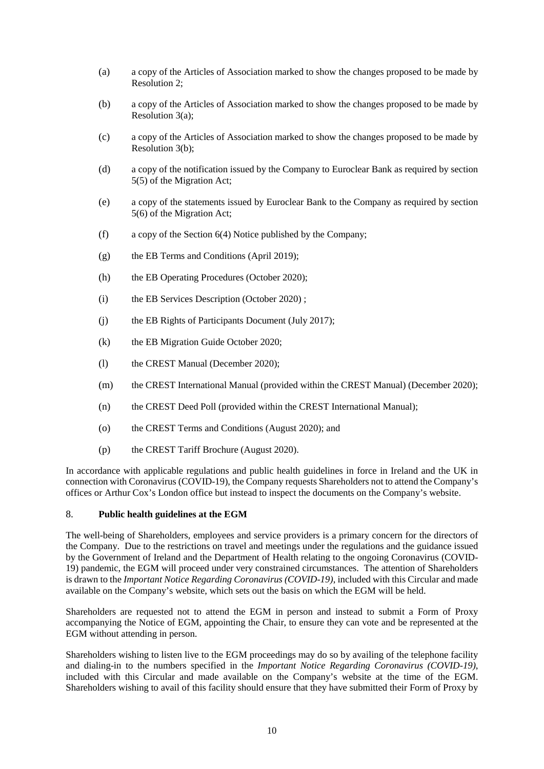- (a) a copy of the Articles of Association marked to show the changes proposed to be made by Resolution 2;
- (b) a copy of the Articles of Association marked to show the changes proposed to be made by Resolution 3(a);
- (c) a copy of the Articles of Association marked to show the changes proposed to be made by Resolution 3(b);
- (d) a copy of the notification issued by the Company to Euroclear Bank as required by section 5(5) of the Migration Act;
- (e) a copy of the statements issued by Euroclear Bank to the Company as required by section 5(6) of the Migration Act;
- (f) a copy of the Section 6(4) Notice published by the Company;
- (g) the EB Terms and Conditions (April 2019);
- (h) the EB Operating Procedures (October 2020);
- (i) the EB Services Description (October 2020) ;
- (j) the EB Rights of Participants Document (July 2017);
- (k) the EB Migration Guide October 2020;
- (l) the CREST Manual (December 2020);
- (m) the CREST International Manual (provided within the CREST Manual) (December 2020);
- (n) the CREST Deed Poll (provided within the CREST International Manual);
- (o) the CREST Terms and Conditions (August 2020); and
- (p) the CREST Tariff Brochure (August 2020).

In accordance with applicable regulations and public health guidelines in force in Ireland and the UK in connection with Coronavirus (COVID-19), the Company requests Shareholders not to attend the Company's offices or Arthur Cox's London office but instead to inspect the documents on the Company's website.

#### 8. **Public health guidelines at the EGM**

The well-being of Shareholders, employees and service providers is a primary concern for the directors of the Company. Due to the restrictions on travel and meetings under the regulations and the guidance issued by the Government of Ireland and the Department of Health relating to the ongoing Coronavirus (COVID-19) pandemic, the EGM will proceed under very constrained circumstances. The attention of Shareholders is drawn to the *Important Notice Regarding Coronavirus (COVID-19)*, included with this Circular and made available on the Company's website, which sets out the basis on which the EGM will be held.

Shareholders are requested not to attend the EGM in person and instead to submit a Form of Proxy accompanying the Notice of EGM, appointing the Chair, to ensure they can vote and be represented at the EGM without attending in person.

Shareholders wishing to listen live to the EGM proceedings may do so by availing of the telephone facility and dialing-in to the numbers specified in the *Important Notice Regarding Coronavirus (COVID-19)*, included with this Circular and made available on the Company's website at the time of the EGM. Shareholders wishing to avail of this facility should ensure that they have submitted their Form of Proxy by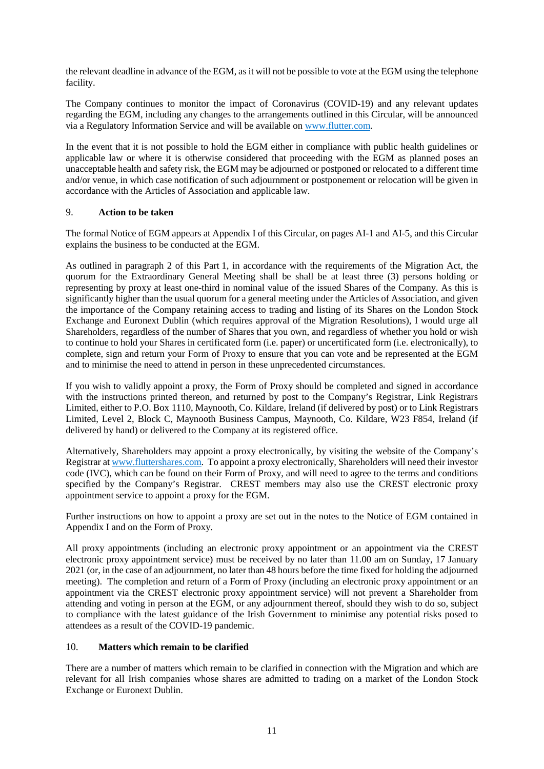the relevant deadline in advance of the EGM, as it will not be possible to vote at the EGM using the telephone facility.

The Company continues to monitor the impact of Coronavirus (COVID-19) and any relevant updates regarding the EGM, including any changes to the arrangements outlined in this Circular, will be announced via a Regulatory Information Service and will be available on [www.flutter.com.](http://www.flutter.com/)

In the event that it is not possible to hold the EGM either in compliance with public health guidelines or applicable law or where it is otherwise considered that proceeding with the EGM as planned poses an unacceptable health and safety risk, the EGM may be adjourned or postponed or relocated to a different time and/or venue, in which case notification of such adjournment or postponement or relocation will be given in accordance with the Articles of Association and applicable law.

## 9. **Action to be taken**

The formal Notice of EGM appears at Appendix I of this Circular, on pages AI[-1](#page-91-1) and AI[-5,](#page-95-0) and this Circular explains the business to be conducted at the EGM.

As outlined in paragraph 2 of this [Part](#page-5-1) 1, in accordance with the requirements of the Migration Act, the quorum for the Extraordinary General Meeting shall be shall be at least three (3) persons holding or representing by proxy at least one-third in nominal value of the issued Shares of the Company. As this is significantly higher than the usual quorum for a general meeting under the Articles of Association, and given the importance of the Company retaining access to trading and listing of its Shares on the London Stock Exchange and Euronext Dublin (which requires approval of the Migration Resolutions), I would urge all Shareholders, regardless of the number of Shares that you own, and regardless of whether you hold or wish to continue to hold your Shares in certificated form (i.e. paper) or uncertificated form (i.e. electronically), to complete, sign and return your Form of Proxy to ensure that you can vote and be represented at the EGM and to minimise the need to attend in person in these unprecedented circumstances.

If you wish to validly appoint a proxy, the Form of Proxy should be completed and signed in accordance with the instructions printed thereon, and returned by post to the Company's Registrar, Link Registrars Limited, either to P.O. Box 1110, Maynooth, Co. Kildare, Ireland (if delivered by post) or to Link Registrars Limited, Level 2, Block C, Maynooth Business Campus, Maynooth, Co. Kildare, W23 F854, Ireland (if delivered by hand) or delivered to the Company at its registered office.

Alternatively, Shareholders may appoint a proxy electronically, by visiting the website of the Company's Registrar at www.fluttershares.com. To appoint a proxy electronically, Shareholders will need their investor code (IVC), which can be found on their Form of Proxy, and will need to agree to the terms and conditions specified by the Company's Registrar. CREST members may also use the CREST electronic proxy appointment service to appoint a proxy for the EGM.

Further instructions on how to appoint a proxy are set out in the notes to the Notice of EGM contained in Appendix I and on the Form of Proxy.

All proxy appointments (including an electronic proxy appointment or an appointment via the CREST electronic proxy appointment service) must be received by no later than 11.00 am on Sunday, 17 January 2021 (or, in the case of an adjournment, no later than 48 hours before the time fixed for holding the adjourned meeting). The completion and return of a Form of Proxy (including an electronic proxy appointment or an appointment via the CREST electronic proxy appointment service) will not prevent a Shareholder from attending and voting in person at the EGM, or any adjournment thereof, should they wish to do so, subject to compliance with the latest guidance of the Irish Government to minimise any potential risks posed to attendees as a result of the COVID-19 pandemic.

## 10. **Matters which remain to be clarified**

There are a number of matters which remain to be clarified in connection with the Migration and which are relevant for all Irish companies whose shares are admitted to trading on a market of the London Stock Exchange or Euronext Dublin.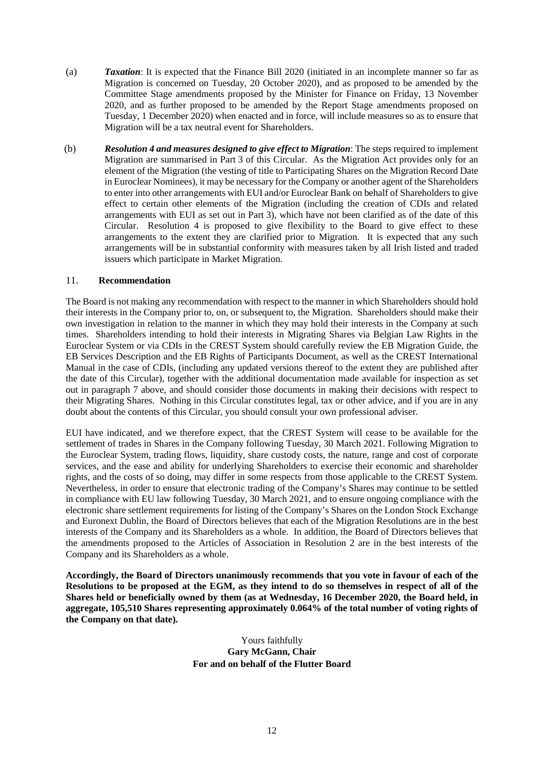- (a) *Taxation*: It is expected that the Finance Bill 2020 (initiated in an incomplete manner so far as Migration is concerned on Tuesday, 20 October 2020), and as proposed to be amended by the Committee Stage amendments proposed by the Minister for Finance on Friday, 13 November 2020, and as further proposed to be amended by the Report Stage amendments proposed on Tuesday, 1 December 2020) when enacted and in force, will include measures so as to ensure that Migration will be a tax neutral event for Shareholders.
- (b) *Resolution 4 and measures designed to give effect to Migration*: The steps required to implement Migration are summarised in [Part](#page-23-1) 3 of this Circular. As the Migration Act provides only for an element of the Migration (the vesting of title to Participating Shares on the Migration Record Date in Euroclear Nominees), it may be necessary for the Company or another agent of the Shareholders to enter into other arrangements with EUI and/or Euroclear Bank on behalf of Shareholders to give effect to certain other elements of the Migration (including the creation of CDIs and related arrangements with EUI as set out in [Part](#page-23-1) 3), which have not been clarified as of the date of this Circular. Resolution 4 is proposed to give flexibility to the Board to give effect to these arrangements to the extent they are clarified prior to Migration. It is expected that any such arrangements will be in substantial conformity with measures taken by all Irish listed and traded issuers which participate in Market Migration.

#### <span id="page-14-0"></span>11. **Recommendation**

The Board is not making any recommendation with respect to the manner in which Shareholders should hold their interests in the Company prior to, on, or subsequent to, the Migration. Shareholders should make their own investigation in relation to the manner in which they may hold their interests in the Company at such times. Shareholders intending to hold their interests in Migrating Shares via Belgian Law Rights in the Euroclear System or via CDIs in the CREST System should carefully review the EB Migration Guide, the EB Services Description and the EB Rights of Participants Document, as well as the CREST International Manual in the case of CDIs, (including any updated versions thereof to the extent they are published after the date of this Circular), together with the additional documentation made available for inspection as set out in paragraph [7](#page-11-0) above, and should consider those documents in making their decisions with respect to their Migrating Shares. Nothing in this Circular constitutes legal, tax or other advice, and if you are in any doubt about the contents of this Circular, you should consult your own professional adviser.

EUI have indicated, and we therefore expect, that the CREST System will cease to be available for the settlement of trades in Shares in the Company following Tuesday, 30 March 2021. Following Migration to the Euroclear System, trading flows, liquidity, share custody costs, the nature, range and cost of corporate services, and the ease and ability for underlying Shareholders to exercise their economic and shareholder rights, and the costs of so doing, may differ in some respects from those applicable to the CREST System. Nevertheless, in order to ensure that electronic trading of the Company's Shares may continue to be settled in compliance with EU law following Tuesday, 30 March 2021, and to ensure ongoing compliance with the electronic share settlement requirements for listing of the Company's Shares on the London Stock Exchange and Euronext Dublin, the Board of Directors believes that each of the Migration Resolutions are in the best interests of the Company and its Shareholders as a whole. In addition, the Board of Directors believes that the amendments proposed to the Articles of Association in Resolution 2 are in the best interests of the Company and its Shareholders as a whole.

**Accordingly, the Board of Directors unanimously recommends that you vote in favour of each of the Resolutions to be proposed at the EGM, as they intend to do so themselves in respect of all of the Shares held or beneficially owned by them (as at Wednesday, 16 December 2020, the Board held, in aggregate, 105,510 Shares representing approximately 0.064% of the total number of voting rights of the Company on that date).** 

#### Yours faithfully **Gary McGann, Chair For and on behalf of the Flutter Board**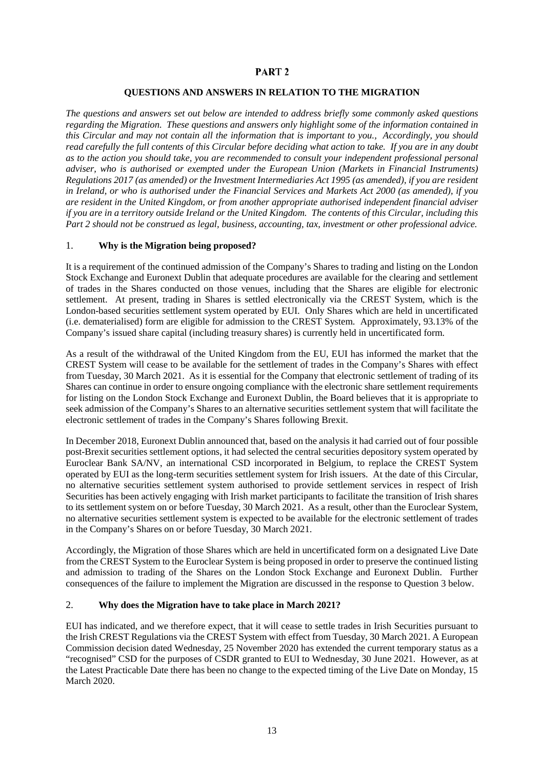## <span id="page-15-0"></span>PART<sub>2</sub>

## **QUESTIONS AND ANSWERS IN RELATION TO THE MIGRATION**

<span id="page-15-1"></span>*The questions and answers set out below are intended to address briefly some commonly asked questions regarding the Migration. These questions and answers only highlight some of the information contained in this Circular and may not contain all the information that is important to you., Accordingly, you should read carefully the full contents of this Circular before deciding what action to take. If you are in any doubt as to the action you should take, you are recommended to consult your independent professional personal adviser, who is authorised or exempted under the European Union (Markets in Financial Instruments) Regulations 2017 (as amended) or the Investment Intermediaries Act 1995 (as amended), if you are resident in Ireland, or who is authorised under the Financial Services and Markets Act 2000 (as amended), if you are resident in the United Kingdom, or from another appropriate authorised independent financial adviser if you are in a territory outside Ireland or the United Kingdom. The contents of this Circular, including this [Part](#page-15-1) 2 should not be construed as legal, business, accounting, tax, investment or other professional advice.*

#### 1. **Why is the Migration being proposed?**

It is a requirement of the continued admission of the Company's Shares to trading and listing on the London Stock Exchange and Euronext Dublin that adequate procedures are available for the clearing and settlement of trades in the Shares conducted on those venues, including that the Shares are eligible for electronic settlement. At present, trading in Shares is settled electronically via the CREST System, which is the London-based securities settlement system operated by EUI. Only Shares which are held in uncertificated (i.e. dematerialised) form are eligible for admission to the CREST System. Approximately, 93.13% of the Company's issued share capital (including treasury shares) is currently held in uncertificated form.

As a result of the withdrawal of the United Kingdom from the EU, EUI has informed the market that the CREST System will cease to be available for the settlement of trades in the Company's Shares with effect from Tuesday, 30 March 2021. As it is essential for the Company that electronic settlement of trading of its Shares can continue in order to ensure ongoing compliance with the electronic share settlement requirements for listing on the London Stock Exchange and Euronext Dublin, the Board believes that it is appropriate to seek admission of the Company's Shares to an alternative securities settlement system that will facilitate the electronic settlement of trades in the Company's Shares following Brexit.

In December 2018, Euronext Dublin announced that, based on the analysis it had carried out of four possible post-Brexit securities settlement options, it had selected the central securities depository system operated by Euroclear Bank SA/NV, an international CSD incorporated in Belgium, to replace the CREST System operated by EUI as the long-term securities settlement system for Irish issuers. At the date of this Circular, no alternative securities settlement system authorised to provide settlement services in respect of Irish Securities has been actively engaging with Irish market participants to facilitate the transition of Irish shares to its settlement system on or before Tuesday, 30 March 2021. As a result, other than the Euroclear System, no alternative securities settlement system is expected to be available for the electronic settlement of trades in the Company's Shares on or before Tuesday, 30 March 2021.

Accordingly, the Migration of those Shares which are held in uncertificated form on a designated Live Date from the CREST System to the Euroclear System is being proposed in order to preserve the continued listing and admission to trading of the Shares on the London Stock Exchange and Euronext Dublin. Further consequences of the failure to implement the Migration are discussed in the response to Question [3](#page-16-0) below.

#### 2. **Why does the Migration have to take place in March 2021?**

EUI has indicated, and we therefore expect, that it will cease to settle trades in Irish Securities pursuant to the Irish CREST Regulations via the CREST System with effect from Tuesday, 30 March 2021. A European Commission decision dated Wednesday, 25 November 2020 has extended the current temporary status as a "recognised" CSD for the purposes of CSDR granted to EUI to Wednesday, 30 June 2021. However, as at the Latest Practicable Date there has been no change to the expected timing of the Live Date on Monday, 15 March 2020.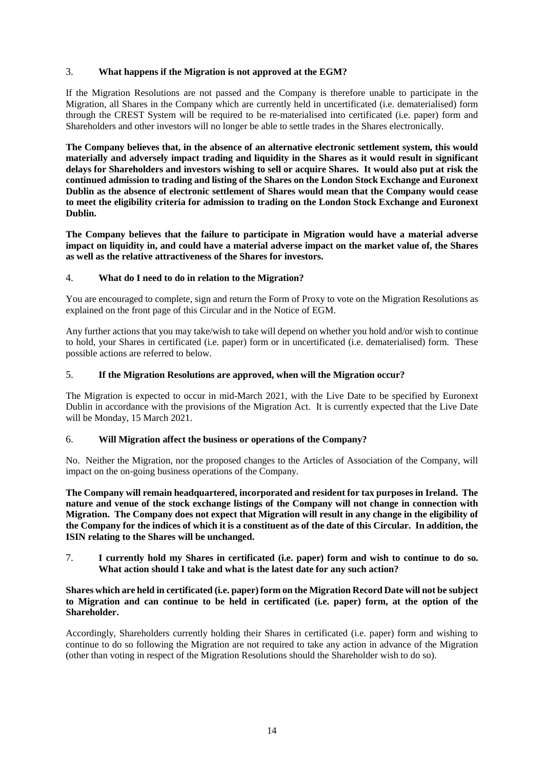## <span id="page-16-0"></span>3. **What happens if the Migration is not approved at the EGM?**

If the Migration Resolutions are not passed and the Company is therefore unable to participate in the Migration, all Shares in the Company which are currently held in uncertificated (i.e. dematerialised) form through the CREST System will be required to be re-materialised into certificated (i.e. paper) form and Shareholders and other investors will no longer be able to settle trades in the Shares electronically.

**The Company believes that, in the absence of an alternative electronic settlement system, this would materially and adversely impact trading and liquidity in the Shares as it would result in significant delays for Shareholders and investors wishing to sell or acquire Shares. It would also put at risk the continued admission to trading and listing of the Shares on the London Stock Exchange and Euronext Dublin as the absence of electronic settlement of Shares would mean that the Company would cease to meet the eligibility criteria for admission to trading on the London Stock Exchange and Euronext Dublin.**

**The Company believes that the failure to participate in Migration would have a material adverse impact on liquidity in, and could have a material adverse impact on the market value of, the Shares as well as the relative attractiveness of the Shares for investors.**

## 4. **What do I need to do in relation to the Migration?**

You are encouraged to complete, sign and return the Form of Proxy to vote on the Migration Resolutions as explained on the front page of this Circular and in the Notice of EGM.

Any further actions that you may take/wish to take will depend on whether you hold and/or wish to continue to hold, your Shares in certificated (i.e. paper) form or in uncertificated (i.e. dematerialised) form. These possible actions are referred to below.

## 5. **If the Migration Resolutions are approved, when will the Migration occur?**

The Migration is expected to occur in mid-March 2021, with the Live Date to be specified by Euronext Dublin in accordance with the provisions of the Migration Act. It is currently expected that the Live Date will be Monday, 15 March 2021.

## 6. **Will Migration affect the business or operations of the Company?**

No. Neither the Migration, nor the proposed changes to the Articles of Association of the Company, will impact on the on-going business operations of the Company.

**The Company will remain headquartered, incorporated and resident for tax purposes in Ireland. The nature and venue of the stock exchange listings of the Company will not change in connection with Migration. The Company does not expect that Migration will result in any change in the eligibility of the Company for the indices of which it is a constituent as of the date of this Circular. In addition, the ISIN relating to the Shares will be unchanged.**

7. **I currently hold my Shares in certificated (i.e. paper) form and wish to continue to do so. What action should I take and what is the latest date for any such action?** 

### **Shares which are held in certificated (i.e. paper) form on the Migration Record Date will not be subject to Migration and can continue to be held in certificated (i.e. paper) form, at the option of the Shareholder.**

Accordingly, Shareholders currently holding their Shares in certificated (i.e. paper) form and wishing to continue to do so following the Migration are not required to take any action in advance of the Migration (other than voting in respect of the Migration Resolutions should the Shareholder wish to do so).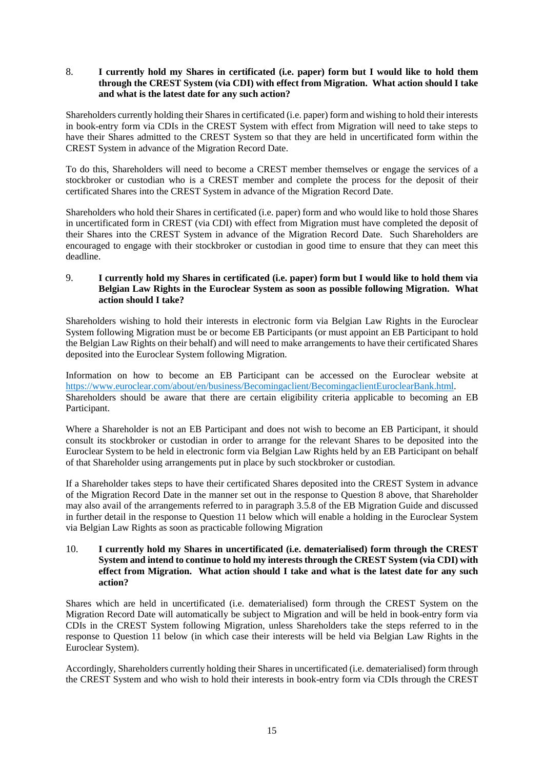## <span id="page-17-0"></span>8. **I currently hold my Shares in certificated (i.e. paper) form but I would like to hold them through the CREST System (via CDI) with effect from Migration. What action should I take and what is the latest date for any such action?**

Shareholders currently holding their Shares in certificated (i.e. paper) form and wishing to hold their interests in book-entry form via CDIs in the CREST System with effect from Migration will need to take steps to have their Shares admitted to the CREST System so that they are held in uncertificated form within the CREST System in advance of the Migration Record Date.

To do this, Shareholders will need to become a CREST member themselves or engage the services of a stockbroker or custodian who is a CREST member and complete the process for the deposit of their certificated Shares into the CREST System in advance of the Migration Record Date.

Shareholders who hold their Shares in certificated (i.e. paper) form and who would like to hold those Shares in uncertificated form in CREST (via CDI) with effect from Migration must have completed the deposit of their Shares into the CREST System in advance of the Migration Record Date. Such Shareholders are encouraged to engage with their stockbroker or custodian in good time to ensure that they can meet this deadline.

## 9. **I currently hold my Shares in certificated (i.e. paper) form but I would like to hold them via Belgian Law Rights in the Euroclear System as soon as possible following Migration. What action should I take?**

Shareholders wishing to hold their interests in electronic form via Belgian Law Rights in the Euroclear System following Migration must be or become EB Participants (or must appoint an EB Participant to hold the Belgian Law Rights on their behalf) and will need to make arrangements to have their certificated Shares deposited into the Euroclear System following Migration.

Information on how to become an EB Participant can be accessed on the Euroclear website at [https://www.euroclear.com/about/en/business/Becomingaclient/BecomingaclientEuroclearBank.html.](https://www.euroclear.com/about/en/business/Becomingaclient/BecomingaclientEuroclearBank.html) Shareholders should be aware that there are certain eligibility criteria applicable to becoming an EB Participant.

Where a Shareholder is not an EB Participant and does not wish to become an EB Participant, it should consult its stockbroker or custodian in order to arrange for the relevant Shares to be deposited into the Euroclear System to be held in electronic form via Belgian Law Rights held by an EB Participant on behalf of that Shareholder using arrangements put in place by such stockbroker or custodian.

If a Shareholder takes steps to have their certificated Shares deposited into the CREST System in advance of the Migration Record Date in the manner set out in the response to Question [8](#page-17-0) above, that Shareholder may also avail of the arrangements referred to in paragraph 3.5.8 of the EB Migration Guide and discussed in further detail in the response to Question [11](#page-18-0) below which will enable a holding in the Euroclear System via Belgian Law Rights as soon as practicable following Migration

### 10. **I currently hold my Shares in uncertificated (i.e. dematerialised) form through the CREST System and intend to continue to hold my interests through the CREST System (via CDI) with effect from Migration. What action should I take and what is the latest date for any such action?**

Shares which are held in uncertificated (i.e. dematerialised) form through the CREST System on the Migration Record Date will automatically be subject to Migration and will be held in book-entry form via CDIs in the CREST System following Migration, unless Shareholders take the steps referred to in the response to Question [11](#page-18-0) below (in which case their interests will be held via Belgian Law Rights in the Euroclear System).

Accordingly, Shareholders currently holding their Shares in uncertificated (i.e. dematerialised) form through the CREST System and who wish to hold their interests in book-entry form via CDIs through the CREST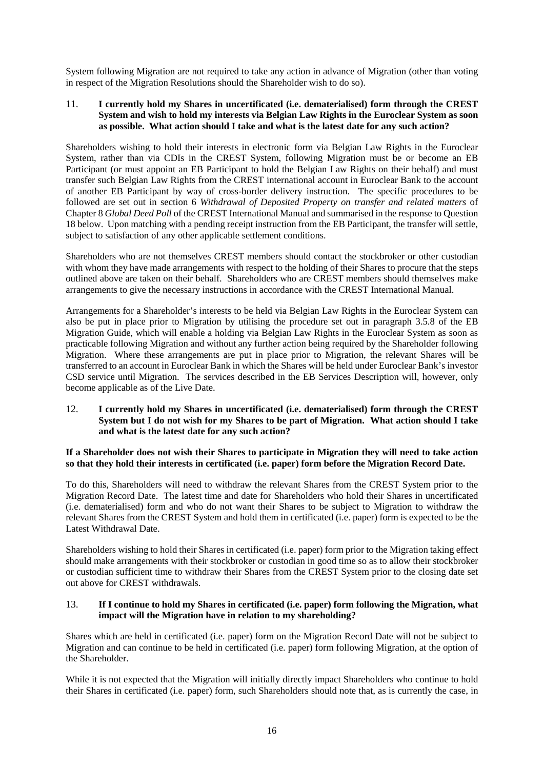System following Migration are not required to take any action in advance of Migration (other than voting in respect of the Migration Resolutions should the Shareholder wish to do so).

### <span id="page-18-0"></span>11. **I currently hold my Shares in uncertificated (i.e. dematerialised) form through the CREST System and wish to hold my interests via Belgian Law Rights in the Euroclear System as soon as possible. What action should I take and what is the latest date for any such action?**

Shareholders wishing to hold their interests in electronic form via Belgian Law Rights in the Euroclear System, rather than via CDIs in the CREST System, following Migration must be or become an EB Participant (or must appoint an EB Participant to hold the Belgian Law Rights on their behalf) and must transfer such Belgian Law Rights from the CREST international account in Euroclear Bank to the account of another EB Participant by way of cross-border delivery instruction. The specific procedures to be followed are set out in section 6 *Withdrawal of Deposited Property on transfer and related matters* of Chapter 8 *Global Deed Poll* of the CREST International Manual and summarised in the response to Question [18](#page-21-0) below. Upon matching with a pending receipt instruction from the EB Participant, the transfer will settle, subject to satisfaction of any other applicable settlement conditions.

Shareholders who are not themselves CREST members should contact the stockbroker or other custodian with whom they have made arrangements with respect to the holding of their Shares to procure that the steps outlined above are taken on their behalf. Shareholders who are CREST members should themselves make arrangements to give the necessary instructions in accordance with the CREST International Manual.

Arrangements for a Shareholder's interests to be held via Belgian Law Rights in the Euroclear System can also be put in place prior to Migration by utilising the procedure set out in paragraph 3.5.8 of the EB Migration Guide, which will enable a holding via Belgian Law Rights in the Euroclear System as soon as practicable following Migration and without any further action being required by the Shareholder following Migration. Where these arrangements are put in place prior to Migration, the relevant Shares will be transferred to an account in Euroclear Bank in which the Shares will be held under Euroclear Bank's investor CSD service until Migration. The services described in the EB Services Description will, however, only become applicable as of the Live Date.

## 12. **I currently hold my Shares in uncertificated (i.e. dematerialised) form through the CREST System but I do not wish for my Shares to be part of Migration. What action should I take and what is the latest date for any such action?**

## **If a Shareholder does not wish their Shares to participate in Migration they will need to take action so that they hold their interests in certificated (i.e. paper) form before the Migration Record Date.**

To do this, Shareholders will need to withdraw the relevant Shares from the CREST System prior to the Migration Record Date. The latest time and date for Shareholders who hold their Shares in uncertificated (i.e. dematerialised) form and who do not want their Shares to be subject to Migration to withdraw the relevant Shares from the CREST System and hold them in certificated (i.e. paper) form is expected to be the Latest Withdrawal Date.

Shareholders wishing to hold their Shares in certificated (i.e. paper) form prior to the Migration taking effect should make arrangements with their stockbroker or custodian in good time so as to allow their stockbroker or custodian sufficient time to withdraw their Shares from the CREST System prior to the closing date set out above for CREST withdrawals.

#### 13. **If I continue to hold my Shares in certificated (i.e. paper) form following the Migration, what impact will the Migration have in relation to my shareholding?**

Shares which are held in certificated (i.e. paper) form on the Migration Record Date will not be subject to Migration and can continue to be held in certificated (i.e. paper) form following Migration, at the option of the Shareholder.

While it is not expected that the Migration will initially directly impact Shareholders who continue to hold their Shares in certificated (i.e. paper) form, such Shareholders should note that, as is currently the case, in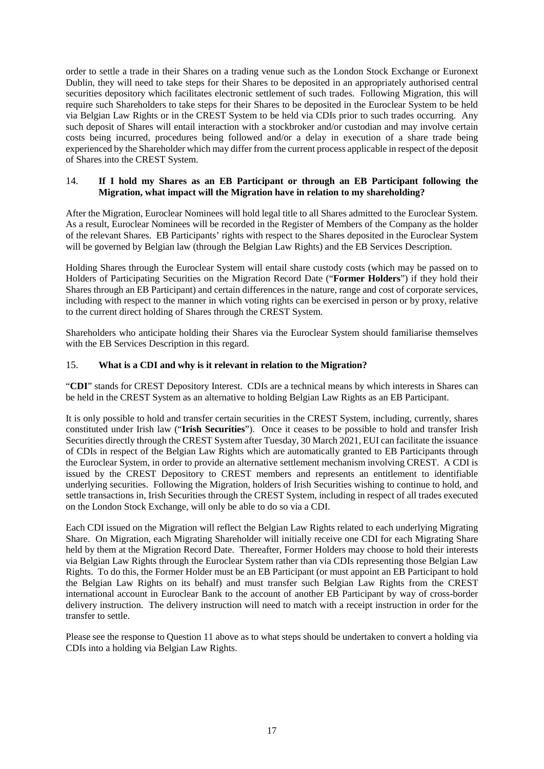order to settle a trade in their Shares on a trading venue such as the London Stock Exchange or Euronext Dublin, they will need to take steps for their Shares to be deposited in an appropriately authorised central securities depository which facilitates electronic settlement of such trades. Following Migration, this will require such Shareholders to take steps for their Shares to be deposited in the Euroclear System to be held via Belgian Law Rights or in the CREST System to be held via CDIs prior to such trades occurring. Any such deposit of Shares will entail interaction with a stockbroker and/or custodian and may involve certain costs being incurred, procedures being followed and/or a delay in execution of a share trade being experienced by the Shareholder which may differ from the current process applicable in respect of the deposit of Shares into the CREST System.

## 14. **If I hold my Shares as an EB Participant or through an EB Participant following the Migration, what impact will the Migration have in relation to my shareholding?**

After the Migration, Euroclear Nominees will hold legal title to all Shares admitted to the Euroclear System. As a result, Euroclear Nominees will be recorded in the Register of Members of the Company as the holder of the relevant Shares. EB Participants' rights with respect to the Shares deposited in the Euroclear System will be governed by Belgian law (through the Belgian Law Rights) and the EB Services Description.

Holding Shares through the Euroclear System will entail share custody costs (which may be passed on to Holders of Participating Securities on the Migration Record Date ("**Former Holders**") if they hold their Shares through an EB Participant) and certain differences in the nature, range and cost of corporate services, including with respect to the manner in which voting rights can be exercised in person or by proxy, relative to the current direct holding of Shares through the CREST System.

Shareholders who anticipate holding their Shares via the Euroclear System should familiarise themselves with the EB Services Description in this regard.

## 15. **What is a CDI and why is it relevant in relation to the Migration?**

"**CDI**" stands for CREST Depository Interest. CDIs are a technical means by which interests in Shares can be held in the CREST System as an alternative to holding Belgian Law Rights as an EB Participant.

It is only possible to hold and transfer certain securities in the CREST System, including, currently, shares constituted under Irish law ("**Irish Securities**"). Once it ceases to be possible to hold and transfer Irish Securities directly through the CREST System after Tuesday, 30 March 2021, EUI can facilitate the issuance of CDIs in respect of the Belgian Law Rights which are automatically granted to EB Participants through the Euroclear System, in order to provide an alternative settlement mechanism involving CREST. A CDI is issued by the CREST Depository to CREST members and represents an entitlement to identifiable underlying securities. Following the Migration, holders of Irish Securities wishing to continue to hold, and settle transactions in, Irish Securities through the CREST System, including in respect of all trades executed on the London Stock Exchange, will only be able to do so via a CDI.

Each CDI issued on the Migration will reflect the Belgian Law Rights related to each underlying Migrating Share. On Migration, each Migrating Shareholder will initially receive one CDI for each Migrating Share held by them at the Migration Record Date. Thereafter, Former Holders may choose to hold their interests via Belgian Law Rights through the Euroclear System rather than via CDIs representing those Belgian Law Rights. To do this, the Former Holder must be an EB Participant (or must appoint an EB Participant to hold the Belgian Law Rights on its behalf) and must transfer such Belgian Law Rights from the CREST international account in Euroclear Bank to the account of another EB Participant by way of cross-border delivery instruction. The delivery instruction will need to match with a receipt instruction in order for the transfer to settle.

Please see the response to Question [11](#page-18-0) above as to what steps should be undertaken to convert a holding via CDIs into a holding via Belgian Law Rights.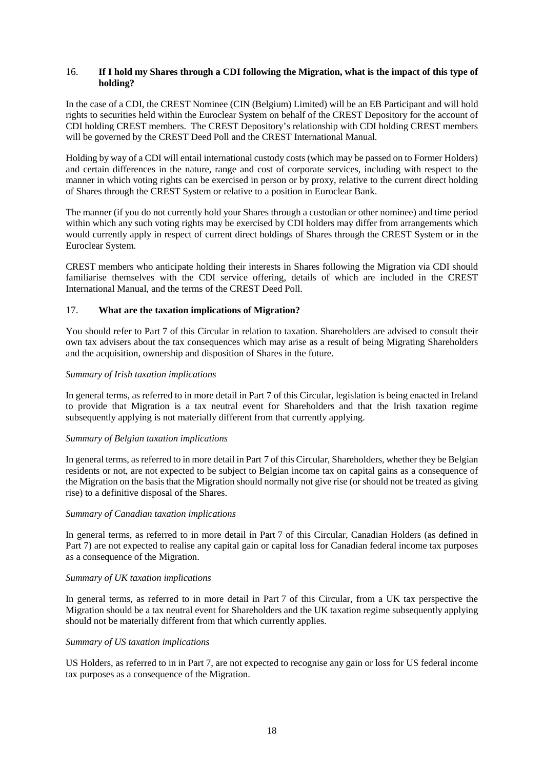#### 16. **If I hold my Shares through a CDI following the Migration, what is the impact of this type of holding?**

In the case of a CDI, the CREST Nominee (CIN (Belgium) Limited) will be an EB Participant and will hold rights to securities held within the Euroclear System on behalf of the CREST Depository for the account of CDI holding CREST members. The CREST Depository's relationship with CDI holding CREST members will be governed by the CREST Deed Poll and the CREST International Manual.

Holding by way of a CDI will entail international custody costs (which may be passed on to Former Holders) and certain differences in the nature, range and cost of corporate services, including with respect to the manner in which voting rights can be exercised in person or by proxy, relative to the current direct holding of Shares through the CREST System or relative to a position in Euroclear Bank.

The manner (if you do not currently hold your Shares through a custodian or other nominee) and time period within which any such voting rights may be exercised by CDI holders may differ from arrangements which would currently apply in respect of current direct holdings of Shares through the CREST System or in the Euroclear System.

CREST members who anticipate holding their interests in Shares following the Migration via CDI should familiarise themselves with the CDI service offering, details of which are included in the CREST International Manual, and the terms of the CREST Deed Poll.

#### 17. **What are the taxation implications of Migration?**

You should refer to [Part](#page-60-1) 7 of this Circular in relation to taxation. Shareholders are advised to consult their own tax advisers about the tax consequences which may arise as a result of being Migrating Shareholders and the acquisition, ownership and disposition of Shares in the future.

#### *Summary of Irish taxation implications*

In general terms, as referred to in more detail i[n Part](#page-60-1) 7 of this Circular, legislation is being enacted in Ireland to provide that Migration is a tax neutral event for Shareholders and that the Irish taxation regime subsequently applying is not materially different from that currently applying.

#### *Summary of Belgian taxation implications*

In general terms, as referred to in more detail i[n Part](#page-60-1) 7 of this Circular, Shareholders, whether they be Belgian residents or not, are not expected to be subject to Belgian income tax on capital gains as a consequence of the Migration on the basis that the Migration should normally not give rise (or should not be treated as giving rise) to a definitive disposal of the Shares.

#### *Summary of Canadian taxation implications*

In general terms, as referred to in more detail in [Part](#page-60-1) 7 of this Circular, Canadian Holders (as defined in [Part](#page-60-1) 7) are not expected to realise any capital gain or capital loss for Canadian federal income tax purposes as a consequence of the Migration.

#### *Summary of UK taxation implications*

In general terms, as referred to in more detail in [Part](#page-60-1) 7 of this Circular, from a UK tax perspective the Migration should be a tax neutral event for Shareholders and the UK taxation regime subsequently applying should not be materially different from that which currently applies.

#### *Summary of US taxation implications*

US Holders, as referred to in in [Part](#page-60-1) 7, are not expected to recognise any gain or loss for US federal income tax purposes as a consequence of the Migration.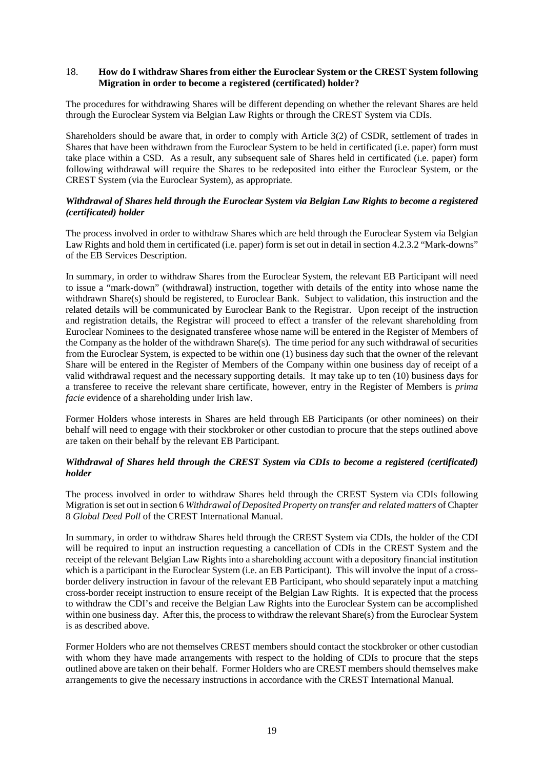#### <span id="page-21-0"></span>18. **How do I withdraw Shares from either the Euroclear System or the CREST System following Migration in order to become a registered (certificated) holder?**

The procedures for withdrawing Shares will be different depending on whether the relevant Shares are held through the Euroclear System via Belgian Law Rights or through the CREST System via CDIs.

Shareholders should be aware that, in order to comply with Article 3(2) of CSDR, settlement of trades in Shares that have been withdrawn from the Euroclear System to be held in certificated (i.e. paper) form must take place within a CSD. As a result, any subsequent sale of Shares held in certificated (i.e. paper) form following withdrawal will require the Shares to be redeposited into either the Euroclear System, or the CREST System (via the Euroclear System), as appropriate*.*

#### *Withdrawal of Shares held through the Euroclear System via Belgian Law Rights to become a registered (certificated) holder*

The process involved in order to withdraw Shares which are held through the Euroclear System via Belgian Law Rights and hold them in certificated (i.e. paper) form is set out in detail in section 4.2.3.2 "Mark-downs" of the EB Services Description.

In summary, in order to withdraw Shares from the Euroclear System, the relevant EB Participant will need to issue a "mark-down" (withdrawal) instruction, together with details of the entity into whose name the withdrawn Share(s) should be registered, to Euroclear Bank. Subject to validation, this instruction and the related details will be communicated by Euroclear Bank to the Registrar. Upon receipt of the instruction and registration details, the Registrar will proceed to effect a transfer of the relevant shareholding from Euroclear Nominees to the designated transferee whose name will be entered in the Register of Members of the Company as the holder of the withdrawn Share(s). The time period for any such withdrawal of securities from the Euroclear System, is expected to be within one (1) business day such that the owner of the relevant Share will be entered in the Register of Members of the Company within one business day of receipt of a valid withdrawal request and the necessary supporting details. It may take up to ten (10) business days for a transferee to receive the relevant share certificate, however, entry in the Register of Members is *prima facie* evidence of a shareholding under Irish law.

Former Holders whose interests in Shares are held through EB Participants (or other nominees) on their behalf will need to engage with their stockbroker or other custodian to procure that the steps outlined above are taken on their behalf by the relevant EB Participant.

## *Withdrawal of Shares held through the CREST System via CDIs to become a registered (certificated) holder*

The process involved in order to withdraw Shares held through the CREST System via CDIs following Migration is set out in section 6 *Withdrawal of Deposited Property on transfer and related matters* of Chapter 8 *Global Deed Poll* of the CREST International Manual.

In summary, in order to withdraw Shares held through the CREST System via CDIs, the holder of the CDI will be required to input an instruction requesting a cancellation of CDIs in the CREST System and the receipt of the relevant Belgian Law Rights into a shareholding account with a depository financial institution which is a participant in the Euroclear System (i.e. an EB Participant). This will involve the input of a crossborder delivery instruction in favour of the relevant EB Participant, who should separately input a matching cross-border receipt instruction to ensure receipt of the Belgian Law Rights. It is expected that the process to withdraw the CDI's and receive the Belgian Law Rights into the Euroclear System can be accomplished within one business day. After this, the process to withdraw the relevant Share(s) from the Euroclear System is as described above.

Former Holders who are not themselves CREST members should contact the stockbroker or other custodian with whom they have made arrangements with respect to the holding of CDIs to procure that the steps outlined above are taken on their behalf. Former Holders who are CREST members should themselves make arrangements to give the necessary instructions in accordance with the CREST International Manual.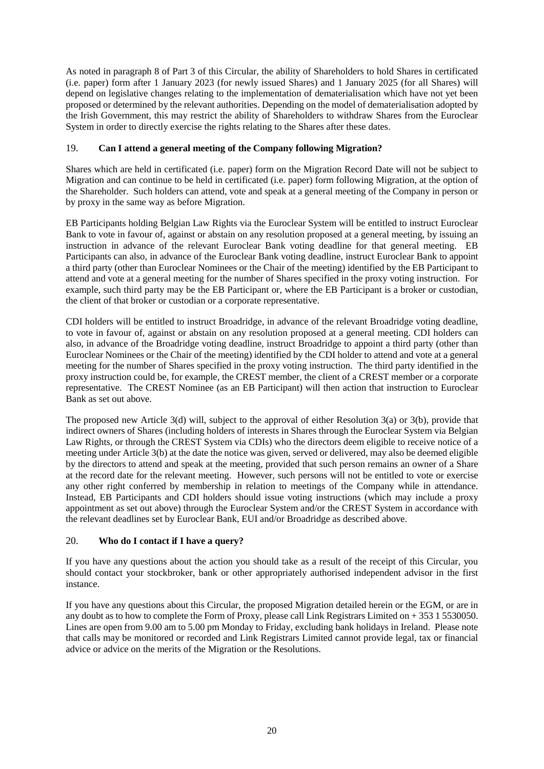As noted in paragraph [8](#page-36-0) of [Part](#page-23-1) 3 of this Circular, the ability of Shareholders to hold Shares in certificated (i.e. paper) form after 1 January 2023 (for newly issued Shares) and 1 January 2025 (for all Shares) will depend on legislative changes relating to the implementation of dematerialisation which have not yet been proposed or determined by the relevant authorities. Depending on the model of dematerialisation adopted by the Irish Government, this may restrict the ability of Shareholders to withdraw Shares from the Euroclear System in order to directly exercise the rights relating to the Shares after these dates.

## 19. **Can I attend a general meeting of the Company following Migration?**

Shares which are held in certificated (i.e. paper) form on the Migration Record Date will not be subject to Migration and can continue to be held in certificated (i.e. paper) form following Migration, at the option of the Shareholder. Such holders can attend, vote and speak at a general meeting of the Company in person or by proxy in the same way as before Migration.

EB Participants holding Belgian Law Rights via the Euroclear System will be entitled to instruct Euroclear Bank to vote in favour of, against or abstain on any resolution proposed at a general meeting, by issuing an instruction in advance of the relevant Euroclear Bank voting deadline for that general meeting. EB Participants can also, in advance of the Euroclear Bank voting deadline, instruct Euroclear Bank to appoint a third party (other than Euroclear Nominees or the Chair of the meeting) identified by the EB Participant to attend and vote at a general meeting for the number of Shares specified in the proxy voting instruction. For example, such third party may be the EB Participant or, where the EB Participant is a broker or custodian, the client of that broker or custodian or a corporate representative.

CDI holders will be entitled to instruct Broadridge, in advance of the relevant Broadridge voting deadline, to vote in favour of, against or abstain on any resolution proposed at a general meeting. CDI holders can also, in advance of the Broadridge voting deadline, instruct Broadridge to appoint a third party (other than Euroclear Nominees or the Chair of the meeting) identified by the CDI holder to attend and vote at a general meeting for the number of Shares specified in the proxy voting instruction. The third party identified in the proxy instruction could be, for example, the CREST member, the client of a CREST member or a corporate representative. The CREST Nominee (as an EB Participant) will then action that instruction to Euroclear Bank as set out above.

The proposed new Article 3(d) will, subject to the approval of either Resolution 3(a) or 3(b), provide that indirect owners of Shares (including holders of interests in Shares through the Euroclear System via Belgian Law Rights, or through the CREST System via CDIs) who the directors deem eligible to receive notice of a meeting under Article 3(b) at the date the notice was given, served or delivered, may also be deemed eligible by the directors to attend and speak at the meeting, provided that such person remains an owner of a Share at the record date for the relevant meeting. However, such persons will not be entitled to vote or exercise any other right conferred by membership in relation to meetings of the Company while in attendance. Instead, EB Participants and CDI holders should issue voting instructions (which may include a proxy appointment as set out above) through the Euroclear System and/or the CREST System in accordance with the relevant deadlines set by Euroclear Bank, EUI and/or Broadridge as described above.

## 20. **Who do I contact if I have a query?**

If you have any questions about the action you should take as a result of the receipt of this Circular, you should contact your stockbroker, bank or other appropriately authorised independent advisor in the first instance.

If you have any questions about this Circular, the proposed Migration detailed herein or the EGM, or are in any doubt as to how to complete the Form of Proxy, please call Link Registrars Limited on + 353 1 5530050. Lines are open from 9.00 am to 5.00 pm Monday to Friday, excluding bank holidays in Ireland. Please note that calls may be monitored or recorded and Link Registrars Limited cannot provide legal, tax or financial advice or advice on the merits of the Migration or the Resolutions.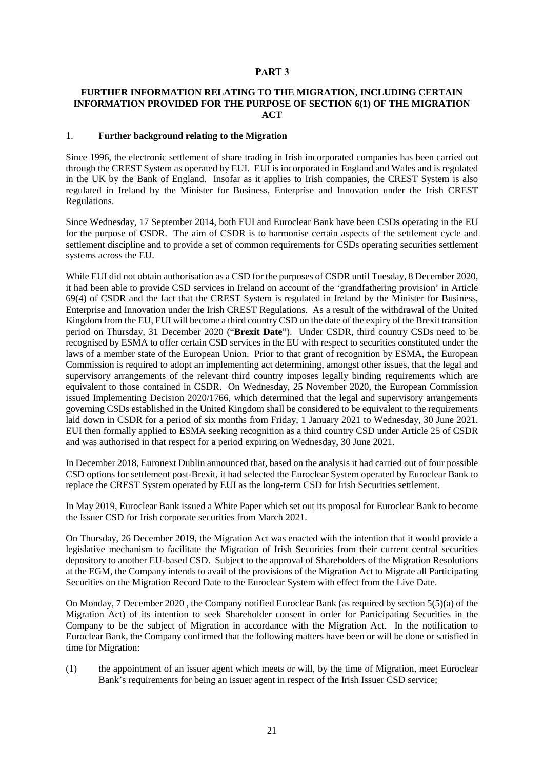## <span id="page-23-0"></span>PART<sub>3</sub>

#### <span id="page-23-1"></span>**FURTHER INFORMATION RELATING TO THE MIGRATION, INCLUDING CERTAIN INFORMATION PROVIDED FOR THE PURPOSE OF SECTION 6(1) OF THE MIGRATION ACT**

#### 1. **Further background relating to the Migration**

Since 1996, the electronic settlement of share trading in Irish incorporated companies has been carried out through the CREST System as operated by EUI. EUI is incorporated in England and Wales and is regulated in the UK by the Bank of England. Insofar as it applies to Irish companies, the CREST System is also regulated in Ireland by the Minister for Business, Enterprise and Innovation under the Irish CREST Regulations.

Since Wednesday, 17 September 2014, both EUI and Euroclear Bank have been CSDs operating in the EU for the purpose of CSDR. The aim of CSDR is to harmonise certain aspects of the settlement cycle and settlement discipline and to provide a set of common requirements for CSDs operating securities settlement systems across the EU.

While EUI did not obtain authorisation as a CSD for the purposes of CSDR until Tuesday, 8 December 2020, it had been able to provide CSD services in Ireland on account of the 'grandfathering provision' in Article 69(4) of CSDR and the fact that the CREST System is regulated in Ireland by the Minister for Business, Enterprise and Innovation under the Irish CREST Regulations. As a result of the withdrawal of the United Kingdom from the EU, EUI will become a third country CSD on the date of the expiry of the Brexit transition period on Thursday, 31 December 2020 ("**Brexit Date**"). Under CSDR, third country CSDs need to be recognised by ESMA to offer certain CSD services in the EU with respect to securities constituted under the laws of a member state of the European Union. Prior to that grant of recognition by ESMA, the European Commission is required to adopt an implementing act determining, amongst other issues, that the legal and supervisory arrangements of the relevant third country imposes legally binding requirements which are equivalent to those contained in CSDR. On Wednesday, 25 November 2020, the European Commission issued Implementing Decision 2020/1766, which determined that the legal and supervisory arrangements governing CSDs established in the United Kingdom shall be considered to be equivalent to the requirements laid down in CSDR for a period of six months from Friday, 1 January 2021 to Wednesday, 30 June 2021. EUI then formally applied to ESMA seeking recognition as a third country CSD under Article 25 of CSDR and was authorised in that respect for a period expiring on Wednesday, 30 June 2021.

In December 2018, Euronext Dublin announced that, based on the analysis it had carried out of four possible CSD options for settlement post-Brexit, it had selected the Euroclear System operated by Euroclear Bank to replace the CREST System operated by EUI as the long-term CSD for Irish Securities settlement.

In May 2019, Euroclear Bank issued a White Paper which set out its proposal for Euroclear Bank to become the Issuer CSD for Irish corporate securities from March 2021.

On Thursday, 26 December 2019, the Migration Act was enacted with the intention that it would provide a legislative mechanism to facilitate the Migration of Irish Securities from their current central securities depository to another EU-based CSD. Subject to the approval of Shareholders of the Migration Resolutions at the EGM, the Company intends to avail of the provisions of the Migration Act to Migrate all Participating Securities on the Migration Record Date to the Euroclear System with effect from the Live Date.

On Monday, 7 December 2020 , the Company notified Euroclear Bank (as required by section 5(5)(a) of the Migration Act) of its intention to seek Shareholder consent in order for Participating Securities in the Company to be the subject of Migration in accordance with the Migration Act. In the notification to Euroclear Bank, the Company confirmed that the following matters have been or will be done or satisfied in time for Migration:

(1) the appointment of an issuer agent which meets or will, by the time of Migration, meet Euroclear Bank's requirements for being an issuer agent in respect of the Irish Issuer CSD service;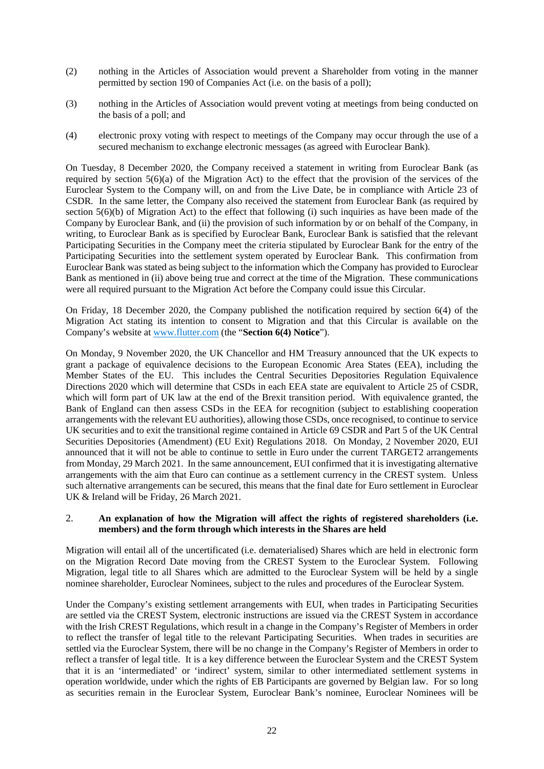- (2) nothing in the Articles of Association would prevent a Shareholder from voting in the manner permitted by section 190 of Companies Act (i.e. on the basis of a poll);
- (3) nothing in the Articles of Association would prevent voting at meetings from being conducted on the basis of a poll; and
- (4) electronic proxy voting with respect to meetings of the Company may occur through the use of a secured mechanism to exchange electronic messages (as agreed with Euroclear Bank).

On Tuesday, 8 December 2020, the Company received a statement in writing from Euroclear Bank (as required by section 5(6)(a) of the Migration Act) to the effect that the provision of the services of the Euroclear System to the Company will, on and from the Live Date, be in compliance with Article 23 of CSDR. In the same letter, the Company also received the statement from Euroclear Bank (as required by section  $5(6)(b)$  of Migration Act) to the effect that following (i) such inquiries as have been made of the Company by Euroclear Bank, and (ii) the provision of such information by or on behalf of the Company, in writing, to Euroclear Bank as is specified by Euroclear Bank, Euroclear Bank is satisfied that the relevant Participating Securities in the Company meet the criteria stipulated by Euroclear Bank for the entry of the Participating Securities into the settlement system operated by Euroclear Bank. This confirmation from Euroclear Bank was stated as being subject to the information which the Company has provided to Euroclear Bank as mentioned in (ii) above being true and correct at the time of the Migration. These communications were all required pursuant to the Migration Act before the Company could issue this Circular.

On Friday, 18 December 2020, the Company published the notification required by section 6(4) of the Migration Act stating its intention to consent to Migration and that this Circular is available on the Company's website at www.flutter.com (the "**Section 6(4) Notice**").

On Monday, 9 November 2020, the UK Chancellor and HM Treasury announced that the UK expects to grant a package of equivalence decisions to the European Economic Area States (EEA), including the Member States of the EU. This includes the Central Securities Depositories Regulation Equivalence Directions 2020 which will determine that CSDs in each EEA state are equivalent to Article 25 of CSDR, which will form part of UK law at the end of the Brexit transition period. With equivalence granted, the Bank of England can then assess CSDs in the EEA for recognition (subject to establishing cooperation arrangements with the relevant EU authorities), allowing those CSDs, once recognised, to continue to service UK securities and to exit the transitional regime contained in Article 69 CSDR and Part 5 of the UK Central Securities Depositories (Amendment) (EU Exit) Regulations 2018. On Monday, 2 November 2020, EUI announced that it will not be able to continue to settle in Euro under the current TARGET2 arrangements from Monday, 29 March 2021. In the same announcement, EUI confirmed that it is investigating alternative arrangements with the aim that Euro can continue as a settlement currency in the CREST system. Unless such alternative arrangements can be secured, this means that the final date for Euro settlement in Euroclear UK & Ireland will be Friday, 26 March 2021.

#### 2. **An explanation of how the Migration will affect the rights of registered shareholders (i.e. members) and the form through which interests in the Shares are held**

Migration will entail all of the uncertificated (i.e. dematerialised) Shares which are held in electronic form on the Migration Record Date moving from the CREST System to the Euroclear System. Following Migration, legal title to all Shares which are admitted to the Euroclear System will be held by a single nominee shareholder, Euroclear Nominees, subject to the rules and procedures of the Euroclear System.

Under the Company's existing settlement arrangements with EUI, when trades in Participating Securities are settled via the CREST System, electronic instructions are issued via the CREST System in accordance with the Irish CREST Regulations, which result in a change in the Company's Register of Members in order to reflect the transfer of legal title to the relevant Participating Securities. When trades in securities are settled via the Euroclear System, there will be no change in the Company's Register of Members in order to reflect a transfer of legal title. It is a key difference between the Euroclear System and the CREST System that it is an 'intermediated' or 'indirect' system, similar to other intermediated settlement systems in operation worldwide, under which the rights of EB Participants are governed by Belgian law. For so long as securities remain in the Euroclear System, Euroclear Bank's nominee, Euroclear Nominees will be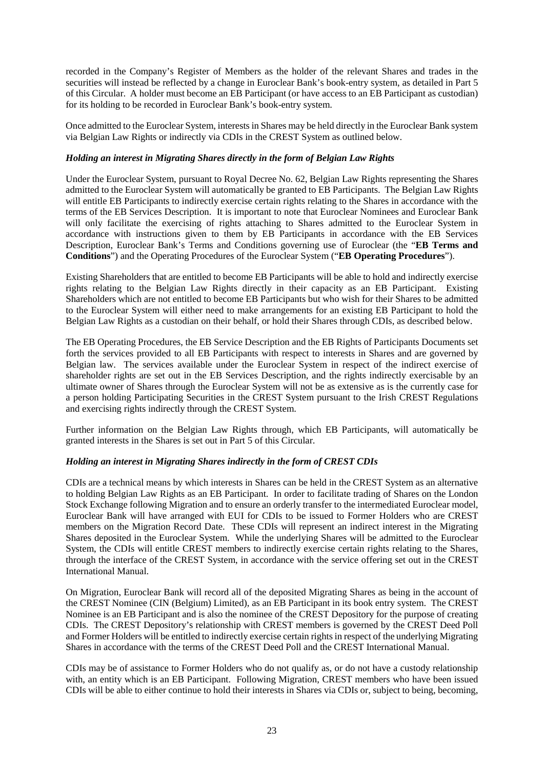recorded in the Company's Register of Members as the holder of the relevant Shares and trades in the securities will instead be reflected by a change in Euroclear Bank's book-entry system, as detailed in [Part](#page-49-1) 5 of this Circular. A holder must become an EB Participant (or have access to an EB Participant as custodian) for its holding to be recorded in Euroclear Bank's book-entry system.

Once admitted to the Euroclear System, interests in Shares may be held directly in the Euroclear Bank system via Belgian Law Rights or indirectly via CDIs in the CREST System as outlined below.

## *Holding an interest in Migrating Shares directly in the form of Belgian Law Rights*

Under the Euroclear System, pursuant to Royal Decree No. 62, Belgian Law Rights representing the Shares admitted to the Euroclear System will automatically be granted to EB Participants. The Belgian Law Rights will entitle EB Participants to indirectly exercise certain rights relating to the Shares in accordance with the terms of the EB Services Description. It is important to note that Euroclear Nominees and Euroclear Bank will only facilitate the exercising of rights attaching to Shares admitted to the Euroclear System in accordance with instructions given to them by EB Participants in accordance with the EB Services Description, Euroclear Bank's Terms and Conditions governing use of Euroclear (the "**EB Terms and Conditions**") and the Operating Procedures of the Euroclear System ("**EB Operating Procedures**").

Existing Shareholders that are entitled to become EB Participants will be able to hold and indirectly exercise rights relating to the Belgian Law Rights directly in their capacity as an EB Participant. Existing Shareholders which are not entitled to become EB Participants but who wish for their Shares to be admitted to the Euroclear System will either need to make arrangements for an existing EB Participant to hold the Belgian Law Rights as a custodian on their behalf, or hold their Shares through CDIs, as described below.

The EB Operating Procedures, the EB Service Description and the EB Rights of Participants Documents set forth the services provided to all EB Participants with respect to interests in Shares and are governed by Belgian law. The services available under the Euroclear System in respect of the indirect exercise of shareholder rights are set out in the EB Services Description, and the rights indirectly exercisable by an ultimate owner of Shares through the Euroclear System will not be as extensive as is the currently case for a person holding Participating Securities in the CREST System pursuant to the Irish CREST Regulations and exercising rights indirectly through the CREST System.

Further information on the Belgian Law Rights through, which EB Participants, will automatically be granted interests in the Shares is set out in [Part](#page-49-1) 5 of this Circular.

#### *Holding an interest in Migrating Shares indirectly in the form of CREST CDIs*

CDIs are a technical means by which interests in Shares can be held in the CREST System as an alternative to holding Belgian Law Rights as an EB Participant. In order to facilitate trading of Shares on the London Stock Exchange following Migration and to ensure an orderly transfer to the intermediated Euroclear model, Euroclear Bank will have arranged with EUI for CDIs to be issued to Former Holders who are CREST members on the Migration Record Date. These CDIs will represent an indirect interest in the Migrating Shares deposited in the Euroclear System. While the underlying Shares will be admitted to the Euroclear System, the CDIs will entitle CREST members to indirectly exercise certain rights relating to the Shares, through the interface of the CREST System, in accordance with the service offering set out in the CREST International Manual.

On Migration, Euroclear Bank will record all of the deposited Migrating Shares as being in the account of the CREST Nominee (CIN (Belgium) Limited), as an EB Participant in its book entry system. The CREST Nominee is an EB Participant and is also the nominee of the CREST Depository for the purpose of creating CDIs. The CREST Depository's relationship with CREST members is governed by the CREST Deed Poll and Former Holders will be entitled to indirectly exercise certain rights in respect of the underlying Migrating Shares in accordance with the terms of the CREST Deed Poll and the CREST International Manual.

CDIs may be of assistance to Former Holders who do not qualify as, or do not have a custody relationship with, an entity which is an EB Participant. Following Migration, CREST members who have been issued CDIs will be able to either continue to hold their interests in Shares via CDIs or, subject to being, becoming,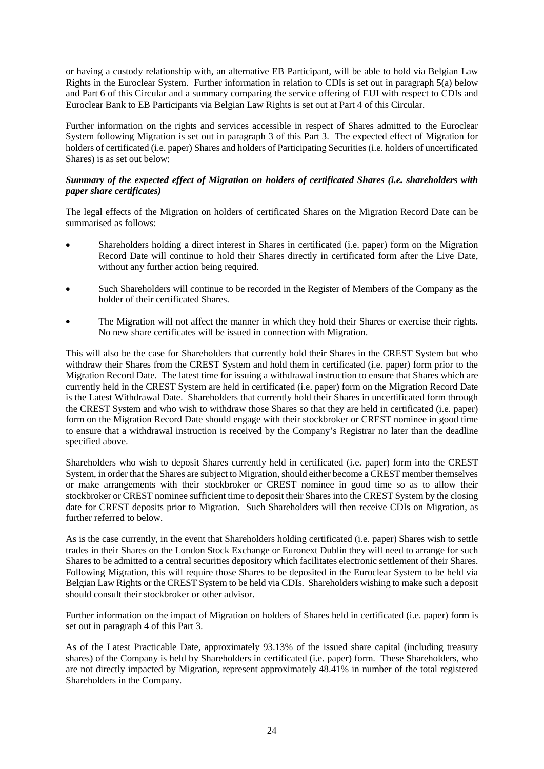or having a custody relationship with, an alternative EB Participant, will be able to hold via Belgian Law Rights in the Euroclear System. Further information in relation to CDIs is set out in paragraph [5\(a\)](#page-31-0) below and [Part](#page-55-1) 6 of this Circular and a summary comparing the service offering of EUI with respect to CDIs and Euroclear Bank to EB Participants via Belgian Law Rights is set out at [Part](#page-39-1) 4 of this Circular.

Further information on the rights and services accessible in respect of Shares admitted to the Euroclear System following Migration is set out in paragraph [3](#page-28-0) of this [Part](#page-23-1) 3. The expected effect of Migration for holders of certificated (i.e. paper) Shares and holders of Participating Securities (i.e. holders of uncertificated Shares) is as set out below:

## *Summary of the expected effect of Migration on holders of certificated Shares (i.e. shareholders with paper share certificates)*

The legal effects of the Migration on holders of certificated Shares on the Migration Record Date can be summarised as follows:

- Shareholders holding a direct interest in Shares in certificated (i.e. paper) form on the Migration Record Date will continue to hold their Shares directly in certificated form after the Live Date, without any further action being required.
- Such Shareholders will continue to be recorded in the Register of Members of the Company as the holder of their certificated Shares.
- The Migration will not affect the manner in which they hold their Shares or exercise their rights. No new share certificates will be issued in connection with Migration.

This will also be the case for Shareholders that currently hold their Shares in the CREST System but who withdraw their Shares from the CREST System and hold them in certificated (i.e. paper) form prior to the Migration Record Date. The latest time for issuing a withdrawal instruction to ensure that Shares which are currently held in the CREST System are held in certificated (i.e. paper) form on the Migration Record Date is the Latest Withdrawal Date. Shareholders that currently hold their Shares in uncertificated form through the CREST System and who wish to withdraw those Shares so that they are held in certificated (i.e. paper) form on the Migration Record Date should engage with their stockbroker or CREST nominee in good time to ensure that a withdrawal instruction is received by the Company's Registrar no later than the deadline specified above.

Shareholders who wish to deposit Shares currently held in certificated (i.e. paper) form into the CREST System, in order that the Shares are subject to Migration, should either become a CREST member themselves or make arrangements with their stockbroker or CREST nominee in good time so as to allow their stockbroker or CREST nominee sufficient time to deposit their Shares into the CREST System by the closing date for CREST deposits prior to Migration. Such Shareholders will then receive CDIs on Migration, as further referred to below.

As is the case currently, in the event that Shareholders holding certificated (i.e. paper) Shares wish to settle trades in their Shares on the London Stock Exchange or Euronext Dublin they will need to arrange for such Shares to be admitted to a central securities depository which facilitates electronic settlement of their Shares. Following Migration, this will require those Shares to be deposited in the Euroclear System to be held via Belgian Law Rights or the CREST System to be held via CDIs. Shareholders wishing to make such a deposit should consult their stockbroker or other advisor.

Further information on the impact of Migration on holders of Shares held in certificated (i.e. paper) form is set out in paragrap[h 4](#page-30-0) of this [Part](#page-23-1) 3.

As of the Latest Practicable Date, approximately 93.13% of the issued share capital (including treasury shares) of the Company is held by Shareholders in certificated (i.e. paper) form. These Shareholders, who are not directly impacted by Migration, represent approximately 48.41% in number of the total registered Shareholders in the Company.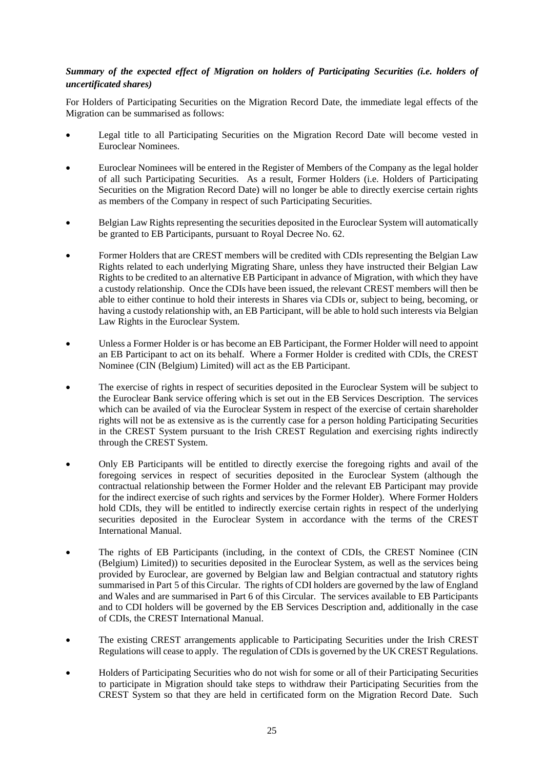## *Summary of the expected effect of Migration on holders of Participating Securities (i.e. holders of uncertificated shares)*

For Holders of Participating Securities on the Migration Record Date, the immediate legal effects of the Migration can be summarised as follows:

- Legal title to all Participating Securities on the Migration Record Date will become vested in Euroclear Nominees.
- Euroclear Nominees will be entered in the Register of Members of the Company as the legal holder of all such Participating Securities. As a result, Former Holders (i.e. Holders of Participating Securities on the Migration Record Date) will no longer be able to directly exercise certain rights as members of the Company in respect of such Participating Securities.
- Belgian Law Rights representing the securities deposited in the Euroclear System will automatically be granted to EB Participants, pursuant to Royal Decree No. 62.
- Former Holders that are CREST members will be credited with CDIs representing the Belgian Law Rights related to each underlying Migrating Share, unless they have instructed their Belgian Law Rights to be credited to an alternative EB Participant in advance of Migration, with which they have a custody relationship. Once the CDIs have been issued, the relevant CREST members will then be able to either continue to hold their interests in Shares via CDIs or, subject to being, becoming, or having a custody relationship with, an EB Participant, will be able to hold such interests via Belgian Law Rights in the Euroclear System.
- Unless a Former Holder is or has become an EB Participant, the Former Holder will need to appoint an EB Participant to act on its behalf. Where a Former Holder is credited with CDIs, the CREST Nominee (CIN (Belgium) Limited) will act as the EB Participant.
- The exercise of rights in respect of securities deposited in the Euroclear System will be subject to the Euroclear Bank service offering which is set out in the EB Services Description. The services which can be availed of via the Euroclear System in respect of the exercise of certain shareholder rights will not be as extensive as is the currently case for a person holding Participating Securities in the CREST System pursuant to the Irish CREST Regulation and exercising rights indirectly through the CREST System.
- Only EB Participants will be entitled to directly exercise the foregoing rights and avail of the foregoing services in respect of securities deposited in the Euroclear System (although the contractual relationship between the Former Holder and the relevant EB Participant may provide for the indirect exercise of such rights and services by the Former Holder). Where Former Holders hold CDIs, they will be entitled to indirectly exercise certain rights in respect of the underlying securities deposited in the Euroclear System in accordance with the terms of the CREST International Manual.
- The rights of EB Participants (including, in the context of CDIs, the CREST Nominee (CIN (Belgium) Limited)) to securities deposited in the Euroclear System, as well as the services being provided by Euroclear, are governed by Belgian law and Belgian contractual and statutory rights summarised i[n Part](#page-49-1) 5 of this Circular. The rights of CDI holders are governed by the law of England and Wales and are summarised in [Part](#page-55-1) 6 of this Circular. The services available to EB Participants and to CDI holders will be governed by the EB Services Description and, additionally in the case of CDIs, the CREST International Manual.
- The existing CREST arrangements applicable to Participating Securities under the Irish CREST Regulations will cease to apply. The regulation of CDIs is governed by the UK CREST Regulations.
- Holders of Participating Securities who do not wish for some or all of their Participating Securities to participate in Migration should take steps to withdraw their Participating Securities from the CREST System so that they are held in certificated form on the Migration Record Date. Such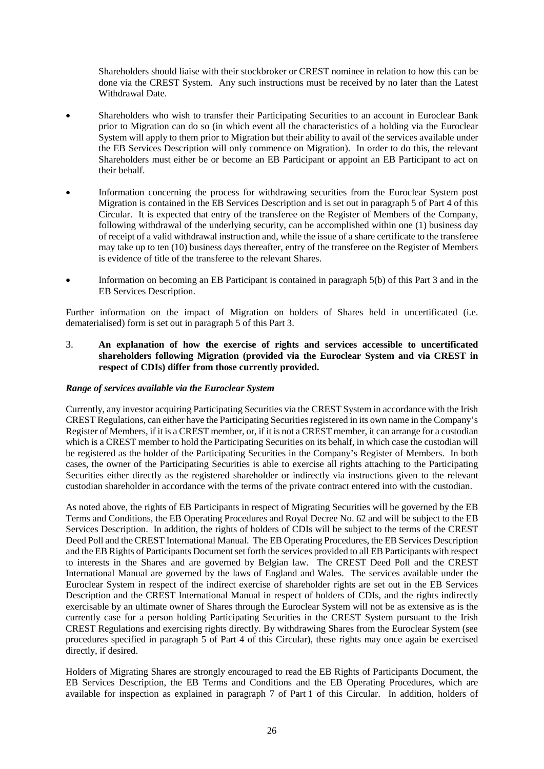Shareholders should liaise with their stockbroker or CREST nominee in relation to how this can be done via the CREST System. Any such instructions must be received by no later than the Latest Withdrawal Date.

- Shareholders who wish to transfer their Participating Securities to an account in Euroclear Bank prior to Migration can do so (in which event all the characteristics of a holding via the Euroclear System will apply to them prior to Migration but their ability to avail of the services available under the EB Services Description will only commence on Migration). In order to do this, the relevant Shareholders must either be or become an EB Participant or appoint an EB Participant to act on their behalf.
- Information concerning the process for withdrawing securities from the Euroclear System post Migration is contained in the EB Services Description and is set out in paragraph [5](#page-46-0) of [Part](#page-39-1) 4 of this Circular. It is expected that entry of the transferee on the Register of Members of the Company, following withdrawal of the underlying security, can be accomplished within one (1) business day of receipt of a valid withdrawal instruction and, while the issue of a share certificate to the transferee may take up to ten (10) business days thereafter, entry of the transferee on the Register of Members is evidence of title of the transferee to the relevant Shares.
- Information on becoming an EB Participant is contained in paragraph [5\(b\)](#page-32-0) of this [Part](#page-23-1) 3 and in the EB Services Description.

Further information on the impact of Migration on holders of Shares held in uncertificated (i.e. dematerialised) form is set out in paragrap[h 5](#page-31-1) of this [Part](#page-23-1) 3.

<span id="page-28-0"></span>3. **An explanation of how the exercise of rights and services accessible to uncertificated shareholders following Migration (provided via the Euroclear System and via CREST in respect of CDIs) differ from those currently provided.**

#### *Range of services available via the Euroclear System*

Currently, any investor acquiring Participating Securities via the CREST System in accordance with the Irish CREST Regulations, can either have the Participating Securities registered in its own name in the Company's Register of Members, if it is a CREST member, or, if it is not a CREST member, it can arrange for a custodian which is a CREST member to hold the Participating Securities on its behalf, in which case the custodian will be registered as the holder of the Participating Securities in the Company's Register of Members. In both cases, the owner of the Participating Securities is able to exercise all rights attaching to the Participating Securities either directly as the registered shareholder or indirectly via instructions given to the relevant custodian shareholder in accordance with the terms of the private contract entered into with the custodian.

As noted above, the rights of EB Participants in respect of Migrating Securities will be governed by the EB Terms and Conditions, the EB Operating Procedures and Royal Decree No. 62 and will be subject to the EB Services Description. In addition, the rights of holders of CDIs will be subject to the terms of the CREST Deed Poll and the CREST International Manual. The EB Operating Procedures, the EB Services Description and the EB Rights of Participants Document set forth the services provided to all EB Participants with respect to interests in the Shares and are governed by Belgian law. The CREST Deed Poll and the CREST International Manual are governed by the laws of England and Wales. The services available under the Euroclear System in respect of the indirect exercise of shareholder rights are set out in the EB Services Description and the CREST International Manual in respect of holders of CDIs, and the rights indirectly exercisable by an ultimate owner of Shares through the Euroclear System will not be as extensive as is the currently case for a person holding Participating Securities in the CREST System pursuant to the Irish CREST Regulations and exercising rights directly. By withdrawing Shares from the Euroclear System (see procedures specified in paragraph 5 of Part 4 of this Circular), these rights may once again be exercised directly, if desired.

Holders of Migrating Shares are strongly encouraged to read the EB Rights of Participants Document, the EB Services Description, the EB Terms and Conditions and the EB Operating Procedures, which are available for inspection as explained in paragraph [7](#page-11-0) of [Part](#page-5-1) 1 of this Circular. In addition, holders of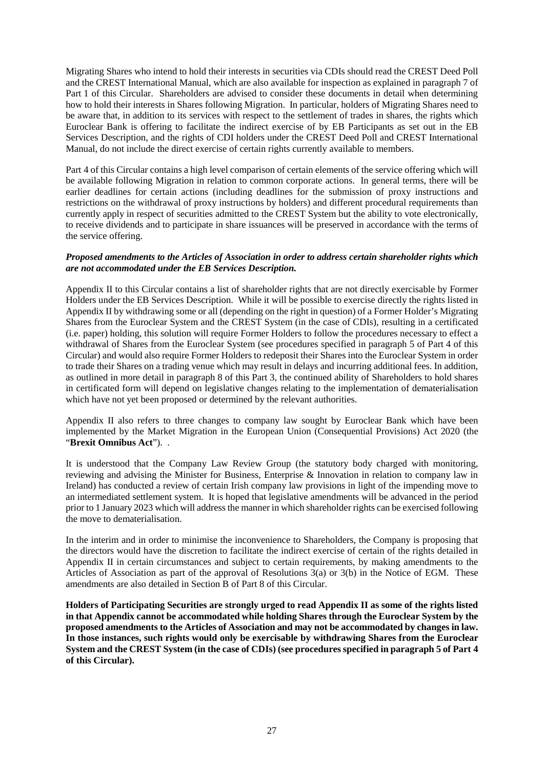Migrating Shares who intend to hold their interests in securities via CDIs should read the CREST Deed Poll and the CREST International Manual, which are also available for inspection as explained in paragraph [7](#page-11-0) of [Part](#page-5-1) 1 of this Circular. Shareholders are advised to consider these documents in detail when determining how to hold their interests in Shares following Migration. In particular, holders of Migrating Shares need to be aware that, in addition to its services with respect to the settlement of trades in shares, the rights which Euroclear Bank is offering to facilitate the indirect exercise of by EB Participants as set out in the EB Services Description, and the rights of CDI holders under the CREST Deed Poll and CREST International Manual, do not include the direct exercise of certain rights currently available to members.

[Part](#page-39-1) 4 of this Circular contains a high level comparison of certain elements of the service offering which will be available following Migration in relation to common corporate actions. In general terms, there will be earlier deadlines for certain actions (including deadlines for the submission of proxy instructions and restrictions on the withdrawal of proxy instructions by holders) and different procedural requirements than currently apply in respect of securities admitted to the CREST System but the ability to vote electronically, to receive dividends and to participate in share issuances will be preserved in accordance with the terms of the service offering.

#### *Proposed amendments to the Articles of Association in order to address certain shareholder rights which are not accommodated under the EB Services Description.*

Appendix II to this Circular contains a list of shareholder rights that are not directly exercisable by Former Holders under the EB Services Description. While it will be possible to exercise directly the rights listed in Appendix II by withdrawing some or all (depending on the right in question) of a Former Holder's Migrating Shares from the Euroclear System and the CREST System (in the case of CDIs), resulting in a certificated (i.e. paper) holding, this solution will require Former Holders to follow the procedures necessary to effect a withdrawal of Shares from the Euroclear System (see procedures specified in paragraph [5](#page-46-0) of [Part](#page-39-1) 4 of this Circular) and would also require Former Holders to redeposit their Shares into the Euroclear System in order to trade their Shares on a trading venue which may result in delays and incurring additional fees. In addition, as outlined in more detail in paragraph [8](#page-36-0) of thi[s Part](#page-23-1) 3, the continued ability of Shareholders to hold shares in certificated form will depend on legislative changes relating to the implementation of dematerialisation which have not yet been proposed or determined by the relevant authorities.

Appendix II also refers to three changes to company law sought by Euroclear Bank which have been implemented by the Market Migration in the European Union (Consequential Provisions) Act 2020 (the "**Brexit Omnibus Act**"). .

It is understood that the Company Law Review Group (the statutory body charged with monitoring, reviewing and advising the Minister for Business, Enterprise & Innovation in relation to company law in Ireland) has conducted a review of certain Irish company law provisions in light of the impending move to an intermediated settlement system. It is hoped that legislative amendments will be advanced in the period prior to 1 January 2023 which will address the manner in which shareholder rights can be exercised following the move to dematerialisation.

In the interim and in order to minimise the inconvenience to Shareholders, the Company is proposing that the directors would have the discretion to facilitate the indirect exercise of certain of the rights detailed in Appendix II in certain circumstances and subject to certain requirements, by making amendments to the Articles of Association as part of the approval of Resolutions 3(a) or 3(b) in the Notice of EGM. These amendments are also detailed in Section B o[f Part](#page-77-1) 8 of this Circular.

**Holders of Participating Securities are strongly urged to read Appendix II as some of the rights listed in that Appendix cannot be accommodated while holding Shares through the Euroclear System by the proposed amendments to the Articles of Association and may not be accommodated by changes in law. In those instances, such rights would only be exercisable by withdrawing Shares from the Euroclear System and the CREST System (in the case of CDIs) (see procedures specified in paragrap[h 5](#page-46-0) o[f Part](#page-39-1) 4 of this Circular).**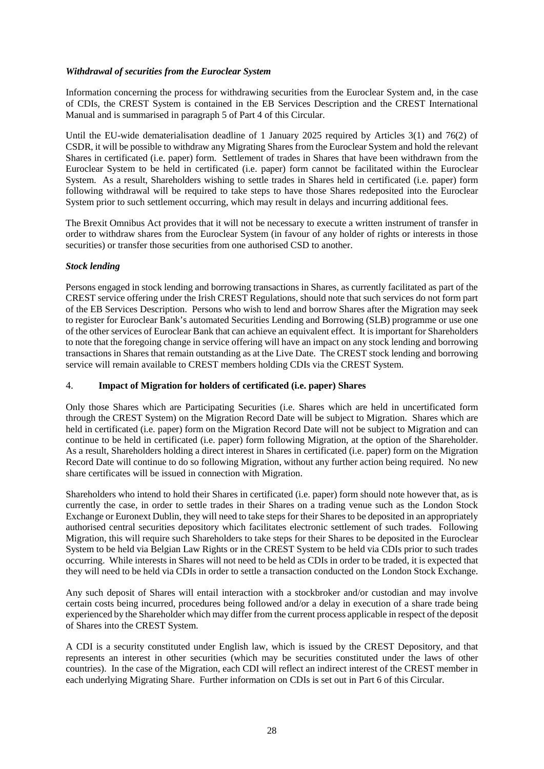## *Withdrawal of securities from the Euroclear System*

Information concerning the process for withdrawing securities from the Euroclear System and, in the case of CDIs, the CREST System is contained in the EB Services Description and the CREST International Manual and is summarised in paragraph [5](#page-46-0) of [Part](#page-39-1) 4 of this Circular.

Until the EU-wide dematerialisation deadline of 1 January 2025 required by Articles 3(1) and 76(2) of CSDR, it will be possible to withdraw any Migrating Shares from the Euroclear System and hold the relevant Shares in certificated (i.e. paper) form. Settlement of trades in Shares that have been withdrawn from the Euroclear System to be held in certificated (i.e. paper) form cannot be facilitated within the Euroclear System. As a result, Shareholders wishing to settle trades in Shares held in certificated (i.e. paper) form following withdrawal will be required to take steps to have those Shares redeposited into the Euroclear System prior to such settlement occurring, which may result in delays and incurring additional fees.

The Brexit Omnibus Act provides that it will not be necessary to execute a written instrument of transfer in order to withdraw shares from the Euroclear System (in favour of any holder of rights or interests in those securities) or transfer those securities from one authorised CSD to another.

## *Stock lending*

Persons engaged in stock lending and borrowing transactions in Shares, as currently facilitated as part of the CREST service offering under the Irish CREST Regulations, should note that such services do not form part of the EB Services Description. Persons who wish to lend and borrow Shares after the Migration may seek to register for Euroclear Bank's automated Securities Lending and Borrowing (SLB) programme or use one of the other services of Euroclear Bank that can achieve an equivalent effect. It is important for Shareholders to note that the foregoing change in service offering will have an impact on any stock lending and borrowing transactions in Shares that remain outstanding as at the Live Date. The CREST stock lending and borrowing service will remain available to CREST members holding CDIs via the CREST System.

## <span id="page-30-0"></span>4. **Impact of Migration for holders of certificated (i.e. paper) Shares**

Only those Shares which are Participating Securities (i.e. Shares which are held in uncertificated form through the CREST System) on the Migration Record Date will be subject to Migration. Shares which are held in certificated (i.e. paper) form on the Migration Record Date will not be subject to Migration and can continue to be held in certificated (i.e. paper) form following Migration, at the option of the Shareholder. As a result, Shareholders holding a direct interest in Shares in certificated (i.e. paper) form on the Migration Record Date will continue to do so following Migration, without any further action being required. No new share certificates will be issued in connection with Migration.

Shareholders who intend to hold their Shares in certificated (i.e. paper) form should note however that, as is currently the case, in order to settle trades in their Shares on a trading venue such as the London Stock Exchange or Euronext Dublin, they will need to take steps for their Shares to be deposited in an appropriately authorised central securities depository which facilitates electronic settlement of such trades. Following Migration, this will require such Shareholders to take steps for their Shares to be deposited in the Euroclear System to be held via Belgian Law Rights or in the CREST System to be held via CDIs prior to such trades occurring. While interests in Shares will not need to be held as CDIs in order to be traded, it is expected that they will need to be held via CDIs in order to settle a transaction conducted on the London Stock Exchange.

Any such deposit of Shares will entail interaction with a stockbroker and/or custodian and may involve certain costs being incurred, procedures being followed and/or a delay in execution of a share trade being experienced by the Shareholder which may differ from the current process applicable in respect of the deposit of Shares into the CREST System.

A CDI is a security constituted under English law, which is issued by the CREST Depository, and that represents an interest in other securities (which may be securities constituted under the laws of other countries). In the case of the Migration, each CDI will reflect an indirect interest of the CREST member in each underlying Migrating Share. Further information on CDIs is set out in [Part](#page-55-1) 6 of this Circular.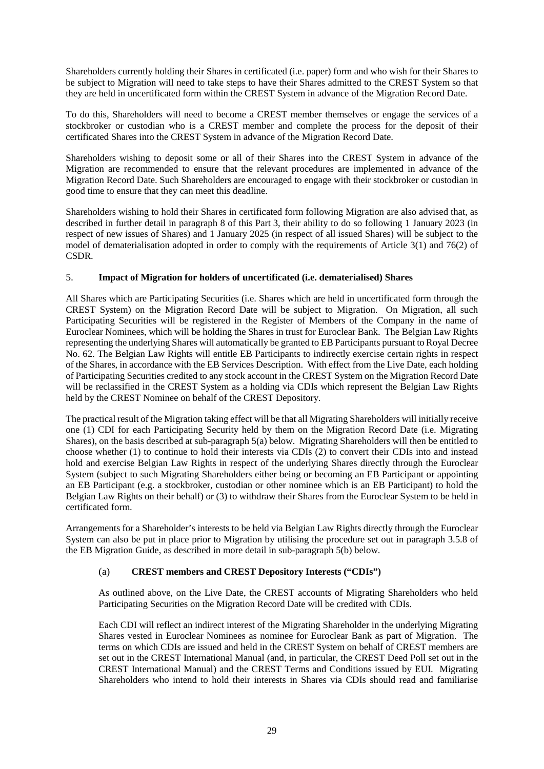Shareholders currently holding their Shares in certificated (i.e. paper) form and who wish for their Shares to be subject to Migration will need to take steps to have their Shares admitted to the CREST System so that they are held in uncertificated form within the CREST System in advance of the Migration Record Date.

To do this, Shareholders will need to become a CREST member themselves or engage the services of a stockbroker or custodian who is a CREST member and complete the process for the deposit of their certificated Shares into the CREST System in advance of the Migration Record Date.

Shareholders wishing to deposit some or all of their Shares into the CREST System in advance of the Migration are recommended to ensure that the relevant procedures are implemented in advance of the Migration Record Date. Such Shareholders are encouraged to engage with their stockbroker or custodian in good time to ensure that they can meet this deadline.

Shareholders wishing to hold their Shares in certificated form following Migration are also advised that, as described in further detail in paragraph [8](#page-36-0) of this [Part](#page-23-1) 3, their ability to do so following 1 January 2023 (in respect of new issues of Shares) and 1 January 2025 (in respect of all issued Shares) will be subject to the model of dematerialisation adopted in order to comply with the requirements of Article 3(1) and 76(2) of CSDR.

## <span id="page-31-1"></span>5. **Impact of Migration for holders of uncertificated (i.e. dematerialised) Shares**

All Shares which are Participating Securities (i.e. Shares which are held in uncertificated form through the CREST System) on the Migration Record Date will be subject to Migration. On Migration, all such Participating Securities will be registered in the Register of Members of the Company in the name of Euroclear Nominees, which will be holding the Shares in trust for Euroclear Bank. The Belgian Law Rights representing the underlying Shares will automatically be granted to EB Participants pursuant to Royal Decree No. 62. The Belgian Law Rights will entitle EB Participants to indirectly exercise certain rights in respect of the Shares, in accordance with the EB Services Description. With effect from the Live Date, each holding of Participating Securities credited to any stock account in the CREST System on the Migration Record Date will be reclassified in the CREST System as a holding via CDIs which represent the Belgian Law Rights held by the CREST Nominee on behalf of the CREST Depository.

The practical result of the Migration taking effect will be that all Migrating Shareholders will initially receive one (1) CDI for each Participating Security held by them on the Migration Record Date (i.e. Migrating Shares), on the basis described at sub-paragraph [5\(a\)](#page-31-0) below. Migrating Shareholders will then be entitled to choose whether (1) to continue to hold their interests via CDIs (2) to convert their CDIs into and instead hold and exercise Belgian Law Rights in respect of the underlying Shares directly through the Euroclear System (subject to such Migrating Shareholders either being or becoming an EB Participant or appointing an EB Participant (e.g. a stockbroker, custodian or other nominee which is an EB Participant) to hold the Belgian Law Rights on their behalf) or (3) to withdraw their Shares from the Euroclear System to be held in certificated form.

Arrangements for a Shareholder's interests to be held via Belgian Law Rights directly through the Euroclear System can also be put in place prior to Migration by utilising the procedure set out in paragraph 3.5.8 of the EB Migration Guide, as described in more detail in sub-paragrap[h 5\(b\)](#page-32-0) below.

## <span id="page-31-0"></span>(a) **CREST members and CREST Depository Interests ("CDIs")**

As outlined above, on the Live Date, the CREST accounts of Migrating Shareholders who held Participating Securities on the Migration Record Date will be credited with CDIs.

Each CDI will reflect an indirect interest of the Migrating Shareholder in the underlying Migrating Shares vested in Euroclear Nominees as nominee for Euroclear Bank as part of Migration. The terms on which CDIs are issued and held in the CREST System on behalf of CREST members are set out in the CREST International Manual (and, in particular, the CREST Deed Poll set out in the CREST International Manual) and the CREST Terms and Conditions issued by EUI. Migrating Shareholders who intend to hold their interests in Shares via CDIs should read and familiarise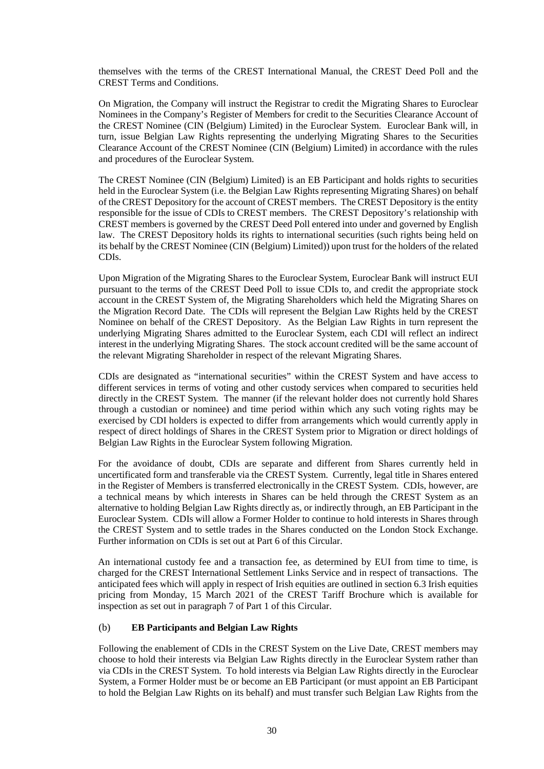themselves with the terms of the CREST International Manual, the CREST Deed Poll and the CREST Terms and Conditions.

On Migration, the Company will instruct the Registrar to credit the Migrating Shares to Euroclear Nominees in the Company's Register of Members for credit to the Securities Clearance Account of the CREST Nominee (CIN (Belgium) Limited) in the Euroclear System. Euroclear Bank will, in turn, issue Belgian Law Rights representing the underlying Migrating Shares to the Securities Clearance Account of the CREST Nominee (CIN (Belgium) Limited) in accordance with the rules and procedures of the Euroclear System.

The CREST Nominee (CIN (Belgium) Limited) is an EB Participant and holds rights to securities held in the Euroclear System (i.e. the Belgian Law Rights representing Migrating Shares) on behalf of the CREST Depository for the account of CREST members. The CREST Depository is the entity responsible for the issue of CDIs to CREST members. The CREST Depository's relationship with CREST members is governed by the CREST Deed Poll entered into under and governed by English law. The CREST Depository holds its rights to international securities (such rights being held on its behalf by the CREST Nominee (CIN (Belgium) Limited)) upon trust for the holders of the related CDIs.

Upon Migration of the Migrating Shares to the Euroclear System, Euroclear Bank will instruct EUI pursuant to the terms of the CREST Deed Poll to issue CDIs to, and credit the appropriate stock account in the CREST System of, the Migrating Shareholders which held the Migrating Shares on the Migration Record Date. The CDIs will represent the Belgian Law Rights held by the CREST Nominee on behalf of the CREST Depository. As the Belgian Law Rights in turn represent the underlying Migrating Shares admitted to the Euroclear System, each CDI will reflect an indirect interest in the underlying Migrating Shares. The stock account credited will be the same account of the relevant Migrating Shareholder in respect of the relevant Migrating Shares.

CDIs are designated as "international securities" within the CREST System and have access to different services in terms of voting and other custody services when compared to securities held directly in the CREST System. The manner (if the relevant holder does not currently hold Shares through a custodian or nominee) and time period within which any such voting rights may be exercised by CDI holders is expected to differ from arrangements which would currently apply in respect of direct holdings of Shares in the CREST System prior to Migration or direct holdings of Belgian Law Rights in the Euroclear System following Migration.

For the avoidance of doubt, CDIs are separate and different from Shares currently held in uncertificated form and transferable via the CREST System. Currently, legal title in Shares entered in the Register of Members is transferred electronically in the CREST System. CDIs, however, are a technical means by which interests in Shares can be held through the CREST System as an alternative to holding Belgian Law Rights directly as, or indirectly through, an EB Participant in the Euroclear System. CDIs will allow a Former Holder to continue to hold interests in Shares through the CREST System and to settle trades in the Shares conducted on the London Stock Exchange. Further information on CDIs is set out at [Part](#page-55-1) 6 of this Circular.

An international custody fee and a transaction fee, as determined by EUI from time to time, is charged for the CREST International Settlement Links Service and in respect of transactions. The anticipated fees which will apply in respect of Irish equities are outlined in section 6.3 Irish equities pricing from Monday, 15 March 2021 of the CREST Tariff Brochure which is available for inspection as set out in paragraph [7](#page-11-0) o[f Part](#page-5-1) 1 of this Circular.

#### <span id="page-32-0"></span>(b) **EB Participants and Belgian Law Rights**

Following the enablement of CDIs in the CREST System on the Live Date, CREST members may choose to hold their interests via Belgian Law Rights directly in the Euroclear System rather than via CDIs in the CREST System. To hold interests via Belgian Law Rights directly in the Euroclear System, a Former Holder must be or become an EB Participant (or must appoint an EB Participant to hold the Belgian Law Rights on its behalf) and must transfer such Belgian Law Rights from the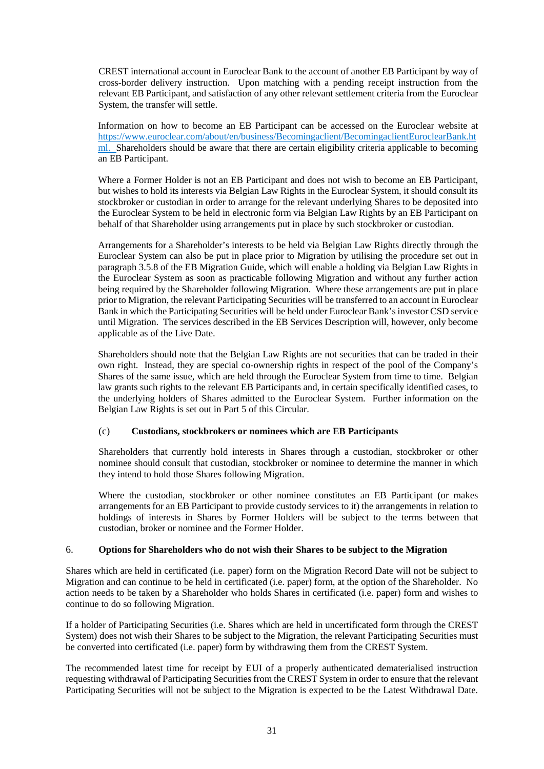CREST international account in Euroclear Bank to the account of another EB Participant by way of cross-border delivery instruction. Upon matching with a pending receipt instruction from the relevant EB Participant, and satisfaction of any other relevant settlement criteria from the Euroclear System, the transfer will settle.

Information on how to become an EB Participant can be accessed on the Euroclear website at [https://www.euroclear.com/about/en/business/Becomingaclient/BecomingaclientEuroclearBank.ht](https://www.euroclear.com/about/en/business/Becomingaclient/BecomingaclientEuroclearBank.html) [ml.](https://www.euroclear.com/about/en/business/Becomingaclient/BecomingaclientEuroclearBank.html) Shareholders should be aware that there are certain eligibility criteria applicable to becoming an EB Participant.

Where a Former Holder is not an EB Participant and does not wish to become an EB Participant, but wishes to hold its interests via Belgian Law Rights in the Euroclear System, it should consult its stockbroker or custodian in order to arrange for the relevant underlying Shares to be deposited into the Euroclear System to be held in electronic form via Belgian Law Rights by an EB Participant on behalf of that Shareholder using arrangements put in place by such stockbroker or custodian.

Arrangements for a Shareholder's interests to be held via Belgian Law Rights directly through the Euroclear System can also be put in place prior to Migration by utilising the procedure set out in paragraph 3.5.8 of the EB Migration Guide, which will enable a holding via Belgian Law Rights in the Euroclear System as soon as practicable following Migration and without any further action being required by the Shareholder following Migration. Where these arrangements are put in place prior to Migration, the relevant Participating Securities will be transferred to an account in Euroclear Bank in which the Participating Securities will be held under Euroclear Bank's investor CSD service until Migration. The services described in the EB Services Description will, however, only become applicable as of the Live Date.

Shareholders should note that the Belgian Law Rights are not securities that can be traded in their own right. Instead, they are special co-ownership rights in respect of the pool of the Company's Shares of the same issue, which are held through the Euroclear System from time to time. Belgian law grants such rights to the relevant EB Participants and, in certain specifically identified cases, to the underlying holders of Shares admitted to the Euroclear System. Further information on the Belgian Law Rights is set out in [Part](#page-49-1) 5 of this Circular.

## (c) **Custodians, stockbrokers or nominees which are EB Participants**

Shareholders that currently hold interests in Shares through a custodian, stockbroker or other nominee should consult that custodian, stockbroker or nominee to determine the manner in which they intend to hold those Shares following Migration.

Where the custodian, stockbroker or other nominee constitutes an EB Participant (or makes arrangements for an EB Participant to provide custody services to it) the arrangements in relation to holdings of interests in Shares by Former Holders will be subject to the terms between that custodian, broker or nominee and the Former Holder.

## 6. **Options for Shareholders who do not wish their Shares to be subject to the Migration**

Shares which are held in certificated (i.e. paper) form on the Migration Record Date will not be subject to Migration and can continue to be held in certificated (i.e. paper) form, at the option of the Shareholder. No action needs to be taken by a Shareholder who holds Shares in certificated (i.e. paper) form and wishes to continue to do so following Migration.

If a holder of Participating Securities (i.e. Shares which are held in uncertificated form through the CREST System) does not wish their Shares to be subject to the Migration, the relevant Participating Securities must be converted into certificated (i.e. paper) form by withdrawing them from the CREST System.

The recommended latest time for receipt by EUI of a properly authenticated dematerialised instruction requesting withdrawal of Participating Securities from the CREST System in order to ensure that the relevant Participating Securities will not be subject to the Migration is expected to be the Latest Withdrawal Date.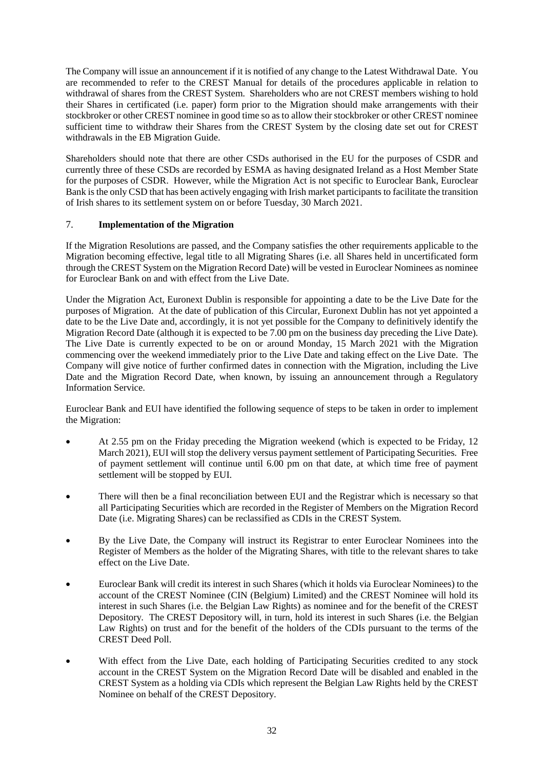The Company will issue an announcement if it is notified of any change to the Latest Withdrawal Date. You are recommended to refer to the CREST Manual for details of the procedures applicable in relation to withdrawal of shares from the CREST System. Shareholders who are not CREST members wishing to hold their Shares in certificated (i.e. paper) form prior to the Migration should make arrangements with their stockbroker or other CREST nominee in good time so as to allow their stockbroker or other CREST nominee sufficient time to withdraw their Shares from the CREST System by the closing date set out for CREST withdrawals in the EB Migration Guide.

Shareholders should note that there are other CSDs authorised in the EU for the purposes of CSDR and currently three of these CSDs are recorded by ESMA as having designated Ireland as a Host Member State for the purposes of CSDR. However, while the Migration Act is not specific to Euroclear Bank, Euroclear Bank is the only CSD that has been actively engaging with Irish market participants to facilitate the transition of Irish shares to its settlement system on or before Tuesday, 30 March 2021.

## <span id="page-34-0"></span>7. **Implementation of the Migration**

If the Migration Resolutions are passed, and the Company satisfies the other requirements applicable to the Migration becoming effective, legal title to all Migrating Shares (i.e. all Shares held in uncertificated form through the CREST System on the Migration Record Date) will be vested in Euroclear Nominees as nominee for Euroclear Bank on and with effect from the Live Date.

Under the Migration Act, Euronext Dublin is responsible for appointing a date to be the Live Date for the purposes of Migration. At the date of publication of this Circular, Euronext Dublin has not yet appointed a date to be the Live Date and, accordingly, it is not yet possible for the Company to definitively identify the Migration Record Date (although it is expected to be 7.00 pm on the business day preceding the Live Date). The Live Date is currently expected to be on or around Monday, 15 March 2021 with the Migration commencing over the weekend immediately prior to the Live Date and taking effect on the Live Date. The Company will give notice of further confirmed dates in connection with the Migration, including the Live Date and the Migration Record Date, when known, by issuing an announcement through a Regulatory Information Service.

Euroclear Bank and EUI have identified the following sequence of steps to be taken in order to implement the Migration:

- At 2.55 pm on the Friday preceding the Migration weekend (which is expected to be Friday, 12 March 2021), EUI will stop the delivery versus payment settlement of Participating Securities. Free of payment settlement will continue until 6.00 pm on that date, at which time free of payment settlement will be stopped by EUI.
- There will then be a final reconciliation between EUI and the Registrar which is necessary so that all Participating Securities which are recorded in the Register of Members on the Migration Record Date (i.e. Migrating Shares) can be reclassified as CDIs in the CREST System.
- By the Live Date, the Company will instruct its Registrar to enter Euroclear Nominees into the Register of Members as the holder of the Migrating Shares, with title to the relevant shares to take effect on the Live Date.
- Euroclear Bank will credit its interest in such Shares (which it holds via Euroclear Nominees) to the account of the CREST Nominee (CIN (Belgium) Limited) and the CREST Nominee will hold its interest in such Shares (i.e. the Belgian Law Rights) as nominee and for the benefit of the CREST Depository. The CREST Depository will, in turn, hold its interest in such Shares (i.e. the Belgian Law Rights) on trust and for the benefit of the holders of the CDIs pursuant to the terms of the CREST Deed Poll.
- With effect from the Live Date, each holding of Participating Securities credited to any stock account in the CREST System on the Migration Record Date will be disabled and enabled in the CREST System as a holding via CDIs which represent the Belgian Law Rights held by the CREST Nominee on behalf of the CREST Depository.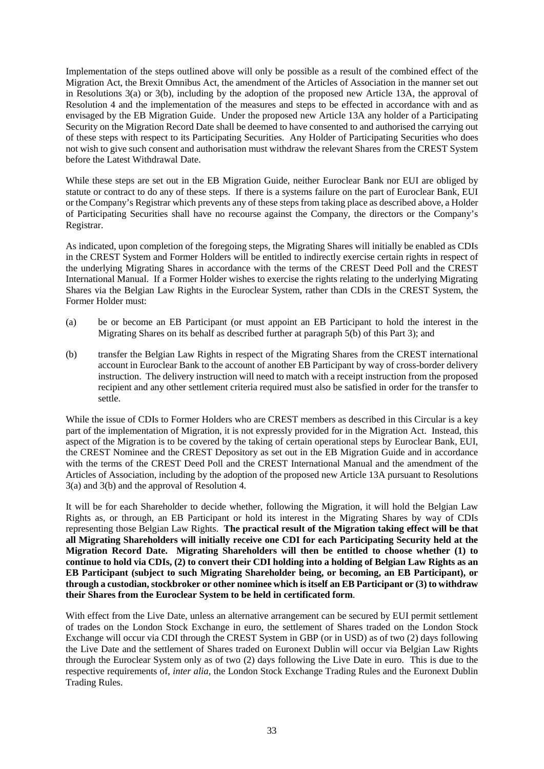Implementation of the steps outlined above will only be possible as a result of the combined effect of the Migration Act, the Brexit Omnibus Act, the amendment of the Articles of Association in the manner set out in Resolutions 3(a) or 3(b), including by the adoption of the proposed new Article 13A, the approval of Resolution 4 and the implementation of the measures and steps to be effected in accordance with and as envisaged by the EB Migration Guide. Under the proposed new Article 13A any holder of a Participating Security on the Migration Record Date shall be deemed to have consented to and authorised the carrying out of these steps with respect to its Participating Securities. Any Holder of Participating Securities who does not wish to give such consent and authorisation must withdraw the relevant Shares from the CREST System before the Latest Withdrawal Date.

While these steps are set out in the EB Migration Guide, neither Euroclear Bank nor EUI are obliged by statute or contract to do any of these steps. If there is a systems failure on the part of Euroclear Bank, EUI or the Company's Registrar which prevents any of these steps from taking place as described above, a Holder of Participating Securities shall have no recourse against the Company, the directors or the Company's Registrar.

As indicated, upon completion of the foregoing steps, the Migrating Shares will initially be enabled as CDIs in the CREST System and Former Holders will be entitled to indirectly exercise certain rights in respect of the underlying Migrating Shares in accordance with the terms of the CREST Deed Poll and the CREST International Manual. If a Former Holder wishes to exercise the rights relating to the underlying Migrating Shares via the Belgian Law Rights in the Euroclear System, rather than CDIs in the CREST System, the Former Holder must:

- (a) be or become an EB Participant (or must appoint an EB Participant to hold the interest in the Migrating Shares on its behalf as described further at paragraph [5\(b\)](#page-32-0) of thi[s Part](#page-23-1) 3); and
- (b) transfer the Belgian Law Rights in respect of the Migrating Shares from the CREST international account in Euroclear Bank to the account of another EB Participant by way of cross-border delivery instruction. The delivery instruction will need to match with a receipt instruction from the proposed recipient and any other settlement criteria required must also be satisfied in order for the transfer to settle.

While the issue of CDIs to Former Holders who are CREST members as described in this Circular is a key part of the implementation of Migration, it is not expressly provided for in the Migration Act. Instead, this aspect of the Migration is to be covered by the taking of certain operational steps by Euroclear Bank, EUI, the CREST Nominee and the CREST Depository as set out in the EB Migration Guide and in accordance with the terms of the CREST Deed Poll and the CREST International Manual and the amendment of the Articles of Association, including by the adoption of the proposed new Article 13A pursuant to Resolutions 3(a) and 3(b) and the approval of Resolution 4.

It will be for each Shareholder to decide whether, following the Migration, it will hold the Belgian Law Rights as, or through, an EB Participant or hold its interest in the Migrating Shares by way of CDIs representing those Belgian Law Rights. **The practical result of the Migration taking effect will be that all Migrating Shareholders will initially receive one CDI for each Participating Security held at the Migration Record Date. Migrating Shareholders will then be entitled to choose whether (1) to continue to hold via CDIs, (2) to convert their CDI holding into a holding of Belgian Law Rights as an EB Participant (subject to such Migrating Shareholder being, or becoming, an EB Participant), or through a custodian, stockbroker or other nominee which is itself an EB Participant or (3) to withdraw their Shares from the Euroclear System to be held in certificated form**.

With effect from the Live Date, unless an alternative arrangement can be secured by EUI permit settlement of trades on the London Stock Exchange in euro, the settlement of Shares traded on the London Stock Exchange will occur via CDI through the CREST System in GBP (or in USD) as of two (2) days following the Live Date and the settlement of Shares traded on Euronext Dublin will occur via Belgian Law Rights through the Euroclear System only as of two (2) days following the Live Date in euro. This is due to the respective requirements of, *inter alia,* the London Stock Exchange Trading Rules and the Euronext Dublin Trading Rules.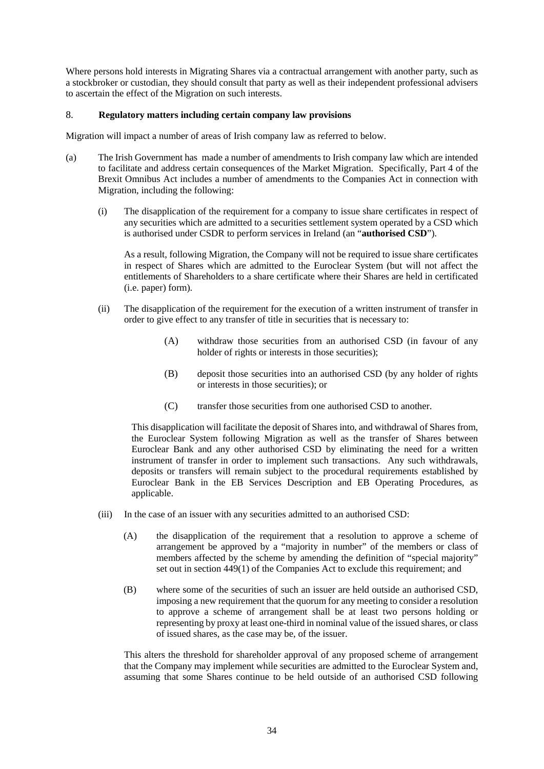Where persons hold interests in Migrating Shares via a contractual arrangement with another party, such as a stockbroker or custodian, they should consult that party as well as their independent professional advisers to ascertain the effect of the Migration on such interests.

### <span id="page-36-0"></span>8. **Regulatory matters including certain company law provisions**

Migration will impact a number of areas of Irish company law as referred to below.

- (a) The Irish Government has made a number of amendments to Irish company law which are intended to facilitate and address certain consequences of the Market Migration. Specifically, Part 4 of the Brexit Omnibus Act includes a number of amendments to the Companies Act in connection with Migration, including the following:
	- (i) The disapplication of the requirement for a company to issue share certificates in respect of any securities which are admitted to a securities settlement system operated by a CSD which is authorised under CSDR to perform services in Ireland (an "**authorised CSD**").

As a result, following Migration, the Company will not be required to issue share certificates in respect of Shares which are admitted to the Euroclear System (but will not affect the entitlements of Shareholders to a share certificate where their Shares are held in certificated (i.e. paper) form).

- (ii) The disapplication of the requirement for the execution of a written instrument of transfer in order to give effect to any transfer of title in securities that is necessary to:
	- (A) withdraw those securities from an authorised CSD (in favour of any holder of rights or interests in those securities);
	- (B) deposit those securities into an authorised CSD (by any holder of rights or interests in those securities); or
	- (C) transfer those securities from one authorised CSD to another.

This disapplication will facilitate the deposit of Shares into, and withdrawal of Shares from, the Euroclear System following Migration as well as the transfer of Shares between Euroclear Bank and any other authorised CSD by eliminating the need for a written instrument of transfer in order to implement such transactions. Any such withdrawals, deposits or transfers will remain subject to the procedural requirements established by Euroclear Bank in the EB Services Description and EB Operating Procedures, as applicable.

- (iii) In the case of an issuer with any securities admitted to an authorised CSD:
	- (A) the disapplication of the requirement that a resolution to approve a scheme of arrangement be approved by a "majority in number" of the members or class of members affected by the scheme by amending the definition of "special majority" set out in section 449(1) of the Companies Act to exclude this requirement; and
	- (B) where some of the securities of such an issuer are held outside an authorised CSD, imposing a new requirement that the quorum for any meeting to consider a resolution to approve a scheme of arrangement shall be at least two persons holding or representing by proxy at least one-third in nominal value of the issued shares, or class of issued shares, as the case may be, of the issuer.

This alters the threshold for shareholder approval of any proposed scheme of arrangement that the Company may implement while securities are admitted to the Euroclear System and, assuming that some Shares continue to be held outside of an authorised CSD following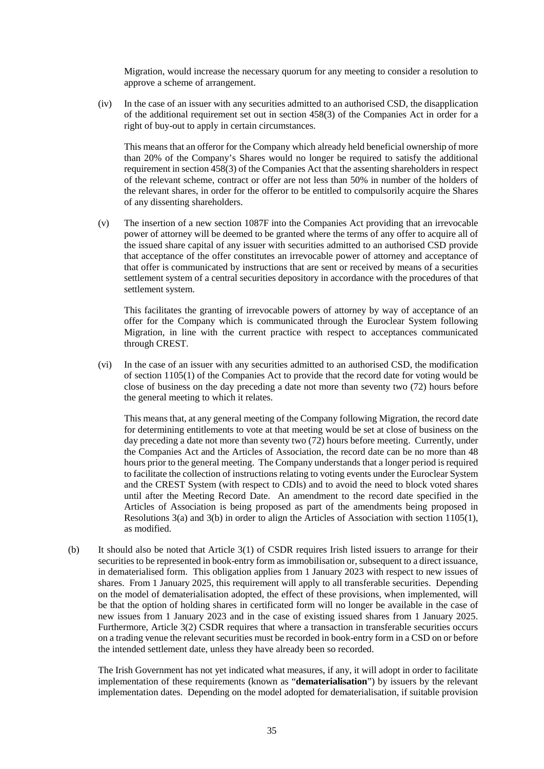Migration, would increase the necessary quorum for any meeting to consider a resolution to approve a scheme of arrangement.

(iv) In the case of an issuer with any securities admitted to an authorised CSD, the disapplication of the additional requirement set out in section 458(3) of the Companies Act in order for a right of buy-out to apply in certain circumstances.

This means that an offeror for the Company which already held beneficial ownership of more than 20% of the Company's Shares would no longer be required to satisfy the additional requirement in section 458(3) of the Companies Act that the assenting shareholders in respect of the relevant scheme, contract or offer are not less than 50% in number of the holders of the relevant shares, in order for the offeror to be entitled to compulsorily acquire the Shares of any dissenting shareholders.

(v) The insertion of a new section 1087F into the Companies Act providing that an irrevocable power of attorney will be deemed to be granted where the terms of any offer to acquire all of the issued share capital of any issuer with securities admitted to an authorised CSD provide that acceptance of the offer constitutes an irrevocable power of attorney and acceptance of that offer is communicated by instructions that are sent or received by means of a securities settlement system of a central securities depository in accordance with the procedures of that settlement system.

This facilitates the granting of irrevocable powers of attorney by way of acceptance of an offer for the Company which is communicated through the Euroclear System following Migration, in line with the current practice with respect to acceptances communicated through CREST.

(vi) In the case of an issuer with any securities admitted to an authorised CSD, the modification of section 1105(1) of the Companies Act to provide that the record date for voting would be close of business on the day preceding a date not more than seventy two (72) hours before the general meeting to which it relates.

This means that, at any general meeting of the Company following Migration, the record date for determining entitlements to vote at that meeting would be set at close of business on the day preceding a date not more than seventy two (72) hours before meeting. Currently, under the Companies Act and the Articles of Association, the record date can be no more than 48 hours prior to the general meeting. The Company understands that a longer period is required to facilitate the collection of instructions relating to voting events under the Euroclear System and the CREST System (with respect to CDIs) and to avoid the need to block voted shares until after the Meeting Record Date. An amendment to the record date specified in the Articles of Association is being proposed as part of the amendments being proposed in Resolutions 3(a) and 3(b) in order to align the Articles of Association with section 1105(1), as modified.

(b) It should also be noted that Article 3(1) of CSDR requires Irish listed issuers to arrange for their securities to be represented in book-entry form as immobilisation or, subsequent to a direct issuance, in dematerialised form. This obligation applies from 1 January 2023 with respect to new issues of shares. From 1 January 2025, this requirement will apply to all transferable securities. Depending on the model of dematerialisation adopted, the effect of these provisions, when implemented, will be that the option of holding shares in certificated form will no longer be available in the case of new issues from 1 January 2023 and in the case of existing issued shares from 1 January 2025. Furthermore, Article 3(2) CSDR requires that where a transaction in transferable securities occurs on a trading venue the relevant securities must be recorded in book-entry form in a CSD on or before the intended settlement date, unless they have already been so recorded.

The Irish Government has not yet indicated what measures, if any, it will adopt in order to facilitate implementation of these requirements (known as "**dematerialisation**") by issuers by the relevant implementation dates. Depending on the model adopted for dematerialisation, if suitable provision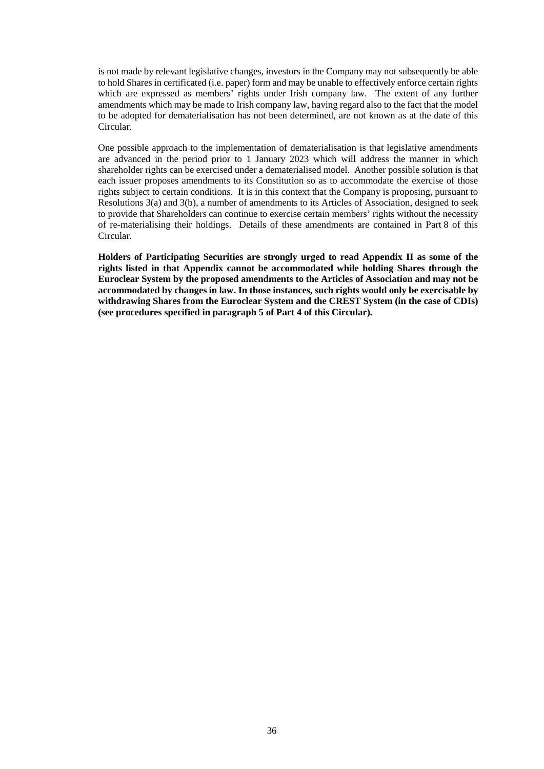is not made by relevant legislative changes, investors in the Company may not subsequently be able to hold Shares in certificated (i.e. paper) form and may be unable to effectively enforce certain rights which are expressed as members' rights under Irish company law. The extent of any further amendments which may be made to Irish company law, having regard also to the fact that the model to be adopted for dematerialisation has not been determined, are not known as at the date of this Circular.

One possible approach to the implementation of dematerialisation is that legislative amendments are advanced in the period prior to 1 January 2023 which will address the manner in which shareholder rights can be exercised under a dematerialised model. Another possible solution is that each issuer proposes amendments to its Constitution so as to accommodate the exercise of those rights subject to certain conditions. It is in this context that the Company is proposing, pursuant to Resolutions 3(a) and 3(b), a number of amendments to its Articles of Association, designed to seek to provide that Shareholders can continue to exercise certain members' rights without the necessity of re-materialising their holdings. Details of these amendments are contained in [Part](#page-77-0) 8 of this Circular.

**Holders of Participating Securities are strongly urged to read Appendix II as some of the rights listed in that Appendix cannot be accommodated while holding Shares through the Euroclear System by the proposed amendments to the Articles of Association and may not be accommodated by changes in law. In those instances, such rights would only be exercisable by withdrawing Shares from the Euroclear System and the CREST System (in the case of CDIs) (see procedures specified in paragraph 5 of Part 4 of this Circular).**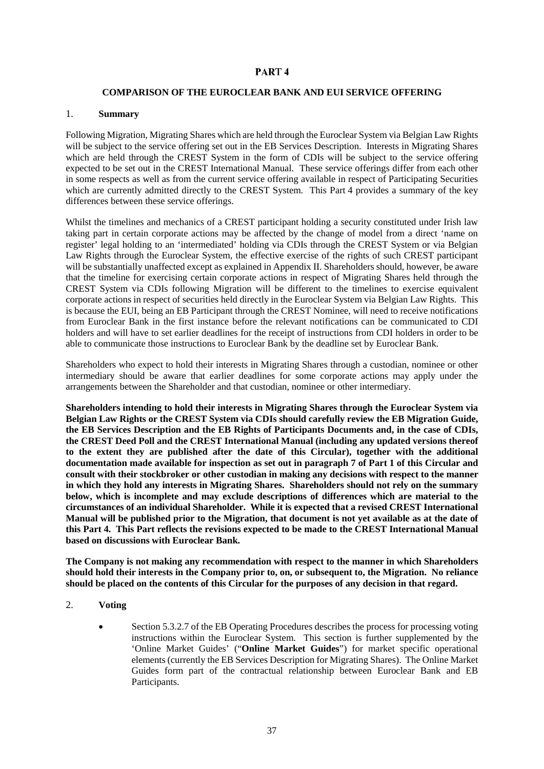### PART<sub>4</sub>

#### <span id="page-39-0"></span>**COMPARISON OF THE EUROCLEAR BANK AND EUI SERVICE OFFERING**

#### 1. **Summary**

Following Migration, Migrating Shares which are held through the Euroclear System via Belgian Law Rights will be subject to the service offering set out in the EB Services Description. Interests in Migrating Shares which are held through the CREST System in the form of CDIs will be subject to the service offering expected to be set out in the CREST International Manual. These service offerings differ from each other in some respects as well as from the current service offering available in respect of Participating Securities which are currently admitted directly to the CREST System. This [Part](#page-39-0) 4 provides a summary of the key differences between these service offerings.

Whilst the timelines and mechanics of a CREST participant holding a security constituted under Irish law taking part in certain corporate actions may be affected by the change of model from a direct 'name on register' legal holding to an 'intermediated' holding via CDIs through the CREST System or via Belgian Law Rights through the Euroclear System, the effective exercise of the rights of such CREST participant will be substantially unaffected except as explained in Appendix II. Shareholders should, however, be aware that the timeline for exercising certain corporate actions in respect of Migrating Shares held through the CREST System via CDIs following Migration will be different to the timelines to exercise equivalent corporate actions in respect of securities held directly in the Euroclear System via Belgian Law Rights. This is because the EUI, being an EB Participant through the CREST Nominee, will need to receive notifications from Euroclear Bank in the first instance before the relevant notifications can be communicated to CDI holders and will have to set earlier deadlines for the receipt of instructions from CDI holders in order to be able to communicate those instructions to Euroclear Bank by the deadline set by Euroclear Bank.

Shareholders who expect to hold their interests in Migrating Shares through a custodian, nominee or other intermediary should be aware that earlier deadlines for some corporate actions may apply under the arrangements between the Shareholder and that custodian, nominee or other intermediary.

**Shareholders intending to hold their interests in Migrating Shares through the Euroclear System via Belgian Law Rights or the CREST System via CDIs should carefully review the EB Migration Guide, the EB Services Description and the EB Rights of Participants Documents and, in the case of CDIs, the CREST Deed Poll and the CREST International Manual (including any updated versions thereof to the extent they are published after the date of this Circular), together with the additional documentation made available for inspection as set out in paragraph [7](#page-11-0) of [Part](#page-5-0) 1 of this Circular and consult with their stockbroker or other custodian in making any decisions with respect to the manner in which they hold any interests in Migrating Shares. Shareholders should not rely on the summary below, which is incomplete and may exclude descriptions of differences which are material to the circumstances of an individual Shareholder. While it is expected that a revised CREST International Manual will be published prior to the Migration, that document is not yet available as at the date of this [Part](#page-39-0) 4. This Part reflects the revisions expected to be made to the CREST International Manual based on discussions with Euroclear Bank.** 

**The Company is not making any recommendation with respect to the manner in which Shareholders should hold their interests in the Company prior to, on, or subsequent to, the Migration. No reliance should be placed on the contents of this Circular for the purposes of any decision in that regard.**

- 2. **Voting**
	- Section 5.3.2.7 of the EB Operating Procedures describes the process for processing voting instructions within the Euroclear System. This section is further supplemented by the 'Online Market Guides' ("**Online Market Guides**") for market specific operational elements (currently the EB Services Description for Migrating Shares). The Online Market Guides form part of the contractual relationship between Euroclear Bank and EB Participants.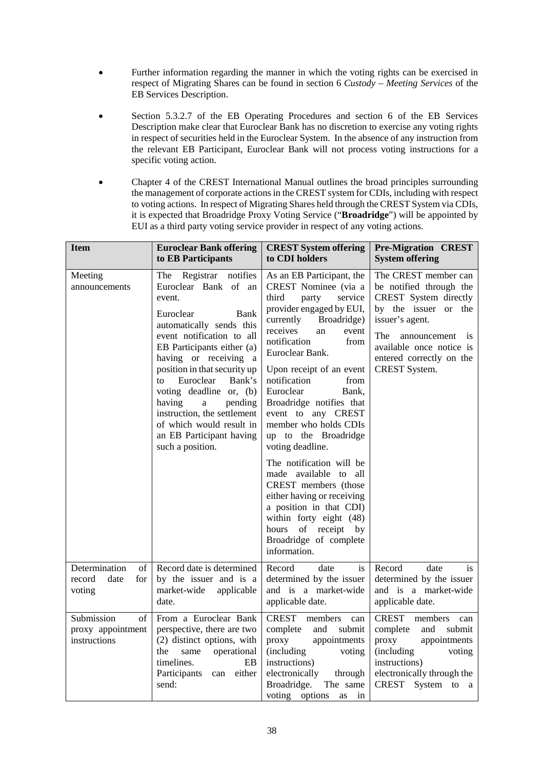- Further information regarding the manner in which the voting rights can be exercised in respect of Migrating Shares can be found in section 6 *Custody – Meeting Services* of the EB Services Description.
- Section 5.3.2.7 of the EB Operating Procedures and section 6 of the EB Services Description make clear that Euroclear Bank has no discretion to exercise any voting rights in respect of securities held in the Euroclear System. In the absence of any instruction from the relevant EB Participant, Euroclear Bank will not process voting instructions for a specific voting action.
- Chapter 4 of the CREST International Manual outlines the broad principles surrounding the management of corporate actions in the CREST system for CDIs, including with respect to voting actions. In respect of Migrating Shares held through the CREST System via CDIs, it is expected that Broadridge Proxy Voting Service ("**Broadridge**") will be appointed by EUI as a third party voting service provider in respect of any voting actions.

| <b>Item</b>                                            | <b>Euroclear Bank offering</b><br>to EB Participants                                                                                                                                                                                                                                                                                                                                                                       | <b>CREST System offering</b><br>to CDI holders                                                                                                                                                                                                                                                                                                                                                                                                                                                                                                                                                                                                           | <b>Pre-Migration CREST</b><br><b>System offering</b>                                                                                                                                                                                          |
|--------------------------------------------------------|----------------------------------------------------------------------------------------------------------------------------------------------------------------------------------------------------------------------------------------------------------------------------------------------------------------------------------------------------------------------------------------------------------------------------|----------------------------------------------------------------------------------------------------------------------------------------------------------------------------------------------------------------------------------------------------------------------------------------------------------------------------------------------------------------------------------------------------------------------------------------------------------------------------------------------------------------------------------------------------------------------------------------------------------------------------------------------------------|-----------------------------------------------------------------------------------------------------------------------------------------------------------------------------------------------------------------------------------------------|
| Meeting<br>announcements                               | The Registrar notifies<br>Euroclear Bank of an<br>event.<br>Euroclear<br>Bank<br>automatically sends this<br>event notification to all<br>EB Participants either (a)<br>having or receiving a<br>position in that security up<br>Euroclear<br>Bank's<br>to<br>voting deadline or, (b)<br>pending<br>having<br>a<br>instruction, the settlement<br>of which would result in<br>an EB Participant having<br>such a position. | As an EB Participant, the<br>CREST Nominee (via a<br>third<br>party<br>service<br>provider engaged by EUI,<br>currently<br>Broadridge)<br>receives<br>event<br>an<br>notification<br>from<br>Euroclear Bank.<br>Upon receipt of an event<br>notification<br>from<br>Euroclear<br>Bank,<br>Broadridge notifies that<br>event to any CREST<br>member who holds CDIs<br>up to the Broadridge<br>voting deadline.<br>The notification will be<br>made available<br>to<br>all<br>CREST members (those<br>either having or receiving<br>a position in that CDI)<br>within forty eight (48)<br>of receipt by<br>hours<br>Broadridge of complete<br>information. | The CREST member can<br>be notified through the<br>CREST System directly<br>by the issuer or the<br>issuer's agent.<br>The<br>announcement<br>$\overline{1}S$<br>available once notice is<br>entered correctly on the<br><b>CREST</b> System. |
| Determination<br>of<br>date<br>record<br>for<br>voting | Record date is determined<br>by the issuer and is a<br>market-wide<br>applicable<br>date.                                                                                                                                                                                                                                                                                                                                  | Record<br>date<br><i>is</i><br>determined by the issuer<br>and is a market-wide<br>applicable date.                                                                                                                                                                                                                                                                                                                                                                                                                                                                                                                                                      | Record<br>date<br><i>is</i><br>determined by the issuer<br>and is a market-wide<br>applicable date.                                                                                                                                           |
| Submission<br>of<br>proxy appointment<br>instructions  | From a Euroclear Bank<br>perspective, there are two<br>(2) distinct options, with<br>the<br>operational<br>same<br>timelines.<br>EB<br>either<br>Participants<br>can<br>send:                                                                                                                                                                                                                                              | CREST<br>members<br>can<br>complete<br>submit<br>and<br>proxy<br>appointments<br>(including)<br>voting<br>instructions)<br>electronically<br>through<br>Broadridge.<br>The same<br>voting options<br>in<br>as                                                                                                                                                                                                                                                                                                                                                                                                                                            | <b>CREST</b><br>members<br>can<br>complete<br>submit<br>and<br>proxy<br>appointments<br>(including<br>voting<br>instructions)<br>electronically through the<br>CREST System to<br><sub>a</sub>                                                |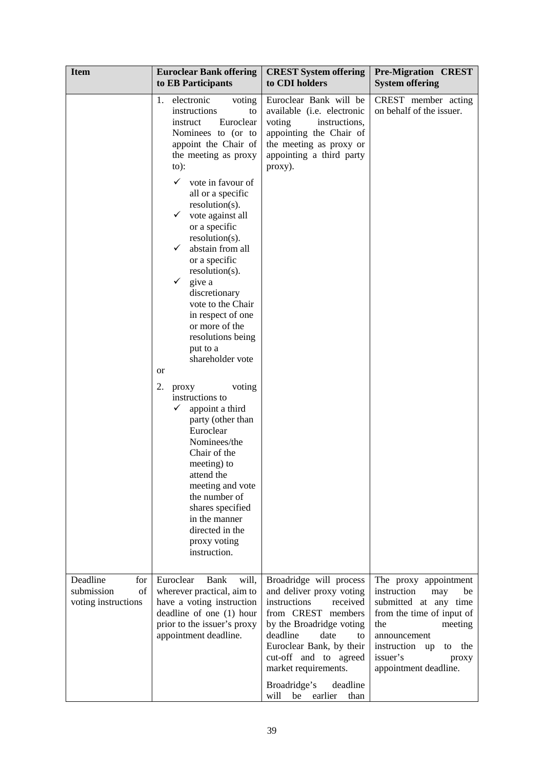| <b>Item</b>                                                | <b>Euroclear Bank offering</b><br>to EB Participants                                                                                                                                                                                                                                                                                                                                                                                                                                                                                                                                                                                                                                                                                                                                                                                | <b>CREST System offering</b><br>to CDI holders                                                                                                                               | <b>Pre-Migration CREST</b><br><b>System offering</b>                                                                                      |
|------------------------------------------------------------|-------------------------------------------------------------------------------------------------------------------------------------------------------------------------------------------------------------------------------------------------------------------------------------------------------------------------------------------------------------------------------------------------------------------------------------------------------------------------------------------------------------------------------------------------------------------------------------------------------------------------------------------------------------------------------------------------------------------------------------------------------------------------------------------------------------------------------------|------------------------------------------------------------------------------------------------------------------------------------------------------------------------------|-------------------------------------------------------------------------------------------------------------------------------------------|
|                                                            | 1. electronic<br>voting<br>instructions<br>to<br>Euroclear<br>instruct<br>Nominees to (or to<br>appoint the Chair of<br>the meeting as proxy<br>$to)$ :<br>✓<br>vote in favour of<br>all or a specific<br>resolution(s).<br>vote against all<br>✓<br>or a specific<br>$resolution(s)$ .<br>✓<br>abstain from all<br>or a specific<br>$resolution(s)$ .<br>$\checkmark$<br>give a<br>discretionary<br>vote to the Chair<br>in respect of one<br>or more of the<br>resolutions being<br>put to a<br>shareholder vote<br><sub>or</sub><br>2.<br>voting<br>proxy<br>instructions to<br>✓<br>appoint a third<br>party (other than<br>Euroclear<br>Nominees/the<br>Chair of the<br>meeting) to<br>attend the<br>meeting and vote<br>the number of<br>shares specified<br>in the manner<br>directed in the<br>proxy voting<br>instruction. | Euroclear Bank will be<br>available (i.e. electronic<br>voting<br>instructions,<br>appointing the Chair of<br>the meeting as proxy or<br>appointing a third party<br>proxy). | CREST member acting<br>on behalf of the issuer.                                                                                           |
| Deadline<br>for<br>submission<br>of<br>voting instructions | Euroclear<br>Bank<br>will,<br>wherever practical, aim to<br>have a voting instruction<br>deadline of one (1) hour<br>prior to the issuer's proxy<br>appointment deadline.                                                                                                                                                                                                                                                                                                                                                                                                                                                                                                                                                                                                                                                           | Broadridge will process<br>and deliver proxy voting<br>instructions<br>received<br>from CREST members<br>by the Broadridge voting<br>deadline<br>date<br>to                  | The proxy appointment<br>instruction<br>may<br>be<br>submitted at any time<br>from the time of input of<br>the<br>meeting<br>announcement |
|                                                            |                                                                                                                                                                                                                                                                                                                                                                                                                                                                                                                                                                                                                                                                                                                                                                                                                                     | Euroclear Bank, by their<br>cut-off and to agreed<br>market requirements.<br>Broadridge's<br>deadline<br>earlier<br>will<br>be<br>than                                       | instruction up<br>to the<br>issuer's<br>proxy<br>appointment deadline.                                                                    |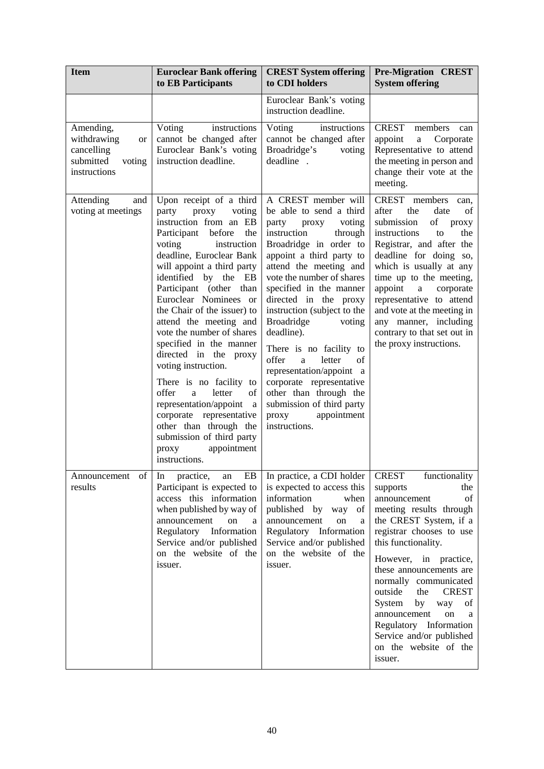| <b>Item</b>                                                                         | <b>Euroclear Bank offering</b><br>to EB Participants                                                                                                                                                                                                                                                                                                                                                                                                                                                                                                                                                                                                                       | <b>CREST System offering</b><br>to CDI holders                                                                                                                                                                                                                                                                                                                                                                                                                                                                                                                     | <b>Pre-Migration CREST</b><br><b>System offering</b>                                                                                                                                                                                                                                                                                                                                                                                            |
|-------------------------------------------------------------------------------------|----------------------------------------------------------------------------------------------------------------------------------------------------------------------------------------------------------------------------------------------------------------------------------------------------------------------------------------------------------------------------------------------------------------------------------------------------------------------------------------------------------------------------------------------------------------------------------------------------------------------------------------------------------------------------|--------------------------------------------------------------------------------------------------------------------------------------------------------------------------------------------------------------------------------------------------------------------------------------------------------------------------------------------------------------------------------------------------------------------------------------------------------------------------------------------------------------------------------------------------------------------|-------------------------------------------------------------------------------------------------------------------------------------------------------------------------------------------------------------------------------------------------------------------------------------------------------------------------------------------------------------------------------------------------------------------------------------------------|
|                                                                                     |                                                                                                                                                                                                                                                                                                                                                                                                                                                                                                                                                                                                                                                                            | Euroclear Bank's voting<br>instruction deadline.                                                                                                                                                                                                                                                                                                                                                                                                                                                                                                                   |                                                                                                                                                                                                                                                                                                                                                                                                                                                 |
| Amending,<br>withdrawing<br>or<br>cancelling<br>submitted<br>voting<br>instructions | Voting<br>instructions<br>cannot be changed after<br>Euroclear Bank's voting<br>instruction deadline.                                                                                                                                                                                                                                                                                                                                                                                                                                                                                                                                                                      | Voting<br>instructions<br>cannot be changed after<br>Broadridge's<br>voting<br>deadline.                                                                                                                                                                                                                                                                                                                                                                                                                                                                           | <b>CREST</b><br>members<br>can<br>appoint<br>Corporate<br>$\mathbf{a}$<br>Representative to attend<br>the meeting in person and<br>change their vote at the<br>meeting.                                                                                                                                                                                                                                                                         |
| Attending<br>and<br>voting at meetings                                              | Upon receipt of a third<br>party<br>proxy<br>voting<br>instruction from an EB<br>before<br>the<br>Participant<br>voting<br>instruction<br>deadline, Euroclear Bank<br>will appoint a third party<br>identified by the<br>EB<br>Participant (other than<br>Euroclear Nominees or<br>the Chair of the issuer) to<br>attend the meeting and<br>vote the number of shares<br>specified in the manner<br>directed in the<br>proxy<br>voting instruction.<br>There is no facility to<br>offer<br>letter<br>of<br>a<br>representation/appoint<br>a<br>representative<br>corporate<br>other than through the<br>submission of third party<br>appointment<br>proxy<br>instructions. | A CREST member will<br>be able to send a third<br>voting<br>party<br>proxy<br>instruction<br>through<br>Broadridge in order to<br>appoint a third party to<br>attend the meeting and<br>vote the number of shares<br>specified in the manner<br>directed in the proxy<br>instruction (subject to the<br><b>Broadridge</b><br>voting<br>deadline).<br>There is no facility to<br>offer<br>of<br>letter<br>a<br>representation/appoint a<br>corporate representative<br>other than through the<br>submission of third party<br>appointment<br>proxy<br>instructions. | CREST members<br>can,<br>after<br>the<br>date<br>of<br>submission<br>of<br>proxy<br>the<br>instructions<br>to<br>Registrar, and after the<br>deadline for doing so,<br>which is usually at any<br>time up to the meeting,<br>appoint<br>corporate<br>$\mathbf{a}$<br>representative to attend<br>and vote at the meeting in<br>any manner, including<br>contrary to that set out in<br>the proxy instructions.                                  |
| Announcement of<br>results                                                          | practice,<br>EB<br>an<br>In.<br>Participant is expected to<br>access this information<br>when published by way of<br>announcement<br>on<br>a<br>Regulatory Information<br>Service and/or published<br>on the website of the<br>issuer.                                                                                                                                                                                                                                                                                                                                                                                                                                     | In practice, a CDI holder<br>is expected to access this<br>information<br>when<br>published by way<br>of<br>announcement<br>on<br>a<br>Regulatory Information<br>Service and/or published<br>on the website of the<br>issuer.                                                                                                                                                                                                                                                                                                                                      | <b>CREST</b><br>functionality<br>the<br>supports<br>announcement<br>οf<br>meeting results through<br>the CREST System, if a<br>registrar chooses to use<br>this functionality.<br>However, in practice,<br>these announcements are<br>normally communicated<br>outside<br>the<br><b>CREST</b><br>System<br>by<br>way<br>of<br>announcement<br>on<br>a<br>Regulatory Information<br>Service and/or published<br>on the website of the<br>issuer. |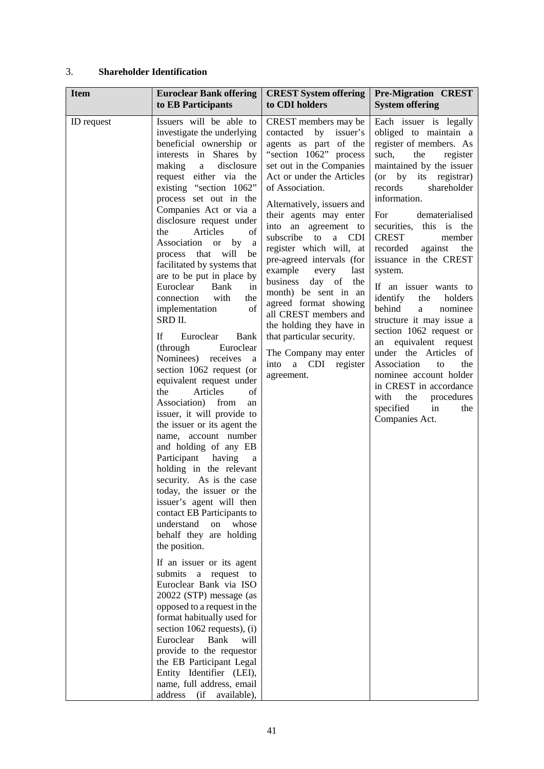# 3. **Shareholder Identification**

| <b>Item</b> | <b>Euroclear Bank offering</b>                                                                                                                                                                                                                                                                                                                                                                                                                                                                                                                                                                                                                                                                                                                                                                                                                                                                                                                                                                                                                                                                                                                                                                                                                                                                                                                                                                                                                                                                                  | <b>CREST System offering</b>                                                                                                                                                                                                                                                                                                                                                                                                                                                                                                                                                                                              | <b>Pre-Migration CREST</b>                                                                                                                                                                                                                                                                                                                                                                                                                                                                                                                                                                                                                                                                                                                 |
|-------------|-----------------------------------------------------------------------------------------------------------------------------------------------------------------------------------------------------------------------------------------------------------------------------------------------------------------------------------------------------------------------------------------------------------------------------------------------------------------------------------------------------------------------------------------------------------------------------------------------------------------------------------------------------------------------------------------------------------------------------------------------------------------------------------------------------------------------------------------------------------------------------------------------------------------------------------------------------------------------------------------------------------------------------------------------------------------------------------------------------------------------------------------------------------------------------------------------------------------------------------------------------------------------------------------------------------------------------------------------------------------------------------------------------------------------------------------------------------------------------------------------------------------|---------------------------------------------------------------------------------------------------------------------------------------------------------------------------------------------------------------------------------------------------------------------------------------------------------------------------------------------------------------------------------------------------------------------------------------------------------------------------------------------------------------------------------------------------------------------------------------------------------------------------|--------------------------------------------------------------------------------------------------------------------------------------------------------------------------------------------------------------------------------------------------------------------------------------------------------------------------------------------------------------------------------------------------------------------------------------------------------------------------------------------------------------------------------------------------------------------------------------------------------------------------------------------------------------------------------------------------------------------------------------------|
|             | to EB Participants                                                                                                                                                                                                                                                                                                                                                                                                                                                                                                                                                                                                                                                                                                                                                                                                                                                                                                                                                                                                                                                                                                                                                                                                                                                                                                                                                                                                                                                                                              | to CDI holders                                                                                                                                                                                                                                                                                                                                                                                                                                                                                                                                                                                                            | <b>System offering</b>                                                                                                                                                                                                                                                                                                                                                                                                                                                                                                                                                                                                                                                                                                                     |
| ID request  | Issuers will be able to<br>investigate the underlying<br>beneficial ownership or<br>interests in Shares by<br>disclosure<br>making<br>$\mathbf{a}$<br>request either via the<br>existing "section 1062"<br>process set out in the<br>Companies Act or via a<br>disclosure request under<br>Articles<br>the<br>of<br>Association<br>by<br><sub>or</sub><br>a<br>process that<br>will<br>be<br>facilitated by systems that<br>are to be put in place by<br>Euroclear<br>Bank<br>in<br>connection<br>with<br>the<br>of<br>implementation<br>SRD II.<br>If<br>Bank<br>Euroclear<br>(through<br>Euroclear<br>Nominees) receives<br>a<br>section 1062 request (or<br>equivalent request under<br>Articles<br>of<br>the<br>Association)<br>from<br>an<br>issuer, it will provide to<br>the issuer or its agent the<br>name, account number<br>and holding of any EB<br>Participant<br>having<br>a<br>holding in the relevant<br>security. As is the case<br>today, the issuer or the<br>issuer's agent will then<br>contact EB Participants to<br>understand<br>whose<br>on<br>behalf they are holding<br>the position.<br>If an issuer or its agent<br>submits<br>a request<br>to<br>Euroclear Bank via ISO<br>20022 (STP) message (as<br>opposed to a request in the<br>format habitually used for<br>section $1062$ requests), (i)<br>Euroclear<br>Bank<br>will<br>provide to the requestor<br>the EB Participant Legal<br>Entity Identifier (LEI),<br>name, full address, email<br>address<br>(i f)<br>available), | CREST members may be<br>contacted by<br>issuer's<br>agents as part of the<br>"section 1062" process<br>set out in the Companies<br>Act or under the Articles<br>of Association.<br>Alternatively, issuers and<br>their agents may enter<br>into an agreement to<br>subscribe to<br><b>CDI</b><br>a -<br>register which will, at<br>pre-agreed intervals (for<br>example<br>every<br>last<br>business<br>day of<br>the<br>month) be sent in an<br>agreed format showing<br>all CREST members and<br>the holding they have in<br>that particular security.<br>The Company may enter<br>a CDI register<br>into<br>agreement. | Each issuer is legally<br>obliged to maintain a<br>register of members. As<br>such,<br>the<br>register<br>maintained by the issuer<br>$(or \quad by \quad its$<br>registrar)<br>records<br>shareholder<br>information.<br>For<br>dematerialised<br>securities, this is<br>the<br><b>CREST</b><br>member<br>recorded<br>against<br>the<br>issuance in the CREST<br>system.<br>If an issuer wants to<br>identify<br>the<br>holders<br>behind<br>nominee<br>$\mathbf{a}$<br>structure it may issue a<br>section 1062 request or<br>equivalent request<br>an<br>under the Articles of<br>Association<br>the<br>to<br>nominee account holder<br>in CREST in accordance<br>with<br>the<br>procedures<br>specified<br>in<br>the<br>Companies Act. |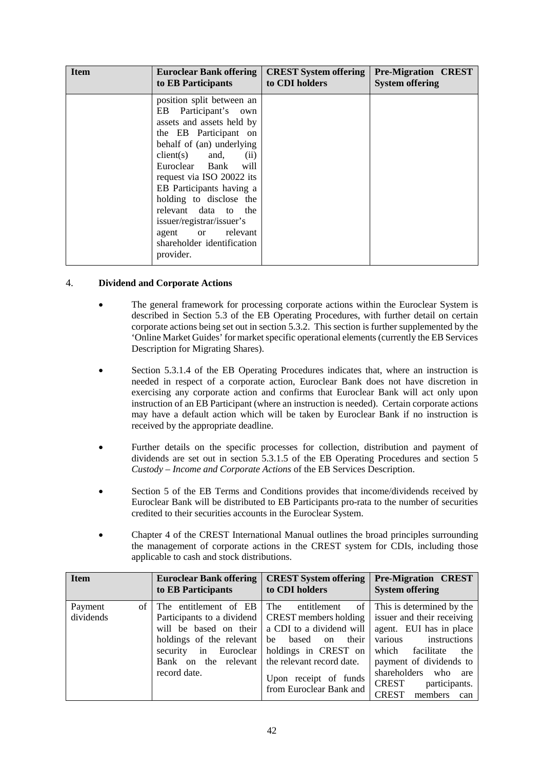| <b>Item</b> | <b>Euroclear Bank offering</b>                                                                                                                                                                                                                                                                                                                                                                      | <b>CREST System offering</b> | <b>Pre-Migration CREST</b> |
|-------------|-----------------------------------------------------------------------------------------------------------------------------------------------------------------------------------------------------------------------------------------------------------------------------------------------------------------------------------------------------------------------------------------------------|------------------------------|----------------------------|
|             | to EB Participants                                                                                                                                                                                                                                                                                                                                                                                  | to CDI holders               | <b>System offering</b>     |
|             | position split between an<br>EB Participant's own<br>assets and assets held by<br>the EB Participant on<br>behalf of (an) underlying<br>$client(s)$ and,<br>(ii)<br>Euroclear Bank<br>will<br>request via ISO 20022 its<br>EB Participants having a<br>holding to disclose the<br>relevant data to the<br>issuer/registrar/issuer's<br>agent or relevant<br>shareholder identification<br>provider. |                              |                            |

### 4. **Dividend and Corporate Actions**

- The general framework for processing corporate actions within the Euroclear System is described in Section 5.3 of the EB Operating Procedures, with further detail on certain corporate actions being set out in section 5.3.2. This section is further supplemented by the 'Online Market Guides' for market specific operational elements (currently the EB Services Description for Migrating Shares).
- Section 5.3.1.4 of the EB Operating Procedures indicates that, where an instruction is needed in respect of a corporate action, Euroclear Bank does not have discretion in exercising any corporate action and confirms that Euroclear Bank will act only upon instruction of an EB Participant (where an instruction is needed). Certain corporate actions may have a default action which will be taken by Euroclear Bank if no instruction is received by the appropriate deadline.
- Further details on the specific processes for collection, distribution and payment of dividends are set out in section 5.3.1.5 of the EB Operating Procedures and section 5 *Custody – Income and Corporate Actions* of the EB Services Description.
- Section 5 of the EB Terms and Conditions provides that income/dividends received by Euroclear Bank will be distributed to EB Participants pro-rata to the number of securities credited to their securities accounts in the Euroclear System.
- Chapter 4 of the CREST International Manual outlines the broad principles surrounding the management of corporate actions in the CREST system for CDIs, including those applicable to cash and stock distributions.

| Item                         | <b>Euroclear Bank offering</b>                                                                                                  | <b>CREST System offering</b>                                                                                                                                                                                                                         | <b>Pre-Migration CREST</b>                                                                                                                                                                                                                     |
|------------------------------|---------------------------------------------------------------------------------------------------------------------------------|------------------------------------------------------------------------------------------------------------------------------------------------------------------------------------------------------------------------------------------------------|------------------------------------------------------------------------------------------------------------------------------------------------------------------------------------------------------------------------------------------------|
|                              | to EB Participants                                                                                                              | to CDI holders                                                                                                                                                                                                                                       | <b>System offering</b>                                                                                                                                                                                                                         |
| Payment<br>of 1<br>dividends | The entitlement of EB<br>holdings of the relevant be based on<br>Bank on the relevant the relevant record date.<br>record date. | The<br>Participants to a dividend CREST members holding issuer and their receiving<br>will be based on their   a CDI to a dividend will  <br>their<br>security in Euroclear holdings in CREST on<br>Upon receipt of funds<br>from Euroclear Bank and | entitlement of This is determined by the<br>agent. EUI has in place<br>instructions<br>various<br>which facilitate<br>the<br>payment of dividends to<br>shareholders<br>who<br>are<br><b>CREST</b><br>participants.<br>CREST<br>members<br>can |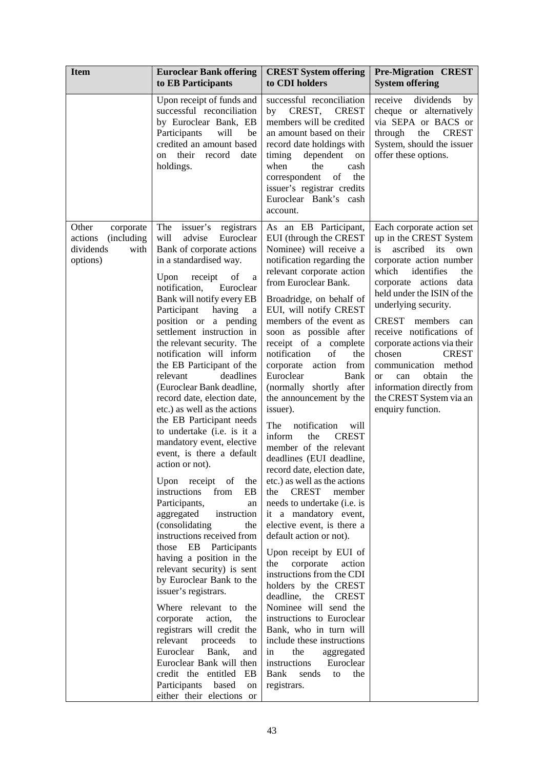| <b>Item</b>                                                                          | <b>Euroclear Bank offering</b><br>to EB Participants                                                                                                                                                                                                                                                                                                                                                                                                                                                                                                                                                                                                                                                                                                                                                                                                                                                                                                                                                                                                                                                                                                                                                                                         | <b>CREST System offering</b><br>to CDI holders                                                                                                                                                                                                                                                                                                                                                                                                                                                                                                                                                                                                                                                                                                                                                                                                                                                                                                                                                                                                                                                                                                                                    | <b>Pre-Migration CREST</b><br><b>System offering</b>                                                                                                                                                                                                                                                                                                                                                                                                                                      |
|--------------------------------------------------------------------------------------|----------------------------------------------------------------------------------------------------------------------------------------------------------------------------------------------------------------------------------------------------------------------------------------------------------------------------------------------------------------------------------------------------------------------------------------------------------------------------------------------------------------------------------------------------------------------------------------------------------------------------------------------------------------------------------------------------------------------------------------------------------------------------------------------------------------------------------------------------------------------------------------------------------------------------------------------------------------------------------------------------------------------------------------------------------------------------------------------------------------------------------------------------------------------------------------------------------------------------------------------|-----------------------------------------------------------------------------------------------------------------------------------------------------------------------------------------------------------------------------------------------------------------------------------------------------------------------------------------------------------------------------------------------------------------------------------------------------------------------------------------------------------------------------------------------------------------------------------------------------------------------------------------------------------------------------------------------------------------------------------------------------------------------------------------------------------------------------------------------------------------------------------------------------------------------------------------------------------------------------------------------------------------------------------------------------------------------------------------------------------------------------------------------------------------------------------|-------------------------------------------------------------------------------------------------------------------------------------------------------------------------------------------------------------------------------------------------------------------------------------------------------------------------------------------------------------------------------------------------------------------------------------------------------------------------------------------|
|                                                                                      | Upon receipt of funds and<br>successful reconciliation<br>by Euroclear Bank, EB<br>Participants<br>will<br>be<br>credited an amount based<br>their<br>record<br>date<br>on<br>holdings.                                                                                                                                                                                                                                                                                                                                                                                                                                                                                                                                                                                                                                                                                                                                                                                                                                                                                                                                                                                                                                                      | successful reconciliation<br>CREST,<br><b>CREST</b><br>by<br>members will be credited<br>an amount based on their<br>record date holdings with<br>timing<br>dependent<br>on<br>when<br>the<br>cash<br>of<br>correspondent<br>the<br>issuer's registrar credits<br>Euroclear Bank's cash<br>account.                                                                                                                                                                                                                                                                                                                                                                                                                                                                                                                                                                                                                                                                                                                                                                                                                                                                               | receive<br>dividends<br>by<br>cheque or alternatively<br>via SEPA or BACS or<br><b>CREST</b><br>through<br>the<br>System, should the issuer<br>offer these options.                                                                                                                                                                                                                                                                                                                       |
| Other<br>corporate<br><i>(including)</i><br>actions<br>dividends<br>with<br>options) | The<br>issuer's<br>registrars<br>will<br>advise<br>Euroclear<br>Bank of corporate actions<br>in a standardised way.<br>of<br>Upon<br>receipt<br>a<br>notification,<br>Euroclear<br>Bank will notify every EB<br>Participant<br>having<br>a<br>position or a pending<br>settlement instruction in<br>the relevant security. The<br>notification will inform<br>the EB Participant of the<br>relevant<br>deadlines<br>(Euroclear Bank deadline,<br>record date, election date,<br>etc.) as well as the actions<br>the EB Participant needs<br>to undertake (i.e. is it a<br>mandatory event, elective<br>event, is there a default<br>action or not).<br>Upon receipt<br>of<br>the<br>instructions<br>from<br>EB<br>Participants,<br>an<br>aggregated<br>instruction<br>(consolidating<br>the<br>instructions received from<br>those<br>EB<br>Participants<br>having a position in the<br>relevant security) is sent<br>by Euroclear Bank to the<br>issuer's registrars.<br>Where relevant to the<br>corporate<br>action,<br>the<br>registrars will credit the<br>relevant<br>proceeds<br>to<br>Euroclear<br>Bank,<br>and<br>Euroclear Bank will then<br>credit the entitled<br>EB<br>Participants<br>based<br>on<br>either their elections or | As an EB Participant,<br>EUI (through the CREST<br>Nominee) will receive a<br>notification regarding the<br>relevant corporate action<br>from Euroclear Bank.<br>Broadridge, on behalf of<br>EUI, will notify CREST<br>members of the event as<br>soon as possible after<br>receipt of a complete<br>of<br>notification<br>the<br>corporate<br>action<br>from<br>Euroclear<br><b>Bank</b><br>(normally shortly<br>after<br>the announcement by the<br>issuer).<br>The<br>notification<br>will<br>inform<br>the<br><b>CREST</b><br>member of the relevant<br>deadlines (EUI deadline,<br>record date, election date,<br>etc.) as well as the actions<br><b>CREST</b><br>the<br>member<br>needs to undertake ( <i>i.e.</i> is<br>it a mandatory event,<br>elective event, is there a<br>default action or not).<br>Upon receipt by EUI of<br>the<br>corporate<br>action<br>instructions from the CDI<br>holders by the CREST<br>deadline,<br>the<br><b>CREST</b><br>Nominee will send the<br>instructions to Euroclear<br>Bank, who in turn will<br>include these instructions<br>the<br>aggregated<br>in<br>instructions<br>Euroclear<br>Bank<br>the<br>sends<br>to<br>registrars. | Each corporate action set<br>up in the CREST System<br>is<br>ascribed<br>its<br>own<br>corporate action number<br>which<br>identifies<br>the<br>corporate actions<br>data<br>held under the ISIN of the<br>underlying security.<br>CREST members<br>can<br>receive notifications of<br>corporate actions via their<br>chosen<br><b>CREST</b><br>method<br>communication<br>obtain<br>the<br><b>or</b><br>can<br>information directly from<br>the CREST System via an<br>enquiry function. |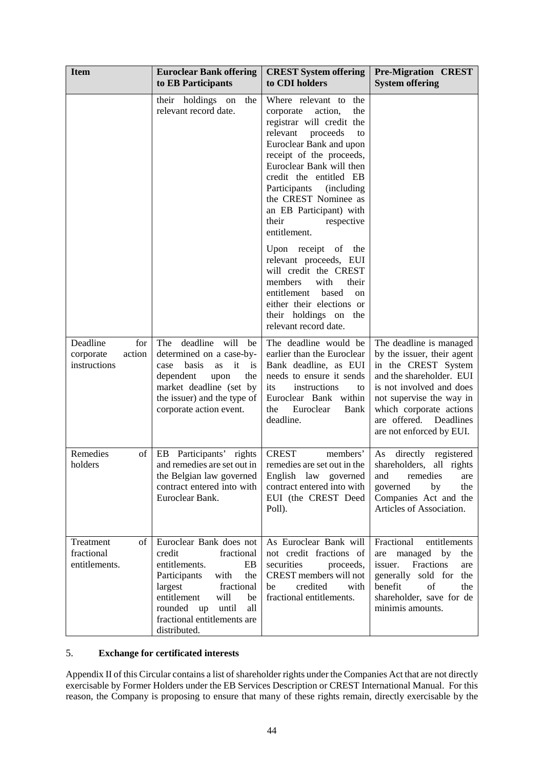| <b>Item</b>                                            | <b>Euroclear Bank offering</b><br>to EB Participants                                                                                                                                                                                     | <b>CREST System offering</b><br>to CDI holders                                                                                                                                                                                                                                                                                                               | <b>Pre-Migration CREST</b><br><b>System offering</b>                                                                                                                                                                                                 |
|--------------------------------------------------------|------------------------------------------------------------------------------------------------------------------------------------------------------------------------------------------------------------------------------------------|--------------------------------------------------------------------------------------------------------------------------------------------------------------------------------------------------------------------------------------------------------------------------------------------------------------------------------------------------------------|------------------------------------------------------------------------------------------------------------------------------------------------------------------------------------------------------------------------------------------------------|
|                                                        | their holdings<br>the<br>on<br>relevant record date.                                                                                                                                                                                     | Where relevant to the<br>action,<br>the<br>corporate<br>registrar will credit the<br>relevant<br>proceeds<br>to<br>Euroclear Bank and upon<br>receipt of the proceeds,<br>Euroclear Bank will then<br>credit the entitled EB<br>Participants<br><i>(including)</i><br>the CREST Nominee as<br>an EB Participant) with<br>their<br>respective<br>entitlement. |                                                                                                                                                                                                                                                      |
|                                                        |                                                                                                                                                                                                                                          | Upon receipt of the<br>relevant proceeds, EUI<br>will credit the CREST<br>members<br>with<br>their<br>entitlement<br>based<br>on<br>either their elections or<br>their holdings on the<br>relevant record date.                                                                                                                                              |                                                                                                                                                                                                                                                      |
| Deadline<br>for<br>action<br>corporate<br>instructions | deadline will<br>The<br>be<br>determined on a case-by-<br>it<br>basis<br>case<br><b>as</b><br>is<br>dependent<br>the<br>upon<br>market deadline (set by<br>the issuer) and the type of<br>corporate action event.                        | The deadline would be<br>earlier than the Euroclear<br>Bank deadline, as EUI<br>needs to ensure it sends<br>instructions<br>its<br>to<br>Euroclear Bank within<br>Euroclear<br>Bank<br>the<br>deadline.                                                                                                                                                      | The deadline is managed<br>by the issuer, their agent<br>in the CREST System<br>and the shareholder. EUI<br>is not involved and does<br>not supervise the way in<br>which corporate actions<br>are offered.<br>Deadlines<br>are not enforced by EUI. |
| Remedies<br>of<br>holders                              | Participants'<br>EB<br>rights<br>and remedies are set out in<br>the Belgian law governed<br>contract entered into with<br>Euroclear Bank.                                                                                                | <b>CREST</b><br>members'<br>remedies are set out in the<br>English law governed<br>contract entered into with<br>EUI (the CREST Deed<br>Poll).                                                                                                                                                                                                               | directly<br>As<br>registered<br>shareholders,<br>all rights<br>and<br>remedies<br>are<br>by<br>the<br>governed<br>Companies Act and the<br>Articles of Association.                                                                                  |
| Treatment<br>of<br>fractional<br>entitlements.         | Euroclear Bank does not<br>credit<br>fractional<br>entitlements.<br>EB<br>Participants<br>with<br>the<br>largest<br>fractional<br>entitlement<br>will<br>be<br>rounded up<br>until<br>all<br>fractional entitlements are<br>distributed. | As Euroclear Bank will<br>not credit fractions of<br>securities<br>proceeds,<br>CREST members will not<br>credited<br>be<br>with<br>fractional entitlements.                                                                                                                                                                                                 | Fractional<br>entitlements<br>managed by<br>the<br>are<br>Fractions<br>issuer.<br>are<br>generally sold for<br>the<br>benefit<br>of<br>the<br>shareholder, save for de<br>minimis amounts.                                                           |

# 5. **Exchange for certificated interests**

Appendix II of this Circular contains a list of shareholder rights under the Companies Act that are not directly exercisable by Former Holders under the EB Services Description or CREST International Manual. For this reason, the Company is proposing to ensure that many of these rights remain, directly exercisable by the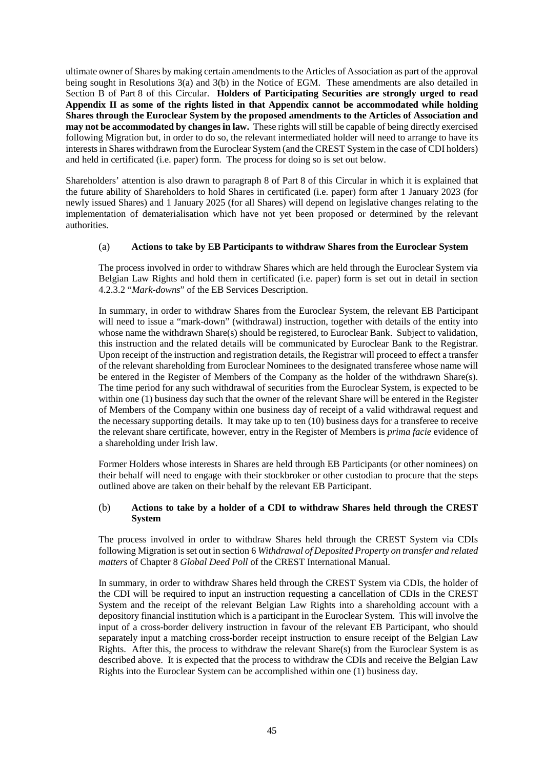ultimate owner of Shares by making certain amendments to the Articles of Association as part of the approval being sought in Resolutions 3(a) and 3(b) in the Notice of EGM. These amendments are also detailed in Section B of [Part](#page-77-0) 8 of this Circular. **Holders of Participating Securities are strongly urged to read Appendix II as some of the rights listed in that Appendix cannot be accommodated while holding Shares through the Euroclear System by the proposed amendments to the Articles of Association and may not be accommodated by changes in law.** These rights will still be capable of being directly exercised following Migration but, in order to do so, the relevant intermediated holder will need to arrange to have its interests in Shares withdrawn from the Euroclear System (and the CREST System in the case of CDI holders) and held in certificated (i.e. paper) form. The process for doing so is set out below.

Shareholders' attention is also drawn to paragraph [8](#page-36-0) of [Part](#page-77-0) 8 of this Circular in which it is explained that the future ability of Shareholders to hold Shares in certificated (i.e. paper) form after 1 January 2023 (for newly issued Shares) and 1 January 2025 (for all Shares) will depend on legislative changes relating to the implementation of dematerialisation which have not yet been proposed or determined by the relevant authorities.

### (a) **Actions to take by EB Participants to withdraw Shares from the Euroclear System**

The process involved in order to withdraw Shares which are held through the Euroclear System via Belgian Law Rights and hold them in certificated (i.e. paper) form is set out in detail in section 4.2.3.2 "*Mark-downs*" of the EB Services Description.

In summary, in order to withdraw Shares from the Euroclear System, the relevant EB Participant will need to issue a "mark-down" (withdrawal) instruction, together with details of the entity into whose name the withdrawn Share(s) should be registered, to Euroclear Bank. Subject to validation, this instruction and the related details will be communicated by Euroclear Bank to the Registrar. Upon receipt of the instruction and registration details, the Registrar will proceed to effect a transfer of the relevant shareholding from Euroclear Nominees to the designated transferee whose name will be entered in the Register of Members of the Company as the holder of the withdrawn Share(s). The time period for any such withdrawal of securities from the Euroclear System, is expected to be within one (1) business day such that the owner of the relevant Share will be entered in the Register of Members of the Company within one business day of receipt of a valid withdrawal request and the necessary supporting details. It may take up to ten (10) business days for a transferee to receive the relevant share certificate, however, entry in the Register of Members is *prima facie* evidence of a shareholding under Irish law.

Former Holders whose interests in Shares are held through EB Participants (or other nominees) on their behalf will need to engage with their stockbroker or other custodian to procure that the steps outlined above are taken on their behalf by the relevant EB Participant.

### (b) **Actions to take by a holder of a CDI to withdraw Shares held through the CREST System**

The process involved in order to withdraw Shares held through the CREST System via CDIs following Migration is set out in section 6 *Withdrawal of Deposited Property on transfer and related matters* of Chapter 8 *Global Deed Poll* of the CREST International Manual.

In summary, in order to withdraw Shares held through the CREST System via CDIs, the holder of the CDI will be required to input an instruction requesting a cancellation of CDIs in the CREST System and the receipt of the relevant Belgian Law Rights into a shareholding account with a depository financial institution which is a participant in the Euroclear System. This will involve the input of a cross-border delivery instruction in favour of the relevant EB Participant, who should separately input a matching cross-border receipt instruction to ensure receipt of the Belgian Law Rights. After this, the process to withdraw the relevant Share(s) from the Euroclear System is as described above. It is expected that the process to withdraw the CDIs and receive the Belgian Law Rights into the Euroclear System can be accomplished within one (1) business day.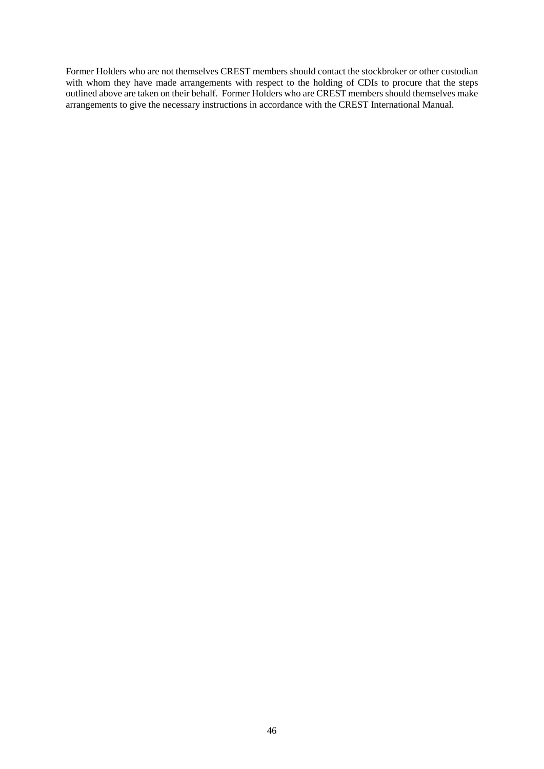Former Holders who are not themselves CREST members should contact the stockbroker or other custodian with whom they have made arrangements with respect to the holding of CDIs to procure that the steps outlined above are taken on their behalf. Former Holders who are CREST members should themselves make arrangements to give the necessary instructions in accordance with the CREST International Manual.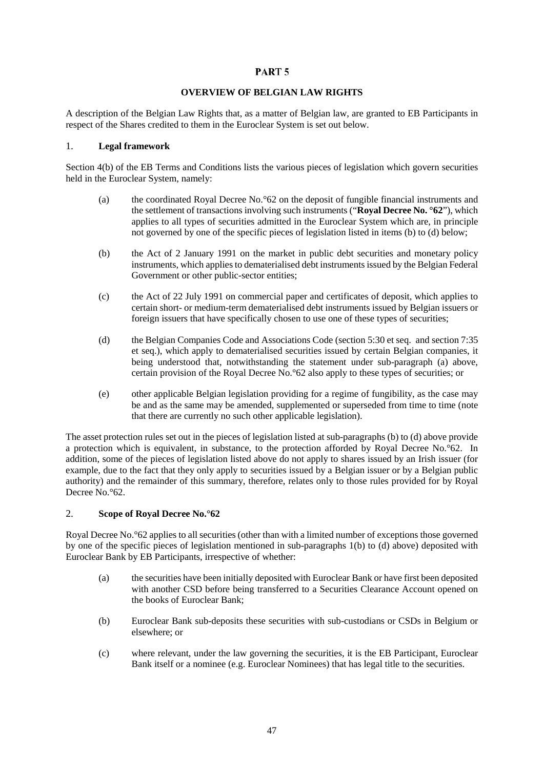## PART<sub>5</sub>

#### **OVERVIEW OF BELGIAN LAW RIGHTS**

<span id="page-49-2"></span>A description of the Belgian Law Rights that, as a matter of Belgian law, are granted to EB Participants in respect of the Shares credited to them in the Euroclear System is set out below.

#### 1. **Legal framework**

Section 4(b) of the EB Terms and Conditions lists the various pieces of legislation which govern securities held in the Euroclear System, namely:

- (a) the coordinated Royal Decree No.°62 on the deposit of fungible financial instruments and the settlement of transactions involving such instruments ("**Royal Decree No. °62**"), which applies to all types of securities admitted in the Euroclear System which are, in principle not governed by one of the specific pieces of legislation listed in items (b) to (d) below;
- <span id="page-49-0"></span>(b) the Act of 2 January 1991 on the market in public debt securities and monetary policy instruments, which applies to dematerialised debt instruments issued by the Belgian Federal Government or other public-sector entities;
- (c) the Act of 22 July 1991 on commercial paper and certificates of deposit, which applies to certain short- or medium-term dematerialised debt instruments issued by Belgian issuers or foreign issuers that have specifically chosen to use one of these types of securities;
- <span id="page-49-1"></span>(d) the Belgian Companies Code and Associations Code (section 5:30 et seq. and section 7:35 et seq.), which apply to dematerialised securities issued by certain Belgian companies, it being understood that, notwithstanding the statement under sub-paragraph (a) above, certain provision of the Royal Decree No.°62 also apply to these types of securities; or
- (e) other applicable Belgian legislation providing for a regime of fungibility, as the case may be and as the same may be amended, supplemented or superseded from time to time (note that there are currently no such other applicable legislation).

The asset protection rules set out in the pieces of legislation listed at sub-paragraphs [\(b\)](#page-49-0) to [\(d\)](#page-49-1) above provide a protection which is equivalent, in substance, to the protection afforded by Royal Decree No.°62. In addition, some of the pieces of legislation listed above do not apply to shares issued by an Irish issuer (for example, due to the fact that they only apply to securities issued by a Belgian issuer or by a Belgian public authority) and the remainder of this summary, therefore, relates only to those rules provided for by Royal Decree No.°62.

### 2. **Scope of Royal Decree No.°62**

Royal Decree No.°62 applies to all securities (other than with a limited number of exceptions those governed by one of the specific pieces of legislation mentioned in sub-paragraphs 1(b) to (d) above) deposited with Euroclear Bank by EB Participants, irrespective of whether:

- (a) the securities have been initially deposited with Euroclear Bank or have first been deposited with another CSD before being transferred to a Securities Clearance Account opened on the books of Euroclear Bank;
- (b) Euroclear Bank sub-deposits these securities with sub-custodians or CSDs in Belgium or elsewhere; or
- (c) where relevant, under the law governing the securities, it is the EB Participant, Euroclear Bank itself or a nominee (e.g. Euroclear Nominees) that has legal title to the securities.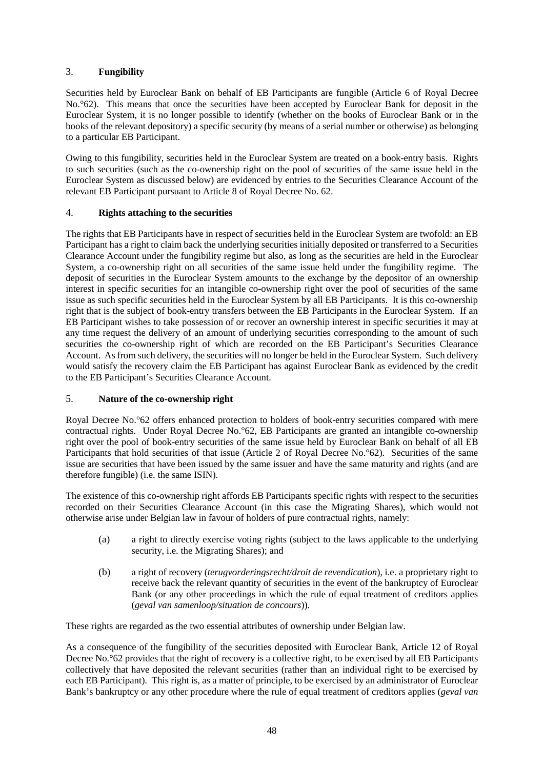# 3. **Fungibility**

Securities held by Euroclear Bank on behalf of EB Participants are fungible (Article 6 of Royal Decree No.<sup>o</sup>62). This means that once the securities have been accepted by Euroclear Bank for deposit in the Euroclear System, it is no longer possible to identify (whether on the books of Euroclear Bank or in the books of the relevant depository) a specific security (by means of a serial number or otherwise) as belonging to a particular EB Participant.

Owing to this fungibility, securities held in the Euroclear System are treated on a book-entry basis. Rights to such securities (such as the co-ownership right on the pool of securities of the same issue held in the Euroclear System as discussed below) are evidenced by entries to the Securities Clearance Account of the relevant EB Participant pursuant to Article 8 of Royal Decree No. 62.

## 4. **Rights attaching to the securities**

The rights that EB Participants have in respect of securities held in the Euroclear System are twofold: an EB Participant has a right to claim back the underlying securities initially deposited or transferred to a Securities Clearance Account under the fungibility regime but also, as long as the securities are held in the Euroclear System, a co-ownership right on all securities of the same issue held under the fungibility regime. The deposit of securities in the Euroclear System amounts to the exchange by the depositor of an ownership interest in specific securities for an intangible co-ownership right over the pool of securities of the same issue as such specific securities held in the Euroclear System by all EB Participants. It is this co-ownership right that is the subject of book-entry transfers between the EB Participants in the Euroclear System. If an EB Participant wishes to take possession of or recover an ownership interest in specific securities it may at any time request the delivery of an amount of underlying securities corresponding to the amount of such securities the co-ownership right of which are recorded on the EB Participant's Securities Clearance Account. As from such delivery, the securities will no longer be held in the Euroclear System. Such delivery would satisfy the recovery claim the EB Participant has against Euroclear Bank as evidenced by the credit to the EB Participant's Securities Clearance Account.

## 5. **Nature of the co-ownership right**

Royal Decree No.°62 offers enhanced protection to holders of book-entry securities compared with mere contractual rights. Under Royal Decree No.°62, EB Participants are granted an intangible co-ownership right over the pool of book-entry securities of the same issue held by Euroclear Bank on behalf of all EB Participants that hold securities of that issue (Article 2 of Royal Decree No. °62). Securities of the same issue are securities that have been issued by the same issuer and have the same maturity and rights (and are therefore fungible) (i.e. the same ISIN).

The existence of this co-ownership right affords EB Participants specific rights with respect to the securities recorded on their Securities Clearance Account (in this case the Migrating Shares), which would not otherwise arise under Belgian law in favour of holders of pure contractual rights, namely:

- (a) a right to directly exercise voting rights (subject to the laws applicable to the underlying security, i.e. the Migrating Shares); and
- (b) a right of recovery (*terugvorderingsrecht/droit de revendication*), i.e. a proprietary right to receive back the relevant quantity of securities in the event of the bankruptcy of Euroclear Bank (or any other proceedings in which the rule of equal treatment of creditors applies (*geval van samenloop/situation de concours*)).

These rights are regarded as the two essential attributes of ownership under Belgian law.

As a consequence of the fungibility of the securities deposited with Euroclear Bank, Article 12 of Royal Decree No.°62 provides that the right of recovery is a collective right, to be exercised by all EB Participants collectively that have deposited the relevant securities (rather than an individual right to be exercised by each EB Participant). This right is, as a matter of principle, to be exercised by an administrator of Euroclear Bank's bankruptcy or any other procedure where the rule of equal treatment of creditors applies (*geval van*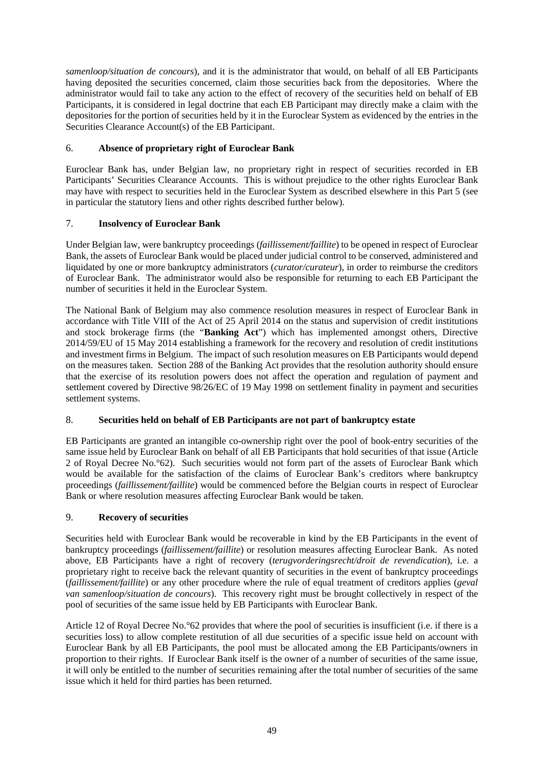*samenloop/situation de concours*), and it is the administrator that would, on behalf of all EB Participants having deposited the securities concerned, claim those securities back from the depositories. Where the administrator would fail to take any action to the effect of recovery of the securities held on behalf of EB Participants, it is considered in legal doctrine that each EB Participant may directly make a claim with the depositories for the portion of securities held by it in the Euroclear System as evidenced by the entries in the Securities Clearance Account(s) of the EB Participant.

## 6. **Absence of proprietary right of Euroclear Bank**

Euroclear Bank has, under Belgian law, no proprietary right in respect of securities recorded in EB Participants' Securities Clearance Accounts. This is without prejudice to the other rights Euroclear Bank may have with respect to securities held in the Euroclear System as described elsewhere in this [Part](#page-49-2) 5 (see in particular the statutory liens and other rights described further below).

## 7. **Insolvency of Euroclear Bank**

Under Belgian law, were bankruptcy proceedings (*faillissement/faillite*) to be opened in respect of Euroclear Bank, the assets of Euroclear Bank would be placed under judicial control to be conserved, administered and liquidated by one or more bankruptcy administrators (*curator/curateur*), in order to reimburse the creditors of Euroclear Bank. The administrator would also be responsible for returning to each EB Participant the number of securities it held in the Euroclear System.

The National Bank of Belgium may also commence resolution measures in respect of Euroclear Bank in accordance with Title VIII of the Act of 25 April 2014 on the status and supervision of credit institutions and stock brokerage firms (the "**Banking Act**") which has implemented amongst others, Directive 2014/59/EU of 15 May 2014 establishing a framework for the recovery and resolution of credit institutions and investment firms in Belgium. The impact of such resolution measures on EB Participants would depend on the measures taken. Section 288 of the Banking Act provides that the resolution authority should ensure that the exercise of its resolution powers does not affect the operation and regulation of payment and settlement covered by Directive 98/26/EC of 19 May 1998 on settlement finality in payment and securities settlement systems.

### 8. **Securities held on behalf of EB Participants are not part of bankruptcy estate**

EB Participants are granted an intangible co-ownership right over the pool of book-entry securities of the same issue held by Euroclear Bank on behalf of all EB Participants that hold securities of that issue (Article 2 of Royal Decree No.°62). Such securities would not form part of the assets of Euroclear Bank which would be available for the satisfaction of the claims of Euroclear Bank's creditors where bankruptcy proceedings (*faillissement/faillite*) would be commenced before the Belgian courts in respect of Euroclear Bank or where resolution measures affecting Euroclear Bank would be taken.

### 9. **Recovery of securities**

Securities held with Euroclear Bank would be recoverable in kind by the EB Participants in the event of bankruptcy proceedings (*faillissement/faillite*) or resolution measures affecting Euroclear Bank. As noted above, EB Participants have a right of recovery (*terugvorderingsrecht/droit de revendication*), i.e. a proprietary right to receive back the relevant quantity of securities in the event of bankruptcy proceedings (*faillissement/faillite*) or any other procedure where the rule of equal treatment of creditors applies (*geval van samenloop/situation de concours*). This recovery right must be brought collectively in respect of the pool of securities of the same issue held by EB Participants with Euroclear Bank.

Article 12 of Royal Decree No.°62 provides that where the pool of securities is insufficient (i.e. if there is a securities loss) to allow complete restitution of all due securities of a specific issue held on account with Euroclear Bank by all EB Participants, the pool must be allocated among the EB Participants/owners in proportion to their rights. If Euroclear Bank itself is the owner of a number of securities of the same issue, it will only be entitled to the number of securities remaining after the total number of securities of the same issue which it held for third parties has been returned.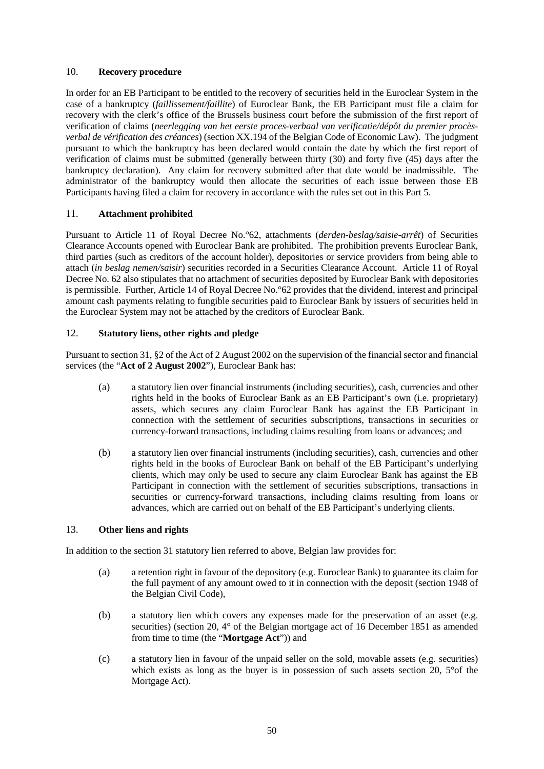### 10. **Recovery procedure**

In order for an EB Participant to be entitled to the recovery of securities held in the Euroclear System in the case of a bankruptcy (*faillissement/faillite*) of Euroclear Bank, the EB Participant must file a claim for recovery with the clerk's office of the Brussels business court before the submission of the first report of verification of claims (*neerlegging van het eerste proces-verbaal van verificatie/dépôt du premier procèsverbal de vérification des créances*) (section XX.194 of the Belgian Code of Economic Law). The judgment pursuant to which the bankruptcy has been declared would contain the date by which the first report of verification of claims must be submitted (generally between thirty (30) and forty five (45) days after the bankruptcy declaration). Any claim for recovery submitted after that date would be inadmissible. The administrator of the bankruptcy would then allocate the securities of each issue between those EB Participants having filed a claim for recovery in accordance with the rules set out in this [Part](#page-49-2) 5.

### 11. **Attachment prohibited**

Pursuant to Article 11 of Royal Decree No.°62, attachments (*derden-beslag/saisie-arrêt*) of Securities Clearance Accounts opened with Euroclear Bank are prohibited. The prohibition prevents Euroclear Bank, third parties (such as creditors of the account holder), depositories or service providers from being able to attach (*in beslag nemen/saisir*) securities recorded in a Securities Clearance Account. Article 11 of Royal Decree No. 62 also stipulates that no attachment of securities deposited by Euroclear Bank with depositories is permissible. Further, Article 14 of Royal Decree No.°62 provides that the dividend, interest and principal amount cash payments relating to fungible securities paid to Euroclear Bank by issuers of securities held in the Euroclear System may not be attached by the creditors of Euroclear Bank.

### 12. **Statutory liens, other rights and pledge**

Pursuant to section 31, §2 of the Act of 2 August 2002 on the supervision of the financial sector and financial services (the "**Act of 2 August 2002**"), Euroclear Bank has:

- (a) a statutory lien over financial instruments (including securities), cash, currencies and other rights held in the books of Euroclear Bank as an EB Participant's own (i.e. proprietary) assets, which secures any claim Euroclear Bank has against the EB Participant in connection with the settlement of securities subscriptions, transactions in securities or currency-forward transactions, including claims resulting from loans or advances; and
- (b) a statutory lien over financial instruments (including securities), cash, currencies and other rights held in the books of Euroclear Bank on behalf of the EB Participant's underlying clients, which may only be used to secure any claim Euroclear Bank has against the EB Participant in connection with the settlement of securities subscriptions, transactions in securities or currency-forward transactions, including claims resulting from loans or advances, which are carried out on behalf of the EB Participant's underlying clients.

### <span id="page-52-0"></span>13. **Other liens and rights**

In addition to the section 31 statutory lien referred to above, Belgian law provides for:

- (a) a retention right in favour of the depository (e.g. Euroclear Bank) to guarantee its claim for the full payment of any amount owed to it in connection with the deposit (section 1948 of the Belgian Civil Code),
- (b) a statutory lien which covers any expenses made for the preservation of an asset (e.g. securities) (section 20, 4° of the Belgian mortgage act of 16 December 1851 as amended from time to time (the "**Mortgage Act**")) and
- (c) a statutory lien in favour of the unpaid seller on the sold, movable assets (e.g. securities) which exists as long as the buyer is in possession of such assets section 20, 5°of the Mortgage Act).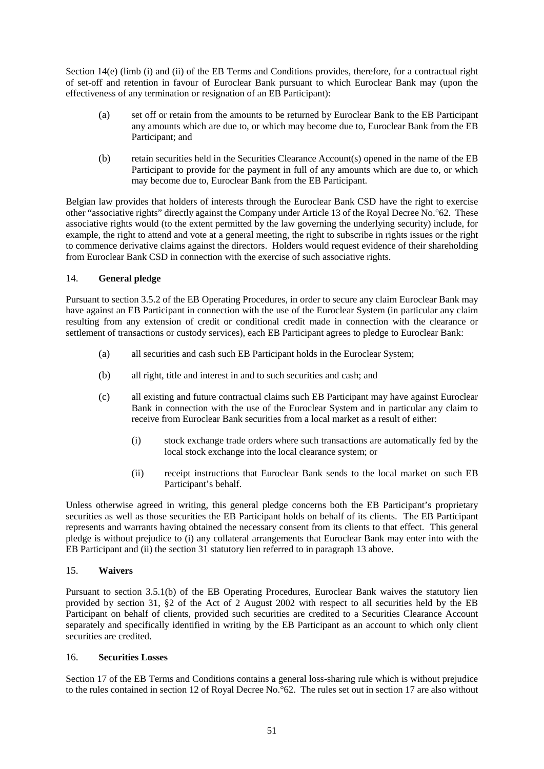Section 14(e) (limb (i) and (ii) of the EB Terms and Conditions provides, therefore, for a contractual right of set-off and retention in favour of Euroclear Bank pursuant to which Euroclear Bank may (upon the effectiveness of any termination or resignation of an EB Participant):

- (a) set off or retain from the amounts to be returned by Euroclear Bank to the EB Participant any amounts which are due to, or which may become due to, Euroclear Bank from the EB Participant; and
- (b) retain securities held in the Securities Clearance Account(s) opened in the name of the EB Participant to provide for the payment in full of any amounts which are due to, or which may become due to, Euroclear Bank from the EB Participant.

Belgian law provides that holders of interests through the Euroclear Bank CSD have the right to exercise other "associative rights" directly against the Company under Article 13 of the Royal Decree No.°62. These associative rights would (to the extent permitted by the law governing the underlying security) include, for example, the right to attend and vote at a general meeting, the right to subscribe in rights issues or the right to commence derivative claims against the directors. Holders would request evidence of their shareholding from Euroclear Bank CSD in connection with the exercise of such associative rights.

### 14. **General pledge**

Pursuant to section 3.5.2 of the EB Operating Procedures, in order to secure any claim Euroclear Bank may have against an EB Participant in connection with the use of the Euroclear System (in particular any claim resulting from any extension of credit or conditional credit made in connection with the clearance or settlement of transactions or custody services), each EB Participant agrees to pledge to Euroclear Bank:

- (a) all securities and cash such EB Participant holds in the Euroclear System;
- (b) all right, title and interest in and to such securities and cash; and
- (c) all existing and future contractual claims such EB Participant may have against Euroclear Bank in connection with the use of the Euroclear System and in particular any claim to receive from Euroclear Bank securities from a local market as a result of either:
	- (i) stock exchange trade orders where such transactions are automatically fed by the local stock exchange into the local clearance system; or
	- (ii) receipt instructions that Euroclear Bank sends to the local market on such EB Participant's behalf.

Unless otherwise agreed in writing, this general pledge concerns both the EB Participant's proprietary securities as well as those securities the EB Participant holds on behalf of its clients. The EB Participant represents and warrants having obtained the necessary consent from its clients to that effect. This general pledge is without prejudice to (i) any collateral arrangements that Euroclear Bank may enter into with the EB Participant and (ii) the section 31 statutory lien referred to in paragraph [13](#page-52-0) above.

### 15. **Waivers**

Pursuant to section 3.5.1(b) of the EB Operating Procedures, Euroclear Bank waives the statutory lien provided by section 31, §2 of the Act of 2 August 2002 with respect to all securities held by the EB Participant on behalf of clients, provided such securities are credited to a Securities Clearance Account separately and specifically identified in writing by the EB Participant as an account to which only client securities are credited.

### 16. **Securities Losses**

Section 17 of the EB Terms and Conditions contains a general loss-sharing rule which is without prejudice to the rules contained in section 12 of Royal Decree No.°62. The rules set out in section 17 are also without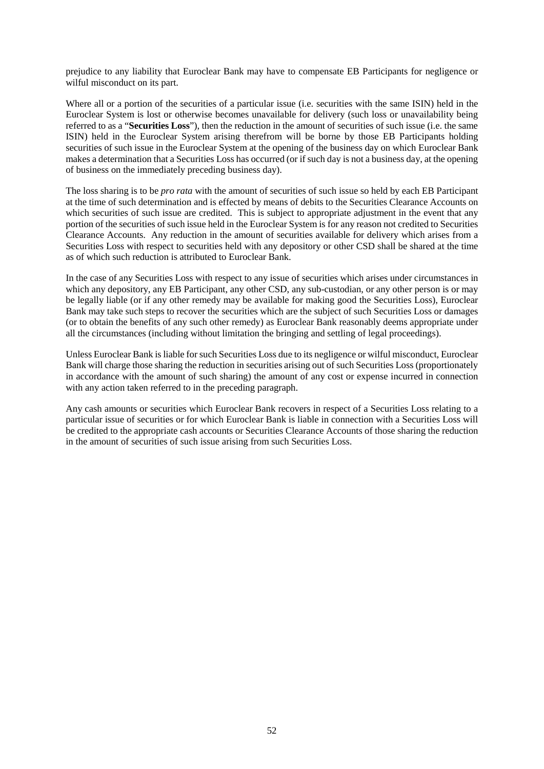prejudice to any liability that Euroclear Bank may have to compensate EB Participants for negligence or wilful misconduct on its part.

Where all or a portion of the securities of a particular issue (i.e. securities with the same ISIN) held in the Euroclear System is lost or otherwise becomes unavailable for delivery (such loss or unavailability being referred to as a "**Securities Loss**"), then the reduction in the amount of securities of such issue (i.e. the same ISIN) held in the Euroclear System arising therefrom will be borne by those EB Participants holding securities of such issue in the Euroclear System at the opening of the business day on which Euroclear Bank makes a determination that a Securities Loss has occurred (or if such day is not a business day, at the opening of business on the immediately preceding business day).

The loss sharing is to be *pro rata* with the amount of securities of such issue so held by each EB Participant at the time of such determination and is effected by means of debits to the Securities Clearance Accounts on which securities of such issue are credited. This is subject to appropriate adjustment in the event that any portion of the securities of such issue held in the Euroclear System is for any reason not credited to Securities Clearance Accounts. Any reduction in the amount of securities available for delivery which arises from a Securities Loss with respect to securities held with any depository or other CSD shall be shared at the time as of which such reduction is attributed to Euroclear Bank.

In the case of any Securities Loss with respect to any issue of securities which arises under circumstances in which any depository, any EB Participant, any other CSD, any sub-custodian, or any other person is or may be legally liable (or if any other remedy may be available for making good the Securities Loss), Euroclear Bank may take such steps to recover the securities which are the subject of such Securities Loss or damages (or to obtain the benefits of any such other remedy) as Euroclear Bank reasonably deems appropriate under all the circumstances (including without limitation the bringing and settling of legal proceedings).

Unless Euroclear Bank is liable for such Securities Loss due to its negligence or wilful misconduct, Euroclear Bank will charge those sharing the reduction in securities arising out of such Securities Loss (proportionately in accordance with the amount of such sharing) the amount of any cost or expense incurred in connection with any action taken referred to in the preceding paragraph.

Any cash amounts or securities which Euroclear Bank recovers in respect of a Securities Loss relating to a particular issue of securities or for which Euroclear Bank is liable in connection with a Securities Loss will be credited to the appropriate cash accounts or Securities Clearance Accounts of those sharing the reduction in the amount of securities of such issue arising from such Securities Loss.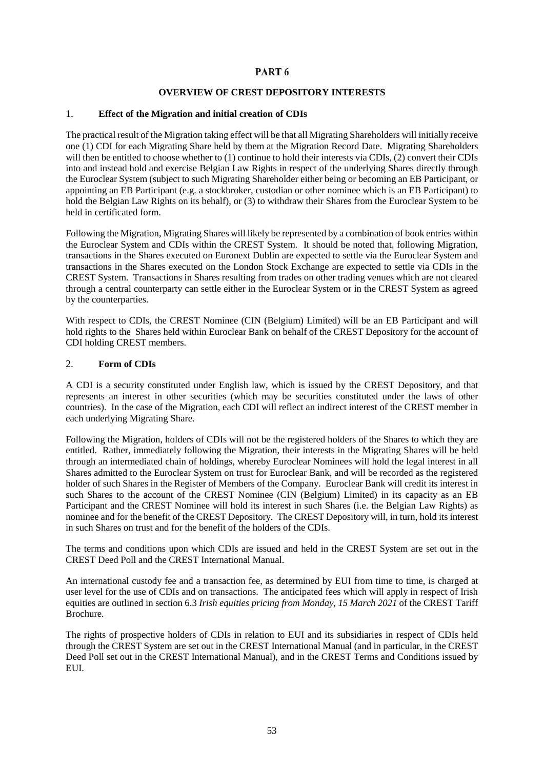## PART<sub>6</sub>

#### **OVERVIEW OF CREST DEPOSITORY INTERESTS**

#### <span id="page-55-0"></span>1. **Effect of the Migration and initial creation of CDIs**

The practical result of the Migration taking effect will be that all Migrating Shareholders will initially receive one (1) CDI for each Migrating Share held by them at the Migration Record Date. Migrating Shareholders will then be entitled to choose whether to (1) continue to hold their interests via CDIs, (2) convert their CDIs into and instead hold and exercise Belgian Law Rights in respect of the underlying Shares directly through the Euroclear System (subject to such Migrating Shareholder either being or becoming an EB Participant, or appointing an EB Participant (e.g. a stockbroker, custodian or other nominee which is an EB Participant) to hold the Belgian Law Rights on its behalf), or (3) to withdraw their Shares from the Euroclear System to be held in certificated form.

Following the Migration, Migrating Shares will likely be represented by a combination of book entries within the Euroclear System and CDIs within the CREST System. It should be noted that, following Migration, transactions in the Shares executed on Euronext Dublin are expected to settle via the Euroclear System and transactions in the Shares executed on the London Stock Exchange are expected to settle via CDIs in the CREST System. Transactions in Shares resulting from trades on other trading venues which are not cleared through a central counterparty can settle either in the Euroclear System or in the CREST System as agreed by the counterparties.

With respect to CDIs, the CREST Nominee (CIN (Belgium) Limited) will be an EB Participant and will hold rights to the Shares held within Euroclear Bank on behalf of the CREST Depository for the account of CDI holding CREST members.

#### 2. **Form of CDIs**

A CDI is a security constituted under English law, which is issued by the CREST Depository, and that represents an interest in other securities (which may be securities constituted under the laws of other countries). In the case of the Migration, each CDI will reflect an indirect interest of the CREST member in each underlying Migrating Share.

Following the Migration, holders of CDIs will not be the registered holders of the Shares to which they are entitled. Rather, immediately following the Migration, their interests in the Migrating Shares will be held through an intermediated chain of holdings, whereby Euroclear Nominees will hold the legal interest in all Shares admitted to the Euroclear System on trust for Euroclear Bank, and will be recorded as the registered holder of such Shares in the Register of Members of the Company. Euroclear Bank will credit its interest in such Shares to the account of the CREST Nominee (CIN (Belgium) Limited) in its capacity as an EB Participant and the CREST Nominee will hold its interest in such Shares (i.e. the Belgian Law Rights) as nominee and for the benefit of the CREST Depository. The CREST Depository will, in turn, hold its interest in such Shares on trust and for the benefit of the holders of the CDIs.

The terms and conditions upon which CDIs are issued and held in the CREST System are set out in the CREST Deed Poll and the CREST International Manual.

An international custody fee and a transaction fee, as determined by EUI from time to time, is charged at user level for the use of CDIs and on transactions. The anticipated fees which will apply in respect of Irish equities are outlined in section 6.3 *Irish equities pricing from Monday, 15 March 2021* of the CREST Tariff Brochure.

The rights of prospective holders of CDIs in relation to EUI and its subsidiaries in respect of CDIs held through the CREST System are set out in the CREST International Manual (and in particular, in the CREST Deed Poll set out in the CREST International Manual), and in the CREST Terms and Conditions issued by EUI.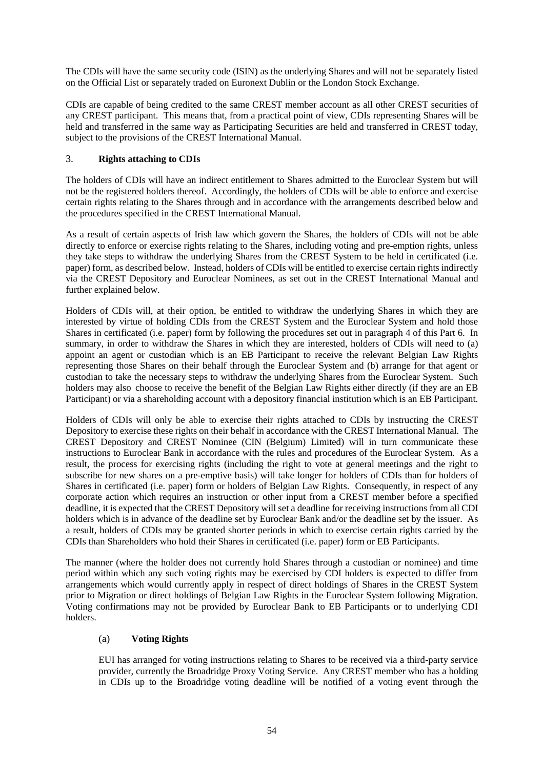The CDIs will have the same security code (ISIN) as the underlying Shares and will not be separately listed on the Official List or separately traded on Euronext Dublin or the London Stock Exchange.

CDIs are capable of being credited to the same CREST member account as all other CREST securities of any CREST participant. This means that, from a practical point of view, CDIs representing Shares will be held and transferred in the same way as Participating Securities are held and transferred in CREST today, subject to the provisions of the CREST International Manual.

## 3. **Rights attaching to CDIs**

The holders of CDIs will have an indirect entitlement to Shares admitted to the Euroclear System but will not be the registered holders thereof. Accordingly, the holders of CDIs will be able to enforce and exercise certain rights relating to the Shares through and in accordance with the arrangements described below and the procedures specified in the CREST International Manual.

As a result of certain aspects of Irish law which govern the Shares, the holders of CDIs will not be able directly to enforce or exercise rights relating to the Shares, including voting and pre-emption rights, unless they take steps to withdraw the underlying Shares from the CREST System to be held in certificated (i.e. paper) form, as described below. Instead, holders of CDIs will be entitled to exercise certain rights indirectly via the CREST Depository and Euroclear Nominees, as set out in the CREST International Manual and further explained below.

Holders of CDIs will, at their option, be entitled to withdraw the underlying Shares in which they are interested by virtue of holding CDIs from the CREST System and the Euroclear System and hold those Shares in certificated (i.e. paper) form by following the procedures set out in paragraph [4](#page-58-0) of this [Part](#page-55-0) 6. In summary, in order to withdraw the Shares in which they are interested, holders of CDIs will need to (a) appoint an agent or custodian which is an EB Participant to receive the relevant Belgian Law Rights representing those Shares on their behalf through the Euroclear System and (b) arrange for that agent or custodian to take the necessary steps to withdraw the underlying Shares from the Euroclear System. Such holders may also choose to receive the benefit of the Belgian Law Rights either directly (if they are an EB Participant) or via a shareholding account with a depository financial institution which is an EB Participant.

Holders of CDIs will only be able to exercise their rights attached to CDIs by instructing the CREST Depository to exercise these rights on their behalf in accordance with the CREST International Manual. The CREST Depository and CREST Nominee (CIN (Belgium) Limited) will in turn communicate these instructions to Euroclear Bank in accordance with the rules and procedures of the Euroclear System. As a result, the process for exercising rights (including the right to vote at general meetings and the right to subscribe for new shares on a pre-emptive basis) will take longer for holders of CDIs than for holders of Shares in certificated (i.e. paper) form or holders of Belgian Law Rights. Consequently, in respect of any corporate action which requires an instruction or other input from a CREST member before a specified deadline, it is expected that the CREST Depository will set a deadline for receiving instructions from all CDI holders which is in advance of the deadline set by Euroclear Bank and/or the deadline set by the issuer. As a result, holders of CDIs may be granted shorter periods in which to exercise certain rights carried by the CDIs than Shareholders who hold their Shares in certificated (i.e. paper) form or EB Participants.

The manner (where the holder does not currently hold Shares through a custodian or nominee) and time period within which any such voting rights may be exercised by CDI holders is expected to differ from arrangements which would currently apply in respect of direct holdings of Shares in the CREST System prior to Migration or direct holdings of Belgian Law Rights in the Euroclear System following Migration. Voting confirmations may not be provided by Euroclear Bank to EB Participants or to underlying CDI holders.

### (a) **Voting Rights**

EUI has arranged for voting instructions relating to Shares to be received via a third-party service provider, currently the Broadridge Proxy Voting Service. Any CREST member who has a holding in CDIs up to the Broadridge voting deadline will be notified of a voting event through the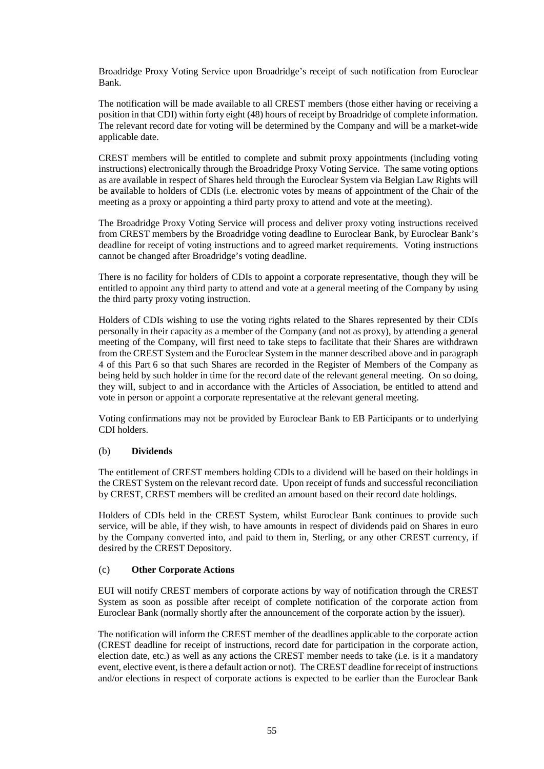Broadridge Proxy Voting Service upon Broadridge's receipt of such notification from Euroclear Bank.

The notification will be made available to all CREST members (those either having or receiving a position in that CDI) within forty eight (48) hours of receipt by Broadridge of complete information. The relevant record date for voting will be determined by the Company and will be a market-wide applicable date.

CREST members will be entitled to complete and submit proxy appointments (including voting instructions) electronically through the Broadridge Proxy Voting Service. The same voting options as are available in respect of Shares held through the Euroclear System via Belgian Law Rights will be available to holders of CDIs (i.e. electronic votes by means of appointment of the Chair of the meeting as a proxy or appointing a third party proxy to attend and vote at the meeting).

The Broadridge Proxy Voting Service will process and deliver proxy voting instructions received from CREST members by the Broadridge voting deadline to Euroclear Bank, by Euroclear Bank's deadline for receipt of voting instructions and to agreed market requirements. Voting instructions cannot be changed after Broadridge's voting deadline.

There is no facility for holders of CDIs to appoint a corporate representative, though they will be entitled to appoint any third party to attend and vote at a general meeting of the Company by using the third party proxy voting instruction.

Holders of CDIs wishing to use the voting rights related to the Shares represented by their CDIs personally in their capacity as a member of the Company (and not as proxy), by attending a general meeting of the Company, will first need to take steps to facilitate that their Shares are withdrawn from the CREST System and the Euroclear System in the manner described above and in paragraph [4](#page-58-0) of this [Part](#page-55-0) 6 so that such Shares are recorded in the Register of Members of the Company as being held by such holder in time for the record date of the relevant general meeting. On so doing, they will, subject to and in accordance with the Articles of Association, be entitled to attend and vote in person or appoint a corporate representative at the relevant general meeting.

Voting confirmations may not be provided by Euroclear Bank to EB Participants or to underlying CDI holders.

### (b) **Dividends**

The entitlement of CREST members holding CDIs to a dividend will be based on their holdings in the CREST System on the relevant record date. Upon receipt of funds and successful reconciliation by CREST, CREST members will be credited an amount based on their record date holdings.

Holders of CDIs held in the CREST System, whilst Euroclear Bank continues to provide such service, will be able, if they wish, to have amounts in respect of dividends paid on Shares in euro by the Company converted into, and paid to them in, Sterling, or any other CREST currency, if desired by the CREST Depository.

### (c) **Other Corporate Actions**

EUI will notify CREST members of corporate actions by way of notification through the CREST System as soon as possible after receipt of complete notification of the corporate action from Euroclear Bank (normally shortly after the announcement of the corporate action by the issuer).

The notification will inform the CREST member of the deadlines applicable to the corporate action (CREST deadline for receipt of instructions, record date for participation in the corporate action, election date, etc.) as well as any actions the CREST member needs to take (i.e. is it a mandatory event, elective event, is there a default action or not). The CREST deadline for receipt of instructions and/or elections in respect of corporate actions is expected to be earlier than the Euroclear Bank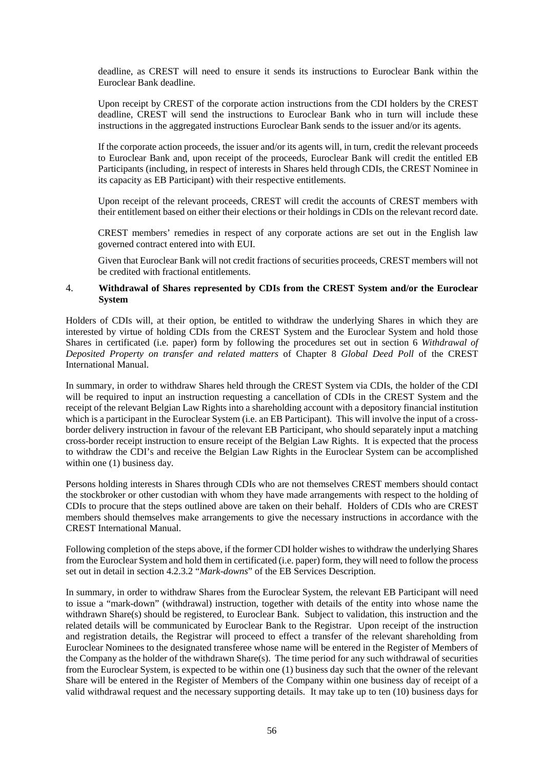deadline, as CREST will need to ensure it sends its instructions to Euroclear Bank within the Euroclear Bank deadline.

Upon receipt by CREST of the corporate action instructions from the CDI holders by the CREST deadline, CREST will send the instructions to Euroclear Bank who in turn will include these instructions in the aggregated instructions Euroclear Bank sends to the issuer and/or its agents.

If the corporate action proceeds, the issuer and/or its agents will, in turn, credit the relevant proceeds to Euroclear Bank and, upon receipt of the proceeds, Euroclear Bank will credit the entitled EB Participants (including, in respect of interests in Shares held through CDIs, the CREST Nominee in its capacity as EB Participant) with their respective entitlements.

Upon receipt of the relevant proceeds, CREST will credit the accounts of CREST members with their entitlement based on either their elections or their holdings in CDIs on the relevant record date.

CREST members' remedies in respect of any corporate actions are set out in the English law governed contract entered into with EUI.

Given that Euroclear Bank will not credit fractions of securities proceeds, CREST members will not be credited with fractional entitlements.

#### <span id="page-58-0"></span>4. **Withdrawal of Shares represented by CDIs from the CREST System and/or the Euroclear System**

Holders of CDIs will, at their option, be entitled to withdraw the underlying Shares in which they are interested by virtue of holding CDIs from the CREST System and the Euroclear System and hold those Shares in certificated (i.e. paper) form by following the procedures set out in section 6 *Withdrawal of Deposited Property on transfer and related matters* of Chapter 8 *Global Deed Poll* of the CREST International Manual.

In summary, in order to withdraw Shares held through the CREST System via CDIs, the holder of the CDI will be required to input an instruction requesting a cancellation of CDIs in the CREST System and the receipt of the relevant Belgian Law Rights into a shareholding account with a depository financial institution which is a participant in the Euroclear System (i.e. an EB Participant). This will involve the input of a crossborder delivery instruction in favour of the relevant EB Participant, who should separately input a matching cross-border receipt instruction to ensure receipt of the Belgian Law Rights. It is expected that the process to withdraw the CDI's and receive the Belgian Law Rights in the Euroclear System can be accomplished within one (1) business day.

Persons holding interests in Shares through CDIs who are not themselves CREST members should contact the stockbroker or other custodian with whom they have made arrangements with respect to the holding of CDIs to procure that the steps outlined above are taken on their behalf. Holders of CDIs who are CREST members should themselves make arrangements to give the necessary instructions in accordance with the CREST International Manual.

Following completion of the steps above, if the former CDI holder wishes to withdraw the underlying Shares from the Euroclear System and hold them in certificated (i.e. paper) form, they will need to follow the process set out in detail in section 4.2.3.2 "*Mark-downs*" of the EB Services Description.

In summary, in order to withdraw Shares from the Euroclear System, the relevant EB Participant will need to issue a "mark-down" (withdrawal) instruction, together with details of the entity into whose name the withdrawn Share(s) should be registered, to Euroclear Bank. Subject to validation, this instruction and the related details will be communicated by Euroclear Bank to the Registrar. Upon receipt of the instruction and registration details, the Registrar will proceed to effect a transfer of the relevant shareholding from Euroclear Nominees to the designated transferee whose name will be entered in the Register of Members of the Company as the holder of the withdrawn Share(s). The time period for any such withdrawal of securities from the Euroclear System, is expected to be within one (1) business day such that the owner of the relevant Share will be entered in the Register of Members of the Company within one business day of receipt of a valid withdrawal request and the necessary supporting details. It may take up to ten (10) business days for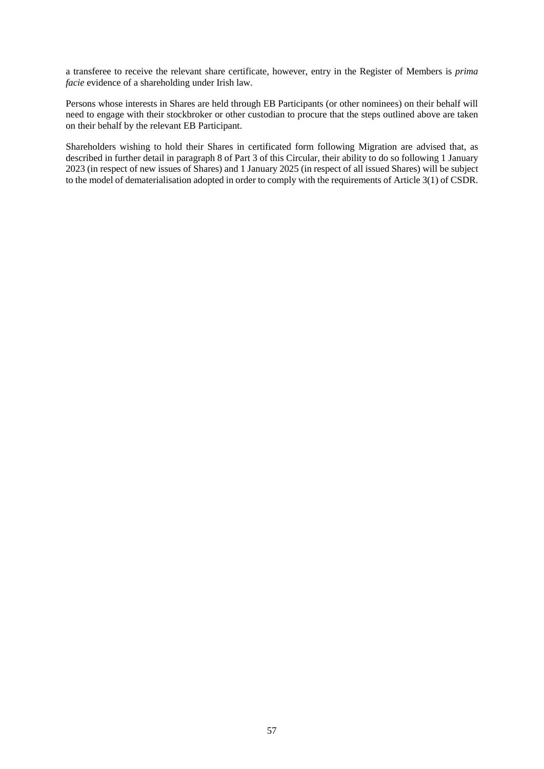a transferee to receive the relevant share certificate, however, entry in the Register of Members is *prima facie* evidence of a shareholding under Irish law.

Persons whose interests in Shares are held through EB Participants (or other nominees) on their behalf will need to engage with their stockbroker or other custodian to procure that the steps outlined above are taken on their behalf by the relevant EB Participant.

Shareholders wishing to hold their Shares in certificated form following Migration are advised that, as described in further detail in paragrap[h 8](#page-36-0) of [Part](#page-23-0) 3 of this Circular, their ability to do so following 1 January 2023 (in respect of new issues of Shares) and 1 January 2025 (in respect of all issued Shares) will be subject to the model of dematerialisation adopted in order to comply with the requirements of Article 3(1) of CSDR.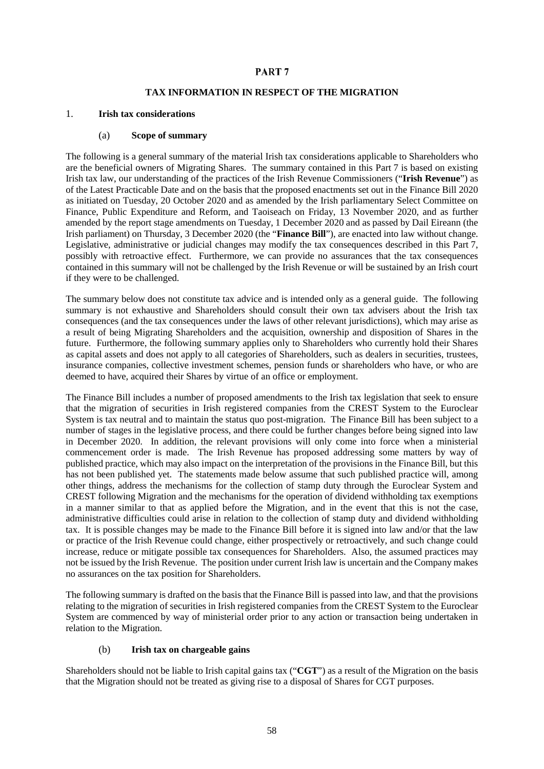## PART<sub>7</sub>

### **TAX INFORMATION IN RESPECT OF THE MIGRATION**

#### <span id="page-60-1"></span><span id="page-60-0"></span>1. **Irish tax considerations**

#### (a) **Scope of summary**

The following is a general summary of the material Irish tax considerations applicable to Shareholders who are the beneficial owners of Migrating Shares. The summary contained in this [Part](#page-60-0) 7 is based on existing Irish tax law, our understanding of the practices of the Irish Revenue Commissioners ("**Irish Revenue**") as of the Latest Practicable Date and on the basis that the proposed enactments set out in the Finance Bill 2020 as initiated on Tuesday, 20 October 2020 and as amended by the Irish parliamentary Select Committee on Finance, Public Expenditure and Reform, and Taoiseach on Friday, 13 November 2020, and as further amended by the report stage amendments on Tuesday, 1 December 2020 and as passed by Dail Eireann (the Irish parliament) on Thursday, 3 December 2020 (the "**Finance Bill**"), are enacted into law without change. Legislative, administrative or judicial changes may modify the tax consequences described in this [Part](#page-60-0) 7, possibly with retroactive effect. Furthermore, we can provide no assurances that the tax consequences contained in this summary will not be challenged by the Irish Revenue or will be sustained by an Irish court if they were to be challenged.

The summary below does not constitute tax advice and is intended only as a general guide. The following summary is not exhaustive and Shareholders should consult their own tax advisers about the Irish tax consequences (and the tax consequences under the laws of other relevant jurisdictions), which may arise as a result of being Migrating Shareholders and the acquisition, ownership and disposition of Shares in the future. Furthermore, the following summary applies only to Shareholders who currently hold their Shares as capital assets and does not apply to all categories of Shareholders, such as dealers in securities, trustees, insurance companies, collective investment schemes, pension funds or shareholders who have, or who are deemed to have, acquired their Shares by virtue of an office or employment.

The Finance Bill includes a number of proposed amendments to the Irish tax legislation that seek to ensure that the migration of securities in Irish registered companies from the CREST System to the Euroclear System is tax neutral and to maintain the status quo post-migration. The Finance Bill has been subject to a number of stages in the legislative process, and there could be further changes before being signed into law in December 2020. In addition, the relevant provisions will only come into force when a ministerial commencement order is made. The Irish Revenue has proposed addressing some matters by way of published practice, which may also impact on the interpretation of the provisions in the Finance Bill, but this has not been published yet. The statements made below assume that such published practice will, among other things, address the mechanisms for the collection of stamp duty through the Euroclear System and CREST following Migration and the mechanisms for the operation of dividend withholding tax exemptions in a manner similar to that as applied before the Migration, and in the event that this is not the case, administrative difficulties could arise in relation to the collection of stamp duty and dividend withholding tax. It is possible changes may be made to the Finance Bill before it is signed into law and/or that the law or practice of the Irish Revenue could change, either prospectively or retroactively, and such change could increase, reduce or mitigate possible tax consequences for Shareholders. Also, the assumed practices may not be issued by the Irish Revenue. The position under current Irish law is uncertain and the Company makes no assurances on the tax position for Shareholders.

The following summary is drafted on the basis that the Finance Bill is passed into law, and that the provisions relating to the migration of securities in Irish registered companies from the CREST System to the Euroclear System are commenced by way of ministerial order prior to any action or transaction being undertaken in relation to the Migration.

#### (b) **Irish tax on chargeable gains**

Shareholders should not be liable to Irish capital gains tax ("**CGT**") as a result of the Migration on the basis that the Migration should not be treated as giving rise to a disposal of Shares for CGT purposes.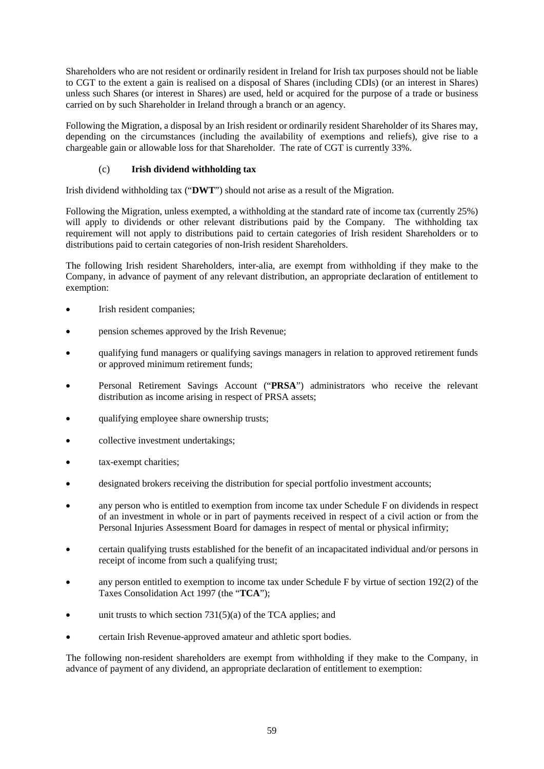Shareholders who are not resident or ordinarily resident in Ireland for Irish tax purposes should not be liable to CGT to the extent a gain is realised on a disposal of Shares (including CDIs) (or an interest in Shares) unless such Shares (or interest in Shares) are used, held or acquired for the purpose of a trade or business carried on by such Shareholder in Ireland through a branch or an agency.

Following the Migration, a disposal by an Irish resident or ordinarily resident Shareholder of its Shares may, depending on the circumstances (including the availability of exemptions and reliefs), give rise to a chargeable gain or allowable loss for that Shareholder. The rate of CGT is currently 33%.

# (c) **Irish dividend withholding tax**

Irish dividend withholding tax ("**DWT**") should not arise as a result of the Migration.

Following the Migration, unless exempted, a withholding at the standard rate of income tax (currently 25%) will apply to dividends or other relevant distributions paid by the Company. The withholding tax requirement will not apply to distributions paid to certain categories of Irish resident Shareholders or to distributions paid to certain categories of non-Irish resident Shareholders.

The following Irish resident Shareholders, inter-alia, are exempt from withholding if they make to the Company, in advance of payment of any relevant distribution, an appropriate declaration of entitlement to exemption:

- Irish resident companies;
- pension schemes approved by the Irish Revenue;
- qualifying fund managers or qualifying savings managers in relation to approved retirement funds or approved minimum retirement funds;
- Personal Retirement Savings Account ("**PRSA**") administrators who receive the relevant distribution as income arising in respect of PRSA assets;
- qualifying employee share ownership trusts;
- collective investment undertakings;
- tax-exempt charities:
- designated brokers receiving the distribution for special portfolio investment accounts;
- any person who is entitled to exemption from income tax under Schedule F on dividends in respect of an investment in whole or in part of payments received in respect of a civil action or from the Personal Injuries Assessment Board for damages in respect of mental or physical infirmity;
- certain qualifying trusts established for the benefit of an incapacitated individual and/or persons in receipt of income from such a qualifying trust;
- any person entitled to exemption to income tax under Schedule F by virtue of section 192(2) of the Taxes Consolidation Act 1997 (the "**TCA**");
- unit trusts to which section  $731(5)(a)$  of the TCA applies; and
- certain Irish Revenue-approved amateur and athletic sport bodies.

The following non-resident shareholders are exempt from withholding if they make to the Company, in advance of payment of any dividend, an appropriate declaration of entitlement to exemption: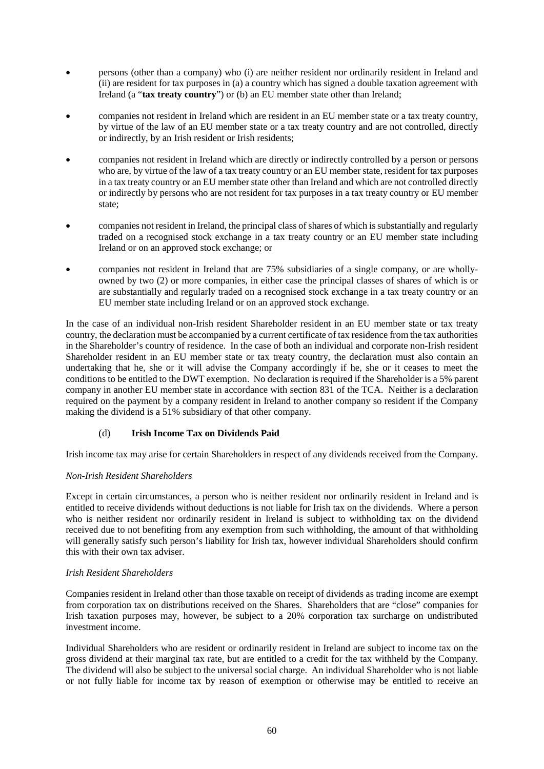- persons (other than a company) who (i) are neither resident nor ordinarily resident in Ireland and (ii) are resident for tax purposes in (a) a country which has signed a double taxation agreement with Ireland (a "**tax treaty country**") or (b) an EU member state other than Ireland;
- companies not resident in Ireland which are resident in an EU member state or a tax treaty country, by virtue of the law of an EU member state or a tax treaty country and are not controlled, directly or indirectly, by an Irish resident or Irish residents;
- companies not resident in Ireland which are directly or indirectly controlled by a person or persons who are, by virtue of the law of a tax treaty country or an EU member state, resident for tax purposes in a tax treaty country or an EU member state other than Ireland and which are not controlled directly or indirectly by persons who are not resident for tax purposes in a tax treaty country or EU member state;
- companies not resident in Ireland, the principal class of shares of which is substantially and regularly traded on a recognised stock exchange in a tax treaty country or an EU member state including Ireland or on an approved stock exchange; or
- companies not resident in Ireland that are 75% subsidiaries of a single company, or are whollyowned by two (2) or more companies, in either case the principal classes of shares of which is or are substantially and regularly traded on a recognised stock exchange in a tax treaty country or an EU member state including Ireland or on an approved stock exchange.

In the case of an individual non-Irish resident Shareholder resident in an EU member state or tax treaty country, the declaration must be accompanied by a current certificate of tax residence from the tax authorities in the Shareholder's country of residence. In the case of both an individual and corporate non-Irish resident Shareholder resident in an EU member state or tax treaty country, the declaration must also contain an undertaking that he, she or it will advise the Company accordingly if he, she or it ceases to meet the conditions to be entitled to the DWT exemption. No declaration is required if the Shareholder is a 5% parent company in another EU member state in accordance with section 831 of the TCA. Neither is a declaration required on the payment by a company resident in Ireland to another company so resident if the Company making the dividend is a 51% subsidiary of that other company.

# (d) **Irish Income Tax on Dividends Paid**

Irish income tax may arise for certain Shareholders in respect of any dividends received from the Company.

### *Non-Irish Resident Shareholders*

Except in certain circumstances, a person who is neither resident nor ordinarily resident in Ireland and is entitled to receive dividends without deductions is not liable for Irish tax on the dividends. Where a person who is neither resident nor ordinarily resident in Ireland is subject to withholding tax on the dividend received due to not benefiting from any exemption from such withholding, the amount of that withholding will generally satisfy such person's liability for Irish tax, however individual Shareholders should confirm this with their own tax adviser.

### *Irish Resident Shareholders*

Companies resident in Ireland other than those taxable on receipt of dividends as trading income are exempt from corporation tax on distributions received on the Shares. Shareholders that are "close" companies for Irish taxation purposes may, however, be subject to a 20% corporation tax surcharge on undistributed investment income.

Individual Shareholders who are resident or ordinarily resident in Ireland are subject to income tax on the gross dividend at their marginal tax rate, but are entitled to a credit for the tax withheld by the Company. The dividend will also be subject to the universal social charge. An individual Shareholder who is not liable or not fully liable for income tax by reason of exemption or otherwise may be entitled to receive an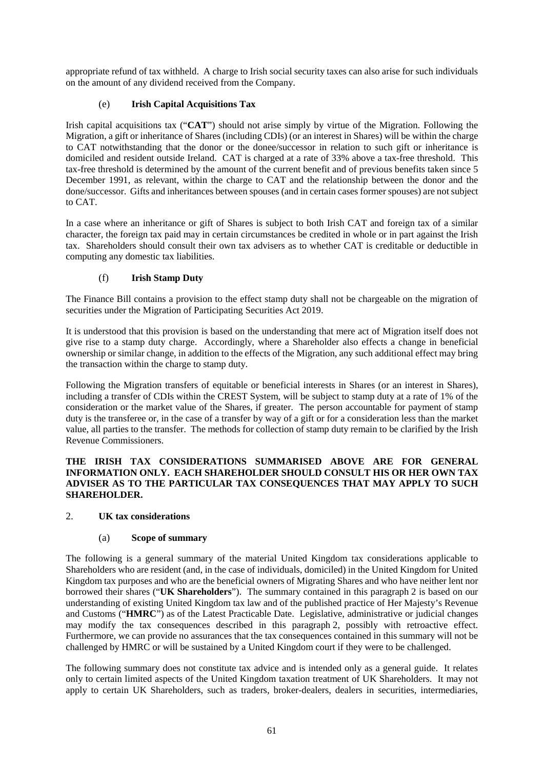appropriate refund of tax withheld. A charge to Irish social security taxes can also arise for such individuals on the amount of any dividend received from the Company.

## (e) **Irish Capital Acquisitions Tax**

Irish capital acquisitions tax ("**CAT**") should not arise simply by virtue of the Migration. Following the Migration, a gift or inheritance of Shares (including CDIs) (or an interest in Shares) will be within the charge to CAT notwithstanding that the donor or the donee/successor in relation to such gift or inheritance is domiciled and resident outside Ireland. CAT is charged at a rate of 33% above a tax-free threshold. This tax-free threshold is determined by the amount of the current benefit and of previous benefits taken since 5 December 1991, as relevant, within the charge to CAT and the relationship between the donor and the done/successor. Gifts and inheritances between spouses (and in certain cases former spouses) are not subject to CAT.

In a case where an inheritance or gift of Shares is subject to both Irish CAT and foreign tax of a similar character, the foreign tax paid may in certain circumstances be credited in whole or in part against the Irish tax. Shareholders should consult their own tax advisers as to whether CAT is creditable or deductible in computing any domestic tax liabilities.

# (f) **Irish Stamp Duty**

The Finance Bill contains a provision to the effect stamp duty shall not be chargeable on the migration of securities under the Migration of Participating Securities Act 2019.

It is understood that this provision is based on the understanding that mere act of Migration itself does not give rise to a stamp duty charge. Accordingly, where a Shareholder also effects a change in beneficial ownership or similar change, in addition to the effects of the Migration, any such additional effect may bring the transaction within the charge to stamp duty.

Following the Migration transfers of equitable or beneficial interests in Shares (or an interest in Shares), including a transfer of CDIs within the CREST System, will be subject to stamp duty at a rate of 1% of the consideration or the market value of the Shares, if greater. The person accountable for payment of stamp duty is the transferee or, in the case of a transfer by way of a gift or for a consideration less than the market value, all parties to the transfer. The methods for collection of stamp duty remain to be clarified by the Irish Revenue Commissioners.

### **THE IRISH TAX CONSIDERATIONS SUMMARISED ABOVE ARE FOR GENERAL INFORMATION ONLY. EACH SHAREHOLDER SHOULD CONSULT HIS OR HER OWN TAX ADVISER AS TO THE PARTICULAR TAX CONSEQUENCES THAT MAY APPLY TO SUCH SHAREHOLDER.**

### <span id="page-63-0"></span>2. **UK tax considerations**

### (a) **Scope of summary**

The following is a general summary of the material United Kingdom tax considerations applicable to Shareholders who are resident (and, in the case of individuals, domiciled) in the United Kingdom for United Kingdom tax purposes and who are the beneficial owners of Migrating Shares and who have neither lent nor borrowed their shares ("**UK Shareholders**"). The summary contained in this paragraph [2](#page-63-0) is based on our understanding of existing United Kingdom tax law and of the published practice of Her Majesty's Revenue and Customs ("**HMRC**") as of the Latest Practicable Date. Legislative, administrative or judicial changes may modify the tax consequences described in this paragraph [2,](#page-63-0) possibly with retroactive effect. Furthermore, we can provide no assurances that the tax consequences contained in this summary will not be challenged by HMRC or will be sustained by a United Kingdom court if they were to be challenged.

The following summary does not constitute tax advice and is intended only as a general guide. It relates only to certain limited aspects of the United Kingdom taxation treatment of UK Shareholders. It may not apply to certain UK Shareholders, such as traders, broker-dealers, dealers in securities, intermediaries,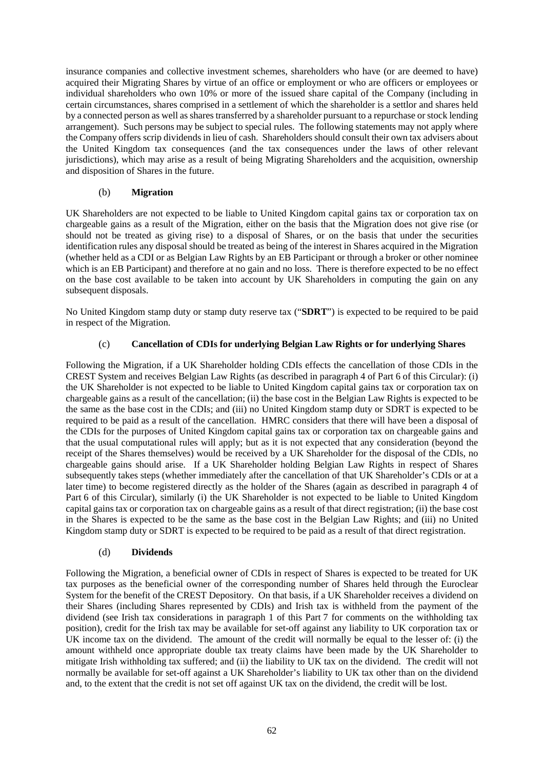insurance companies and collective investment schemes, shareholders who have (or are deemed to have) acquired their Migrating Shares by virtue of an office or employment or who are officers or employees or individual shareholders who own 10% or more of the issued share capital of the Company (including in certain circumstances, shares comprised in a settlement of which the shareholder is a settlor and shares held by a connected person as well as shares transferred by a shareholder pursuant to a repurchase or stock lending arrangement). Such persons may be subject to special rules. The following statements may not apply where the Company offers scrip dividends in lieu of cash. Shareholders should consult their own tax advisers about the United Kingdom tax consequences (and the tax consequences under the laws of other relevant jurisdictions), which may arise as a result of being Migrating Shareholders and the acquisition, ownership and disposition of Shares in the future.

## (b) **Migration**

UK Shareholders are not expected to be liable to United Kingdom capital gains tax or corporation tax on chargeable gains as a result of the Migration, either on the basis that the Migration does not give rise (or should not be treated as giving rise) to a disposal of Shares, or on the basis that under the securities identification rules any disposal should be treated as being of the interest in Shares acquired in the Migration (whether held as a CDI or as Belgian Law Rights by an EB Participant or through a broker or other nominee which is an EB Participant) and therefore at no gain and no loss. There is therefore expected to be no effect on the base cost available to be taken into account by UK Shareholders in computing the gain on any subsequent disposals.

No United Kingdom stamp duty or stamp duty reserve tax ("**SDRT**") is expected to be required to be paid in respect of the Migration.

# (c) **Cancellation of CDIs for underlying Belgian Law Rights or for underlying Shares**

Following the Migration, if a UK Shareholder holding CDIs effects the cancellation of those CDIs in the CREST System and receives Belgian Law Rights (as described in paragrap[h 4](#page-58-0) o[f Part](#page-55-0) 6 of this Circular): (i) the UK Shareholder is not expected to be liable to United Kingdom capital gains tax or corporation tax on chargeable gains as a result of the cancellation; (ii) the base cost in the Belgian Law Rights is expected to be the same as the base cost in the CDIs; and (iii) no United Kingdom stamp duty or SDRT is expected to be required to be paid as a result of the cancellation. HMRC considers that there will have been a disposal of the CDIs for the purposes of United Kingdom capital gains tax or corporation tax on chargeable gains and that the usual computational rules will apply; but as it is not expected that any consideration (beyond the receipt of the Shares themselves) would be received by a UK Shareholder for the disposal of the CDIs, no chargeable gains should arise. If a UK Shareholder holding Belgian Law Rights in respect of Shares subsequently takes steps (whether immediately after the cancellation of that UK Shareholder's CDIs or at a later time) to become registered directly as the holder of the Shares (again as described in paragraph [4](#page-58-0) of [Part](#page-55-0) 6 of this Circular), similarly (i) the UK Shareholder is not expected to be liable to United Kingdom capital gains tax or corporation tax on chargeable gains as a result of that direct registration; (ii) the base cost in the Shares is expected to be the same as the base cost in the Belgian Law Rights; and (iii) no United Kingdom stamp duty or SDRT is expected to be required to be paid as a result of that direct registration.

### (d) **Dividends**

Following the Migration, a beneficial owner of CDIs in respect of Shares is expected to be treated for UK tax purposes as the beneficial owner of the corresponding number of Shares held through the Euroclear System for the benefit of the CREST Depository. On that basis, if a UK Shareholder receives a dividend on their Shares (including Shares represented by CDIs) and Irish tax is withheld from the payment of the dividend (see Irish tax considerations in paragraph [1](#page-60-1) of this [Part](#page-60-0) 7 for comments on the withholding tax position), credit for the Irish tax may be available for set-off against any liability to UK corporation tax or UK income tax on the dividend. The amount of the credit will normally be equal to the lesser of: (i) the amount withheld once appropriate double tax treaty claims have been made by the UK Shareholder to mitigate Irish withholding tax suffered; and (ii) the liability to UK tax on the dividend. The credit will not normally be available for set-off against a UK Shareholder's liability to UK tax other than on the dividend and, to the extent that the credit is not set off against UK tax on the dividend, the credit will be lost.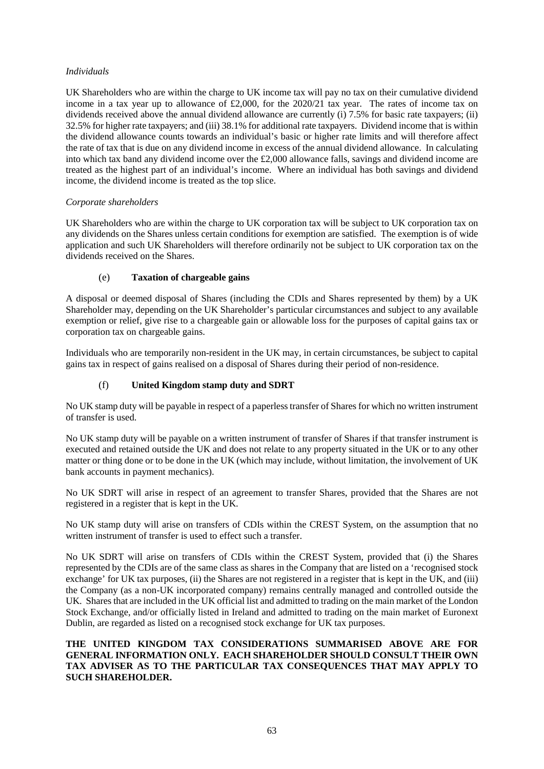## *Individuals*

UK Shareholders who are within the charge to UK income tax will pay no tax on their cumulative dividend income in a tax year up to allowance of £2,000, for the 2020/21 tax year. The rates of income tax on dividends received above the annual dividend allowance are currently (i) 7.5% for basic rate taxpayers; (ii) 32.5% for higher rate taxpayers; and (iii) 38.1% for additional rate taxpayers. Dividend income that is within the dividend allowance counts towards an individual's basic or higher rate limits and will therefore affect the rate of tax that is due on any dividend income in excess of the annual dividend allowance. In calculating into which tax band any dividend income over the £2,000 allowance falls, savings and dividend income are treated as the highest part of an individual's income. Where an individual has both savings and dividend income, the dividend income is treated as the top slice.

### *Corporate shareholders*

UK Shareholders who are within the charge to UK corporation tax will be subject to UK corporation tax on any dividends on the Shares unless certain conditions for exemption are satisfied. The exemption is of wide application and such UK Shareholders will therefore ordinarily not be subject to UK corporation tax on the dividends received on the Shares.

## (e) **Taxation of chargeable gains**

A disposal or deemed disposal of Shares (including the CDIs and Shares represented by them) by a UK Shareholder may, depending on the UK Shareholder's particular circumstances and subject to any available exemption or relief, give rise to a chargeable gain or allowable loss for the purposes of capital gains tax or corporation tax on chargeable gains.

Individuals who are temporarily non-resident in the UK may, in certain circumstances, be subject to capital gains tax in respect of gains realised on a disposal of Shares during their period of non-residence.

# (f) **United Kingdom stamp duty and SDRT**

No UK stamp duty will be payable in respect of a paperless transfer of Shares for which no written instrument of transfer is used.

No UK stamp duty will be payable on a written instrument of transfer of Shares if that transfer instrument is executed and retained outside the UK and does not relate to any property situated in the UK or to any other matter or thing done or to be done in the UK (which may include, without limitation, the involvement of UK bank accounts in payment mechanics).

No UK SDRT will arise in respect of an agreement to transfer Shares, provided that the Shares are not registered in a register that is kept in the UK.

No UK stamp duty will arise on transfers of CDIs within the CREST System, on the assumption that no written instrument of transfer is used to effect such a transfer.

No UK SDRT will arise on transfers of CDIs within the CREST System, provided that (i) the Shares represented by the CDIs are of the same class as shares in the Company that are listed on a 'recognised stock exchange' for UK tax purposes, (ii) the Shares are not registered in a register that is kept in the UK, and (iii) the Company (as a non-UK incorporated company) remains centrally managed and controlled outside the UK. Shares that are included in the UK official list and admitted to trading on the main market of the London Stock Exchange, and/or officially listed in Ireland and admitted to trading on the main market of Euronext Dublin, are regarded as listed on a recognised stock exchange for UK tax purposes.

## **THE UNITED KINGDOM TAX CONSIDERATIONS SUMMARISED ABOVE ARE FOR GENERAL INFORMATION ONLY. EACH SHAREHOLDER SHOULD CONSULT THEIR OWN TAX ADVISER AS TO THE PARTICULAR TAX CONSEQUENCES THAT MAY APPLY TO SUCH SHAREHOLDER.**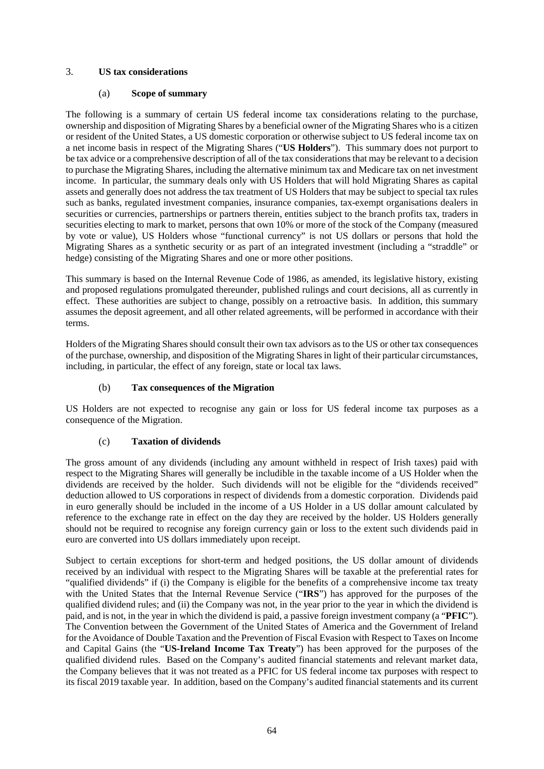## 3. **US tax considerations**

## (a) **Scope of summary**

The following is a summary of certain US federal income tax considerations relating to the purchase, ownership and disposition of Migrating Shares by a beneficial owner of the Migrating Shares who is a citizen or resident of the United States, a US domestic corporation or otherwise subject to US federal income tax on a net income basis in respect of the Migrating Shares ("**US Holders**"). This summary does not purport to be tax advice or a comprehensive description of all of the tax considerations that may be relevant to a decision to purchase the Migrating Shares, including the alternative minimum tax and Medicare tax on net investment income. In particular, the summary deals only with US Holders that will hold Migrating Shares as capital assets and generally does not address the tax treatment of US Holders that may be subject to special tax rules such as banks, regulated investment companies, insurance companies, tax-exempt organisations dealers in securities or currencies, partnerships or partners therein, entities subject to the branch profits tax, traders in securities electing to mark to market, persons that own 10% or more of the stock of the Company (measured by vote or value), US Holders whose "functional currency" is not US dollars or persons that hold the Migrating Shares as a synthetic security or as part of an integrated investment (including a "straddle" or hedge) consisting of the Migrating Shares and one or more other positions.

This summary is based on the Internal Revenue Code of 1986, as amended, its legislative history, existing and proposed regulations promulgated thereunder, published rulings and court decisions, all as currently in effect. These authorities are subject to change, possibly on a retroactive basis. In addition, this summary assumes the deposit agreement, and all other related agreements, will be performed in accordance with their terms.

Holders of the Migrating Shares should consult their own tax advisors as to the US or other tax consequences of the purchase, ownership, and disposition of the Migrating Shares in light of their particular circumstances, including, in particular, the effect of any foreign, state or local tax laws.

# (b) **Tax consequences of the Migration**

US Holders are not expected to recognise any gain or loss for US federal income tax purposes as a consequence of the Migration.

# (c) **Taxation of dividends**

The gross amount of any dividends (including any amount withheld in respect of Irish taxes) paid with respect to the Migrating Shares will generally be includible in the taxable income of a US Holder when the dividends are received by the holder. Such dividends will not be eligible for the "dividends received" deduction allowed to US corporations in respect of dividends from a domestic corporation. Dividends paid in euro generally should be included in the income of a US Holder in a US dollar amount calculated by reference to the exchange rate in effect on the day they are received by the holder. US Holders generally should not be required to recognise any foreign currency gain or loss to the extent such dividends paid in euro are converted into US dollars immediately upon receipt.

Subject to certain exceptions for short-term and hedged positions, the US dollar amount of dividends received by an individual with respect to the Migrating Shares will be taxable at the preferential rates for "qualified dividends" if (i) the Company is eligible for the benefits of a comprehensive income tax treaty with the United States that the Internal Revenue Service ("**IRS**") has approved for the purposes of the qualified dividend rules; and (ii) the Company was not, in the year prior to the year in which the dividend is paid, and is not, in the year in which the dividend is paid, a passive foreign investment company (a "**PFIC**"). The Convention between the Government of the United States of America and the Government of Ireland for the Avoidance of Double Taxation and the Prevention of Fiscal Evasion with Respect to Taxes on Income and Capital Gains (the "**US-Ireland Income Tax Treaty**") has been approved for the purposes of the qualified dividend rules. Based on the Company's audited financial statements and relevant market data, the Company believes that it was not treated as a PFIC for US federal income tax purposes with respect to its fiscal 2019 taxable year. In addition, based on the Company's audited financial statements and its current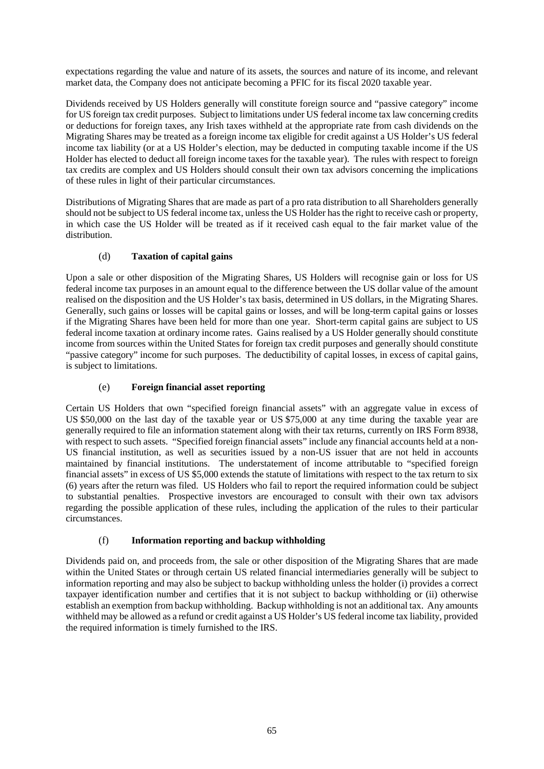expectations regarding the value and nature of its assets, the sources and nature of its income, and relevant market data, the Company does not anticipate becoming a PFIC for its fiscal 2020 taxable year.

Dividends received by US Holders generally will constitute foreign source and "passive category" income for US foreign tax credit purposes. Subject to limitations under US federal income tax law concerning credits or deductions for foreign taxes, any Irish taxes withheld at the appropriate rate from cash dividends on the Migrating Shares may be treated as a foreign income tax eligible for credit against a US Holder's US federal income tax liability (or at a US Holder's election, may be deducted in computing taxable income if the US Holder has elected to deduct all foreign income taxes for the taxable year). The rules with respect to foreign tax credits are complex and US Holders should consult their own tax advisors concerning the implications of these rules in light of their particular circumstances.

Distributions of Migrating Shares that are made as part of a pro rata distribution to all Shareholders generally should not be subject to US federal income tax, unless the US Holder has the right to receive cash or property, in which case the US Holder will be treated as if it received cash equal to the fair market value of the distribution.

# (d) **Taxation of capital gains**

Upon a sale or other disposition of the Migrating Shares, US Holders will recognise gain or loss for US federal income tax purposes in an amount equal to the difference between the US dollar value of the amount realised on the disposition and the US Holder's tax basis, determined in US dollars, in the Migrating Shares. Generally, such gains or losses will be capital gains or losses, and will be long-term capital gains or losses if the Migrating Shares have been held for more than one year. Short-term capital gains are subject to US federal income taxation at ordinary income rates. Gains realised by a US Holder generally should constitute income from sources within the United States for foreign tax credit purposes and generally should constitute "passive category" income for such purposes. The deductibility of capital losses, in excess of capital gains, is subject to limitations.

# (e) **Foreign financial asset reporting**

Certain US Holders that own "specified foreign financial assets" with an aggregate value in excess of US \$50,000 on the last day of the taxable year or US \$75,000 at any time during the taxable year are generally required to file an information statement along with their tax returns, currently on IRS Form 8938, with respect to such assets. "Specified foreign financial assets" include any financial accounts held at a non-US financial institution, as well as securities issued by a non-US issuer that are not held in accounts maintained by financial institutions. The understatement of income attributable to "specified foreign financial assets" in excess of US \$5,000 extends the statute of limitations with respect to the tax return to six (6) years after the return was filed. US Holders who fail to report the required information could be subject to substantial penalties. Prospective investors are encouraged to consult with their own tax advisors regarding the possible application of these rules, including the application of the rules to their particular circumstances.

# (f) **Information reporting and backup withholding**

Dividends paid on, and proceeds from, the sale or other disposition of the Migrating Shares that are made within the United States or through certain US related financial intermediaries generally will be subject to information reporting and may also be subject to backup withholding unless the holder (i) provides a correct taxpayer identification number and certifies that it is not subject to backup withholding or (ii) otherwise establish an exemption from backup withholding. Backup withholding is not an additional tax. Any amounts withheld may be allowed as a refund or credit against a US Holder's US federal income tax liability, provided the required information is timely furnished to the IRS.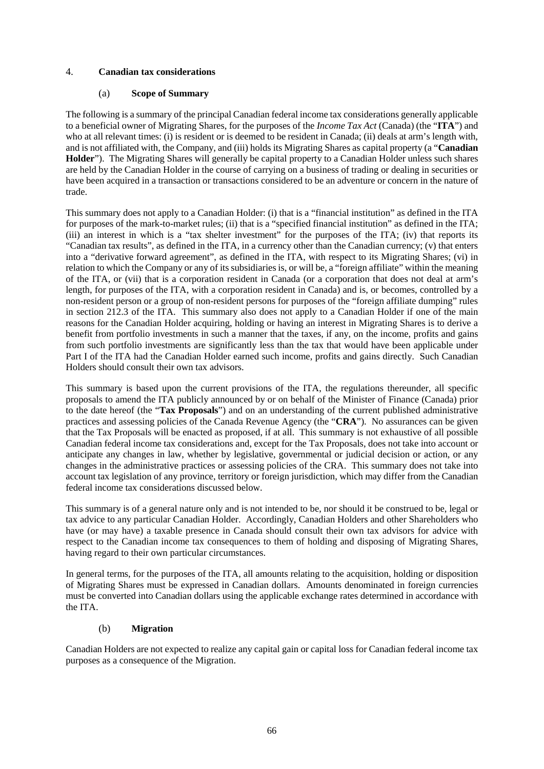## 4. **Canadian tax considerations**

## (a) **Scope of Summary**

The following is a summary of the principal Canadian federal income tax considerations generally applicable to a beneficial owner of Migrating Shares, for the purposes of the *Income Tax Act* (Canada) (the "**ITA**") and who at all relevant times: (i) is resident or is deemed to be resident in Canada; (ii) deals at arm's length with, and is not affiliated with, the Company, and (iii) holds its Migrating Shares as capital property (a "**Canadian Holder**"). The Migrating Shares will generally be capital property to a Canadian Holder unless such shares are held by the Canadian Holder in the course of carrying on a business of trading or dealing in securities or have been acquired in a transaction or transactions considered to be an adventure or concern in the nature of trade.

This summary does not apply to a Canadian Holder: (i) that is a "financial institution" as defined in the ITA for purposes of the mark-to-market rules; (ii) that is a "specified financial institution" as defined in the ITA; (iii) an interest in which is a "tax shelter investment" for the purposes of the ITA; (iv) that reports its "Canadian tax results", as defined in the ITA, in a currency other than the Canadian currency; (v) that enters into a "derivative forward agreement", as defined in the ITA, with respect to its Migrating Shares; (vi) in relation to which the Company or any of its subsidiaries is, or will be, a "foreign affiliate" within the meaning of the ITA, or (vii) that is a corporation resident in Canada (or a corporation that does not deal at arm's length, for purposes of the ITA, with a corporation resident in Canada) and is, or becomes, controlled by a non-resident person or a group of non-resident persons for purposes of the "foreign affiliate dumping" rules in section 212.3 of the ITA. This summary also does not apply to a Canadian Holder if one of the main reasons for the Canadian Holder acquiring, holding or having an interest in Migrating Shares is to derive a benefit from portfolio investments in such a manner that the taxes, if any, on the income, profits and gains from such portfolio investments are significantly less than the tax that would have been applicable under Part I of the ITA had the Canadian Holder earned such income, profits and gains directly. Such Canadian Holders should consult their own tax advisors.

This summary is based upon the current provisions of the ITA, the regulations thereunder, all specific proposals to amend the ITA publicly announced by or on behalf of the Minister of Finance (Canada) prior to the date hereof (the "**Tax Proposals**") and on an understanding of the current published administrative practices and assessing policies of the Canada Revenue Agency (the "**CRA**"). No assurances can be given that the Tax Proposals will be enacted as proposed, if at all. This summary is not exhaustive of all possible Canadian federal income tax considerations and, except for the Tax Proposals, does not take into account or anticipate any changes in law, whether by legislative, governmental or judicial decision or action, or any changes in the administrative practices or assessing policies of the CRA. This summary does not take into account tax legislation of any province, territory or foreign jurisdiction, which may differ from the Canadian federal income tax considerations discussed below.

This summary is of a general nature only and is not intended to be, nor should it be construed to be, legal or tax advice to any particular Canadian Holder. Accordingly, Canadian Holders and other Shareholders who have (or may have) a taxable presence in Canada should consult their own tax advisors for advice with respect to the Canadian income tax consequences to them of holding and disposing of Migrating Shares, having regard to their own particular circumstances.

In general terms, for the purposes of the ITA, all amounts relating to the acquisition, holding or disposition of Migrating Shares must be expressed in Canadian dollars. Amounts denominated in foreign currencies must be converted into Canadian dollars using the applicable exchange rates determined in accordance with the ITA.

### (b) **Migration**

Canadian Holders are not expected to realize any capital gain or capital loss for Canadian federal income tax purposes as a consequence of the Migration.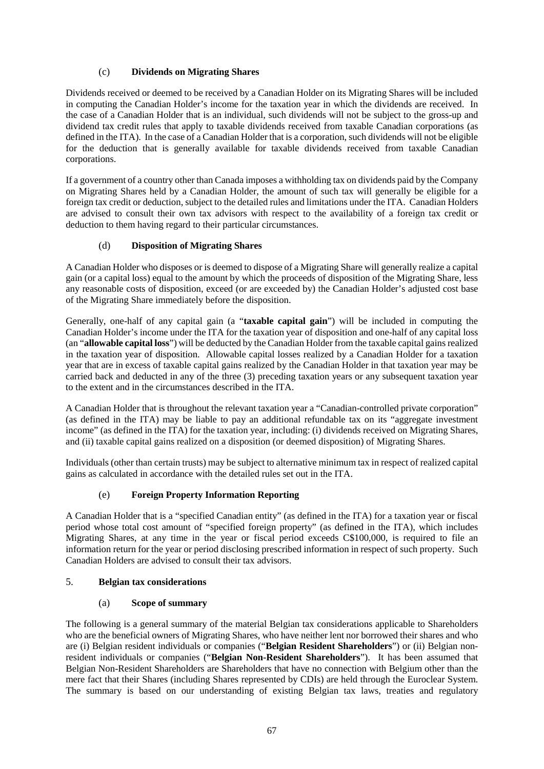# (c) **Dividends on Migrating Shares**

Dividends received or deemed to be received by a Canadian Holder on its Migrating Shares will be included in computing the Canadian Holder's income for the taxation year in which the dividends are received. In the case of a Canadian Holder that is an individual, such dividends will not be subject to the gross-up and dividend tax credit rules that apply to taxable dividends received from taxable Canadian corporations (as defined in the ITA). In the case of a Canadian Holder that is a corporation, such dividends will not be eligible for the deduction that is generally available for taxable dividends received from taxable Canadian corporations.

If a government of a country other than Canada imposes a withholding tax on dividends paid by the Company on Migrating Shares held by a Canadian Holder, the amount of such tax will generally be eligible for a foreign tax credit or deduction, subject to the detailed rules and limitations under the ITA. Canadian Holders are advised to consult their own tax advisors with respect to the availability of a foreign tax credit or deduction to them having regard to their particular circumstances.

## (d) **Disposition of Migrating Shares**

A Canadian Holder who disposes or is deemed to dispose of a Migrating Share will generally realize a capital gain (or a capital loss) equal to the amount by which the proceeds of disposition of the Migrating Share, less any reasonable costs of disposition, exceed (or are exceeded by) the Canadian Holder's adjusted cost base of the Migrating Share immediately before the disposition.

Generally, one-half of any capital gain (a "**taxable capital gain**") will be included in computing the Canadian Holder's income under the ITA for the taxation year of disposition and one-half of any capital loss (an "**allowable capital loss**") will be deducted by the Canadian Holder from the taxable capital gains realized in the taxation year of disposition. Allowable capital losses realized by a Canadian Holder for a taxation year that are in excess of taxable capital gains realized by the Canadian Holder in that taxation year may be carried back and deducted in any of the three (3) preceding taxation years or any subsequent taxation year to the extent and in the circumstances described in the ITA.

A Canadian Holder that is throughout the relevant taxation year a "Canadian-controlled private corporation" (as defined in the ITA) may be liable to pay an additional refundable tax on its "aggregate investment income" (as defined in the ITA) for the taxation year, including: (i) dividends received on Migrating Shares, and (ii) taxable capital gains realized on a disposition (or deemed disposition) of Migrating Shares.

Individuals (other than certain trusts) may be subject to alternative minimum tax in respect of realized capital gains as calculated in accordance with the detailed rules set out in the ITA.

# (e) **Foreign Property Information Reporting**

A Canadian Holder that is a "specified Canadian entity" (as defined in the ITA) for a taxation year or fiscal period whose total cost amount of "specified foreign property" (as defined in the ITA), which includes Migrating Shares, at any time in the year or fiscal period exceeds C\$100,000, is required to file an information return for the year or period disclosing prescribed information in respect of such property. Such Canadian Holders are advised to consult their tax advisors.

### 5. **Belgian tax considerations**

### (a) **Scope of summary**

The following is a general summary of the material Belgian tax considerations applicable to Shareholders who are the beneficial owners of Migrating Shares, who have neither lent nor borrowed their shares and who are (i) Belgian resident individuals or companies ("**Belgian Resident Shareholders**") or (ii) Belgian nonresident individuals or companies ("**Belgian Non-Resident Shareholders**"). It has been assumed that Belgian Non-Resident Shareholders are Shareholders that have no connection with Belgium other than the mere fact that their Shares (including Shares represented by CDIs) are held through the Euroclear System. The summary is based on our understanding of existing Belgian tax laws, treaties and regulatory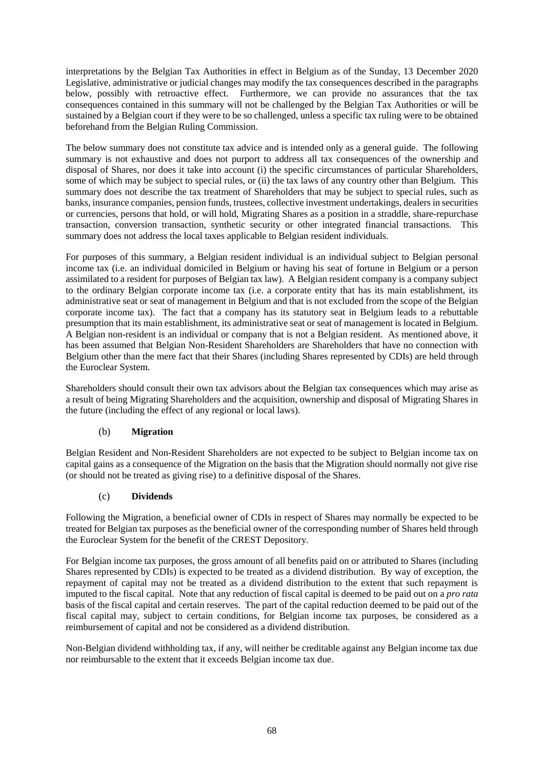interpretations by the Belgian Tax Authorities in effect in Belgium as of the Sunday, 13 December 2020 Legislative, administrative or judicial changes may modify the tax consequences described in the paragraphs below, possibly with retroactive effect. Furthermore, we can provide no assurances that the tax consequences contained in this summary will not be challenged by the Belgian Tax Authorities or will be sustained by a Belgian court if they were to be so challenged, unless a specific tax ruling were to be obtained beforehand from the Belgian Ruling Commission.

The below summary does not constitute tax advice and is intended only as a general guide. The following summary is not exhaustive and does not purport to address all tax consequences of the ownership and disposal of Shares, nor does it take into account (i) the specific circumstances of particular Shareholders, some of which may be subject to special rules, or (ii) the tax laws of any country other than Belgium. This summary does not describe the tax treatment of Shareholders that may be subject to special rules, such as banks, insurance companies, pension funds, trustees, collective investment undertakings, dealers in securities or currencies, persons that hold, or will hold, Migrating Shares as a position in a straddle, share-repurchase transaction, conversion transaction, synthetic security or other integrated financial transactions. This summary does not address the local taxes applicable to Belgian resident individuals.

For purposes of this summary, a Belgian resident individual is an individual subject to Belgian personal income tax (i.e. an individual domiciled in Belgium or having his seat of fortune in Belgium or a person assimilated to a resident for purposes of Belgian tax law). A Belgian resident company is a company subject to the ordinary Belgian corporate income tax (i.e. a corporate entity that has its main establishment, its administrative seat or seat of management in Belgium and that is not excluded from the scope of the Belgian corporate income tax). The fact that a company has its statutory seat in Belgium leads to a rebuttable presumption that its main establishment, its administrative seat or seat of management is located in Belgium. A Belgian non-resident is an individual or company that is not a Belgian resident. As mentioned above, it has been assumed that Belgian Non-Resident Shareholders are Shareholders that have no connection with Belgium other than the mere fact that their Shares (including Shares represented by CDIs) are held through the Euroclear System.

Shareholders should consult their own tax advisors about the Belgian tax consequences which may arise as a result of being Migrating Shareholders and the acquisition, ownership and disposal of Migrating Shares in the future (including the effect of any regional or local laws).

# (b) **Migration**

Belgian Resident and Non-Resident Shareholders are not expected to be subject to Belgian income tax on capital gains as a consequence of the Migration on the basis that the Migration should normally not give rise (or should not be treated as giving rise) to a definitive disposal of the Shares.

### (c) **Dividends**

Following the Migration, a beneficial owner of CDIs in respect of Shares may normally be expected to be treated for Belgian tax purposes as the beneficial owner of the corresponding number of Shares held through the Euroclear System for the benefit of the CREST Depository.

For Belgian income tax purposes, the gross amount of all benefits paid on or attributed to Shares (including Shares represented by CDIs) is expected to be treated as a dividend distribution. By way of exception, the repayment of capital may not be treated as a dividend distribution to the extent that such repayment is imputed to the fiscal capital. Note that any reduction of fiscal capital is deemed to be paid out on a *pro rata* basis of the fiscal capital and certain reserves. The part of the capital reduction deemed to be paid out of the fiscal capital may, subject to certain conditions, for Belgian income tax purposes, be considered as a reimbursement of capital and not be considered as a dividend distribution.

Non-Belgian dividend withholding tax, if any, will neither be creditable against any Belgian income tax due nor reimbursable to the extent that it exceeds Belgian income tax due.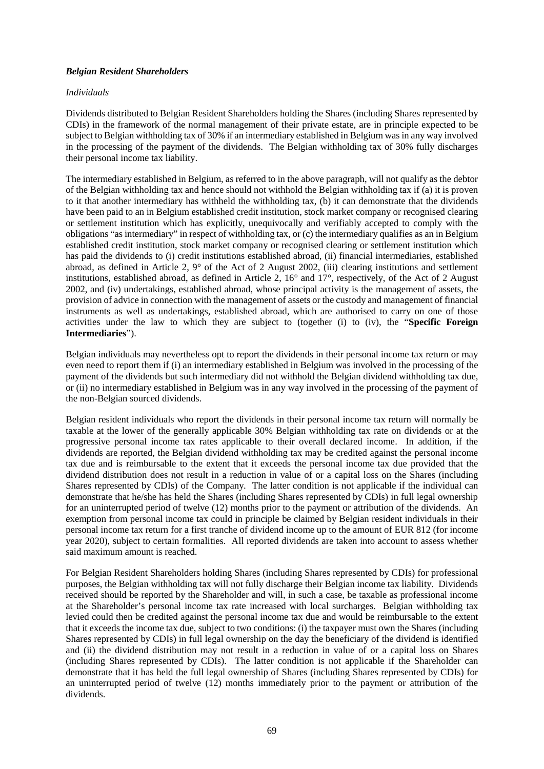### *Belgian Resident Shareholders*

#### *Individuals*

Dividends distributed to Belgian Resident Shareholders holding the Shares (including Shares represented by CDIs) in the framework of the normal management of their private estate, are in principle expected to be subject to Belgian withholding tax of 30% if an intermediary established in Belgium was in any way involved in the processing of the payment of the dividends. The Belgian withholding tax of 30% fully discharges their personal income tax liability.

The intermediary established in Belgium, as referred to in the above paragraph, will not qualify as the debtor of the Belgian withholding tax and hence should not withhold the Belgian withholding tax if (a) it is proven to it that another intermediary has withheld the withholding tax, (b) it can demonstrate that the dividends have been paid to an in Belgium established credit institution, stock market company or recognised clearing or settlement institution which has explicitly, unequivocally and verifiably accepted to comply with the obligations "as intermediary" in respect of withholding tax, or (c) the intermediary qualifies as an in Belgium established credit institution, stock market company or recognised clearing or settlement institution which has paid the dividends to (i) credit institutions established abroad, (ii) financial intermediaries, established abroad, as defined in Article 2, 9° of the Act of 2 August 2002, (iii) clearing institutions and settlement institutions, established abroad, as defined in Article 2, 16° and 17°, respectively, of the Act of 2 August 2002, and (iv) undertakings, established abroad, whose principal activity is the management of assets, the provision of advice in connection with the management of assets or the custody and management of financial instruments as well as undertakings, established abroad, which are authorised to carry on one of those activities under the law to which they are subject to (together (i) to (iv), the "**Specific Foreign Intermediaries**").

Belgian individuals may nevertheless opt to report the dividends in their personal income tax return or may even need to report them if (i) an intermediary established in Belgium was involved in the processing of the payment of the dividends but such intermediary did not withhold the Belgian dividend withholding tax due, or (ii) no intermediary established in Belgium was in any way involved in the processing of the payment of the non-Belgian sourced dividends.

Belgian resident individuals who report the dividends in their personal income tax return will normally be taxable at the lower of the generally applicable 30% Belgian withholding tax rate on dividends or at the progressive personal income tax rates applicable to their overall declared income. In addition, if the dividends are reported, the Belgian dividend withholding tax may be credited against the personal income tax due and is reimbursable to the extent that it exceeds the personal income tax due provided that the dividend distribution does not result in a reduction in value of or a capital loss on the Shares (including Shares represented by CDIs) of the Company. The latter condition is not applicable if the individual can demonstrate that he/she has held the Shares (including Shares represented by CDIs) in full legal ownership for an uninterrupted period of twelve (12) months prior to the payment or attribution of the dividends. An exemption from personal income tax could in principle be claimed by Belgian resident individuals in their personal income tax return for a first tranche of dividend income up to the amount of EUR 812 (for income year 2020), subject to certain formalities. All reported dividends are taken into account to assess whether said maximum amount is reached.

For Belgian Resident Shareholders holding Shares (including Shares represented by CDIs) for professional purposes, the Belgian withholding tax will not fully discharge their Belgian income tax liability. Dividends received should be reported by the Shareholder and will, in such a case, be taxable as professional income at the Shareholder's personal income tax rate increased with local surcharges. Belgian withholding tax levied could then be credited against the personal income tax due and would be reimbursable to the extent that it exceeds the income tax due, subject to two conditions: (i) the taxpayer must own the Shares (including Shares represented by CDIs) in full legal ownership on the day the beneficiary of the dividend is identified and (ii) the dividend distribution may not result in a reduction in value of or a capital loss on Shares (including Shares represented by CDIs). The latter condition is not applicable if the Shareholder can demonstrate that it has held the full legal ownership of Shares (including Shares represented by CDIs) for an uninterrupted period of twelve (12) months immediately prior to the payment or attribution of the dividends.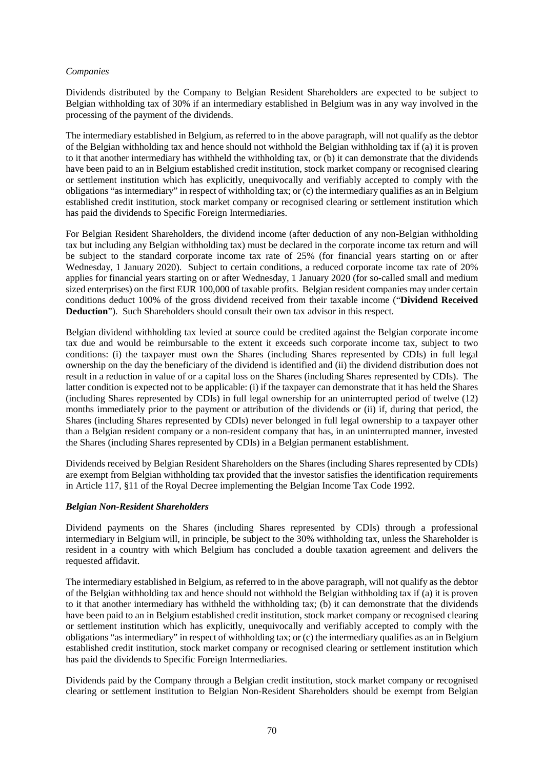# *Companies*

Dividends distributed by the Company to Belgian Resident Shareholders are expected to be subject to Belgian withholding tax of 30% if an intermediary established in Belgium was in any way involved in the processing of the payment of the dividends.

The intermediary established in Belgium, as referred to in the above paragraph, will not qualify as the debtor of the Belgian withholding tax and hence should not withhold the Belgian withholding tax if (a) it is proven to it that another intermediary has withheld the withholding tax, or (b) it can demonstrate that the dividends have been paid to an in Belgium established credit institution, stock market company or recognised clearing or settlement institution which has explicitly, unequivocally and verifiably accepted to comply with the obligations "as intermediary" in respect of withholding tax; or (c) the intermediary qualifies as an in Belgium established credit institution, stock market company or recognised clearing or settlement institution which has paid the dividends to Specific Foreign Intermediaries.

For Belgian Resident Shareholders, the dividend income (after deduction of any non-Belgian withholding tax but including any Belgian withholding tax) must be declared in the corporate income tax return and will be subject to the standard corporate income tax rate of 25% (for financial years starting on or after Wednesday, 1 January 2020). Subject to certain conditions, a reduced corporate income tax rate of 20% applies for financial years starting on or after Wednesday, 1 January 2020 (for so-called small and medium sized enterprises) on the first EUR 100,000 of taxable profits. Belgian resident companies may under certain conditions deduct 100% of the gross dividend received from their taxable income ("**Dividend Received Deduction**"). Such Shareholders should consult their own tax advisor in this respect.

Belgian dividend withholding tax levied at source could be credited against the Belgian corporate income tax due and would be reimbursable to the extent it exceeds such corporate income tax, subject to two conditions: (i) the taxpayer must own the Shares (including Shares represented by CDIs) in full legal ownership on the day the beneficiary of the dividend is identified and (ii) the dividend distribution does not result in a reduction in value of or a capital loss on the Shares (including Shares represented by CDIs). The latter condition is expected not to be applicable: (i) if the taxpayer can demonstrate that it has held the Shares (including Shares represented by CDIs) in full legal ownership for an uninterrupted period of twelve (12) months immediately prior to the payment or attribution of the dividends or (ii) if, during that period, the Shares (including Shares represented by CDIs) never belonged in full legal ownership to a taxpayer other than a Belgian resident company or a non-resident company that has, in an uninterrupted manner, invested the Shares (including Shares represented by CDIs) in a Belgian permanent establishment.

Dividends received by Belgian Resident Shareholders on the Shares (including Shares represented by CDIs) are exempt from Belgian withholding tax provided that the investor satisfies the identification requirements in Article 117, §11 of the Royal Decree implementing the Belgian Income Tax Code 1992.

# *Belgian Non-Resident Shareholders*

Dividend payments on the Shares (including Shares represented by CDIs) through a professional intermediary in Belgium will, in principle, be subject to the 30% withholding tax, unless the Shareholder is resident in a country with which Belgium has concluded a double taxation agreement and delivers the requested affidavit.

The intermediary established in Belgium, as referred to in the above paragraph, will not qualify as the debtor of the Belgian withholding tax and hence should not withhold the Belgian withholding tax if (a) it is proven to it that another intermediary has withheld the withholding tax; (b) it can demonstrate that the dividends have been paid to an in Belgium established credit institution, stock market company or recognised clearing or settlement institution which has explicitly, unequivocally and verifiably accepted to comply with the obligations "as intermediary" in respect of withholding tax; or (c) the intermediary qualifies as an in Belgium established credit institution, stock market company or recognised clearing or settlement institution which has paid the dividends to Specific Foreign Intermediaries.

Dividends paid by the Company through a Belgian credit institution, stock market company or recognised clearing or settlement institution to Belgian Non-Resident Shareholders should be exempt from Belgian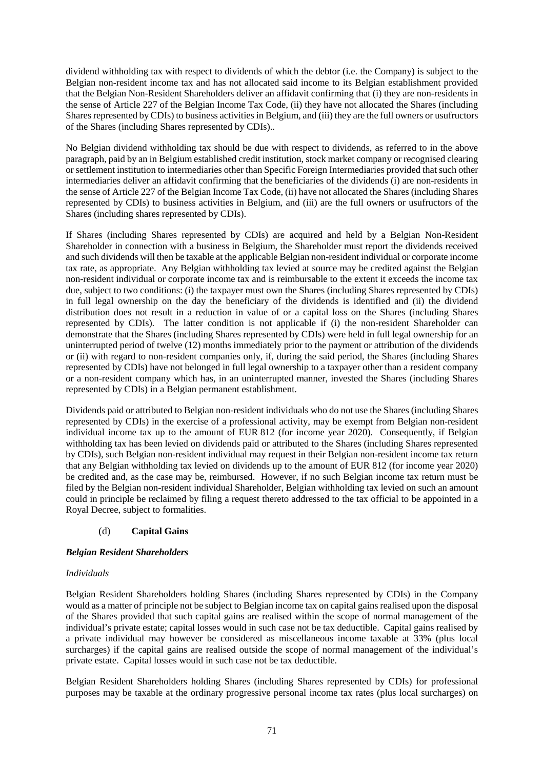dividend withholding tax with respect to dividends of which the debtor (i.e. the Company) is subject to the Belgian non-resident income tax and has not allocated said income to its Belgian establishment provided that the Belgian Non-Resident Shareholders deliver an affidavit confirming that (i) they are non-residents in the sense of Article 227 of the Belgian Income Tax Code, (ii) they have not allocated the Shares (including Shares represented by CDIs) to business activities in Belgium, and (iii) they are the full owners or usufructors of the Shares (including Shares represented by CDIs)..

No Belgian dividend withholding tax should be due with respect to dividends, as referred to in the above paragraph, paid by an in Belgium established credit institution, stock market company or recognised clearing or settlement institution to intermediaries other than Specific Foreign Intermediaries provided that such other intermediaries deliver an affidavit confirming that the beneficiaries of the dividends (i) are non-residents in the sense of Article 227 of the Belgian Income Tax Code, (ii) have not allocated the Shares (including Shares represented by CDIs) to business activities in Belgium, and (iii) are the full owners or usufructors of the Shares (including shares represented by CDIs).

If Shares (including Shares represented by CDIs) are acquired and held by a Belgian Non-Resident Shareholder in connection with a business in Belgium, the Shareholder must report the dividends received and such dividends will then be taxable at the applicable Belgian non-resident individual or corporate income tax rate, as appropriate. Any Belgian withholding tax levied at source may be credited against the Belgian non-resident individual or corporate income tax and is reimbursable to the extent it exceeds the income tax due, subject to two conditions: (i) the taxpayer must own the Shares (including Shares represented by CDIs) in full legal ownership on the day the beneficiary of the dividends is identified and (ii) the dividend distribution does not result in a reduction in value of or a capital loss on the Shares (including Shares represented by CDIs). The latter condition is not applicable if (i) the non-resident Shareholder can demonstrate that the Shares (including Shares represented by CDIs) were held in full legal ownership for an uninterrupted period of twelve (12) months immediately prior to the payment or attribution of the dividends or (ii) with regard to non-resident companies only, if, during the said period, the Shares (including Shares represented by CDIs) have not belonged in full legal ownership to a taxpayer other than a resident company or a non-resident company which has, in an uninterrupted manner, invested the Shares (including Shares represented by CDIs) in a Belgian permanent establishment.

Dividends paid or attributed to Belgian non-resident individuals who do not use the Shares (including Shares represented by CDIs) in the exercise of a professional activity, may be exempt from Belgian non-resident individual income tax up to the amount of EUR 812 (for income year 2020). Consequently, if Belgian withholding tax has been levied on dividends paid or attributed to the Shares (including Shares represented by CDIs), such Belgian non-resident individual may request in their Belgian non-resident income tax return that any Belgian withholding tax levied on dividends up to the amount of EUR 812 (for income year 2020) be credited and, as the case may be, reimbursed. However, if no such Belgian income tax return must be filed by the Belgian non-resident individual Shareholder, Belgian withholding tax levied on such an amount could in principle be reclaimed by filing a request thereto addressed to the tax official to be appointed in a Royal Decree, subject to formalities.

# (d) **Capital Gains**

# *Belgian Resident Shareholders*

# *Individuals*

Belgian Resident Shareholders holding Shares (including Shares represented by CDIs) in the Company would as a matter of principle not be subject to Belgian income tax on capital gains realised upon the disposal of the Shares provided that such capital gains are realised within the scope of normal management of the individual's private estate; capital losses would in such case not be tax deductible. Capital gains realised by a private individual may however be considered as miscellaneous income taxable at 33% (plus local surcharges) if the capital gains are realised outside the scope of normal management of the individual's private estate. Capital losses would in such case not be tax deductible.

Belgian Resident Shareholders holding Shares (including Shares represented by CDIs) for professional purposes may be taxable at the ordinary progressive personal income tax rates (plus local surcharges) on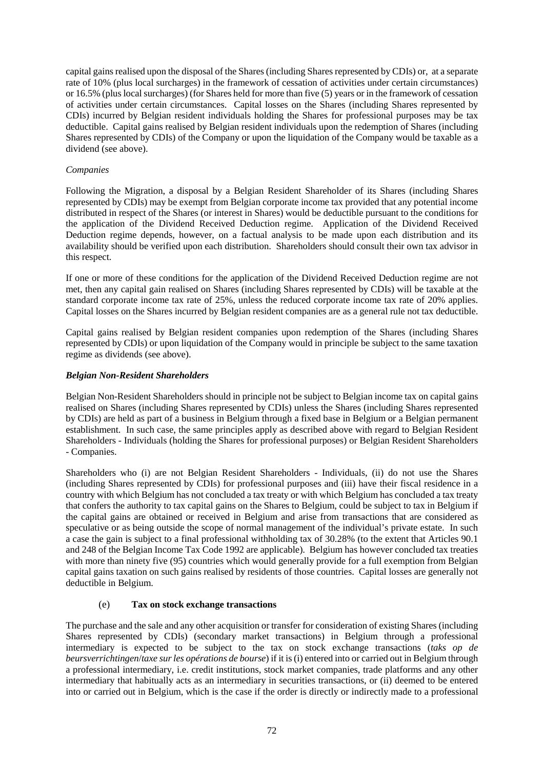capital gains realised upon the disposal of the Shares (including Shares represented by CDIs) or, at a separate rate of 10% (plus local surcharges) in the framework of cessation of activities under certain circumstances) or 16.5% (plus local surcharges) (for Shares held for more than five (5) years or in the framework of cessation of activities under certain circumstances. Capital losses on the Shares (including Shares represented by CDIs) incurred by Belgian resident individuals holding the Shares for professional purposes may be tax deductible. Capital gains realised by Belgian resident individuals upon the redemption of Shares (including Shares represented by CDIs) of the Company or upon the liquidation of the Company would be taxable as a dividend (see above).

# *Companies*

Following the Migration, a disposal by a Belgian Resident Shareholder of its Shares (including Shares represented by CDIs) may be exempt from Belgian corporate income tax provided that any potential income distributed in respect of the Shares (or interest in Shares) would be deductible pursuant to the conditions for the application of the Dividend Received Deduction regime. Application of the Dividend Received Deduction regime depends, however, on a factual analysis to be made upon each distribution and its availability should be verified upon each distribution. Shareholders should consult their own tax advisor in this respect.

If one or more of these conditions for the application of the Dividend Received Deduction regime are not met, then any capital gain realised on Shares (including Shares represented by CDIs) will be taxable at the standard corporate income tax rate of 25%, unless the reduced corporate income tax rate of 20% applies. Capital losses on the Shares incurred by Belgian resident companies are as a general rule not tax deductible.

Capital gains realised by Belgian resident companies upon redemption of the Shares (including Shares represented by CDIs) or upon liquidation of the Company would in principle be subject to the same taxation regime as dividends (see above).

# *Belgian Non-Resident Shareholders*

Belgian Non-Resident Shareholders should in principle not be subject to Belgian income tax on capital gains realised on Shares (including Shares represented by CDIs) unless the Shares (including Shares represented by CDIs) are held as part of a business in Belgium through a fixed base in Belgium or a Belgian permanent establishment. In such case, the same principles apply as described above with regard to Belgian Resident Shareholders - Individuals (holding the Shares for professional purposes) or Belgian Resident Shareholders - Companies.

Shareholders who (i) are not Belgian Resident Shareholders - Individuals, (ii) do not use the Shares (including Shares represented by CDIs) for professional purposes and (iii) have their fiscal residence in a country with which Belgium has not concluded a tax treaty or with which Belgium has concluded a tax treaty that confers the authority to tax capital gains on the Shares to Belgium, could be subject to tax in Belgium if the capital gains are obtained or received in Belgium and arise from transactions that are considered as speculative or as being outside the scope of normal management of the individual's private estate. In such a case the gain is subject to a final professional withholding tax of 30.28% (to the extent that Articles 90.1 and 248 of the Belgian Income Tax Code 1992 are applicable). Belgium has however concluded tax treaties with more than ninety five (95) countries which would generally provide for a full exemption from Belgian capital gains taxation on such gains realised by residents of those countries. Capital losses are generally not deductible in Belgium.

# (e) **Tax on stock exchange transactions**

The purchase and the sale and any other acquisition or transfer for consideration of existing Shares (including Shares represented by CDIs) (secondary market transactions) in Belgium through a professional intermediary is expected to be subject to the tax on stock exchange transactions (*taks op de beursverrichtingen*/*taxe sur les opérations de bourse*) if it is (i) entered into or carried out in Belgium through a professional intermediary, i.e. credit institutions, stock market companies, trade platforms and any other intermediary that habitually acts as an intermediary in securities transactions, or (ii) deemed to be entered into or carried out in Belgium, which is the case if the order is directly or indirectly made to a professional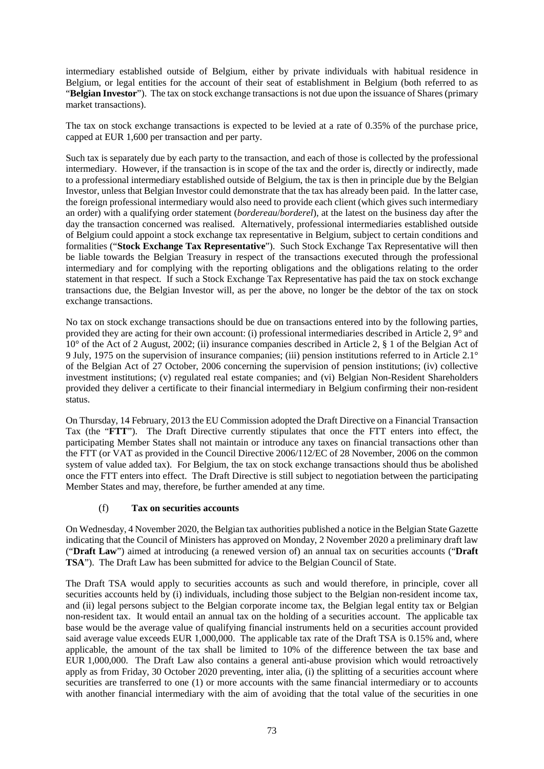intermediary established outside of Belgium, either by private individuals with habitual residence in Belgium, or legal entities for the account of their seat of establishment in Belgium (both referred to as "**Belgian Investor**"). The tax on stock exchange transactions is not due upon the issuance of Shares (primary market transactions).

The tax on stock exchange transactions is expected to be levied at a rate of 0.35% of the purchase price, capped at EUR 1,600 per transaction and per party.

Such tax is separately due by each party to the transaction, and each of those is collected by the professional intermediary. However, if the transaction is in scope of the tax and the order is, directly or indirectly, made to a professional intermediary established outside of Belgium, the tax is then in principle due by the Belgian Investor, unless that Belgian Investor could demonstrate that the tax has already been paid. In the latter case, the foreign professional intermediary would also need to provide each client (which gives such intermediary an order) with a qualifying order statement (*bordereau*/*borderel*), at the latest on the business day after the day the transaction concerned was realised. Alternatively, professional intermediaries established outside of Belgium could appoint a stock exchange tax representative in Belgium, subject to certain conditions and formalities ("**Stock Exchange Tax Representative**"). Such Stock Exchange Tax Representative will then be liable towards the Belgian Treasury in respect of the transactions executed through the professional intermediary and for complying with the reporting obligations and the obligations relating to the order statement in that respect. If such a Stock Exchange Tax Representative has paid the tax on stock exchange transactions due, the Belgian Investor will, as per the above, no longer be the debtor of the tax on stock exchange transactions.

No tax on stock exchange transactions should be due on transactions entered into by the following parties, provided they are acting for their own account: (i) professional intermediaries described in Article 2, 9° and 10° of the Act of 2 August, 2002; (ii) insurance companies described in Article 2, § 1 of the Belgian Act of 9 July, 1975 on the supervision of insurance companies; (iii) pension institutions referred to in Article 2.1° of the Belgian Act of 27 October, 2006 concerning the supervision of pension institutions; (iv) collective investment institutions; (v) regulated real estate companies; and (vi) Belgian Non-Resident Shareholders provided they deliver a certificate to their financial intermediary in Belgium confirming their non-resident status.

On Thursday, 14 February, 2013 the EU Commission adopted the Draft Directive on a Financial Transaction Tax (the "**FTT**"). The Draft Directive currently stipulates that once the FTT enters into effect, the participating Member States shall not maintain or introduce any taxes on financial transactions other than the FTT (or VAT as provided in the Council Directive 2006/112/EC of 28 November, 2006 on the common system of value added tax). For Belgium, the tax on stock exchange transactions should thus be abolished once the FTT enters into effect. The Draft Directive is still subject to negotiation between the participating Member States and may, therefore, be further amended at any time.

# (f) **Tax on securities accounts**

On Wednesday, 4 November 2020, the Belgian tax authorities published a notice in the Belgian State Gazette indicating that the Council of Ministers has approved on Monday, 2 November 2020 a preliminary draft law ("**Draft Law**") aimed at introducing (a renewed version of) an annual tax on securities accounts ("**Draft TSA**"). The Draft Law has been submitted for advice to the Belgian Council of State.

The Draft TSA would apply to securities accounts as such and would therefore, in principle, cover all securities accounts held by (i) individuals, including those subject to the Belgian non-resident income tax, and (ii) legal persons subject to the Belgian corporate income tax, the Belgian legal entity tax or Belgian non-resident tax. It would entail an annual tax on the holding of a securities account. The applicable tax base would be the average value of qualifying financial instruments held on a securities account provided said average value exceeds EUR 1,000,000. The applicable tax rate of the Draft TSA is 0.15% and, where applicable, the amount of the tax shall be limited to 10% of the difference between the tax base and EUR 1,000,000. The Draft Law also contains a general anti-abuse provision which would retroactively apply as from Friday, 30 October 2020 preventing, inter alia, (i) the splitting of a securities account where securities are transferred to one (1) or more accounts with the same financial intermediary or to accounts with another financial intermediary with the aim of avoiding that the total value of the securities in one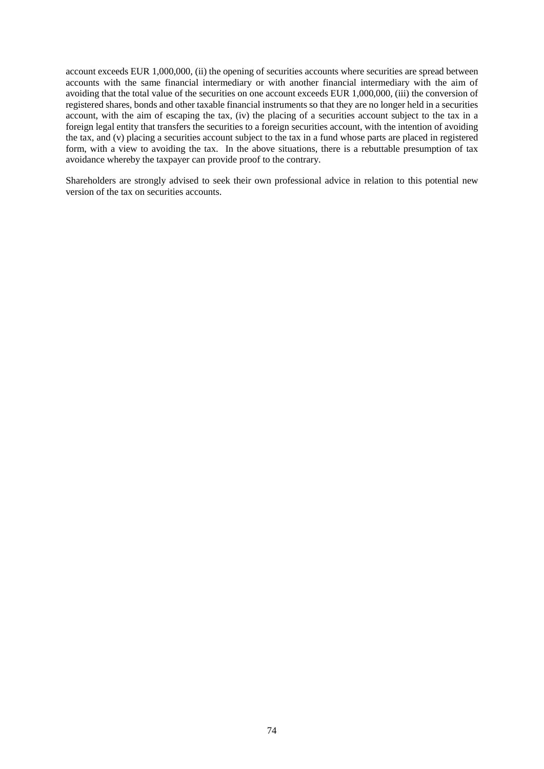account exceeds EUR 1,000,000, (ii) the opening of securities accounts where securities are spread between accounts with the same financial intermediary or with another financial intermediary with the aim of avoiding that the total value of the securities on one account exceeds EUR 1,000,000, (iii) the conversion of registered shares, bonds and other taxable financial instruments so that they are no longer held in a securities account, with the aim of escaping the tax, (iv) the placing of a securities account subject to the tax in a foreign legal entity that transfers the securities to a foreign securities account, with the intention of avoiding the tax, and (v) placing a securities account subject to the tax in a fund whose parts are placed in registered form, with a view to avoiding the tax. In the above situations, there is a rebuttable presumption of tax avoidance whereby the taxpayer can provide proof to the contrary.

Shareholders are strongly advised to seek their own professional advice in relation to this potential new version of the tax on securities accounts.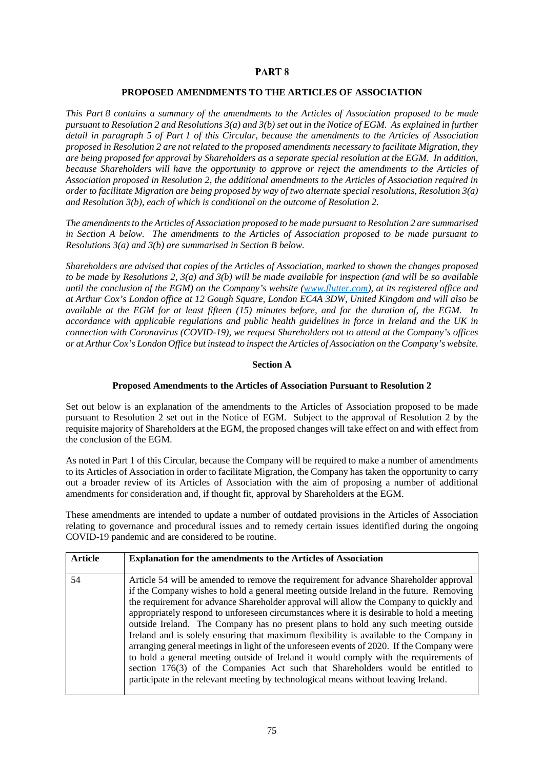# PART<sub>8</sub>

# **PROPOSED AMENDMENTS TO THE ARTICLES OF ASSOCIATION**

<span id="page-77-0"></span>*This [Part](#page-77-0) 8 contains a summary of the amendments to the Articles of Association proposed to be made pursuant to Resolution 2 and Resolutions 3(a) and 3(b) set out in the Notice of EGM. As explained in further detail in paragraph [5](#page-8-0) of [Part](#page-5-0) 1 of this Circular, because the amendments to the Articles of Association proposed in Resolution 2 are not related to the proposed amendments necessary to facilitate Migration, they are being proposed for approval by Shareholders as a separate special resolution at the EGM. In addition, because Shareholders will have the opportunity to approve or reject the amendments to the Articles of Association proposed in Resolution 2, the additional amendments to the Articles of Association required in order to facilitate Migration are being proposed by way of two alternate special resolutions, Resolution 3(a) and Resolution 3(b), each of which is conditional on the outcome of Resolution 2.* 

*The amendments to the Articles of Association proposed to be made pursuant to Resolution 2 are summarised in Section A below. The amendments to the Articles of Association proposed to be made pursuant to Resolutions 3(a) and 3(b) are summarised in Section B below.* 

*Shareholders are advised that copies of the Articles of Association, marked to shown the changes proposed to be made by Resolutions 2, 3(a) and 3(b) will be made available for inspection (and will be so available until the conclusion of the EGM) on the Company's website (*w*ww.flutter.com), at its registered office and at Arthur Cox's London office at 12 Gough Square, London EC4A 3DW, United Kingdom and will also be available at the EGM for at least fifteen (15) minutes before, and for the duration of, the EGM. In accordance with applicable regulations and public health guidelines in force in Ireland and the UK in connection with Coronavirus (COVID-19), we request Shareholders not to attend at the Company's offices or at Arthur Cox's London Office but instead to inspect the Articles of Association on the Company's website.*

# **Section A**

# **Proposed Amendments to the Articles of Association Pursuant to Resolution 2**

Set out below is an explanation of the amendments to the Articles of Association proposed to be made pursuant to Resolution 2 set out in the Notice of EGM. Subject to the approval of Resolution 2 by the requisite majority of Shareholders at the EGM, the proposed changes will take effect on and with effect from the conclusion of the EGM.

As noted i[n Part](#page-5-0) 1 of this Circular, because the Company will be required to make a number of amendments to its Articles of Association in order to facilitate Migration, the Company has taken the opportunity to carry out a broader review of its Articles of Association with the aim of proposing a number of additional amendments for consideration and, if thought fit, approval by Shareholders at the EGM.

These amendments are intended to update a number of outdated provisions in the Articles of Association relating to governance and procedural issues and to remedy certain issues identified during the ongoing COVID-19 pandemic and are considered to be routine.

| Article | <b>Explanation for the amendments to the Articles of Association</b>                                                                                                                                                                                                                                                                                                                                                                                                                                                                                                                                                                                                                                                                                                                                                                                                                                                    |
|---------|-------------------------------------------------------------------------------------------------------------------------------------------------------------------------------------------------------------------------------------------------------------------------------------------------------------------------------------------------------------------------------------------------------------------------------------------------------------------------------------------------------------------------------------------------------------------------------------------------------------------------------------------------------------------------------------------------------------------------------------------------------------------------------------------------------------------------------------------------------------------------------------------------------------------------|
| 54      | Article 54 will be amended to remove the requirement for advance Shareholder approval<br>if the Company wishes to hold a general meeting outside Ireland in the future. Removing<br>the requirement for advance Shareholder approval will allow the Company to quickly and<br>appropriately respond to unforeseen circumstances where it is desirable to hold a meeting<br>outside Ireland. The Company has no present plans to hold any such meeting outside<br>Ireland and is solely ensuring that maximum flexibility is available to the Company in<br>arranging general meetings in light of the unforeseen events of 2020. If the Company were<br>to hold a general meeting outside of Ireland it would comply with the requirements of<br>section 176(3) of the Companies Act such that Shareholders would be entitled to<br>participate in the relevant meeting by technological means without leaving Ireland. |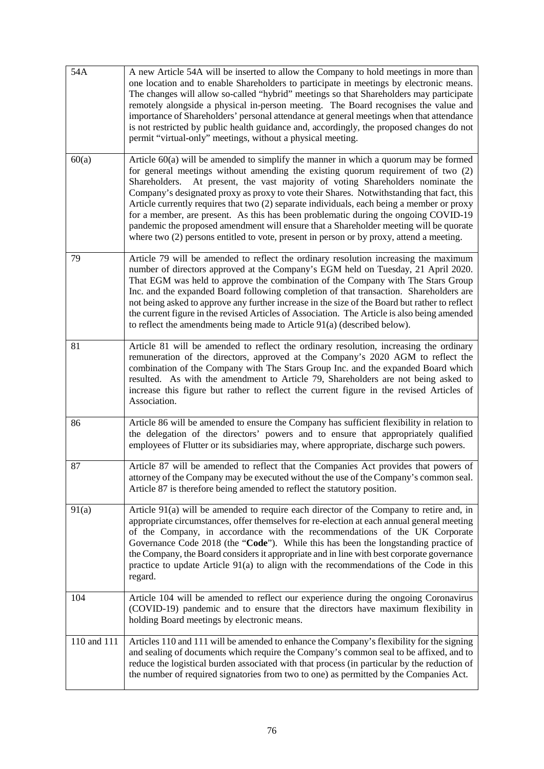| 54A         | A new Article 54A will be inserted to allow the Company to hold meetings in more than<br>one location and to enable Shareholders to participate in meetings by electronic means.<br>The changes will allow so-called "hybrid" meetings so that Shareholders may participate<br>remotely alongside a physical in-person meeting. The Board recognises the value and<br>importance of Shareholders' personal attendance at general meetings when that attendance<br>is not restricted by public health guidance and, accordingly, the proposed changes do not<br>permit "virtual-only" meetings, without a physical meeting.                                                                                                               |
|-------------|------------------------------------------------------------------------------------------------------------------------------------------------------------------------------------------------------------------------------------------------------------------------------------------------------------------------------------------------------------------------------------------------------------------------------------------------------------------------------------------------------------------------------------------------------------------------------------------------------------------------------------------------------------------------------------------------------------------------------------------|
| 60(a)       | Article $60(a)$ will be amended to simplify the manner in which a quorum may be formed<br>for general meetings without amending the existing quorum requirement of two (2)<br>At present, the vast majority of voting Shareholders nominate the<br>Shareholders.<br>Company's designated proxy as proxy to vote their Shares. Notwithstanding that fact, this<br>Article currently requires that two (2) separate individuals, each being a member or proxy<br>for a member, are present. As this has been problematic during the ongoing COVID-19<br>pandemic the proposed amendment will ensure that a Shareholder meeting will be quorate<br>where two (2) persons entitled to vote, present in person or by proxy, attend a meeting. |
| 79          | Article 79 will be amended to reflect the ordinary resolution increasing the maximum<br>number of directors approved at the Company's EGM held on Tuesday, 21 April 2020.<br>That EGM was held to approve the combination of the Company with The Stars Group<br>Inc. and the expanded Board following completion of that transaction. Shareholders are<br>not being asked to approve any further increase in the size of the Board but rather to reflect<br>the current figure in the revised Articles of Association. The Article is also being amended<br>to reflect the amendments being made to Article $91(a)$ (described below).                                                                                                  |
| 81          | Article 81 will be amended to reflect the ordinary resolution, increasing the ordinary<br>remuneration of the directors, approved at the Company's 2020 AGM to reflect the<br>combination of the Company with The Stars Group Inc. and the expanded Board which<br>resulted. As with the amendment to Article 79, Shareholders are not being asked to<br>increase this figure but rather to reflect the current figure in the revised Articles of<br>Association.                                                                                                                                                                                                                                                                        |
| 86          | Article 86 will be amended to ensure the Company has sufficient flexibility in relation to<br>the delegation of the directors' powers and to ensure that appropriately qualified<br>employees of Flutter or its subsidiaries may, where appropriate, discharge such powers.                                                                                                                                                                                                                                                                                                                                                                                                                                                              |
| 87          | Article 87 will be amended to reflect that the Companies Act provides that powers of<br>attorney of the Company may be executed without the use of the Company's common seal.<br>Article 87 is therefore being amended to reflect the statutory position.                                                                                                                                                                                                                                                                                                                                                                                                                                                                                |
| 91(a)       | Article 91(a) will be amended to require each director of the Company to retire and, in<br>appropriate circumstances, offer themselves for re-election at each annual general meeting<br>of the Company, in accordance with the recommendations of the UK Corporate<br>Governance Code 2018 (the "Code"). While this has been the longstanding practice of<br>the Company, the Board considers it appropriate and in line with best corporate governance<br>practice to update Article $91(a)$ to align with the recommendations of the Code in this<br>regard.                                                                                                                                                                          |
| 104         | Article 104 will be amended to reflect our experience during the ongoing Coronavirus<br>(COVID-19) pandemic and to ensure that the directors have maximum flexibility in<br>holding Board meetings by electronic means.                                                                                                                                                                                                                                                                                                                                                                                                                                                                                                                  |
| 110 and 111 | Articles 110 and 111 will be amended to enhance the Company's flexibility for the signing<br>and sealing of documents which require the Company's common seal to be affixed, and to<br>reduce the logistical burden associated with that process (in particular by the reduction of<br>the number of required signatories from two to one) as permitted by the Companies Act.                                                                                                                                                                                                                                                                                                                                                            |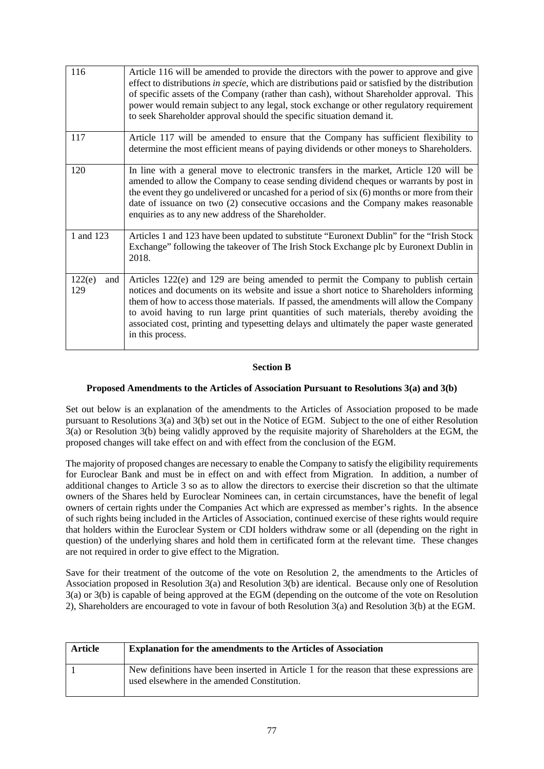| 116                  | Article 116 will be amended to provide the directors with the power to approve and give<br>effect to distributions in specie, which are distributions paid or satisfied by the distribution<br>of specific assets of the Company (rather than cash), without Shareholder approval. This<br>power would remain subject to any legal, stock exchange or other regulatory requirement<br>to seek Shareholder approval should the specific situation demand it.                        |
|----------------------|------------------------------------------------------------------------------------------------------------------------------------------------------------------------------------------------------------------------------------------------------------------------------------------------------------------------------------------------------------------------------------------------------------------------------------------------------------------------------------|
| 117                  | Article 117 will be amended to ensure that the Company has sufficient flexibility to<br>determine the most efficient means of paying dividends or other moneys to Shareholders.                                                                                                                                                                                                                                                                                                    |
| 120                  | In line with a general move to electronic transfers in the market, Article 120 will be<br>amended to allow the Company to cease sending dividend cheques or warrants by post in<br>the event they go undelivered or uncashed for a period of six (6) months or more from their<br>date of issuance on two (2) consecutive occasions and the Company makes reasonable<br>enquiries as to any new address of the Shareholder.                                                        |
| 1 and 123            | Articles 1 and 123 have been updated to substitute "Euronext Dublin" for the "Irish Stock"<br>Exchange" following the takeover of The Irish Stock Exchange plc by Euronext Dublin in<br>2018.                                                                                                                                                                                                                                                                                      |
| 122(e)<br>and<br>129 | Articles 122(e) and 129 are being amended to permit the Company to publish certain<br>notices and documents on its website and issue a short notice to Shareholders informing<br>them of how to access those materials. If passed, the amendments will allow the Company<br>to avoid having to run large print quantities of such materials, thereby avoiding the<br>associated cost, printing and typesetting delays and ultimately the paper waste generated<br>in this process. |

# **Section B**

# **Proposed Amendments to the Articles of Association Pursuant to Resolutions 3(a) and 3(b)**

Set out below is an explanation of the amendments to the Articles of Association proposed to be made pursuant to Resolutions 3(a) and 3(b) set out in the Notice of EGM. Subject to the one of either Resolution 3(a) or Resolution 3(b) being validly approved by the requisite majority of Shareholders at the EGM, the proposed changes will take effect on and with effect from the conclusion of the EGM.

The majority of proposed changes are necessary to enable the Company to satisfy the eligibility requirements for Euroclear Bank and must be in effect on and with effect from Migration. In addition, a number of additional changes to Article 3 so as to allow the directors to exercise their discretion so that the ultimate owners of the Shares held by Euroclear Nominees can, in certain circumstances, have the benefit of legal owners of certain rights under the Companies Act which are expressed as member's rights. In the absence of such rights being included in the Articles of Association, continued exercise of these rights would require that holders within the Euroclear System or CDI holders withdraw some or all (depending on the right in question) of the underlying shares and hold them in certificated form at the relevant time. These changes are not required in order to give effect to the Migration.

Save for their treatment of the outcome of the vote on Resolution 2, the amendments to the Articles of Association proposed in Resolution 3(a) and Resolution 3(b) are identical. Because only one of Resolution 3(a) or 3(b) is capable of being approved at the EGM (depending on the outcome of the vote on Resolution 2), Shareholders are encouraged to vote in favour of both Resolution 3(a) and Resolution 3(b) at the EGM.

| Article | <b>Explanation for the amendments to the Articles of Association</b>                                                                     |
|---------|------------------------------------------------------------------------------------------------------------------------------------------|
|         | New definitions have been inserted in Article 1 for the reason that these expressions are<br>used elsewhere in the amended Constitution. |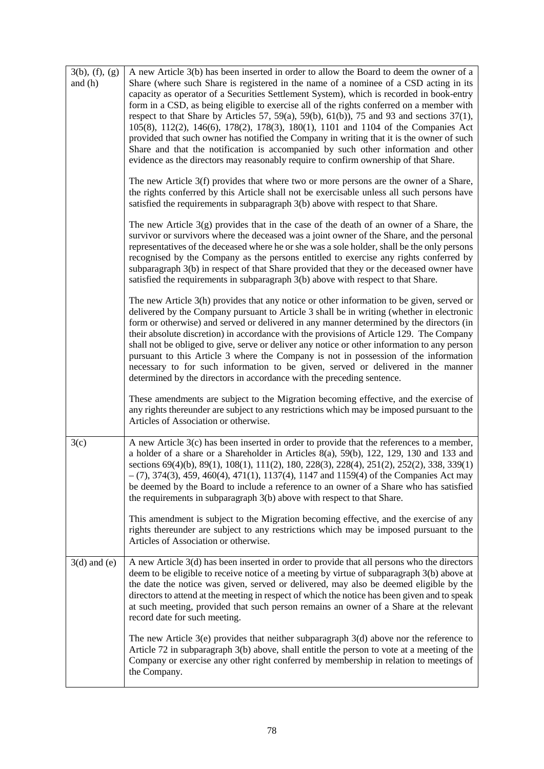| 3(b), (f), (g)<br>and $(h)$ | A new Article 3(b) has been inserted in order to allow the Board to deem the owner of a<br>Share (where such Share is registered in the name of a nominee of a CSD acting in its<br>capacity as operator of a Securities Settlement System), which is recorded in book-entry<br>form in a CSD, as being eligible to exercise all of the rights conferred on a member with<br>respect to that Share by Articles 57, 59(a), 59(b), 61(b)), 75 and 93 and sections $37(1)$ ,<br>105(8), 112(2), 146(6), 178(2), 178(3), 180(1), 1101 and 1104 of the Companies Act<br>provided that such owner has notified the Company in writing that it is the owner of such<br>Share and that the notification is accompanied by such other information and other<br>evidence as the directors may reasonably require to confirm ownership of that Share. |
|-----------------------------|--------------------------------------------------------------------------------------------------------------------------------------------------------------------------------------------------------------------------------------------------------------------------------------------------------------------------------------------------------------------------------------------------------------------------------------------------------------------------------------------------------------------------------------------------------------------------------------------------------------------------------------------------------------------------------------------------------------------------------------------------------------------------------------------------------------------------------------------|
|                             | The new Article 3(f) provides that where two or more persons are the owner of a Share,<br>the rights conferred by this Article shall not be exercisable unless all such persons have<br>satisfied the requirements in subparagraph 3(b) above with respect to that Share.                                                                                                                                                                                                                                                                                                                                                                                                                                                                                                                                                                  |
|                             | The new Article $3(g)$ provides that in the case of the death of an owner of a Share, the<br>survivor or survivors where the deceased was a joint owner of the Share, and the personal<br>representatives of the deceased where he or she was a sole holder, shall be the only persons<br>recognised by the Company as the persons entitled to exercise any rights conferred by<br>subparagraph 3(b) in respect of that Share provided that they or the deceased owner have<br>satisfied the requirements in subparagraph 3(b) above with respect to that Share.                                                                                                                                                                                                                                                                           |
|                             | The new Article 3(h) provides that any notice or other information to be given, served or<br>delivered by the Company pursuant to Article 3 shall be in writing (whether in electronic<br>form or otherwise) and served or delivered in any manner determined by the directors (in<br>their absolute discretion) in accordance with the provisions of Article 129. The Company<br>shall not be obliged to give, serve or deliver any notice or other information to any person<br>pursuant to this Article 3 where the Company is not in possession of the information<br>necessary to for such information to be given, served or delivered in the manner<br>determined by the directors in accordance with the preceding sentence.                                                                                                       |
|                             | These amendments are subject to the Migration becoming effective, and the exercise of<br>any rights thereunder are subject to any restrictions which may be imposed pursuant to the<br>Articles of Association or otherwise.                                                                                                                                                                                                                                                                                                                                                                                                                                                                                                                                                                                                               |
| 3(c)                        | A new Article 3(c) has been inserted in order to provide that the references to a member,<br>a holder of a share or a Shareholder in Articles 8(a), 59(b), 122, 129, 130 and 133 and<br>sections 69(4)(b), 89(1), 108(1), 111(2), 180, 228(3), 228(4), 251(2), 252(2), 338, 339(1)<br>$(7)$ , 374(3), 459, 460(4), 471(1), 1137(4), 1147 and 1159(4) of the Companies Act may<br>be deemed by the Board to include a reference to an owner of a Share who has satisfied<br>the requirements in subparagraph 3(b) above with respect to that Share.                                                                                                                                                                                                                                                                                         |
|                             | This amendment is subject to the Migration becoming effective, and the exercise of any<br>rights thereunder are subject to any restrictions which may be imposed pursuant to the<br>Articles of Association or otherwise.                                                                                                                                                                                                                                                                                                                                                                                                                                                                                                                                                                                                                  |
| $3(d)$ and $(e)$            | A new Article 3(d) has been inserted in order to provide that all persons who the directors<br>deem to be eligible to receive notice of a meeting by virtue of subparagraph 3(b) above at<br>the date the notice was given, served or delivered, may also be deemed eligible by the<br>directors to attend at the meeting in respect of which the notice has been given and to speak<br>at such meeting, provided that such person remains an owner of a Share at the relevant<br>record date for such meeting.                                                                                                                                                                                                                                                                                                                            |
|                             | The new Article $3(e)$ provides that neither subparagraph $3(d)$ above nor the reference to<br>Article 72 in subparagraph 3(b) above, shall entitle the person to vote at a meeting of the<br>Company or exercise any other right conferred by membership in relation to meetings of<br>the Company.                                                                                                                                                                                                                                                                                                                                                                                                                                                                                                                                       |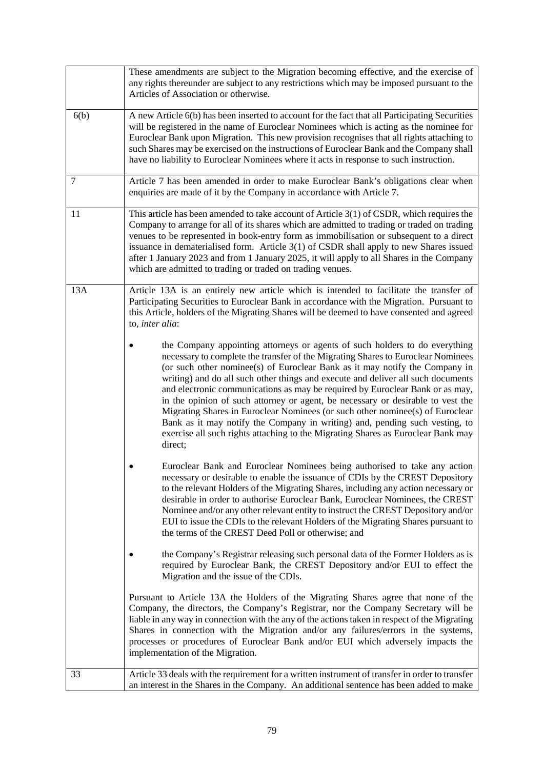|      | These amendments are subject to the Migration becoming effective, and the exercise of<br>any rights thereunder are subject to any restrictions which may be imposed pursuant to the<br>Articles of Association or otherwise.                                                                                                                                                                                                                                                                                                                                                                                                                                                                                                                                          |  |
|------|-----------------------------------------------------------------------------------------------------------------------------------------------------------------------------------------------------------------------------------------------------------------------------------------------------------------------------------------------------------------------------------------------------------------------------------------------------------------------------------------------------------------------------------------------------------------------------------------------------------------------------------------------------------------------------------------------------------------------------------------------------------------------|--|
| 6(b) | A new Article 6(b) has been inserted to account for the fact that all Participating Securities<br>will be registered in the name of Euroclear Nominees which is acting as the nominee for<br>Euroclear Bank upon Migration. This new provision recognises that all rights attaching to<br>such Shares may be exercised on the instructions of Euroclear Bank and the Company shall<br>have no liability to Euroclear Nominees where it acts in response to such instruction.                                                                                                                                                                                                                                                                                          |  |
| 7    | Article 7 has been amended in order to make Euroclear Bank's obligations clear when<br>enquiries are made of it by the Company in accordance with Article 7.                                                                                                                                                                                                                                                                                                                                                                                                                                                                                                                                                                                                          |  |
| 11   | This article has been amended to take account of Article 3(1) of CSDR, which requires the<br>Company to arrange for all of its shares which are admitted to trading or traded on trading<br>venues to be represented in book-entry form as immobilisation or subsequent to a direct<br>issuance in dematerialised form. Article 3(1) of CSDR shall apply to new Shares issued<br>after 1 January 2023 and from 1 January 2025, it will apply to all Shares in the Company<br>which are admitted to trading or traded on trading venues.                                                                                                                                                                                                                               |  |
| 13A  | Article 13A is an entirely new article which is intended to facilitate the transfer of<br>Participating Securities to Euroclear Bank in accordance with the Migration. Pursuant to<br>this Article, holders of the Migrating Shares will be deemed to have consented and agreed<br>to, inter alia:                                                                                                                                                                                                                                                                                                                                                                                                                                                                    |  |
|      | the Company appointing attorneys or agents of such holders to do everything<br>necessary to complete the transfer of the Migrating Shares to Euroclear Nominees<br>(or such other nominee(s) of Euroclear Bank as it may notify the Company in<br>writing) and do all such other things and execute and deliver all such documents<br>and electronic communications as may be required by Euroclear Bank or as may,<br>in the opinion of such attorney or agent, be necessary or desirable to vest the<br>Migrating Shares in Euroclear Nominees (or such other nominee(s) of Euroclear<br>Bank as it may notify the Company in writing) and, pending such vesting, to<br>exercise all such rights attaching to the Migrating Shares as Euroclear Bank may<br>direct; |  |
|      | Euroclear Bank and Euroclear Nominees being authorised to take any action<br>necessary or desirable to enable the issuance of CDIs by the CREST Depository<br>to the relevant Holders of the Migrating Shares, including any action necessary or<br>desirable in order to authorise Euroclear Bank, Euroclear Nominees, the CREST<br>Nominee and/or any other relevant entity to instruct the CREST Depository and/or<br>EUI to issue the CDIs to the relevant Holders of the Migrating Shares pursuant to<br>the terms of the CREST Deed Poll or otherwise; and                                                                                                                                                                                                      |  |
|      | the Company's Registrar releasing such personal data of the Former Holders as is<br>required by Euroclear Bank, the CREST Depository and/or EUI to effect the<br>Migration and the issue of the CDIs.                                                                                                                                                                                                                                                                                                                                                                                                                                                                                                                                                                 |  |
|      | Pursuant to Article 13A the Holders of the Migrating Shares agree that none of the<br>Company, the directors, the Company's Registrar, nor the Company Secretary will be<br>liable in any way in connection with the any of the actions taken in respect of the Migrating<br>Shares in connection with the Migration and/or any failures/errors in the systems,<br>processes or procedures of Euroclear Bank and/or EUI which adversely impacts the<br>implementation of the Migration.                                                                                                                                                                                                                                                                               |  |
| 33   | Article 33 deals with the requirement for a written instrument of transfer in order to transfer<br>an interest in the Shares in the Company. An additional sentence has been added to make                                                                                                                                                                                                                                                                                                                                                                                                                                                                                                                                                                            |  |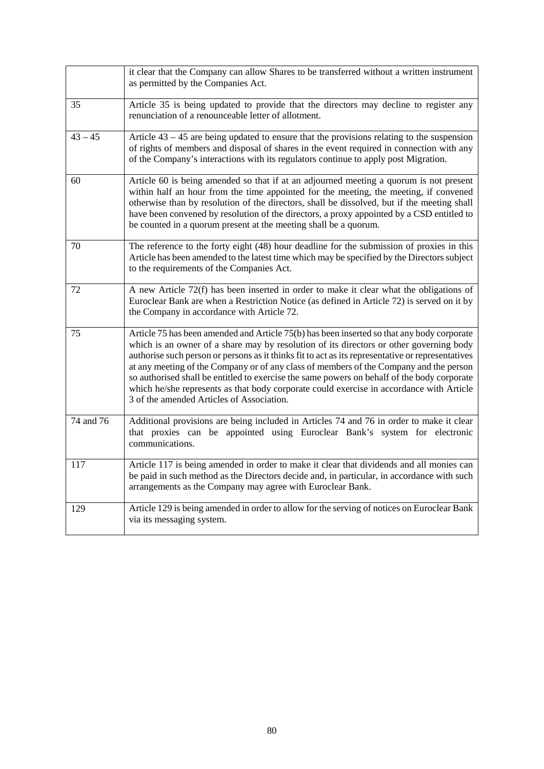|           | it clear that the Company can allow Shares to be transferred without a written instrument<br>as permitted by the Companies Act.                                                                                                                                                                                                                                                                                                                                                                                                                                                                                              |
|-----------|------------------------------------------------------------------------------------------------------------------------------------------------------------------------------------------------------------------------------------------------------------------------------------------------------------------------------------------------------------------------------------------------------------------------------------------------------------------------------------------------------------------------------------------------------------------------------------------------------------------------------|
| 35        | Article 35 is being updated to provide that the directors may decline to register any<br>renunciation of a renounceable letter of allotment.                                                                                                                                                                                                                                                                                                                                                                                                                                                                                 |
| $43 - 45$ | Article $43 - 45$ are being updated to ensure that the provisions relating to the suspension<br>of rights of members and disposal of shares in the event required in connection with any<br>of the Company's interactions with its regulators continue to apply post Migration.                                                                                                                                                                                                                                                                                                                                              |
| 60        | Article 60 is being amended so that if at an adjourned meeting a quorum is not present<br>within half an hour from the time appointed for the meeting, the meeting, if convened<br>otherwise than by resolution of the directors, shall be dissolved, but if the meeting shall<br>have been convened by resolution of the directors, a proxy appointed by a CSD entitled to<br>be counted in a quorum present at the meeting shall be a quorum.                                                                                                                                                                              |
| 70        | The reference to the forty eight (48) hour deadline for the submission of proxies in this<br>Article has been amended to the latest time which may be specified by the Directors subject<br>to the requirements of the Companies Act.                                                                                                                                                                                                                                                                                                                                                                                        |
| 72        | A new Article 72(f) has been inserted in order to make it clear what the obligations of<br>Euroclear Bank are when a Restriction Notice (as defined in Article 72) is served on it by<br>the Company in accordance with Article 72.                                                                                                                                                                                                                                                                                                                                                                                          |
| 75        | Article 75 has been amended and Article 75(b) has been inserted so that any body corporate<br>which is an owner of a share may by resolution of its directors or other governing body<br>authorise such person or persons as it thinks fit to act as its representative or representatives<br>at any meeting of the Company or of any class of members of the Company and the person<br>so authorised shall be entitled to exercise the same powers on behalf of the body corporate<br>which he/she represents as that body corporate could exercise in accordance with Article<br>3 of the amended Articles of Association. |
| 74 and 76 | Additional provisions are being included in Articles 74 and 76 in order to make it clear<br>that proxies can be appointed using Euroclear Bank's system for electronic<br>communications.                                                                                                                                                                                                                                                                                                                                                                                                                                    |
| 117       | Article 117 is being amended in order to make it clear that dividends and all monies can<br>be paid in such method as the Directors decide and, in particular, in accordance with such<br>arrangements as the Company may agree with Euroclear Bank.                                                                                                                                                                                                                                                                                                                                                                         |
| 129       | Article 129 is being amended in order to allow for the serving of notices on Euroclear Bank<br>via its messaging system.                                                                                                                                                                                                                                                                                                                                                                                                                                                                                                     |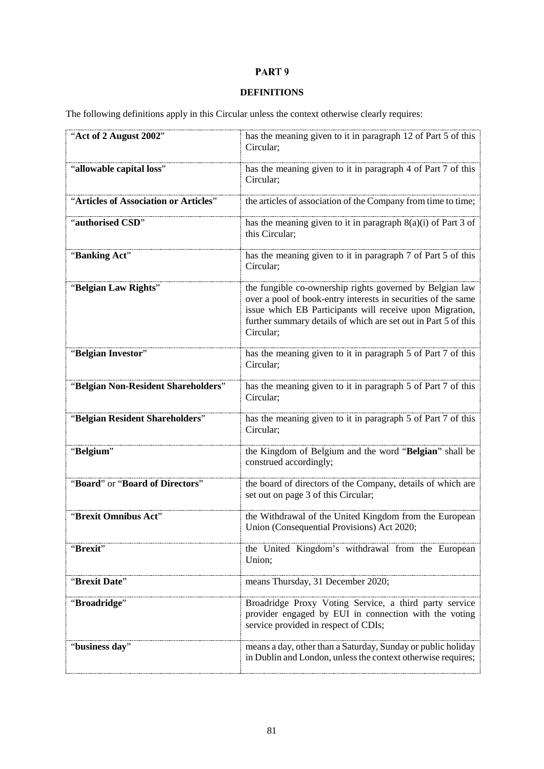# PART 9

# **DEFINITIONS**

The following definitions apply in this Circular unless the context otherwise clearly requires:

| "Act of 2 August 2002"                | has the meaning given to it in paragraph 12 of Part 5 of this<br>Circular;                                                                                                                                                                                           |
|---------------------------------------|----------------------------------------------------------------------------------------------------------------------------------------------------------------------------------------------------------------------------------------------------------------------|
| "allowable capital loss"              | has the meaning given to it in paragraph 4 of Part 7 of this<br>Circular;                                                                                                                                                                                            |
| "Articles of Association or Articles" | the articles of association of the Company from time to time;                                                                                                                                                                                                        |
| "authorised CSD"                      | has the meaning given to it in paragraph $8(a)(i)$ of Part 3 of<br>this Circular;                                                                                                                                                                                    |
| "Banking Act"                         | has the meaning given to it in paragraph 7 of Part 5 of this<br>Circular;                                                                                                                                                                                            |
| "Belgian Law Rights"                  | the fungible co-ownership rights governed by Belgian law<br>over a pool of book-entry interests in securities of the same<br>issue which EB Participants will receive upon Migration,<br>further summary details of which are set out in Part 5 of this<br>Circular; |
| "Belgian Investor"                    | has the meaning given to it in paragraph 5 of Part 7 of this<br>Circular;                                                                                                                                                                                            |
| "Belgian Non-Resident Shareholders"   | has the meaning given to it in paragraph 5 of Part 7 of this<br>Circular;                                                                                                                                                                                            |
| "Belgian Resident Shareholders"       | has the meaning given to it in paragraph 5 of Part 7 of this<br>Circular;                                                                                                                                                                                            |
| "Belgium"                             | the Kingdom of Belgium and the word "Belgian" shall be<br>construed accordingly;                                                                                                                                                                                     |
| "Board" or "Board of Directors"       | the board of directors of the Company, details of which are<br>set out on page 3 of this Circular;                                                                                                                                                                   |
| "Brexit Omnibus Act"                  | the Withdrawal of the United Kingdom from the European<br>Union (Consequential Provisions) Act 2020;                                                                                                                                                                 |
| "Brexit"                              | the United Kingdom's withdrawal from the European<br>Union;                                                                                                                                                                                                          |
| "Brexit Date"                         | means Thursday, 31 December 2020;                                                                                                                                                                                                                                    |
| "Broadridge"                          | Broadridge Proxy Voting Service, a third party service<br>provider engaged by EUI in connection with the voting<br>service provided in respect of CDIs;                                                                                                              |
| "business day"                        | means a day, other than a Saturday, Sunday or public holiday<br>in Dublin and London, unless the context otherwise requires;                                                                                                                                         |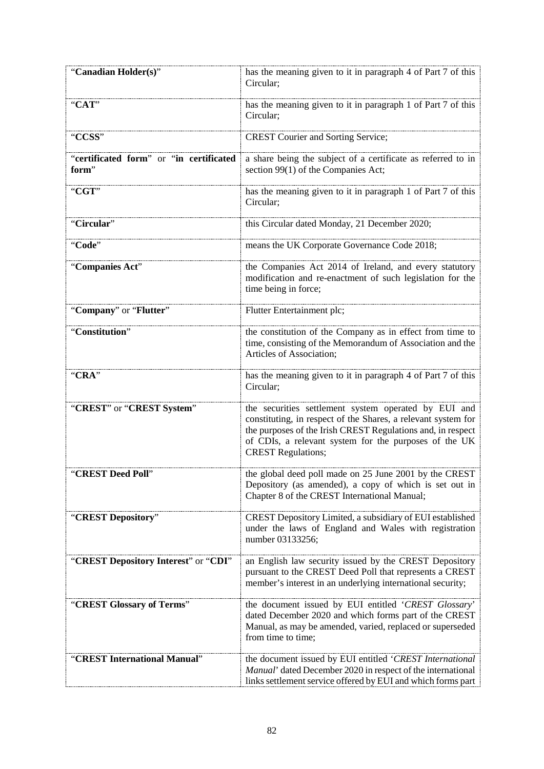| "Canadian Holder(s)"                             | has the meaning given to it in paragraph 4 of Part 7 of this<br>Circular;                                                                                                                                                                                                  |
|--------------------------------------------------|----------------------------------------------------------------------------------------------------------------------------------------------------------------------------------------------------------------------------------------------------------------------------|
| "CAT"                                            | has the meaning given to it in paragraph 1 of Part 7 of this<br>Circular;                                                                                                                                                                                                  |
| "CCSS"                                           | <b>CREST Courier and Sorting Service;</b>                                                                                                                                                                                                                                  |
| "certificated form" or "in certificated<br>form" | a share being the subject of a certificate as referred to in<br>section 99(1) of the Companies Act;                                                                                                                                                                        |
| "CGT"                                            | has the meaning given to it in paragraph 1 of Part 7 of this<br>Circular;                                                                                                                                                                                                  |
| "Circular"                                       | this Circular dated Monday, 21 December 2020;                                                                                                                                                                                                                              |
| "Code"                                           | means the UK Corporate Governance Code 2018;                                                                                                                                                                                                                               |
| "Companies Act"                                  | the Companies Act 2014 of Ireland, and every statutory<br>modification and re-enactment of such legislation for the<br>time being in force;                                                                                                                                |
| "Company" or "Flutter"                           | Flutter Entertainment plc;                                                                                                                                                                                                                                                 |
| "Constitution"                                   | the constitution of the Company as in effect from time to<br>time, consisting of the Memorandum of Association and the<br>Articles of Association;                                                                                                                         |
| "CRA"                                            | has the meaning given to it in paragraph 4 of Part 7 of this<br>Circular;                                                                                                                                                                                                  |
| "CREST" or "CREST System"                        | the securities settlement system operated by EUI and<br>constituting, in respect of the Shares, a relevant system for<br>the purposes of the Irish CREST Regulations and, in respect<br>of CDIs, a relevant system for the purposes of the UK<br><b>CREST Regulations;</b> |
| "CREST Deed Poll"                                | the global deed poll made on 25 June 2001 by the CREST<br>Depository (as amended), a copy of which is set out in<br>Chapter 8 of the CREST International Manual;                                                                                                           |
| "CREST Depository"                               | CREST Depository Limited, a subsidiary of EUI established<br>under the laws of England and Wales with registration<br>number 03133256;                                                                                                                                     |
| "CREST Depository Interest" or "CDI"             | an English law security issued by the CREST Depository<br>pursuant to the CREST Deed Poll that represents a CREST<br>member's interest in an underlying international security;                                                                                            |
| "CREST Glossary of Terms"                        | the document issued by EUI entitled 'CREST Glossary'<br>dated December 2020 and which forms part of the CREST<br>Manual, as may be amended, varied, replaced or superseded<br>from time to time;                                                                           |
| "CREST International Manual"                     | the document issued by EUI entitled 'CREST International<br>Manual' dated December 2020 in respect of the international<br>links settlement service offered by EUI and which forms part                                                                                    |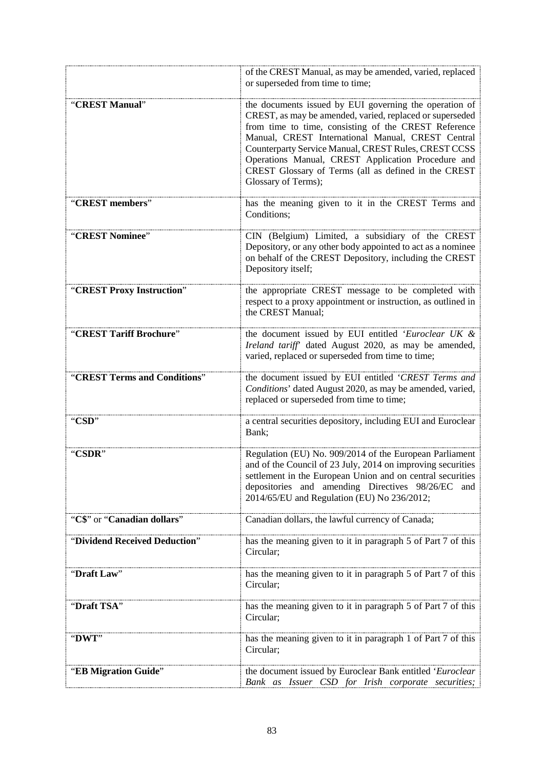|                               | of the CREST Manual, as may be amended, varied, replaced<br>or superseded from time to time;                                                                                                                                                                                                                                                                                                                                 |
|-------------------------------|------------------------------------------------------------------------------------------------------------------------------------------------------------------------------------------------------------------------------------------------------------------------------------------------------------------------------------------------------------------------------------------------------------------------------|
| "CREST Manual"                | the documents issued by EUI governing the operation of<br>CREST, as may be amended, varied, replaced or superseded<br>from time to time, consisting of the CREST Reference<br>Manual, CREST International Manual, CREST Central<br>Counterparty Service Manual, CREST Rules, CREST CCSS<br>Operations Manual, CREST Application Procedure and<br>CREST Glossary of Terms (all as defined in the CREST<br>Glossary of Terms); |
| "CREST members"               | has the meaning given to it in the CREST Terms and<br>Conditions;                                                                                                                                                                                                                                                                                                                                                            |
| "CREST Nominee"               | CIN (Belgium) Limited, a subsidiary of the CREST<br>Depository, or any other body appointed to act as a nominee<br>on behalf of the CREST Depository, including the CREST<br>Depository itself;                                                                                                                                                                                                                              |
| "CREST Proxy Instruction"     | the appropriate CREST message to be completed with<br>respect to a proxy appointment or instruction, as outlined in<br>the CREST Manual;                                                                                                                                                                                                                                                                                     |
| "CREST Tariff Brochure"       | the document issued by EUI entitled 'Euroclear UK &<br>Ireland tariff dated August 2020, as may be amended,<br>varied, replaced or superseded from time to time;                                                                                                                                                                                                                                                             |
| "CREST Terms and Conditions"  | the document issued by EUI entitled 'CREST Terms and<br>Conditions' dated August 2020, as may be amended, varied,<br>replaced or superseded from time to time;                                                                                                                                                                                                                                                               |
| "CSD"                         | a central securities depository, including EUI and Euroclear<br>Bank;                                                                                                                                                                                                                                                                                                                                                        |
| "CSDR"                        | Regulation (EU) No. 909/2014 of the European Parliament<br>and of the Council of 23 July, 2014 on improving securities<br>settlement in the European Union and on central securities<br>depositories and amending Directives 98/26/EC<br>and<br>2014/65/EU and Regulation (EU) No 236/2012;                                                                                                                                  |
| "C\$" or "Canadian dollars"   | Canadian dollars, the lawful currency of Canada;                                                                                                                                                                                                                                                                                                                                                                             |
| "Dividend Received Deduction" | has the meaning given to it in paragraph 5 of Part 7 of this<br>Circular;                                                                                                                                                                                                                                                                                                                                                    |
| "Draft Law"                   | has the meaning given to it in paragraph 5 of Part 7 of this<br>Circular;                                                                                                                                                                                                                                                                                                                                                    |
| "Draft TSA"                   | has the meaning given to it in paragraph 5 of Part 7 of this<br>Circular;                                                                                                                                                                                                                                                                                                                                                    |
| "DWT"                         | has the meaning given to it in paragraph 1 of Part 7 of this<br>Circular;                                                                                                                                                                                                                                                                                                                                                    |
| "EB Migration Guide"          | the document issued by Euroclear Bank entitled 'Euroclear<br>Bank as Issuer CSD for Irish corporate securities;                                                                                                                                                                                                                                                                                                              |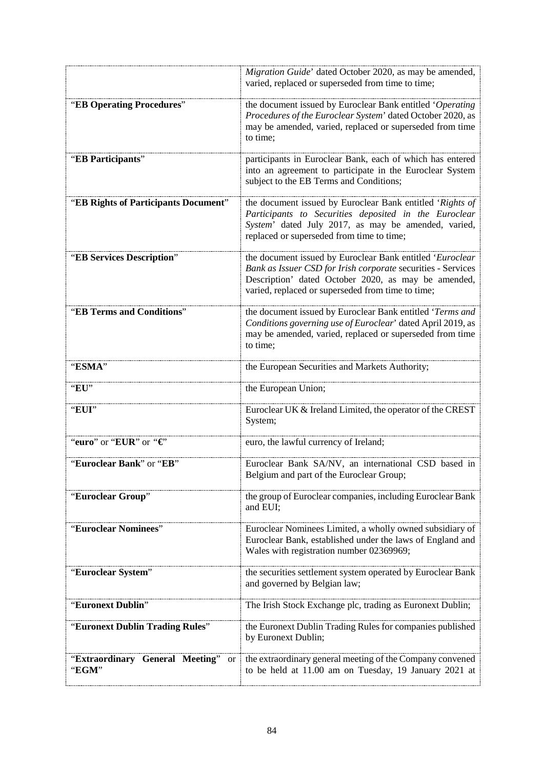|                                                       | Migration Guide' dated October 2020, as may be amended,<br>varied, replaced or superseded from time to time;                                                                                                                          |
|-------------------------------------------------------|---------------------------------------------------------------------------------------------------------------------------------------------------------------------------------------------------------------------------------------|
| "EB Operating Procedures"                             | the document issued by Euroclear Bank entitled 'Operating<br>Procedures of the Euroclear System' dated October 2020, as<br>may be amended, varied, replaced or superseded from time<br>to time;                                       |
| "EB Participants"                                     | participants in Euroclear Bank, each of which has entered<br>into an agreement to participate in the Euroclear System<br>subject to the EB Terms and Conditions;                                                                      |
| "EB Rights of Participants Document"                  | the document issued by Euroclear Bank entitled 'Rights of<br>Participants to Securities deposited in the Euroclear<br>System' dated July 2017, as may be amended, varied,<br>replaced or superseded from time to time;                |
| "EB Services Description"                             | the document issued by Euroclear Bank entitled 'Euroclear<br>Bank as Issuer CSD for Irish corporate securities - Services<br>Description' dated October 2020, as may be amended,<br>varied, replaced or superseded from time to time; |
| "EB Terms and Conditions"                             | the document issued by Euroclear Bank entitled 'Terms and<br>Conditions governing use of Euroclear' dated April 2019, as<br>may be amended, varied, replaced or superseded from time<br>to time;                                      |
| "ESMA"                                                | the European Securities and Markets Authority;                                                                                                                                                                                        |
| "EU"                                                  | the European Union;                                                                                                                                                                                                                   |
| "EUI"                                                 | Euroclear UK & Ireland Limited, the operator of the CREST<br>System;                                                                                                                                                                  |
| "euro" or "EUR" or " $\in$ "                          | euro, the lawful currency of Ireland;                                                                                                                                                                                                 |
| "Euroclear Bank" or "EB"                              | Euroclear Bank SA/NV, an international CSD based in<br>Belgium and part of the Euroclear Group;                                                                                                                                       |
| "Euroclear Group"                                     | the group of Euroclear companies, including Euroclear Bank<br>and EUI;                                                                                                                                                                |
| "Euroclear Nominees"                                  | Euroclear Nominees Limited, a wholly owned subsidiary of<br>Euroclear Bank, established under the laws of England and<br>Wales with registration number 02369969;                                                                     |
| "Euroclear System"                                    | the securities settlement system operated by Euroclear Bank<br>and governed by Belgian law;                                                                                                                                           |
| "Euronext Dublin"                                     | The Irish Stock Exchange plc, trading as Euronext Dublin;                                                                                                                                                                             |
| "Euronext Dublin Trading Rules"                       | the Euronext Dublin Trading Rules for companies published<br>by Euronext Dublin;                                                                                                                                                      |
| "Extraordinary General Meeting"<br><b>or</b><br>"EGM" | the extraordinary general meeting of the Company convened<br>to be held at 11.00 am on Tuesday, 19 January 2021 at                                                                                                                    |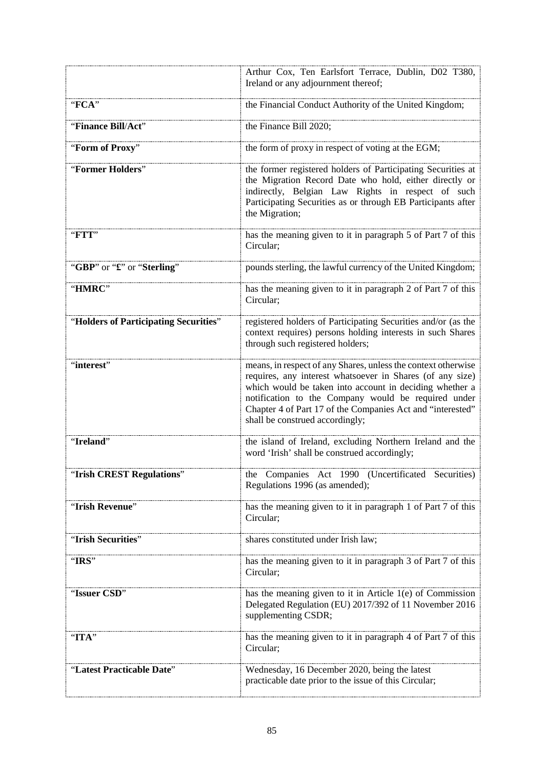|                                       | Arthur Cox, Ten Earlsfort Terrace, Dublin, D02 T380,<br>Ireland or any adjournment thereof;                                                                                                                                                                                                                                                   |
|---------------------------------------|-----------------------------------------------------------------------------------------------------------------------------------------------------------------------------------------------------------------------------------------------------------------------------------------------------------------------------------------------|
| "FCA"                                 | the Financial Conduct Authority of the United Kingdom;                                                                                                                                                                                                                                                                                        |
| "Finance Bill/Act"                    | the Finance Bill 2020;                                                                                                                                                                                                                                                                                                                        |
| "Form of Proxy"                       | the form of proxy in respect of voting at the EGM;                                                                                                                                                                                                                                                                                            |
| "Former Holders"                      | the former registered holders of Participating Securities at<br>the Migration Record Date who hold, either directly or<br>indirectly, Belgian Law Rights in respect of such<br>Participating Securities as or through EB Participants after<br>the Migration;                                                                                 |
| "FTT"                                 | has the meaning given to it in paragraph 5 of Part 7 of this<br>Circular;                                                                                                                                                                                                                                                                     |
| "GBP" or "£" or "Sterling"            | pounds sterling, the lawful currency of the United Kingdom;                                                                                                                                                                                                                                                                                   |
| "HMRC"                                | has the meaning given to it in paragraph 2 of Part 7 of this<br>Circular;                                                                                                                                                                                                                                                                     |
| "Holders of Participating Securities" | registered holders of Participating Securities and/or (as the<br>context requires) persons holding interests in such Shares<br>through such registered holders;                                                                                                                                                                               |
| "interest"                            | means, in respect of any Shares, unless the context otherwise<br>requires, any interest whatsoever in Shares (of any size)<br>which would be taken into account in deciding whether a<br>notification to the Company would be required under<br>Chapter 4 of Part 17 of the Companies Act and "interested"<br>shall be construed accordingly; |
| "Ireland"                             | the island of Ireland, excluding Northern Ireland and the<br>word 'Irish' shall be construed accordingly;                                                                                                                                                                                                                                     |
| "Irish CREST Regulations"             | the Companies Act 1990 (Uncertificated Securities)<br>Regulations 1996 (as amended);                                                                                                                                                                                                                                                          |
| "Irish Revenue"                       | has the meaning given to it in paragraph 1 of Part 7 of this<br>Circular;                                                                                                                                                                                                                                                                     |
| "Irish Securities"                    | shares constituted under Irish law;                                                                                                                                                                                                                                                                                                           |
| "IRS"                                 | has the meaning given to it in paragraph 3 of Part 7 of this<br>Circular;                                                                                                                                                                                                                                                                     |
| "Issuer CSD"                          | has the meaning given to it in Article $1(e)$ of Commission<br>Delegated Regulation (EU) 2017/392 of 11 November 2016<br>supplementing CSDR;                                                                                                                                                                                                  |
| "ITA"                                 | has the meaning given to it in paragraph 4 of Part 7 of this<br>Circular;                                                                                                                                                                                                                                                                     |
| "Latest Practicable Date"             | Wednesday, 16 December 2020, being the latest<br>practicable date prior to the issue of this Circular;                                                                                                                                                                                                                                        |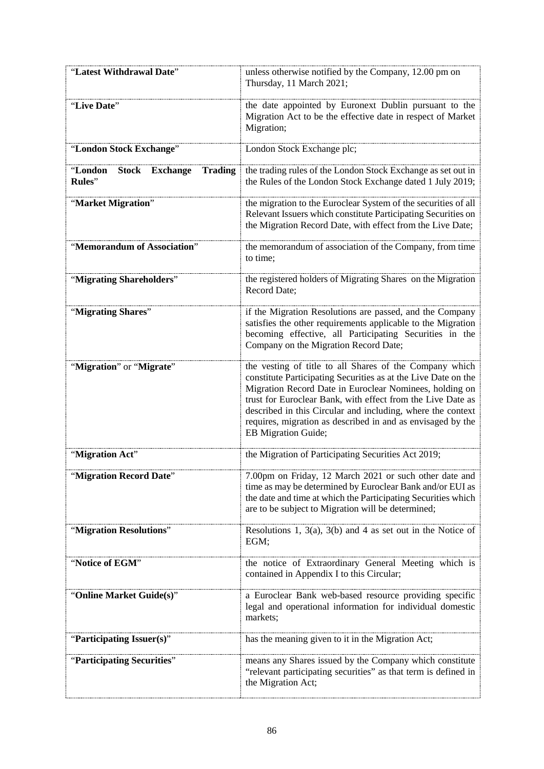| "Latest Withdrawal Date"                           | unless otherwise notified by the Company, 12.00 pm on<br>Thursday, 11 March 2021;                                                                                                                                                                                                                                                                                                                        |
|----------------------------------------------------|----------------------------------------------------------------------------------------------------------------------------------------------------------------------------------------------------------------------------------------------------------------------------------------------------------------------------------------------------------------------------------------------------------|
| "Live Date"                                        | the date appointed by Euronext Dublin pursuant to the<br>Migration Act to be the effective date in respect of Market<br>Migration;                                                                                                                                                                                                                                                                       |
| "London Stock Exchange"                            | London Stock Exchange plc;                                                                                                                                                                                                                                                                                                                                                                               |
| "London Stock Exchange<br><b>Trading</b><br>Rules" | the trading rules of the London Stock Exchange as set out in<br>the Rules of the London Stock Exchange dated 1 July 2019;                                                                                                                                                                                                                                                                                |
| "Market Migration"                                 | the migration to the Euroclear System of the securities of all<br>Relevant Issuers which constitute Participating Securities on<br>the Migration Record Date, with effect from the Live Date;                                                                                                                                                                                                            |
| "Memorandum of Association"                        | the memorandum of association of the Company, from time<br>to time;                                                                                                                                                                                                                                                                                                                                      |
| "Migrating Shareholders"                           | the registered holders of Migrating Shares on the Migration<br><b>Record Date:</b>                                                                                                                                                                                                                                                                                                                       |
| "Migrating Shares"                                 | if the Migration Resolutions are passed, and the Company<br>satisfies the other requirements applicable to the Migration<br>becoming effective, all Participating Securities in the<br>Company on the Migration Record Date;                                                                                                                                                                             |
| "Migration" or "Migrate"                           | the vesting of title to all Shares of the Company which<br>constitute Participating Securities as at the Live Date on the<br>Migration Record Date in Euroclear Nominees, holding on<br>trust for Euroclear Bank, with effect from the Live Date as<br>described in this Circular and including, where the context<br>requires, migration as described in and as envisaged by the<br>EB Migration Guide; |
| "Migration Act"                                    | the Migration of Participating Securities Act 2019;                                                                                                                                                                                                                                                                                                                                                      |
| 'Migration Record Date                             | 7.00pm on Friday, 12 March 2021 or such other date and<br>time as may be determined by Euroclear Bank and/or EUI as<br>the date and time at which the Participating Securities which<br>are to be subject to Migration will be determined;                                                                                                                                                               |
| "Migration Resolutions"                            | Resolutions 1, 3(a), 3(b) and 4 as set out in the Notice of<br>EGM;                                                                                                                                                                                                                                                                                                                                      |
| "Notice of EGM"                                    | the notice of Extraordinary General Meeting which is<br>contained in Appendix I to this Circular;                                                                                                                                                                                                                                                                                                        |
| "Online Market Guide(s)"                           | a Euroclear Bank web-based resource providing specific<br>legal and operational information for individual domestic<br>markets;                                                                                                                                                                                                                                                                          |
| "Participating Issuer(s)"                          | has the meaning given to it in the Migration Act;                                                                                                                                                                                                                                                                                                                                                        |
| "Participating Securities"                         | means any Shares issued by the Company which constitute<br>"relevant participating securities" as that term is defined in<br>the Migration Act;                                                                                                                                                                                                                                                          |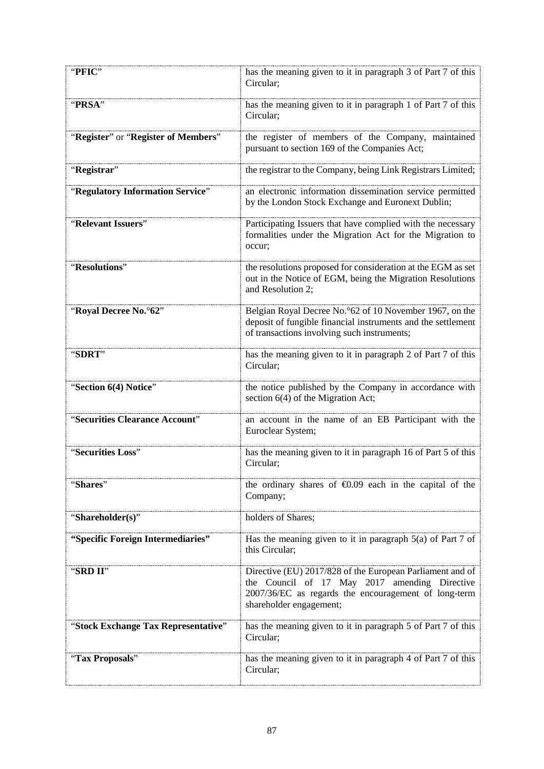| "PFIC"                              | has the meaning given to it in paragraph 3 of Part 7 of this<br>Circular;                                                                                                                     |
|-------------------------------------|-----------------------------------------------------------------------------------------------------------------------------------------------------------------------------------------------|
| "PRSA"                              | has the meaning given to it in paragraph 1 of Part 7 of this<br>Circular;                                                                                                                     |
| "Register" or "Register of Members" | the register of members of the Company, maintained<br>pursuant to section 169 of the Companies Act;                                                                                           |
| "Registrar"                         | the registrar to the Company, being Link Registrars Limited;                                                                                                                                  |
| "Regulatory Information Service"    | an electronic information dissemination service permitted<br>by the London Stock Exchange and Euronext Dublin;                                                                                |
| "Relevant Issuers"                  | Participating Issuers that have complied with the necessary<br>formalities under the Migration Act for the Migration to<br>occur;                                                             |
| "Resolutions"                       | the resolutions proposed for consideration at the EGM as set<br>out in the Notice of EGM, being the Migration Resolutions<br>and Resolution 2;                                                |
| "Royal Decree No.º62"               | Belgian Royal Decree No.º62 of 10 November 1967, on the<br>deposit of fungible financial instruments and the settlement<br>of transactions involving such instruments;                        |
| "SDRT"                              | has the meaning given to it in paragraph 2 of Part 7 of this<br>Circular;                                                                                                                     |
| "Section 6(4) Notice"               | the notice published by the Company in accordance with<br>section 6(4) of the Migration Act;                                                                                                  |
| "Securities Clearance Account"      | an account in the name of an EB Participant with the<br>Euroclear System;                                                                                                                     |
| "Securities Loss"                   | has the meaning given to it in paragraph 16 of Part 5 of this<br>Circular;                                                                                                                    |
| "Shares"                            | the ordinary shares of $\epsilon 0.09$ each in the capital of the<br>Company;                                                                                                                 |
| "Shareholder(s)"                    | holders of Shares;                                                                                                                                                                            |
| "Specific Foreign Intermediaries"   | Has the meaning given to it in paragraph $5(a)$ of Part 7 of<br>this Circular;                                                                                                                |
| "SRD II"                            | Directive (EU) 2017/828 of the European Parliament and of<br>the Council of 17 May 2017 amending Directive<br>2007/36/EC as regards the encouragement of long-term<br>shareholder engagement; |
| "Stock Exchange Tax Representative" | has the meaning given to it in paragraph 5 of Part 7 of this<br>Circular;                                                                                                                     |
| "Tax Proposals"                     | has the meaning given to it in paragraph 4 of Part 7 of this<br>Circular;                                                                                                                     |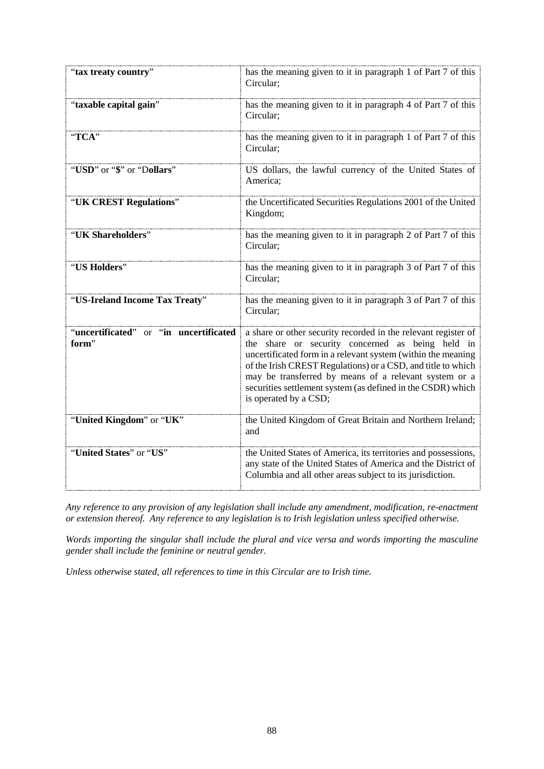| "tax treaty country"                            | has the meaning given to it in paragraph 1 of Part 7 of this<br>Circular;                                                                                                                                                                                                                                                                                                                           |
|-------------------------------------------------|-----------------------------------------------------------------------------------------------------------------------------------------------------------------------------------------------------------------------------------------------------------------------------------------------------------------------------------------------------------------------------------------------------|
| "taxable capital gain"                          | has the meaning given to it in paragraph 4 of Part 7 of this<br>Circular:                                                                                                                                                                                                                                                                                                                           |
| "TCA"                                           | has the meaning given to it in paragraph 1 of Part 7 of this<br>Circular;                                                                                                                                                                                                                                                                                                                           |
| "USD" or "\$" or "Dollars"                      | US dollars, the lawful currency of the United States of<br>America:                                                                                                                                                                                                                                                                                                                                 |
| "UK CREST Regulations"                          | the Uncertificated Securities Regulations 2001 of the United<br>Kingdom;                                                                                                                                                                                                                                                                                                                            |
| "UK Shareholders"                               | has the meaning given to it in paragraph 2 of Part 7 of this<br>Circular;                                                                                                                                                                                                                                                                                                                           |
| "US Holders"                                    | has the meaning given to it in paragraph 3 of Part 7 of this<br>Circular;                                                                                                                                                                                                                                                                                                                           |
| "US-Ireland Income Tax Treaty"                  | has the meaning given to it in paragraph 3 of Part 7 of this<br>Circular;                                                                                                                                                                                                                                                                                                                           |
| "uncertificated" or "in uncertificated<br>form" | a share or other security recorded in the relevant register of<br>the share or security concerned as being held in<br>uncertificated form in a relevant system (within the meaning<br>of the Irish CREST Regulations) or a CSD, and title to which<br>may be transferred by means of a relevant system or a<br>securities settlement system (as defined in the CSDR) which<br>is operated by a CSD; |
| "United Kingdom" or "UK"                        | the United Kingdom of Great Britain and Northern Ireland;<br>and                                                                                                                                                                                                                                                                                                                                    |
| "United States" or "US"                         | the United States of America, its territories and possessions,<br>any state of the United States of America and the District of<br>Columbia and all other areas subject to its jurisdiction.                                                                                                                                                                                                        |

*Any reference to any provision of any legislation shall include any amendment, modification, re-enactment or extension thereof. Any reference to any legislation is to Irish legislation unless specified otherwise.*

*Words importing the singular shall include the plural and vice versa and words importing the masculine gender shall include the feminine or neutral gender.* 

*Unless otherwise stated, all references to time in this Circular are to Irish time.*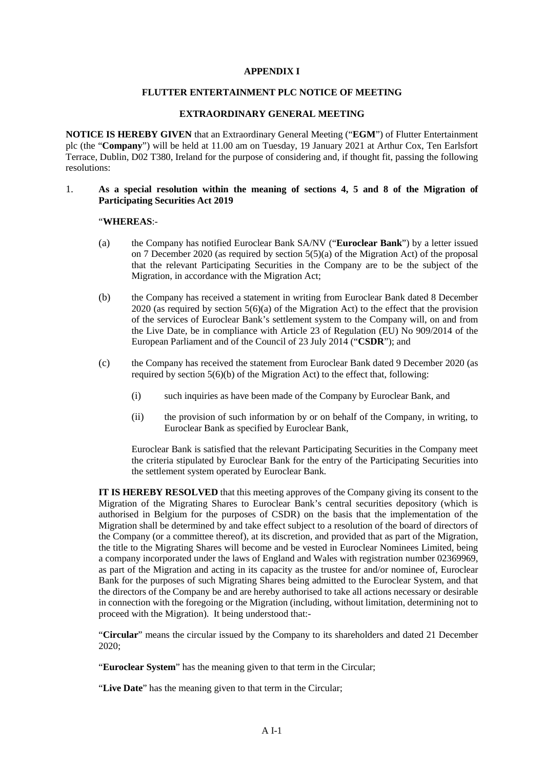# **APPENDIX I**

### **FLUTTER ENTERTAINMENT PLC NOTICE OF MEETING**

### **EXTRAORDINARY GENERAL MEETING**

**NOTICE IS HEREBY GIVEN** that an Extraordinary General Meeting ("**EGM**") of Flutter Entertainment plc (the "**Company**") will be held at 11.00 am on Tuesday, 19 January 2021 at Arthur Cox, Ten Earlsfort Terrace, Dublin, D02 T380, Ireland for the purpose of considering and, if thought fit, passing the following resolutions:

# 1. **As a special resolution within the meaning of sections 4, 5 and 8 of the Migration of Participating Securities Act 2019**

### "**WHEREAS**:-

- (a) the Company has notified Euroclear Bank SA/NV ("**Euroclear Bank**") by a letter issued on 7 December 2020 (as required by section 5(5)(a) of the Migration Act) of the proposal that the relevant Participating Securities in the Company are to be the subject of the Migration, in accordance with the Migration Act;
- (b) the Company has received a statement in writing from Euroclear Bank dated 8 December 2020 (as required by section 5(6)(a) of the Migration Act) to the effect that the provision of the services of Euroclear Bank's settlement system to the Company will, on and from the Live Date, be in compliance with Article 23 of Regulation (EU) No 909/2014 of the European Parliament and of the Council of 23 July 2014 ("**CSDR**"); and
- (c) the Company has received the statement from Euroclear Bank dated 9 December 2020 (as required by section 5(6)(b) of the Migration Act) to the effect that, following:
	- (i) such inquiries as have been made of the Company by Euroclear Bank, and
	- (ii) the provision of such information by or on behalf of the Company, in writing, to Euroclear Bank as specified by Euroclear Bank,

Euroclear Bank is satisfied that the relevant Participating Securities in the Company meet the criteria stipulated by Euroclear Bank for the entry of the Participating Securities into the settlement system operated by Euroclear Bank.

**IT IS HEREBY RESOLVED** that this meeting approves of the Company giving its consent to the Migration of the Migrating Shares to Euroclear Bank's central securities depository (which is authorised in Belgium for the purposes of CSDR) on the basis that the implementation of the Migration shall be determined by and take effect subject to a resolution of the board of directors of the Company (or a committee thereof), at its discretion, and provided that as part of the Migration, the title to the Migrating Shares will become and be vested in Euroclear Nominees Limited, being a company incorporated under the laws of England and Wales with registration number 02369969, as part of the Migration and acting in its capacity as the trustee for and/or nominee of, Euroclear Bank for the purposes of such Migrating Shares being admitted to the Euroclear System, and that the directors of the Company be and are hereby authorised to take all actions necessary or desirable in connection with the foregoing or the Migration (including, without limitation, determining not to proceed with the Migration). It being understood that:-

"**Circular**" means the circular issued by the Company to its shareholders and dated 21 December 2020;

"**Euroclear System**" has the meaning given to that term in the Circular;

"**Live Date**" has the meaning given to that term in the Circular;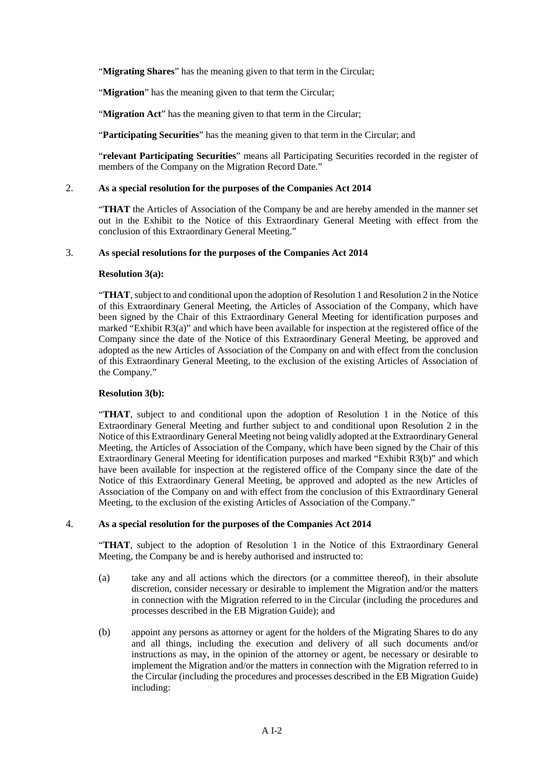"**Migrating Shares**" has the meaning given to that term in the Circular;

"**Migration**" has the meaning given to that term the Circular;

"**Migration Act**" has the meaning given to that term in the Circular;

"**Participating Securities**" has the meaning given to that term in the Circular; and

"**relevant Participating Securities**" means all Participating Securities recorded in the register of members of the Company on the Migration Record Date."

# 2. **As a special resolution for the purposes of the Companies Act 2014**

"**THAT** the Articles of Association of the Company be and are hereby amended in the manner set out in the Exhibit to the Notice of this Extraordinary General Meeting with effect from the conclusion of this Extraordinary General Meeting."

# 3. **As special resolutions for the purposes of the Companies Act 2014**

# **Resolution 3(a):**

"**THAT**, subject to and conditional upon the adoption of Resolution 1 and Resolution 2 in the Notice of this Extraordinary General Meeting, the Articles of Association of the Company, which have been signed by the Chair of this Extraordinary General Meeting for identification purposes and marked "Exhibit R3(a)" and which have been available for inspection at the registered office of the Company since the date of the Notice of this Extraordinary General Meeting, be approved and adopted as the new Articles of Association of the Company on and with effect from the conclusion of this Extraordinary General Meeting, to the exclusion of the existing Articles of Association of the Company."

# **Resolution 3(b):**

"**THAT**, subject to and conditional upon the adoption of Resolution 1 in the Notice of this Extraordinary General Meeting and further subject to and conditional upon Resolution 2 in the Notice of this Extraordinary General Meeting not being validly adopted at the Extraordinary General Meeting, the Articles of Association of the Company, which have been signed by the Chair of this Extraordinary General Meeting for identification purposes and marked "Exhibit R3(b)" and which have been available for inspection at the registered office of the Company since the date of the Notice of this Extraordinary General Meeting, be approved and adopted as the new Articles of Association of the Company on and with effect from the conclusion of this Extraordinary General Meeting, to the exclusion of the existing Articles of Association of the Company."

# 4. **As a special resolution for the purposes of the Companies Act 2014**

"**THAT**, subject to the adoption of Resolution 1 in the Notice of this Extraordinary General Meeting, the Company be and is hereby authorised and instructed to:

- (a) take any and all actions which the directors (or a committee thereof), in their absolute discretion, consider necessary or desirable to implement the Migration and/or the matters in connection with the Migration referred to in the Circular (including the procedures and processes described in the EB Migration Guide); and
- (b) appoint any persons as attorney or agent for the holders of the Migrating Shares to do any and all things, including the execution and delivery of all such documents and/or instructions as may, in the opinion of the attorney or agent, be necessary or desirable to implement the Migration and/or the matters in connection with the Migration referred to in the Circular (including the procedures and processes described in the EB Migration Guide) including: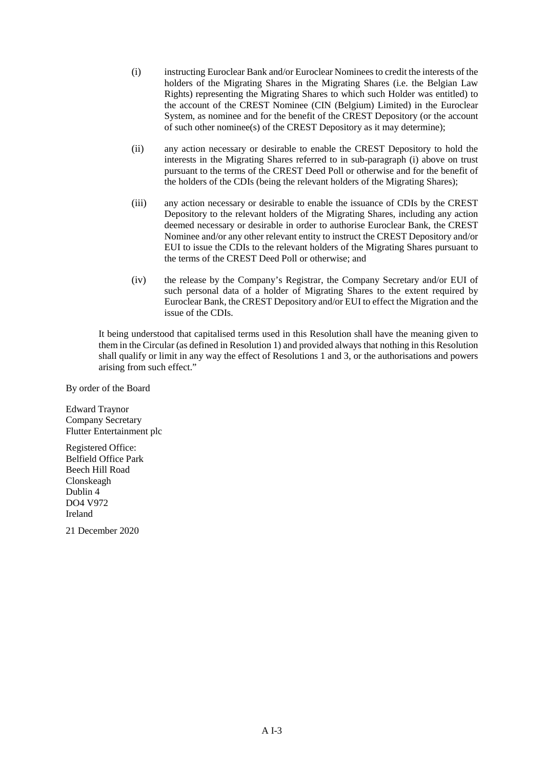- (i) instructing Euroclear Bank and/or Euroclear Nominees to credit the interests of the holders of the Migrating Shares in the Migrating Shares (i.e. the Belgian Law Rights) representing the Migrating Shares to which such Holder was entitled) to the account of the CREST Nominee (CIN (Belgium) Limited) in the Euroclear System, as nominee and for the benefit of the CREST Depository (or the account of such other nominee(s) of the CREST Depository as it may determine);
- (ii) any action necessary or desirable to enable the CREST Depository to hold the interests in the Migrating Shares referred to in sub-paragraph (i) above on trust pursuant to the terms of the CREST Deed Poll or otherwise and for the benefit of the holders of the CDIs (being the relevant holders of the Migrating Shares);
- (iii) any action necessary or desirable to enable the issuance of CDIs by the CREST Depository to the relevant holders of the Migrating Shares, including any action deemed necessary or desirable in order to authorise Euroclear Bank, the CREST Nominee and/or any other relevant entity to instruct the CREST Depository and/or EUI to issue the CDIs to the relevant holders of the Migrating Shares pursuant to the terms of the CREST Deed Poll or otherwise; and
- (iv) the release by the Company's Registrar, the Company Secretary and/or EUI of such personal data of a holder of Migrating Shares to the extent required by Euroclear Bank, the CREST Depository and/or EUI to effect the Migration and the issue of the CDIs.

It being understood that capitalised terms used in this Resolution shall have the meaning given to them in the Circular (as defined in Resolution 1) and provided always that nothing in this Resolution shall qualify or limit in any way the effect of Resolutions 1 and 3, or the authorisations and powers arising from such effect."

By order of the Board

Edward Traynor Company Secretary Flutter Entertainment plc

Registered Office: Belfield Office Park Beech Hill Road Clonskeagh Dublin 4 DO4 V972 Ireland

21 December 2020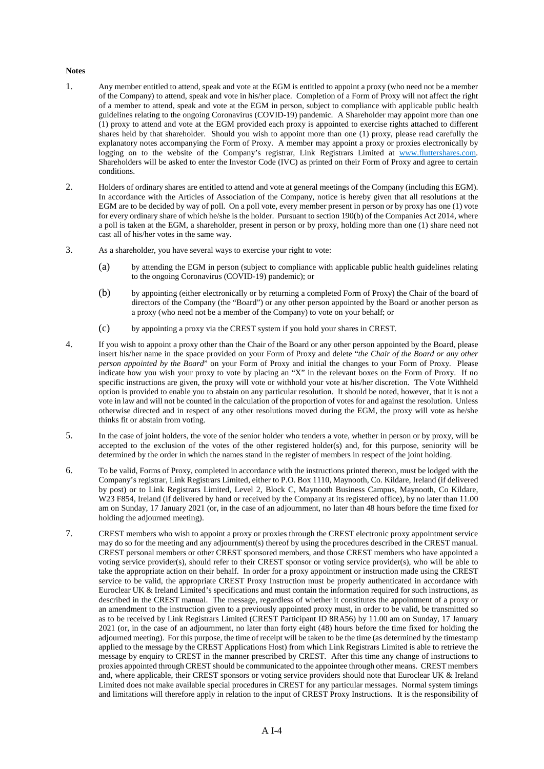#### **Notes**

- 1. Any member entitled to attend, speak and vote at the EGM is entitled to appoint a proxy (who need not be a member of the Company) to attend, speak and vote in his/her place. Completion of a Form of Proxy will not affect the right of a member to attend, speak and vote at the EGM in person, subject to compliance with applicable public health guidelines relating to the ongoing Coronavirus (COVID-19) pandemic. A Shareholder may appoint more than one (1) proxy to attend and vote at the EGM provided each proxy is appointed to exercise rights attached to different shares held by that shareholder. Should you wish to appoint more than one (1) proxy, please read carefully the explanatory notes accompanying the Form of Proxy. A member may appoint a proxy or proxies electronically by logging on to the website of the Company's registrar, Link Registrars Limited at www.fluttershares.com. Shareholders will be asked to enter the Investor Code (IVC) as printed on their Form of Proxy and agree to certain conditions.
- 2. Holders of ordinary shares are entitled to attend and vote at general meetings of the Company (including this EGM). In accordance with the Articles of Association of the Company, notice is hereby given that all resolutions at the EGM are to be decided by way of poll. On a poll vote, every member present in person or by proxy has one (1) vote for every ordinary share of which he/she is the holder. Pursuant to section 190(b) of the Companies Act 2014, where a poll is taken at the EGM, a shareholder, present in person or by proxy, holding more than one (1) share need not cast all of his/her votes in the same way.
- 3. As a shareholder, you have several ways to exercise your right to vote:
	- (a) by attending the EGM in person (subject to compliance with applicable public health guidelines relating to the ongoing Coronavirus (COVID-19) pandemic); or
	- (b) by appointing (either electronically or by returning a completed Form of Proxy) the Chair of the board of directors of the Company (the "Board") or any other person appointed by the Board or another person as a proxy (who need not be a member of the Company) to vote on your behalf; or
	- (c) by appointing a proxy via the CREST system if you hold your shares in CREST.
- 4. If you wish to appoint a proxy other than the Chair of the Board or any other person appointed by the Board, please insert his/her name in the space provided on your Form of Proxy and delete "*the Chair of the Board or any other person appointed by the Board*" on your Form of Proxy and initial the changes to your Form of Proxy. Please indicate how you wish your proxy to vote by placing an "X" in the relevant boxes on the Form of Proxy. If no specific instructions are given, the proxy will vote or withhold your vote at his/her discretion. The Vote Withheld option is provided to enable you to abstain on any particular resolution. It should be noted, however, that it is not a vote in law and will not be counted in the calculation of the proportion of votes for and against the resolution. Unless otherwise directed and in respect of any other resolutions moved during the EGM, the proxy will vote as he/she thinks fit or abstain from voting.
- 5. In the case of joint holders, the vote of the senior holder who tenders a vote, whether in person or by proxy, will be accepted to the exclusion of the votes of the other registered holder(s) and, for this purpose, seniority will be determined by the order in which the names stand in the register of members in respect of the joint holding.
- 6. To be valid, Forms of Proxy, completed in accordance with the instructions printed thereon, must be lodged with the Company's registrar, Link Registrars Limited, either to P.O. Box 1110, Maynooth, Co. Kildare, Ireland (if delivered by post) or to Link Registrars Limited, Level 2, Block C, Maynooth Business Campus, Maynooth, Co Kildare, W23 F854, Ireland (if delivered by hand or received by the Company at its registered office), by no later than 11.00 am on Sunday, 17 January 2021 (or, in the case of an adjournment, no later than 48 hours before the time fixed for holding the adjourned meeting).
- 7. CREST members who wish to appoint a proxy or proxies through the CREST electronic proxy appointment service may do so for the meeting and any adjournment(s) thereof by using the procedures described in the CREST manual. CREST personal members or other CREST sponsored members, and those CREST members who have appointed a voting service provider(s), should refer to their CREST sponsor or voting service provider(s), who will be able to take the appropriate action on their behalf. In order for a proxy appointment or instruction made using the CREST service to be valid, the appropriate CREST Proxy Instruction must be properly authenticated in accordance with Euroclear UK & Ireland Limited's specifications and must contain the information required for such instructions, as described in the CREST manual. The message, regardless of whether it constitutes the appointment of a proxy or an amendment to the instruction given to a previously appointed proxy must, in order to be valid, be transmitted so as to be received by Link Registrars Limited (CREST Participant ID 8RA56) by 11.00 am on Sunday, 17 January 2021 (or, in the case of an adjournment, no later than forty eight (48) hours before the time fixed for holding the adjourned meeting). For this purpose, the time of receipt will be taken to be the time (as determined by the timestamp applied to the message by the CREST Applications Host) from which Link Registrars Limited is able to retrieve the message by enquiry to CREST in the manner prescribed by CREST. After this time any change of instructions to proxies appointed through CREST should be communicated to the appointee through other means. CREST members and, where applicable, their CREST sponsors or voting service providers should note that Euroclear UK & Ireland Limited does not make available special procedures in CREST for any particular messages. Normal system timings and limitations will therefore apply in relation to the input of CREST Proxy Instructions. It is the responsibility of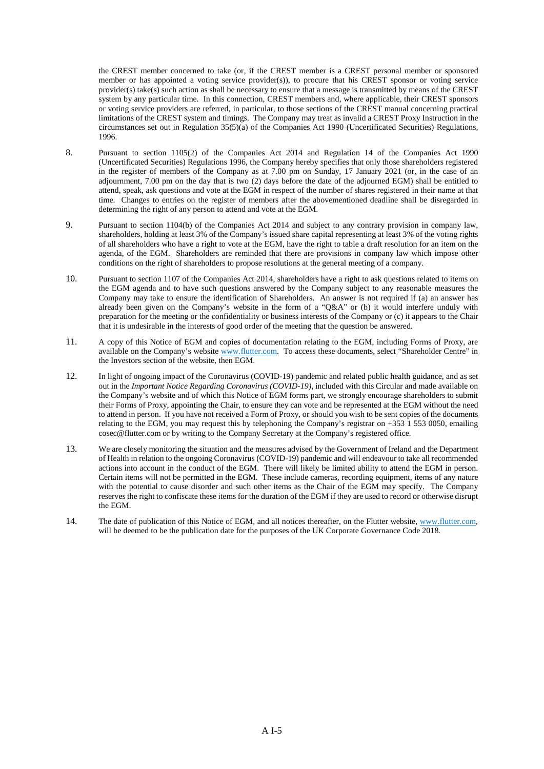the CREST member concerned to take (or, if the CREST member is a CREST personal member or sponsored member or has appointed a voting service provider(s)), to procure that his CREST sponsor or voting service provider(s) take(s) such action as shall be necessary to ensure that a message is transmitted by means of the CREST system by any particular time. In this connection, CREST members and, where applicable, their CREST sponsors or voting service providers are referred, in particular, to those sections of the CREST manual concerning practical limitations of the CREST system and timings. The Company may treat as invalid a CREST Proxy Instruction in the circumstances set out in Regulation 35(5)(a) of the Companies Act 1990 (Uncertificated Securities) Regulations, 1996.

- 8. Pursuant to section 1105(2) of the Companies Act 2014 and Regulation 14 of the Companies Act 1990 (Uncertificated Securities) Regulations 1996, the Company hereby specifies that only those shareholders registered in the register of members of the Company as at 7.00 pm on Sunday, 17 January 2021 (or, in the case of an adjournment, 7.00 pm on the day that is two (2) days before the date of the adjourned EGM) shall be entitled to attend, speak, ask questions and vote at the EGM in respect of the number of shares registered in their name at that time. Changes to entries on the register of members after the abovementioned deadline shall be disregarded in determining the right of any person to attend and vote at the EGM.
- 9. Pursuant to section 1104(b) of the Companies Act 2014 and subject to any contrary provision in company law, shareholders, holding at least 3% of the Company's issued share capital representing at least 3% of the voting rights of all shareholders who have a right to vote at the EGM, have the right to table a draft resolution for an item on the agenda, of the EGM. Shareholders are reminded that there are provisions in company law which impose other conditions on the right of shareholders to propose resolutions at the general meeting of a company.
- 10. Pursuant to section 1107 of the Companies Act 2014, shareholders have a right to ask questions related to items on the EGM agenda and to have such questions answered by the Company subject to any reasonable measures the Company may take to ensure the identification of Shareholders. An answer is not required if (a) an answer has already been given on the Company's website in the form of a "Q&A" or (b) it would interfere unduly with preparation for the meeting or the confidentiality or business interests of the Company or (c) it appears to the Chair that it is undesirable in the interests of good order of the meeting that the question be answered.
- 11. A copy of this Notice of EGM and copies of documentation relating to the EGM, including Forms of Proxy, are available on the Company's website www.flutter.com. To access these documents, select "Shareholder Centre" in the Investors section of the website, then EGM.
- 12. In light of ongoing impact of the Coronavirus (COVID-19) pandemic and related public health guidance, and as set out in the *Important Notice Regarding Coronavirus (COVID-19)*, included with this Circular and made available on the Company's website and of which this Notice of EGM forms part, we strongly encourage shareholders to submit their Forms of Proxy, appointing the Chair, to ensure they can vote and be represented at the EGM without the need to attend in person. If you have not received a Form of Proxy, or should you wish to be sent copies of the documents relating to the EGM, you may request this by telephoning the Company's registrar on  $+353 \hat{1} 553 0050$ , emailing cosec@flutter.com or by writing to the Company Secretary at the Company's registered office.
- 13. We are closely monitoring the situation and the measures advised by the Government of Ireland and the Department of Health in relation to the ongoing Coronavirus (COVID-19) pandemic and will endeavour to take all recommended actions into account in the conduct of the EGM. There will likely be limited ability to attend the EGM in person. Certain items will not be permitted in the EGM. These include cameras, recording equipment, items of any nature with the potential to cause disorder and such other items as the Chair of the EGM may specify. The Company reserves the right to confiscate these items for the duration of the EGM if they are used to record or otherwise disrupt the EGM.
- 14. The date of publication of this Notice of EGM, and all notices thereafter, on the Flutter website, www.flutter.com, will be deemed to be the publication date for the purposes of the UK Corporate Governance Code 2018.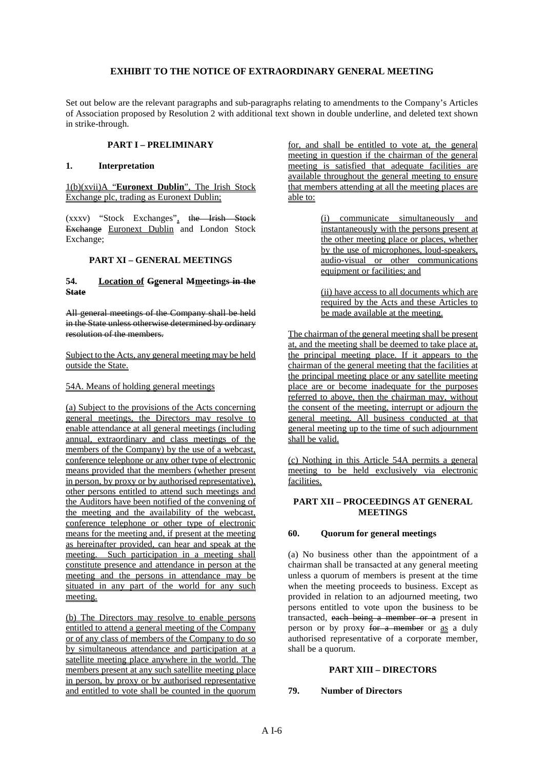# **EXHIBIT TO THE NOTICE OF EXTRAORDINARY GENERAL MEETING**

Set out below are the relevant paragraphs and sub-paragraphs relating to amendments to the Company's Articles of Association proposed by Resolution 2 with additional text shown in double underline, and deleted text shown in strike-through.

# **PART I – PRELIMINARY**

### **1. Interpretation**

1(b)(xvii)A "**Euronext Dublin**", The Irish Stock Exchange plc, trading as Euronext Dublin;

(xxxv) "Stock Exchanges", the Irish Stock Exchange Euronext Dublin and London Stock Exchange;

# **PART XI – GENERAL MEETINGS**

# **54. Location of Ggeneral Mmeetings in the State**

All general meetings of the Company shall be held in the State unless otherwise determined by ordinary resolution of the members.

#### Subject to the Acts, any general meeting may be held outside the State.

#### 54A. Means of holding general meetings

(a) Subject to the provisions of the Acts concerning general meetings, the Directors may resolve to enable attendance at all general meetings (including annual, extraordinary and class meetings of the members of the Company) by the use of a webcast, conference telephone or any other type of electronic means provided that the members (whether present in person, by proxy or by authorised representative), other persons entitled to attend such meetings and the Auditors have been notified of the convening of the meeting and the availability of the webcast, conference telephone or other type of electronic means for the meeting and, if present at the meeting as hereinafter provided, can hear and speak at the meeting. Such participation in a meeting shall constitute presence and attendance in person at the meeting and the persons in attendance may be situated in any part of the world for any such meeting.

(b) The Directors may resolve to enable persons entitled to attend a general meeting of the Company or of any class of members of the Company to do so by simultaneous attendance and participation at a satellite meeting place anywhere in the world. The members present at any such satellite meeting place in person, by proxy or by authorised representative and entitled to vote shall be counted in the quorum

for, and shall be entitled to vote at, the general meeting in question if the chairman of the general meeting is satisfied that adequate facilities are available throughout the general meeting to ensure that members attending at all the meeting places are able to:

> (i) communicate simultaneously and instantaneously with the persons present at the other meeting place or places, whether by the use of microphones, loud-speakers, audio-visual or other communications equipment or facilities; and

> (ii) have access to all documents which are required by the Acts and these Articles to be made available at the meeting.

The chairman of the general meeting shall be present at, and the meeting shall be deemed to take place at, the principal meeting place. If it appears to the chairman of the general meeting that the facilities at the principal meeting place or any satellite meeting place are or become inadequate for the purposes referred to above, then the chairman may, without the consent of the meeting, interrupt or adjourn the general meeting. All business conducted at that general meeting up to the time of such adjournment shall be valid.

(c) Nothing in this Article 54A permits a general meeting to be held exclusively via electronic facilities.

# **PART XII – PROCEEDINGS AT GENERAL MEETINGS**

# **60. Quorum for general meetings**

(a) No business other than the appointment of a chairman shall be transacted at any general meeting unless a quorum of members is present at the time when the meeting proceeds to business. Except as provided in relation to an adjourned meeting, two persons entitled to vote upon the business to be transacted, each being a member or a present in person or by proxy for a member or as a duly authorised representative of a corporate member, shall be a quorum.

# **PART XIII – DIRECTORS**

# **79. Number of Directors**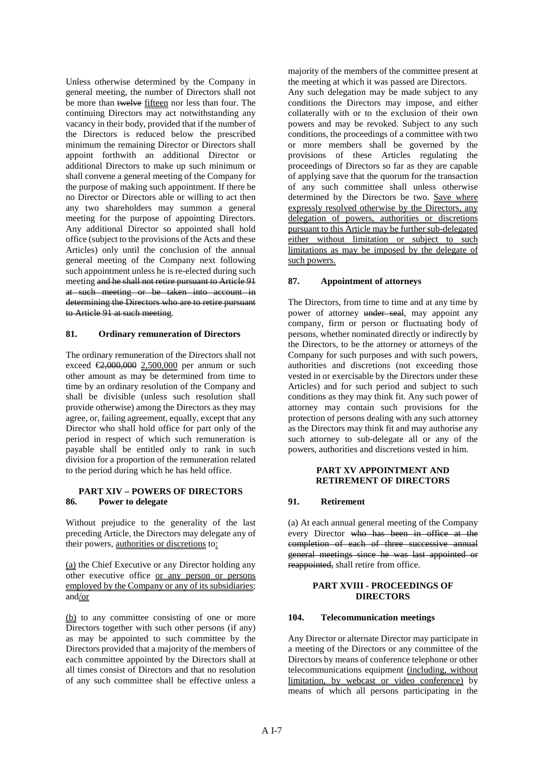Unless otherwise determined by the Company in general meeting, the number of Directors shall not be more than twelve fifteen nor less than four. The continuing Directors may act notwithstanding any vacancy in their body, provided that if the number of the Directors is reduced below the prescribed minimum the remaining Director or Directors shall appoint forthwith an additional Director or additional Directors to make up such minimum or shall convene a general meeting of the Company for the purpose of making such appointment. If there be no Director or Directors able or willing to act then any two shareholders may summon a general meeting for the purpose of appointing Directors. Any additional Director so appointed shall hold office (subject to the provisions of the Acts and these Articles) only until the conclusion of the annual general meeting of the Company next following such appointment unless he is re-elected during such meeting and he shall not retire pursuant to Article 91 at such meeting or be taken into account in determining the Directors who are to retire pursuant to Article 91 at such meeting.

# **81. Ordinary remuneration of Directors**

The ordinary remuneration of the Directors shall not exceed  $\bigoplus_{0.000} 0.000$  2,500,000 per annum or such other amount as may be determined from time to time by an ordinary resolution of the Company and shall be divisible (unless such resolution shall provide otherwise) among the Directors as they may agree, or, failing agreement, equally, except that any Director who shall hold office for part only of the period in respect of which such remuneration is payable shall be entitled only to rank in such division for a proportion of the remuneration related to the period during which he has held office.

#### **PART XIV – POWERS OF DIRECTORS 86. Power to delegate**

Without prejudice to the generality of the last preceding Article, the Directors may delegate any of their powers, authorities or discretions to:

(a) the Chief Executive or any Director holding any other executive office or any person or persons employed by the Company or any of its subsidiaries; and/or

(b) to any committee consisting of one or more Directors together with such other persons (if any) as may be appointed to such committee by the Directors provided that a majority of the members of each committee appointed by the Directors shall at all times consist of Directors and that no resolution of any such committee shall be effective unless a majority of the members of the committee present at the meeting at which it was passed are Directors.

Any such delegation may be made subject to any conditions the Directors may impose, and either collaterally with or to the exclusion of their own powers and may be revoked. Subject to any such conditions, the proceedings of a committee with two or more members shall be governed by the provisions of these Articles regulating the proceedings of Directors so far as they are capable of applying save that the quorum for the transaction of any such committee shall unless otherwise determined by the Directors be two. Save where expressly resolved otherwise by the Directors, any delegation of powers, authorities or discretions pursuant to this Article may be further sub-delegated either without limitation or subject to such limitations as may be imposed by the delegate of such powers.

#### **87. Appointment of attorneys**

The Directors, from time to time and at any time by power of attorney under seal, may appoint any company, firm or person or fluctuating body of persons, whether nominated directly or indirectly by the Directors, to be the attorney or attorneys of the Company for such purposes and with such powers, authorities and discretions (not exceeding those vested in or exercisable by the Directors under these Articles) and for such period and subject to such conditions as they may think fit. Any such power of attorney may contain such provisions for the protection of persons dealing with any such attorney as the Directors may think fit and may authorise any such attorney to sub-delegate all or any of the powers, authorities and discretions vested in him.

# **PART XV APPOINTMENT AND RETIREMENT OF DIRECTORS**

# **91. Retirement**

(a) At each annual general meeting of the Company every Director who has been in office at the completion of each of three successive annual general meetings since he was last appointed or reappointed, shall retire from office.

### **PART XVIII - PROCEEDINGS OF DIRECTORS**

#### **104. Telecommunication meetings**

Any Director or alternate Director may participate in a meeting of the Directors or any committee of the Directors by means of conference telephone or other telecommunications equipment (including, without limitation, by webcast or video conference) by means of which all persons participating in the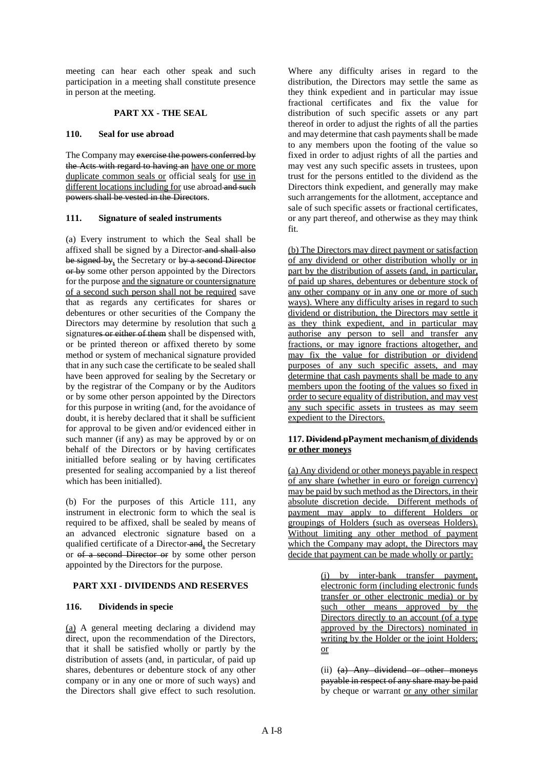meeting can hear each other speak and such participation in a meeting shall constitute presence in person at the meeting.

# **PART XX - THE SEAL**

# **110. Seal for use abroad**

The Company may exercise the powers conferred by the Acts with regard to having an have one or more duplicate common seals or official seals for use in different locations including for use abroad and such powers shall be vested in the Directors.

# **111. Signature of sealed instruments**

(a) Every instrument to which the Seal shall be affixed shall be signed by a Director and shall also be signed by, the Secretary or by a second Director or by some other person appointed by the Directors for the purpose and the signature or countersignature of a second such person shall not be required save that as regards any certificates for shares or debentures or other securities of the Company the Directors may determine by resolution that such a signatures or either of them shall be dispensed with, or be printed thereon or affixed thereto by some method or system of mechanical signature provided that in any such case the certificate to be sealed shall have been approved for sealing by the Secretary or by the registrar of the Company or by the Auditors or by some other person appointed by the Directors for this purpose in writing (and, for the avoidance of doubt, it is hereby declared that it shall be sufficient for approval to be given and/or evidenced either in such manner (if any) as may be approved by or on behalf of the Directors or by having certificates initialled before sealing or by having certificates presented for sealing accompanied by a list thereof which has been initialled).

(b) For the purposes of this Article 111, any instrument in electronic form to which the seal is required to be affixed, shall be sealed by means of an advanced electronic signature based on a qualified certificate of a Director and, the Secretary or of a second Director or by some other person appointed by the Directors for the purpose.

# **PART XXI - DIVIDENDS AND RESERVES**

# **116. Dividends in specie**

(a) A general meeting declaring a dividend may direct, upon the recommendation of the Directors, that it shall be satisfied wholly or partly by the distribution of assets (and, in particular, of paid up shares, debentures or debenture stock of any other company or in any one or more of such ways) and the Directors shall give effect to such resolution.

Where any difficulty arises in regard to the distribution, the Directors may settle the same as they think expedient and in particular may issue fractional certificates and fix the value for distribution of such specific assets or any part thereof in order to adjust the rights of all the parties and may determine that cash payments shall be made to any members upon the footing of the value so fixed in order to adjust rights of all the parties and may vest any such specific assets in trustees, upon trust for the persons entitled to the dividend as the Directors think expedient, and generally may make such arrangements for the allotment, acceptance and sale of such specific assets or fractional certificates, or any part thereof, and otherwise as they may think fit.

(b) The Directors may direct payment or satisfaction of any dividend or other distribution wholly or in part by the distribution of assets (and, in particular, of paid up shares, debentures or debenture stock of any other company or in any one or more of such ways). Where any difficulty arises in regard to such dividend or distribution, the Directors may settle it as they think expedient, and in particular may authorise any person to sell and transfer any fractions, or may ignore fractions altogether, and may fix the value for distribution or dividend purposes of any such specific assets, and may determine that cash payments shall be made to any members upon the footing of the values so fixed in order to secure equality of distribution, and may vest any such specific assets in trustees as may seem expedient to the Directors.

# **117. Dividend pPayment mechanism of dividends or other moneys**

(a) Any dividend or other moneys payable in respect of any share (whether in euro or foreign currency) may be paid by such method as the Directors, in their absolute discretion decide. Different methods of payment may apply to different Holders or groupings of Holders (such as overseas Holders). Without limiting any other method of payment which the Company may adopt, the Directors may decide that payment can be made wholly or partly:

> (i) by inter-bank transfer payment, electronic form (including electronic funds transfer or other electronic media) or by such other means approved by the Directors directly to an account (of a type approved by the Directors) nominated in writing by the Holder or the joint Holders; or

> (ii) (a) Any dividend or other moneys payable in respect of any share may be paid by cheque or warrant or any other similar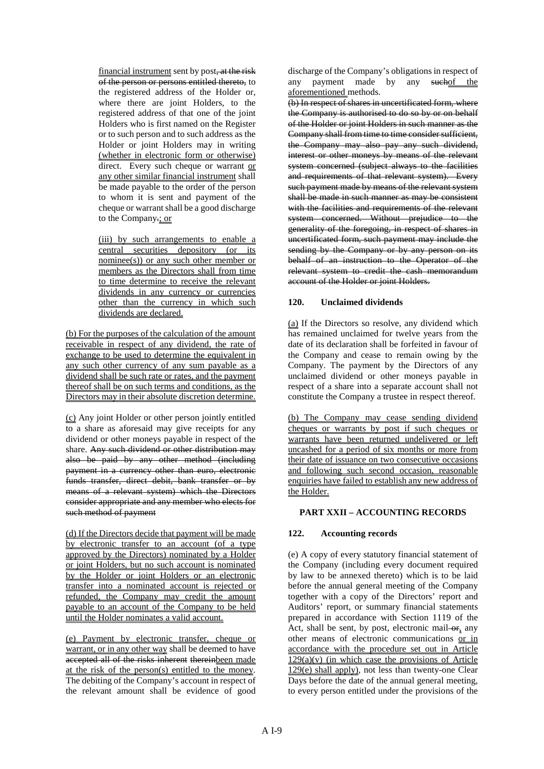financial instrument sent by post, at the risk of the person or persons entitled thereto, to the registered address of the Holder or, where there are joint Holders, to the registered address of that one of the joint Holders who is first named on the Register or to such person and to such address as the Holder or joint Holders may in writing (whether in electronic form or otherwise) direct. Every such cheque or warrant or any other similar financial instrument shall be made payable to the order of the person to whom it is sent and payment of the cheque or warrant shall be a good discharge to the Company.; or

(iii) by such arrangements to enable a central securities depository (or its nominee(s)) or any such other member or members as the Directors shall from time to time determine to receive the relevant dividends in any currency or currencies other than the currency in which such dividends are declared.

(b) For the purposes of the calculation of the amount receivable in respect of any dividend, the rate of exchange to be used to determine the equivalent in any such other currency of any sum payable as a dividend shall be such rate or rates, and the payment thereof shall be on such terms and conditions, as the Directors may in their absolute discretion determine.

(c) Any joint Holder or other person jointly entitled to a share as aforesaid may give receipts for any dividend or other moneys payable in respect of the share. Any such dividend or other distribution may also be paid by any other method (including payment in a currency other than euro, electronic funds transfer, direct debit, bank transfer or by means of a relevant system) which the Directors consider appropriate and any member who elects for such method of payment

(d) If the Directors decide that payment will be made by electronic transfer to an account (of a type approved by the Directors) nominated by a Holder or joint Holders, but no such account is nominated by the Holder or joint Holders or an electronic transfer into a nominated account is rejected or refunded, the Company may credit the amount payable to an account of the Company to be held until the Holder nominates a valid account.

(e) Payment by electronic transfer, cheque or warrant, or in any other way shall be deemed to have accepted all of the risks inherent thereinbeen made at the risk of the person(s) entitled to the money. The debiting of the Company's account in respect of the relevant amount shall be evidence of good

discharge of the Company's obligations in respect of any payment made by any suchof the aforementioned methods.

(b) In respect of shares in uncertificated form, where the Company is authorised to do so by or on behalf of the Holder or joint Holders in such manner as the Company shall from time to time consider sufficient, the Company may also pay any such dividend, interest or other moneys by means of the relevant system concerned (subject always to the facilities and requirements of that relevant system). Every such payment made by means of the relevant system shall be made in such manner as may be consistent with the facilities and requirements of the relevant system concerned. Without prejudice to the generality of the foregoing, in respect of shares in uncertificated form, such payment may include the sending by the Company or by any person on its behalf of an instruction to the Operator of the relevant system to credit the cash memorandum account of the Holder or joint Holders.

# **120. Unclaimed dividends**

(a) If the Directors so resolve, any dividend which has remained unclaimed for twelve years from the date of its declaration shall be forfeited in favour of the Company and cease to remain owing by the Company. The payment by the Directors of any unclaimed dividend or other moneys payable in respect of a share into a separate account shall not constitute the Company a trustee in respect thereof.

(b) The Company may cease sending dividend cheques or warrants by post if such cheques or warrants have been returned undelivered or left uncashed for a period of six months or more from their date of issuance on two consecutive occasions and following such second occasion, reasonable enquiries have failed to establish any new address of the Holder.

# **PART XXII – ACCOUNTING RECORDS**

# **122. Accounting records**

(e) A copy of every statutory financial statement of the Company (including every document required by law to be annexed thereto) which is to be laid before the annual general meeting of the Company together with a copy of the Directors' report and Auditors' report, or summary financial statements prepared in accordance with Section 1119 of the Act, shall be sent, by post, electronic mail- $\theta$ <sub>r</sub> any other means of electronic communications or in accordance with the procedure set out in Article  $129(a)(v)$  (in which case the provisions of Article 129(e) shall apply), not less than twenty-one Clear Days before the date of the annual general meeting, to every person entitled under the provisions of the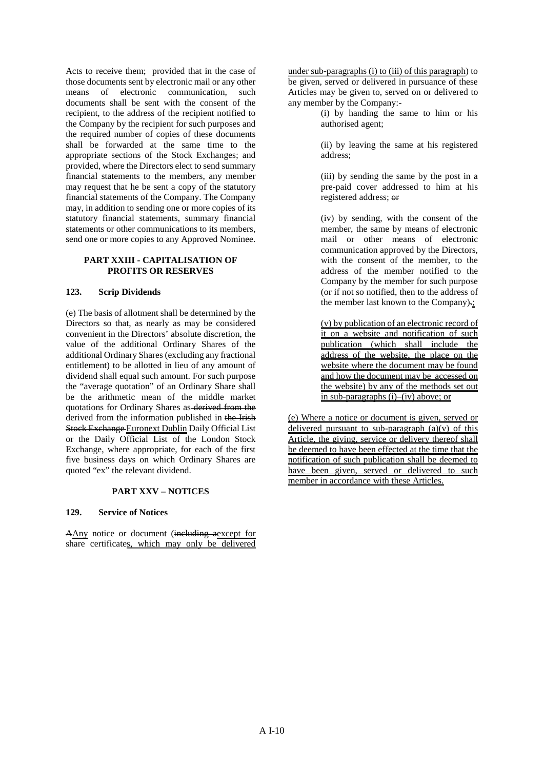Acts to receive them; provided that in the case of those documents sent by electronic mail or any other means of electronic communication, such documents shall be sent with the consent of the recipient, to the address of the recipient notified to the Company by the recipient for such purposes and the required number of copies of these documents shall be forwarded at the same time to the appropriate sections of the Stock Exchanges; and provided, where the Directors elect to send summary financial statements to the members, any member may request that he be sent a copy of the statutory financial statements of the Company. The Company may, in addition to sending one or more copies of its statutory financial statements, summary financial statements or other communications to its members, send one or more copies to any Approved Nominee.

# **PART XXIII - CAPITALISATION OF PROFITS OR RESERVES**

# **123. Scrip Dividends**

(e) The basis of allotment shall be determined by the Directors so that, as nearly as may be considered convenient in the Directors' absolute discretion, the value of the additional Ordinary Shares of the additional Ordinary Shares (excluding any fractional entitlement) to be allotted in lieu of any amount of dividend shall equal such amount. For such purpose the "average quotation" of an Ordinary Share shall be the arithmetic mean of the middle market quotations for Ordinary Shares as derived from the derived from the information published in the Irish Stock Exchange Euronext Dublin Daily Official List or the Daily Official List of the London Stock Exchange, where appropriate, for each of the first five business days on which Ordinary Shares are quoted "ex" the relevant dividend.

# **PART XXV – NOTICES**

# **129. Service of Notices**

AAny notice or document (including aexcept for share certificates, which may only be delivered

under sub-paragraphs (i) to (iii) of this paragraph) to be given, served or delivered in pursuance of these Articles may be given to, served on or delivered to any member by the Company:-

> (i) by handing the same to him or his authorised agent;

(ii) by leaving the same at his registered address;

(iii) by sending the same by the post in a pre-paid cover addressed to him at his registered address; or

(iv) by sending, with the consent of the member, the same by means of electronic mail or other means of electronic communication approved by the Directors, with the consent of the member, to the address of the member notified to the Company by the member for such purpose (or if not so notified, then to the address of the member last known to the Company).;

(v) by publication of an electronic record of it on a website and notification of such publication (which shall include the address of the website, the place on the website where the document may be found and how the document may be accessed on the website) by any of the methods set out in sub-paragraphs (i)–(iv) above; or

(e) Where a notice or document is given, served or delivered pursuant to sub-paragraph  $(a)(v)$  of this Article, the giving, service or delivery thereof shall be deemed to have been effected at the time that the notification of such publication shall be deemed to have been given, served or delivered to such member in accordance with these Articles.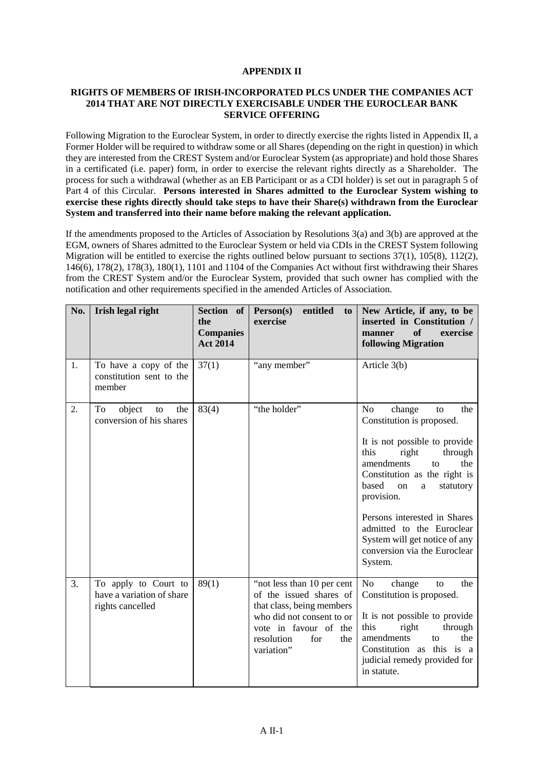# **APPENDIX II**

# **RIGHTS OF MEMBERS OF IRISH-INCORPORATED PLCS UNDER THE COMPANIES ACT 2014 THAT ARE NOT DIRECTLY EXERCISABLE UNDER THE EUROCLEAR BANK SERVICE OFFERING**

Following Migration to the Euroclear System, in order to directly exercise the rights listed in Appendix II, a Former Holder will be required to withdraw some or all Shares (depending on the right in question) in which they are interested from the CREST System and/or Euroclear System (as appropriate) and hold those Shares in a certificated (i.e. paper) form, in order to exercise the relevant rights directly as a Shareholder. The process for such a withdrawal (whether as an EB Participant or as a CDI holder) is set out in paragrap[h 5](#page-46-0) of [Part](#page-39-0) 4 of this Circular. **Persons interested in Shares admitted to the Euroclear System wishing to exercise these rights directly should take steps to have their Share(s) withdrawn from the Euroclear System and transferred into their name before making the relevant application.**

If the amendments proposed to the Articles of Association by Resolutions 3(a) and 3(b) are approved at the EGM, owners of Shares admitted to the Euroclear System or held via CDIs in the CREST System following Migration will be entitled to exercise the rights outlined below pursuant to sections 37(1), 105(8), 112(2), 146(6), 178(2), 178(3), 180(1), 1101 and 1104 of the Companies Act without first withdrawing their Shares from the CREST System and/or the Euroclear System, provided that such owner has complied with the notification and other requirements specified in the amended Articles of Association.

| No.              | Irish legal right                                                     | Section of<br>the<br><b>Companies</b><br><b>Act 2014</b> | Person(s)<br>entitled<br>to<br>exercise                                                                                                                                             | New Article, if any, to be<br>inserted in Constitution /<br>exercise<br><b>of</b><br>manner<br><b>following Migration</b>                                                                                                                                                                                                                                                          |
|------------------|-----------------------------------------------------------------------|----------------------------------------------------------|-------------------------------------------------------------------------------------------------------------------------------------------------------------------------------------|------------------------------------------------------------------------------------------------------------------------------------------------------------------------------------------------------------------------------------------------------------------------------------------------------------------------------------------------------------------------------------|
| 1.               | To have a copy of the<br>constitution sent to the<br>member           | 37(1)                                                    | "any member"                                                                                                                                                                        | Article 3(b)                                                                                                                                                                                                                                                                                                                                                                       |
| $\overline{2}$ . | object<br>To<br>the<br>to<br>conversion of his shares                 | 83(4)                                                    | "the holder"                                                                                                                                                                        | N <sub>o</sub><br>change<br>the<br>to<br>Constitution is proposed.<br>It is not possible to provide<br>this<br>right<br>through<br>amendments<br>the<br>to<br>Constitution as the right is<br>based<br>on<br>statutory<br>a<br>provision.<br>Persons interested in Shares<br>admitted to the Euroclear<br>System will get notice of any<br>conversion via the Euroclear<br>System. |
| 3.               | To apply to Court to<br>have a variation of share<br>rights cancelled | 89(1)                                                    | "not less than 10 per cent"<br>of the issued shares of<br>that class, being members<br>who did not consent to or<br>vote in favour of the<br>resolution<br>for<br>the<br>variation" | No<br>change<br>the<br>to<br>Constitution is proposed.<br>It is not possible to provide<br>this<br>right<br>through<br>amendments<br>the<br>to<br>Constitution as this is a<br>judicial remedy provided for<br>in statute.                                                                                                                                                         |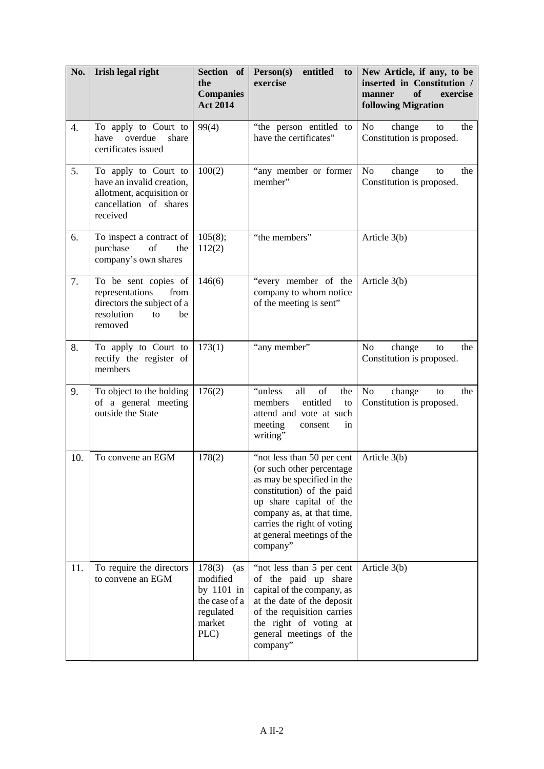| No. | Irish legal right                                                                                                    | Section of<br>the<br><b>Companies</b><br><b>Act 2014</b>                                | entitled<br>Person(s)<br>to<br>exercise                                                                                                                                                                                                              | New Article, if any, to be<br>inserted in Constitution /<br>of<br>exercise<br>manner<br><b>following Migration</b> |
|-----|----------------------------------------------------------------------------------------------------------------------|-----------------------------------------------------------------------------------------|------------------------------------------------------------------------------------------------------------------------------------------------------------------------------------------------------------------------------------------------------|--------------------------------------------------------------------------------------------------------------------|
| 4.  | To apply to Court to<br>overdue<br>have<br>share<br>certificates issued                                              | 99(4)                                                                                   | "the person entitled to<br>have the certificates"                                                                                                                                                                                                    | No<br>change<br>the<br>to<br>Constitution is proposed.                                                             |
| 5.  | To apply to Court to<br>have an invalid creation,<br>allotment, acquisition or<br>cancellation of shares<br>received | 100(2)                                                                                  | "any member or former<br>member"                                                                                                                                                                                                                     | N <sub>o</sub><br>change<br>the<br>to<br>Constitution is proposed.                                                 |
| 6.  | To inspect a contract of<br>purchase<br>of<br>the<br>company's own shares                                            | 105(8);<br>112(2)                                                                       | "the members"                                                                                                                                                                                                                                        | Article 3(b)                                                                                                       |
| 7.  | To be sent copies of<br>representations<br>from<br>directors the subject of a<br>resolution<br>be<br>to<br>removed   | 146(6)                                                                                  | "every member of the<br>company to whom notice<br>of the meeting is sent"                                                                                                                                                                            | Article 3(b)                                                                                                       |
| 8.  | To apply to Court to<br>rectify the register of<br>members                                                           | 173(1)                                                                                  | "any member"                                                                                                                                                                                                                                         | N <sub>o</sub><br>change<br>the<br>to<br>Constitution is proposed.                                                 |
| 9.  | To object to the holding<br>of a general meeting<br>outside the State                                                | 176(2)                                                                                  | "unless<br>all<br>of<br>the<br>entitled<br>members<br>to<br>attend and vote at such<br>meeting<br>in<br>consent<br>writing"                                                                                                                          | No<br>change<br>the<br>to<br>Constitution is proposed.                                                             |
| 10. | To convene an EGM                                                                                                    | 178(2)                                                                                  | "not less than 50 per cent<br>(or such other percentage)<br>as may be specified in the<br>constitution) of the paid<br>up share capital of the<br>company as, at that time,<br>carries the right of voting<br>at general meetings of the<br>company" | Article 3(b)                                                                                                       |
| 11. | To require the directors<br>to convene an EGM                                                                        | 178(3)<br>(as<br>modified<br>by 1101 in<br>the case of a<br>regulated<br>market<br>PLC) | "not less than 5 per cent<br>of the paid up share<br>capital of the company, as<br>at the date of the deposit<br>of the requisition carries<br>the right of voting at<br>general meetings of the<br>company"                                         | Article 3(b)                                                                                                       |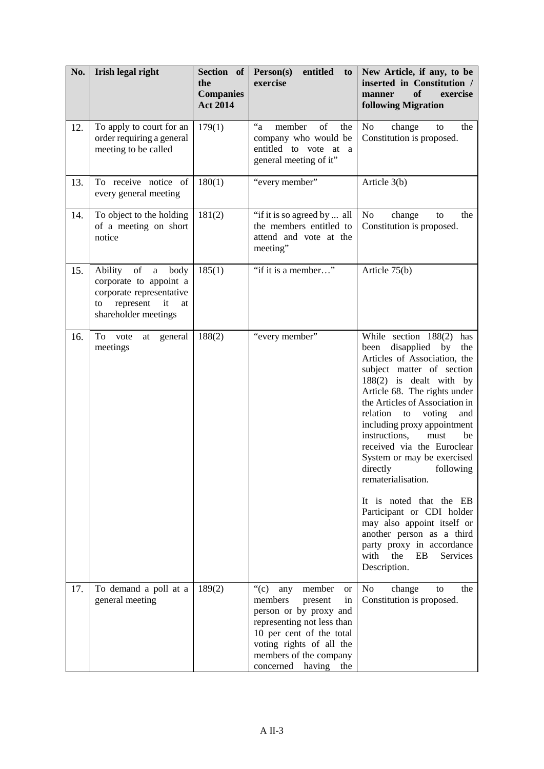| No. | Irish legal right                                                                                                                                  | Section of<br>the<br><b>Companies</b><br><b>Act 2014</b> | entitled<br>Person(s)<br>to<br>exercise                                                                                                                                                                                                                  | New Article, if any, to be<br>inserted in Constitution /<br>of<br>exercise<br>manner<br><b>following Migration</b>                                                                                                                                                                                                                                                                                                                                                                                                                                                                                                              |
|-----|----------------------------------------------------------------------------------------------------------------------------------------------------|----------------------------------------------------------|----------------------------------------------------------------------------------------------------------------------------------------------------------------------------------------------------------------------------------------------------------|---------------------------------------------------------------------------------------------------------------------------------------------------------------------------------------------------------------------------------------------------------------------------------------------------------------------------------------------------------------------------------------------------------------------------------------------------------------------------------------------------------------------------------------------------------------------------------------------------------------------------------|
| 12. | To apply to court for an<br>order requiring a general<br>meeting to be called                                                                      | 179(1)                                                   | $a^2$<br>of<br>member<br>the<br>company who would be<br>entitled to vote at a<br>general meeting of it"                                                                                                                                                  | No<br>change<br>the<br>to<br>Constitution is proposed.                                                                                                                                                                                                                                                                                                                                                                                                                                                                                                                                                                          |
| 13. | To receive notice of<br>every general meeting                                                                                                      | 180(1)                                                   | "every member"                                                                                                                                                                                                                                           | Article 3(b)                                                                                                                                                                                                                                                                                                                                                                                                                                                                                                                                                                                                                    |
| 14. | To object to the holding<br>of a meeting on short<br>notice                                                                                        | 181(2)                                                   | "if it is so agreed by  all<br>the members entitled to<br>attend and vote at the<br>meeting"                                                                                                                                                             | No<br>change<br>the<br>to<br>Constitution is proposed.                                                                                                                                                                                                                                                                                                                                                                                                                                                                                                                                                                          |
| 15. | of<br>Ability<br>body<br>$\mathbf{a}$<br>corporate to appoint a<br>corporate representative<br>represent<br>it<br>to<br>at<br>shareholder meetings | 185(1)                                                   | "if it is a member"                                                                                                                                                                                                                                      | Article 75(b)                                                                                                                                                                                                                                                                                                                                                                                                                                                                                                                                                                                                                   |
| 16. | To vote<br>general<br>at<br>meetings                                                                                                               | 188(2)                                                   | "every member"                                                                                                                                                                                                                                           | While section 188(2) has<br>disapplied by<br>been<br>the<br>Articles of Association, the<br>subject matter of section<br>188(2) is dealt with by<br>Article 68. The rights under<br>the Articles of Association in<br>relation<br>voting<br>to<br>and<br>including proxy appointment<br>instructions,<br>must<br>be<br>received via the Euroclear<br>System or may be exercised<br>directly<br>following<br>rematerialisation.<br>It is noted that the EB<br>Participant or CDI holder<br>may also appoint itself or<br>another person as a third<br>party proxy in accordance<br>with<br>the<br>EB<br>Services<br>Description. |
| 17. | To demand a poll at a<br>general meeting                                                                                                           | 189(2)                                                   | $\lq\lq$ <sup>"</sup> (c)<br>member<br>any<br><b>or</b><br>members<br>present<br>in<br>person or by proxy and<br>representing not less than<br>10 per cent of the total<br>voting rights of all the<br>members of the company<br>concerned having<br>the | N <sub>o</sub><br>change<br>the<br>to<br>Constitution is proposed.                                                                                                                                                                                                                                                                                                                                                                                                                                                                                                                                                              |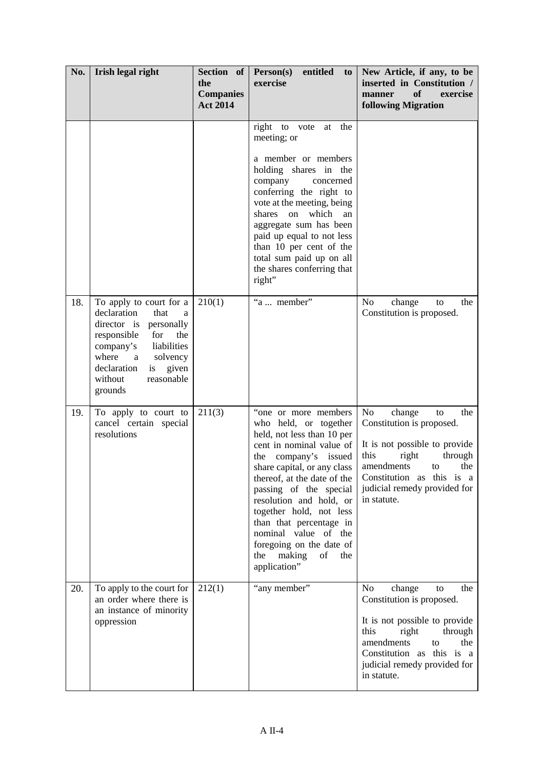| No. | Irish legal right                                                                                                                                                                                                                  | Section of<br>the<br><b>Companies</b><br><b>Act 2014</b> | Person(s)<br>entitled<br>$\mathbf{to}$<br>exercise                                                                                                                                                                                                                                                                                                                                                            | New Article, if any, to be<br>inserted in Constitution /<br>exercise<br>of<br>manner<br><b>following Migration</b>                                                                                                                     |
|-----|------------------------------------------------------------------------------------------------------------------------------------------------------------------------------------------------------------------------------------|----------------------------------------------------------|---------------------------------------------------------------------------------------------------------------------------------------------------------------------------------------------------------------------------------------------------------------------------------------------------------------------------------------------------------------------------------------------------------------|----------------------------------------------------------------------------------------------------------------------------------------------------------------------------------------------------------------------------------------|
|     |                                                                                                                                                                                                                                    |                                                          | the<br>right to vote<br>at<br>meeting; or<br>a member or members<br>holding shares in the<br>company<br>concerned<br>conferring the right to<br>vote at the meeting, being<br>shares<br>which<br>on<br>an<br>aggregate sum has been<br>paid up equal to not less<br>than 10 per cent of the<br>total sum paid up on all<br>the shares conferring that<br>right"                                               |                                                                                                                                                                                                                                        |
| 18. | To apply to court for a<br>declaration<br>that<br>a<br>director is personally<br>responsible<br>for<br>the<br>company's<br>liabilities<br>where<br>solvency<br>a<br>is<br>given<br>declaration<br>reasonable<br>without<br>grounds | 210(1)                                                   | "a  member"                                                                                                                                                                                                                                                                                                                                                                                                   | N <sub>o</sub><br>change<br>the<br>to<br>Constitution is proposed.                                                                                                                                                                     |
| 19. | To apply to court to<br>cancel certain special<br>resolutions                                                                                                                                                                      | 211(3)                                                   | "one or more members<br>who held, or together<br>held, not less than 10 per<br>cent in nominal value of<br>company's issued<br>the<br>share capital, or any class<br>thereof, at the date of the<br>passing of the special<br>resolution and hold, or<br>together hold, not less<br>than that percentage in<br>nominal value of the<br>foregoing on the date of<br>the<br>making<br>of<br>the<br>application" | No<br>change<br>the<br>to<br>Constitution is proposed.<br>It is not possible to provide<br>this<br>right<br>through<br>amendments<br>the<br>to<br>Constitution as this is a<br>judicial remedy provided for<br>in statute.             |
| 20. | To apply to the court for<br>an order where there is<br>an instance of minority<br>oppression                                                                                                                                      | 212(1)                                                   | "any member"                                                                                                                                                                                                                                                                                                                                                                                                  | N <sub>o</sub><br>change<br>the<br>to<br>Constitution is proposed.<br>It is not possible to provide<br>this<br>right<br>through<br>amendments<br>to<br>the<br>Constitution as this is a<br>judicial remedy provided for<br>in statute. |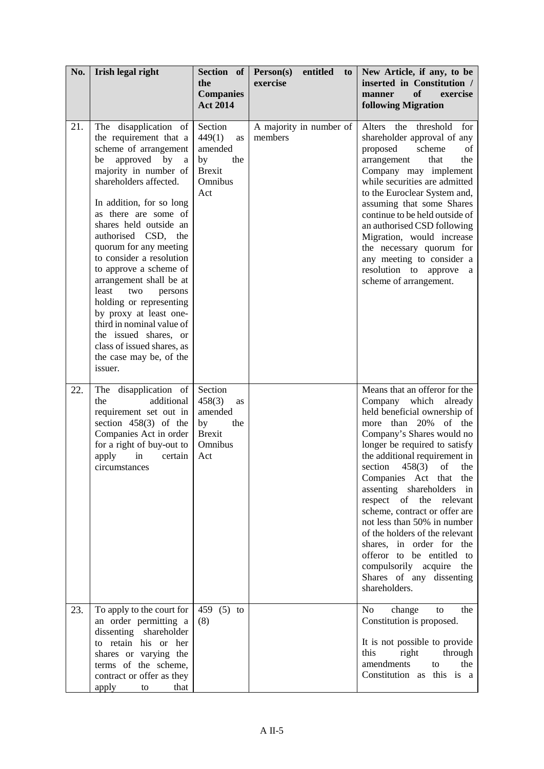| No. | Irish legal right                                                                                                                                                                                                                                                                                                                                                                                                                                                                                                                                                                     | Section of<br>the<br><b>Companies</b><br><b>Act 2014</b>                                  | entitled<br>Person(s)<br>to.<br>exercise | New Article, if any, to be<br>inserted in Constitution /<br>exercise<br>of<br>manner<br><b>following Migration</b>                                                                                                                                                                                                                                                                                                                                                                                                                                                                      |
|-----|---------------------------------------------------------------------------------------------------------------------------------------------------------------------------------------------------------------------------------------------------------------------------------------------------------------------------------------------------------------------------------------------------------------------------------------------------------------------------------------------------------------------------------------------------------------------------------------|-------------------------------------------------------------------------------------------|------------------------------------------|-----------------------------------------------------------------------------------------------------------------------------------------------------------------------------------------------------------------------------------------------------------------------------------------------------------------------------------------------------------------------------------------------------------------------------------------------------------------------------------------------------------------------------------------------------------------------------------------|
| 21. | disapplication of<br>The<br>the requirement that a<br>scheme of arrangement<br>approved by<br>be<br>a<br>majority in number of<br>shareholders affected.<br>In addition, for so long<br>as there are some of<br>shares held outside an<br>authorised CSD,<br>the<br>quorum for any meeting<br>to consider a resolution<br>to approve a scheme of<br>arrangement shall be at<br>least<br>two<br>persons<br>holding or representing<br>by proxy at least one-<br>third in nominal value of<br>the issued shares, or<br>class of issued shares, as<br>the case may be, of the<br>issuer. | Section<br>449(1)<br>as<br>amended<br>by<br>the<br><b>Brexit</b><br>Omnibus<br>Act        | A majority in number of<br>members       | Alters<br>the<br>threshold<br>for<br>shareholder approval of any<br>scheme<br>proposed<br>οf<br>arrangement<br>that<br>the<br>Company may implement<br>while securities are admitted<br>to the Euroclear System and,<br>assuming that some Shares<br>continue to be held outside of<br>an authorised CSD following<br>Migration, would increase<br>the necessary quorum for<br>any meeting to consider a<br>resolution to approve<br>a<br>scheme of arrangement.                                                                                                                        |
| 22. | disapplication of<br>The<br>additional<br>the<br>requirement set out in<br>section $458(3)$ of the<br>Companies Act in order<br>for a right of buy-out to<br>apply<br>in<br>certain<br>circumstances                                                                                                                                                                                                                                                                                                                                                                                  | Section<br>458(3)<br><b>as</b><br>amended<br>by<br>the<br><b>Brexit</b><br>Omnibus<br>Act |                                          | Means that an offeror for the<br>Company which<br>already<br>held beneficial ownership of<br>more than 20%<br>of the<br>Company's Shares would no<br>longer be required to satisfy<br>the additional requirement in<br>section<br>458(3)<br>of<br>the<br>Companies Act that the<br>assenting shareholders<br>in<br>respect of<br>the<br>relevant<br>scheme, contract or offer are<br>not less than 50% in number<br>of the holders of the relevant<br>shares, in order for the<br>offeror to be entitled to<br>compulsorily acquire<br>the<br>Shares of any dissenting<br>shareholders. |
| 23. | To apply to the court for<br>an order permitting a<br>dissenting shareholder<br>to retain his or her<br>shares or varying the<br>terms of the scheme,<br>contract or offer as they<br>apply<br>that<br>to                                                                                                                                                                                                                                                                                                                                                                             | 459 (5) to<br>(8)                                                                         |                                          | N <sub>o</sub><br>change<br>to<br>the<br>Constitution is proposed.<br>It is not possible to provide<br>this<br>right<br>through<br>amendments<br>to<br>the<br>Constitution as this is a                                                                                                                                                                                                                                                                                                                                                                                                 |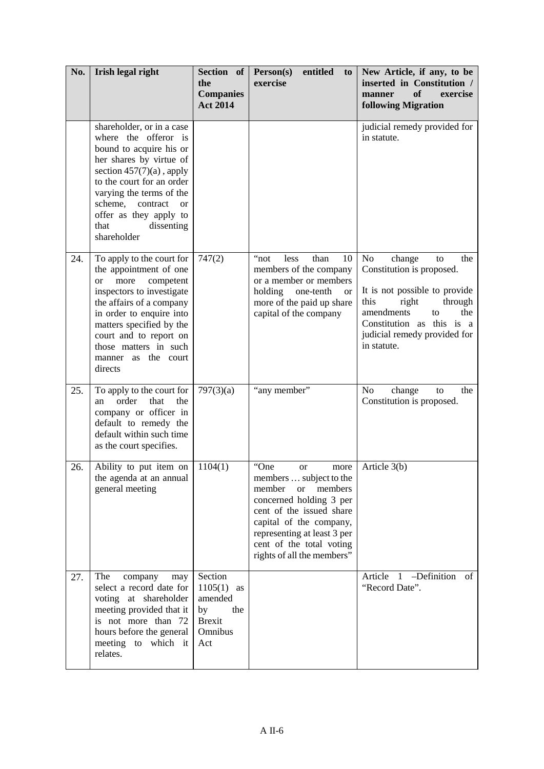| No. | Irish legal right                                                                                                                                                                                                                                                                                      | Section of<br>the<br><b>Companies</b><br><b>Act 2014</b>                           | entitled<br>Person(s)<br>to<br>exercise                                                                                                                                                                                                                           | New Article, if any, to be<br>inserted in Constitution /<br>exercise<br>of<br>manner<br><b>following Migration</b>                                                                                                         |
|-----|--------------------------------------------------------------------------------------------------------------------------------------------------------------------------------------------------------------------------------------------------------------------------------------------------------|------------------------------------------------------------------------------------|-------------------------------------------------------------------------------------------------------------------------------------------------------------------------------------------------------------------------------------------------------------------|----------------------------------------------------------------------------------------------------------------------------------------------------------------------------------------------------------------------------|
|     | shareholder, or in a case<br>where the offeror is<br>bound to acquire his or<br>her shares by virtue of<br>section $457(7)(a)$ , apply<br>to the court for an order<br>varying the terms of the<br>scheme,<br>contract<br><sub>or</sub><br>offer as they apply to<br>dissenting<br>that<br>shareholder |                                                                                    |                                                                                                                                                                                                                                                                   | judicial remedy provided for<br>in statute.                                                                                                                                                                                |
| 24. | To apply to the court for<br>the appointment of one<br>more<br>competent<br><sub>or</sub><br>inspectors to investigate<br>the affairs of a company<br>in order to enquire into<br>matters specified by the<br>court and to report on<br>those matters in such<br>manner as the court<br>directs        | 747(2)                                                                             | "not<br>less<br>than<br>10<br>members of the company<br>or a member or members<br>holding<br>one-tenth<br><b>or</b><br>more of the paid up share<br>capital of the company                                                                                        | No<br>change<br>the<br>to<br>Constitution is proposed.<br>It is not possible to provide<br>this<br>right<br>through<br>amendments<br>the<br>to<br>Constitution as this is a<br>judicial remedy provided for<br>in statute. |
| 25. | To apply to the court for<br>order<br>that<br>the<br>an<br>company or officer in<br>default to remedy the<br>default within such time<br>as the court specifies.                                                                                                                                       | 797(3)(a)                                                                          | "any member"                                                                                                                                                                                                                                                      | N <sub>o</sub><br>change<br>the<br>to<br>Constitution is proposed.                                                                                                                                                         |
| 26. | Ability to put item on<br>the agenda at an annual<br>general meeting                                                                                                                                                                                                                                   | 1104(1)                                                                            | "One<br><b>or</b><br>more<br>members  subject to the<br>member<br>members<br><b>or</b><br>concerned holding 3 per<br>cent of the issued share<br>capital of the company,<br>representing at least 3 per<br>cent of the total voting<br>rights of all the members" | Article 3(b)                                                                                                                                                                                                               |
| 27. | The<br>company<br>may<br>select a record date for<br>voting at shareholder<br>meeting provided that it<br>is not more than 72<br>hours before the general<br>meeting to which it<br>relates.                                                                                                           | Section<br>$1105(1)$ as<br>amended<br>by<br>the<br><b>Brexit</b><br>Omnibus<br>Act |                                                                                                                                                                                                                                                                   | -Definition of<br>Article 1<br>"Record Date".                                                                                                                                                                              |